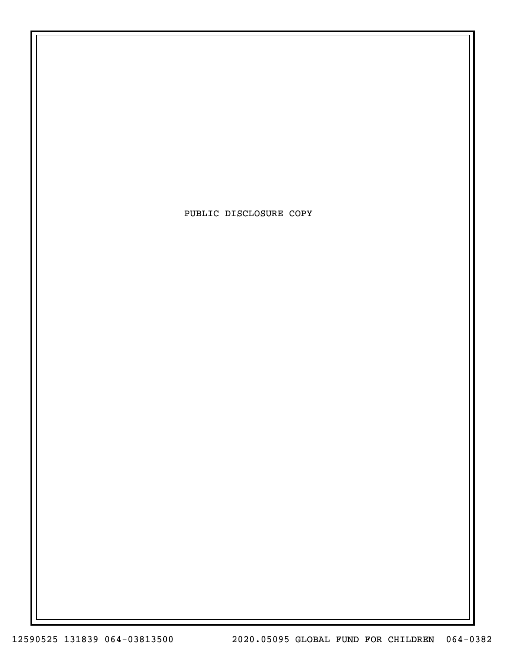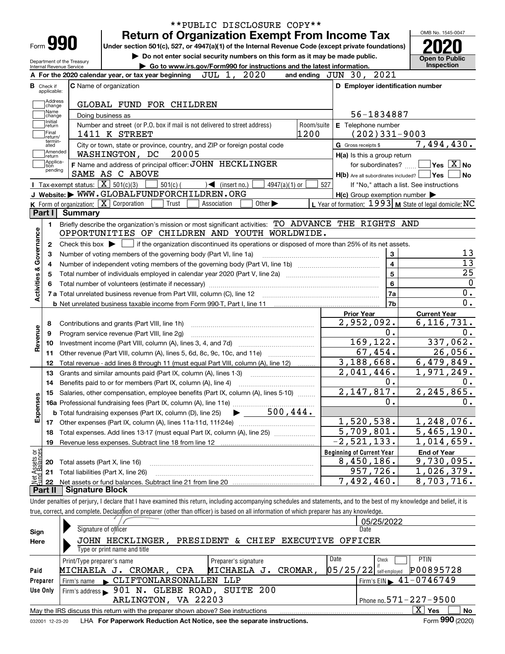| Form <b>990</b>                                                                              |                    |                            |                                                            | <b>Return of Organization Exempt From Income Tax</b>                                                                                                                                                                                   |                                                                                                                                                     |                             |            |                                  |                                                                     | OMB No. 1545-0047                                         |
|----------------------------------------------------------------------------------------------|--------------------|----------------------------|------------------------------------------------------------|----------------------------------------------------------------------------------------------------------------------------------------------------------------------------------------------------------------------------------------|-----------------------------------------------------------------------------------------------------------------------------------------------------|-----------------------------|------------|----------------------------------|---------------------------------------------------------------------|-----------------------------------------------------------|
|                                                                                              |                    |                            |                                                            | Under section 501(c), 527, or 4947(a)(1) of the Internal Revenue Code (except private foundations)                                                                                                                                     |                                                                                                                                                     |                             |            |                                  |                                                                     |                                                           |
|                                                                                              |                    | Department of the Treasury |                                                            | Do not enter social security numbers on this form as it may be made public.                                                                                                                                                            |                                                                                                                                                     |                             |            |                                  |                                                                     | <b>Open to Public</b>                                     |
|                                                                                              |                    | Internal Revenue Service   |                                                            | Go to www.irs.gov/Form990 for instructions and the latest information.                                                                                                                                                                 |                                                                                                                                                     |                             |            |                                  |                                                                     | Inspection                                                |
|                                                                                              |                    |                            |                                                            | A For the 2020 calendar year, or tax year beginning $JUL$ 1, $2020$                                                                                                                                                                    |                                                                                                                                                     |                             |            | and ending $JUN$ 30, $2021$      |                                                                     |                                                           |
| <b>B</b> Check if<br>applicable:                                                             |                    |                            | <b>C</b> Name of organization                              |                                                                                                                                                                                                                                        |                                                                                                                                                     |                             |            |                                  |                                                                     | D Employer identification number                          |
|                                                                                              | Address            |                            |                                                            | GLOBAL FUND FOR CHILDREN                                                                                                                                                                                                               |                                                                                                                                                     |                             |            |                                  |                                                                     |                                                           |
|                                                                                              | change<br>Name     |                            | Doing business as                                          |                                                                                                                                                                                                                                        |                                                                                                                                                     |                             |            |                                  | 56-1834887                                                          |                                                           |
| Initial                                                                                      | change             |                            |                                                            | Number and street (or P.O. box if mail is not delivered to street address)                                                                                                                                                             |                                                                                                                                                     |                             | Room/suite | E Telephone number               |                                                                     |                                                           |
| Final                                                                                        | return             |                            | 1411 K STREET                                              |                                                                                                                                                                                                                                        |                                                                                                                                                     |                             | 1200       |                                  | $(202)331-9003$                                                     |                                                           |
| ated                                                                                         | return/<br>termin- |                            |                                                            | City or town, state or province, country, and ZIP or foreign postal code                                                                                                                                                               |                                                                                                                                                     |                             |            | G Gross receipts \$              |                                                                     | 7,494,430.                                                |
|                                                                                              | Amended<br> return |                            | WASHINGTON, DC                                             | 20005                                                                                                                                                                                                                                  |                                                                                                                                                     |                             |            |                                  | H(a) Is this a group return                                         |                                                           |
| tion                                                                                         | Applica-           |                            |                                                            | F Name and address of principal officer: JOHN HECKLINGER                                                                                                                                                                               |                                                                                                                                                     |                             |            |                                  | for subordinates?                                                   | $\sqrt{\mathsf{Yes}\mathord{\;\mathbb{X}}\,}$ No          |
|                                                                                              | pending            |                            | SAME AS C ABOVE                                            |                                                                                                                                                                                                                                        |                                                                                                                                                     |                             |            |                                  |                                                                     | $H(b)$ Are all subordinates included? $\Box$ Yes          |
|                                                                                              |                    |                            | <b>I</b> Tax-exempt status: $\boxed{\mathbf{X}}$ 501(c)(3) | $501(c)$ (                                                                                                                                                                                                                             | $\sqrt{\frac{1}{1}}$ (insert no.)                                                                                                                   | $4947(a)(1)$ or             | 527        |                                  |                                                                     | If "No," attach a list. See instructions                  |
|                                                                                              |                    |                            |                                                            | J Website: WWW.GLOBALFUNDFORCHILDREN.ORG                                                                                                                                                                                               |                                                                                                                                                     |                             |            |                                  | $H(c)$ Group exemption number $\blacktriangleright$                 |                                                           |
|                                                                                              |                    |                            | K Form of organization: $X$ Corporation                    | Trust                                                                                                                                                                                                                                  | Association                                                                                                                                         | Other $\blacktriangleright$ |            |                                  |                                                                     | L Year of formation: $1993$ M State of legal domicile: NC |
| Part I                                                                                       |                    | <b>Summary</b>             |                                                            |                                                                                                                                                                                                                                        |                                                                                                                                                     |                             |            |                                  |                                                                     |                                                           |
| 2                                                                                            |                    |                            |                                                            |                                                                                                                                                                                                                                        | Check this box $\blacktriangleright$ $\blacksquare$ if the organization discontinued its operations or disposed of more than 25% of its net assets. |                             |            |                                  |                                                                     |                                                           |
| з<br>8                                                                                       |                    |                            |                                                            | Number of voting members of the governing body (Part VI, line 1a)<br>Total number of individuals employed in calendar year 2020 (Part V, line 2a) manufacture controller to intervent<br>Contributions and grants (Part VIII, line 1h) |                                                                                                                                                     |                             |            | <b>Prior Year</b><br>2,952,092.  | 3<br>$\overline{4}$<br>$\overline{5}$<br>$6\phantom{a}$<br>7a<br>7b | <b>Current Year</b><br>6, 116, 731.                       |
| 9                                                                                            |                    |                            |                                                            | Program service revenue (Part VIII, line 2g)                                                                                                                                                                                           |                                                                                                                                                     |                             |            |                                  | 0.                                                                  |                                                           |
| 10                                                                                           |                    |                            |                                                            |                                                                                                                                                                                                                                        |                                                                                                                                                     |                             |            |                                  | 169,122.                                                            | 337,062.                                                  |
| 11                                                                                           |                    |                            |                                                            |                                                                                                                                                                                                                                        |                                                                                                                                                     |                             |            |                                  | 67,454.                                                             | 26,056.                                                   |
| 12                                                                                           |                    |                            |                                                            | Total revenue - add lines 8 through 11 (must equal Part VIII, column (A), line 12)                                                                                                                                                     |                                                                                                                                                     |                             |            | 3,188,668.                       |                                                                     | 6,479,849.                                                |
| 13                                                                                           |                    |                            |                                                            | Grants and similar amounts paid (Part IX, column (A), lines 1-3)                                                                                                                                                                       |                                                                                                                                                     |                             |            | 2,041,446.                       |                                                                     | 1,971,249.                                                |
| 14                                                                                           |                    |                            |                                                            | Benefits paid to or for members (Part IX, column (A), line 4)                                                                                                                                                                          |                                                                                                                                                     |                             |            |                                  | 0.                                                                  |                                                           |
|                                                                                              |                    |                            |                                                            | 15 Salaries, other compensation, employee benefits (Part IX, column (A), lines 5-10)                                                                                                                                                   |                                                                                                                                                     |                             |            | 2,147,817.                       |                                                                     | 2, 245, 865.                                              |
|                                                                                              |                    |                            |                                                            |                                                                                                                                                                                                                                        |                                                                                                                                                     |                             |            |                                  | 0.                                                                  |                                                           |
|                                                                                              |                    |                            |                                                            |                                                                                                                                                                                                                                        |                                                                                                                                                     |                             |            |                                  |                                                                     |                                                           |
|                                                                                              |                    |                            |                                                            |                                                                                                                                                                                                                                        |                                                                                                                                                     |                             |            | 1,520,538.                       |                                                                     | 1,248,076.                                                |
| 18                                                                                           |                    |                            |                                                            | Total expenses. Add lines 13-17 (must equal Part IX, column (A), line 25)                                                                                                                                                              |                                                                                                                                                     |                             |            | 5,709,801.                       |                                                                     | 5,465,190.                                                |
| 19                                                                                           |                    |                            |                                                            |                                                                                                                                                                                                                                        |                                                                                                                                                     |                             |            | $-2, 521, 133.$                  |                                                                     | 1,014,659.                                                |
|                                                                                              |                    |                            |                                                            |                                                                                                                                                                                                                                        |                                                                                                                                                     |                             |            | <b>Beginning of Current Year</b> |                                                                     | <b>End of Year</b>                                        |
| 20                                                                                           |                    |                            | Total assets (Part X, line 16)                             |                                                                                                                                                                                                                                        |                                                                                                                                                     |                             |            | 8,450,186.                       |                                                                     | 9,730,095.                                                |
| Activities & Governance<br>Revenue<br>Expenses<br>Net Assets or<br>Eund Balances<br>21<br>22 |                    |                            | Total liabilities (Part X, line 26)                        |                                                                                                                                                                                                                                        |                                                                                                                                                     |                             |            | 7,492,460.                       | 957,726.                                                            | 1,026,379.<br>8,703,716.                                  |

true, correct, and complete. Declaration of preparer (other than officer) is based on all information of which preparer has any knowledge.

|                 |                                                                                 |                                     | 05/25/2022                                  |
|-----------------|---------------------------------------------------------------------------------|-------------------------------------|---------------------------------------------|
| Sign            | Signature of officer                                                            |                                     | Date                                        |
| Here            | JOHN HECKLINGER,<br>Type or print name and title                                | PRESIDENT & CHIEF EXECUTIVE OFFICER |                                             |
|                 |                                                                                 |                                     |                                             |
|                 | Print/Type preparer's name                                                      | Preparer's signature                | <b>PTIN</b><br>Date<br>Check                |
| Paid            | MICHAELA J. CROMAR, CPA                                                         | MICHAELA J.<br>CROMAR,              | P00895728<br>$05/25/22$ self-employed       |
| Preparer        | Firm's name CLIFTONLARSONALLEN LLP                                              |                                     | Firm's EIN $\blacktriangleright$ 41-0746749 |
| Use Only        | Firm's address > 901 N. GLEBE ROAD, SUITE 200                                   |                                     |                                             |
|                 | ARLINGTON, VA 22203                                                             |                                     | Phone no. $571 - 227 - 9500$                |
|                 | May the IRS discuss this return with the preparer shown above? See instructions |                                     | $\mathbf{x}$<br>Yes<br><b>No</b>            |
| 032001 12-23-20 | LHA For Paperwork Reduction Act Notice, see the separate instructions.          |                                     | Form 990 (2020)                             |
|                 |                                                                                 |                                     |                                             |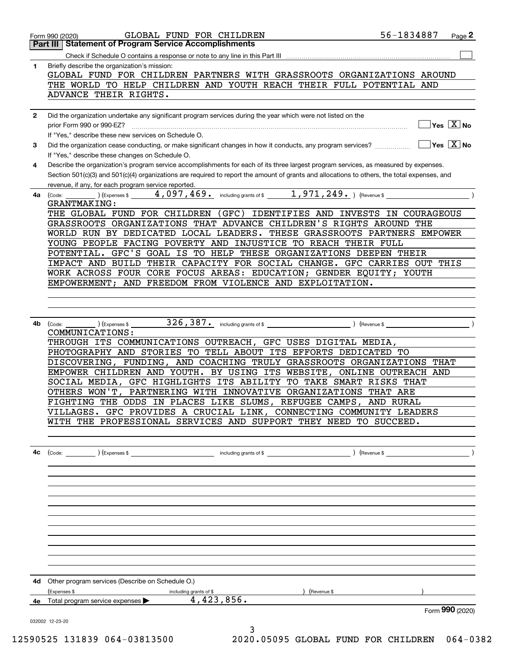|    | GLOBAL FUND FOR CHILDREN<br>Form 990 (2020)                                                                                                                                                                                                                                                                                                 | 56-1834887 | Page 2                                            |
|----|---------------------------------------------------------------------------------------------------------------------------------------------------------------------------------------------------------------------------------------------------------------------------------------------------------------------------------------------|------------|---------------------------------------------------|
|    | Part III Statement of Program Service Accomplishments                                                                                                                                                                                                                                                                                       |            |                                                   |
|    |                                                                                                                                                                                                                                                                                                                                             |            |                                                   |
| 1  | Briefly describe the organization's mission:<br>GLOBAL FUND FOR CHILDREN PARTNERS WITH GRASSROOTS ORGANIZATIONS AROUND<br>THE WORLD TO HELP CHILDREN AND YOUTH REACH THEIR FULL POTENTIAL AND<br>ADVANCE THEIR RIGHTS.                                                                                                                      |            |                                                   |
|    |                                                                                                                                                                                                                                                                                                                                             |            |                                                   |
| 2  | Did the organization undertake any significant program services during the year which were not listed on the<br>prior Form 990 or 990-EZ?<br>If "Yes," describe these new services on Schedule O.                                                                                                                                           |            | $\boxed{\phantom{1}}$ Yes $\boxed{\mathrm{X}}$ No |
| 3  | If "Yes," describe these changes on Schedule O.                                                                                                                                                                                                                                                                                             |            |                                                   |
| 4  | Describe the organization's program service accomplishments for each of its three largest program services, as measured by expenses.<br>Section 501(c)(3) and 501(c)(4) organizations are required to report the amount of grants and allocations to others, the total expenses, and<br>revenue, if any, for each program service reported. |            |                                                   |
| 4a | $\frac{1}{2}$ ) (Expenses \$ $\frac{4}{2}$ , 097, 469 $\frac{1}{2}$ including grants of \$ $\frac{1}{2}$ , 971, 249 $\frac{1}{2}$ ) (Revenue \$<br>(Code:<br><b>GRANTMAKING:</b>                                                                                                                                                            |            |                                                   |
|    | THE GLOBAL FUND FOR CHILDREN (GFC) IDENTIFIES AND INVESTS IN COURAGEOUS                                                                                                                                                                                                                                                                     |            |                                                   |
|    | GRASSROOTS ORGANIZATIONS THAT ADVANCE CHILDREN'S RIGHTS AROUND THE                                                                                                                                                                                                                                                                          |            |                                                   |
|    | WORLD RUN BY DEDICATED LOCAL LEADERS. THESE GRASSROOTS PARTNERS EMPOWER                                                                                                                                                                                                                                                                     |            |                                                   |
|    | YOUNG PEOPLE FACING POVERTY AND INJUSTICE TO REACH THEIR FULL                                                                                                                                                                                                                                                                               |            |                                                   |
|    | POTENTIAL. GFC'S GOAL IS TO HELP THESE ORGANIZATIONS DEEPEN THEIR                                                                                                                                                                                                                                                                           |            |                                                   |
|    | IMPACT AND BUILD THEIR CAPACITY FOR SOCIAL CHANGE. GFC CARRIES OUT THIS                                                                                                                                                                                                                                                                     |            |                                                   |
|    | WORK ACROSS FOUR CORE FOCUS AREAS: EDUCATION; GENDER EQUITY; YOUTH<br>EMPOWERMENT; AND FREEDOM FROM VIOLENCE AND EXPLOITATION.                                                                                                                                                                                                              |            |                                                   |
|    |                                                                                                                                                                                                                                                                                                                                             |            |                                                   |
|    |                                                                                                                                                                                                                                                                                                                                             |            |                                                   |
|    |                                                                                                                                                                                                                                                                                                                                             |            |                                                   |
|    | <b>4b</b> $\left(\text{Code:}\right)$ $\left(\text{Expenses $}\right)$                                                                                                                                                                                                                                                                      |            |                                                   |
|    | COMMUNICATIONS:<br>THROUGH ITS COMMUNICATIONS OUTREACH, GFC USES DIGITAL MEDIA,                                                                                                                                                                                                                                                             |            |                                                   |
|    | PHOTOGRAPHY AND STORIES TO TELL ABOUT ITS EFFORTS DEDICATED TO                                                                                                                                                                                                                                                                              |            |                                                   |
|    | DISCOVERING, FUNDING, AND COACHING TRULY GRASSROOTS ORGANIZATIONS THAT                                                                                                                                                                                                                                                                      |            |                                                   |
|    | EMPOWER CHILDREN AND YOUTH. BY USING ITS WEBSITE, ONLINE OUTREACH AND                                                                                                                                                                                                                                                                       |            |                                                   |
|    | SOCIAL MEDIA, GFC HIGHLIGHTS ITS ABILITY TO TAKE SMART RISKS THAT                                                                                                                                                                                                                                                                           |            |                                                   |
|    | OTHERS WON'T, PARTNERING WITH INNOVATIVE ORGANIZATIONS THAT ARE                                                                                                                                                                                                                                                                             |            |                                                   |
|    | FIGHTING THE ODDS IN PLACES LIKE SLUMS, REFUGEE CAMPS, AND RURAL                                                                                                                                                                                                                                                                            |            |                                                   |
|    | VILLAGES. GFC PROVIDES A CRUCIAL LINK, CONNECTING COMMUNITY LEADERS<br>WITH THE PROFESSIONAL SERVICES AND SUPPORT THEY NEED TO SUCCEED.                                                                                                                                                                                                     |            |                                                   |
|    |                                                                                                                                                                                                                                                                                                                                             |            |                                                   |
|    |                                                                                                                                                                                                                                                                                                                                             |            |                                                   |
| 4c |                                                                                                                                                                                                                                                                                                                                             |            |                                                   |
|    |                                                                                                                                                                                                                                                                                                                                             |            |                                                   |
|    |                                                                                                                                                                                                                                                                                                                                             |            |                                                   |
|    |                                                                                                                                                                                                                                                                                                                                             |            |                                                   |
|    |                                                                                                                                                                                                                                                                                                                                             |            |                                                   |
|    |                                                                                                                                                                                                                                                                                                                                             |            |                                                   |
|    |                                                                                                                                                                                                                                                                                                                                             |            |                                                   |
|    |                                                                                                                                                                                                                                                                                                                                             |            |                                                   |
|    |                                                                                                                                                                                                                                                                                                                                             |            |                                                   |
|    |                                                                                                                                                                                                                                                                                                                                             |            |                                                   |
|    | 4d Other program services (Describe on Schedule O.)                                                                                                                                                                                                                                                                                         |            |                                                   |
|    | (Expenses \$<br>) (Revenue \$<br>including grants of \$                                                                                                                                                                                                                                                                                     |            |                                                   |
|    | $4,423,856$ .<br>4e Total program service expenses                                                                                                                                                                                                                                                                                          |            |                                                   |
|    |                                                                                                                                                                                                                                                                                                                                             |            | Form 990 (2020)                                   |
|    | 032002 12-23-20<br>3                                                                                                                                                                                                                                                                                                                        |            |                                                   |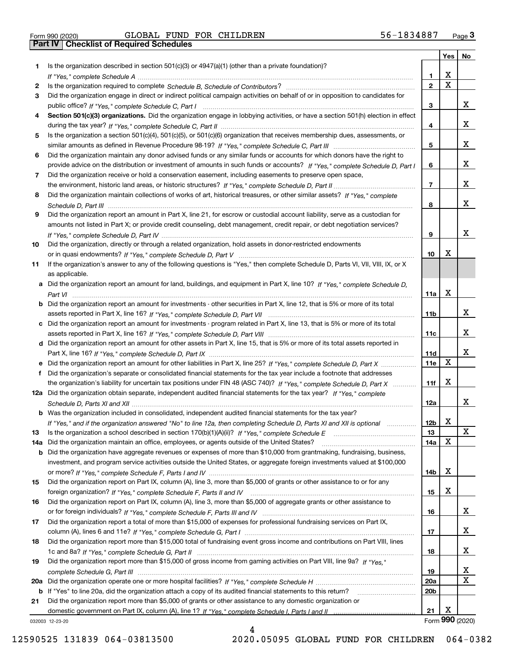| Form 990 (2020) |  |
|-----------------|--|

|           |                                                                                                                                                                                                                              |                 | Yes   No                |                         |
|-----------|------------------------------------------------------------------------------------------------------------------------------------------------------------------------------------------------------------------------------|-----------------|-------------------------|-------------------------|
| 1.        | Is the organization described in section $501(c)(3)$ or $4947(a)(1)$ (other than a private foundation)?                                                                                                                      |                 |                         |                         |
|           |                                                                                                                                                                                                                              | 1               | х                       |                         |
| 2         |                                                                                                                                                                                                                              | $\overline{2}$  | $\overline{\mathbf{x}}$ |                         |
| 3         | Did the organization engage in direct or indirect political campaign activities on behalf of or in opposition to candidates for                                                                                              |                 |                         |                         |
|           |                                                                                                                                                                                                                              | 3               |                         | x                       |
| 4         | Section 501(c)(3) organizations. Did the organization engage in lobbying activities, or have a section 501(h) election in effect                                                                                             |                 |                         |                         |
|           |                                                                                                                                                                                                                              | 4               |                         | x                       |
| 5         | Is the organization a section 501(c)(4), 501(c)(5), or 501(c)(6) organization that receives membership dues, assessments, or                                                                                                 |                 |                         |                         |
|           |                                                                                                                                                                                                                              | 5               |                         | x                       |
| 6         | Did the organization maintain any donor advised funds or any similar funds or accounts for which donors have the right to                                                                                                    |                 |                         |                         |
|           | provide advice on the distribution or investment of amounts in such funds or accounts? If "Yes," complete Schedule D, Part I                                                                                                 | 6               |                         | x                       |
| 7         | Did the organization receive or hold a conservation easement, including easements to preserve open space,                                                                                                                    |                 |                         |                         |
|           |                                                                                                                                                                                                                              | $\overline{7}$  |                         | x                       |
| 8         | Did the organization maintain collections of works of art, historical treasures, or other similar assets? If "Yes," complete                                                                                                 |                 |                         |                         |
|           |                                                                                                                                                                                                                              | 8               |                         | x                       |
| 9         | Did the organization report an amount in Part X, line 21, for escrow or custodial account liability, serve as a custodian for                                                                                                |                 |                         |                         |
|           | amounts not listed in Part X; or provide credit counseling, debt management, credit repair, or debt negotiation services?                                                                                                    |                 |                         |                         |
|           |                                                                                                                                                                                                                              | 9               |                         | x                       |
| 10        | Did the organization, directly or through a related organization, hold assets in donor-restricted endowments                                                                                                                 |                 |                         |                         |
|           |                                                                                                                                                                                                                              | 10              | х                       |                         |
| 11        | If the organization's answer to any of the following questions is "Yes," then complete Schedule D, Parts VI, VII, VIII, IX, or X                                                                                             |                 |                         |                         |
|           | as applicable.                                                                                                                                                                                                               |                 |                         |                         |
|           | a Did the organization report an amount for land, buildings, and equipment in Part X, line 10? If "Yes." complete Schedule D.                                                                                                |                 |                         |                         |
|           |                                                                                                                                                                                                                              | 11a             | х                       |                         |
|           | <b>b</b> Did the organization report an amount for investments - other securities in Part X, line 12, that is 5% or more of its total                                                                                        |                 |                         |                         |
|           |                                                                                                                                                                                                                              | 11b             |                         | x                       |
|           | c Did the organization report an amount for investments - program related in Part X, line 13, that is 5% or more of its total                                                                                                |                 |                         |                         |
|           |                                                                                                                                                                                                                              | 11c             |                         | x                       |
|           | d Did the organization report an amount for other assets in Part X, line 15, that is 5% or more of its total assets reported in                                                                                              |                 |                         |                         |
|           |                                                                                                                                                                                                                              | 11d             |                         | x                       |
|           | e Did the organization report an amount for other liabilities in Part X, line 25? If "Yes," complete Schedule D, Part X                                                                                                      | <b>11e</b>      | X                       |                         |
| f         | Did the organization's separate or consolidated financial statements for the tax year include a footnote that addresses                                                                                                      |                 |                         |                         |
|           | the organization's liability for uncertain tax positions under FIN 48 (ASC 740)? If "Yes," complete Schedule D, Part X                                                                                                       | 11f             | X                       |                         |
|           | 12a Did the organization obtain separate, independent audited financial statements for the tax year? If "Yes," complete                                                                                                      |                 |                         | X.                      |
|           |                                                                                                                                                                                                                              | 12a             |                         |                         |
|           | <b>b</b> Was the organization included in consolidated, independent audited financial statements for the tax year?                                                                                                           | 12 <sub>b</sub> | X                       |                         |
|           | If "Yes," and if the organization answered "No" to line 12a, then completing Schedule D, Parts XI and XII is optional<br>Is the organization a school described in section $170(b)(1)(A)(ii)?$ If "Yes," complete Schedule E | 13              |                         | X                       |
| 13<br>14a | Did the organization maintain an office, employees, or agents outside of the United States?                                                                                                                                  | 14a             | X                       |                         |
|           | <b>b</b> Did the organization have aggregate revenues or expenses of more than \$10,000 from grantmaking, fundraising, business,                                                                                             |                 |                         |                         |
|           | investment, and program service activities outside the United States, or aggregate foreign investments valued at \$100,000                                                                                                   |                 |                         |                         |
|           |                                                                                                                                                                                                                              | 14b             | X                       |                         |
| 15        | Did the organization report on Part IX, column (A), line 3, more than \$5,000 of grants or other assistance to or for any                                                                                                    |                 |                         |                         |
|           | foreign organization? If "Yes," complete Schedule F, Parts II and IV                                                                                                                                                         | 15              | х                       |                         |
| 16        | Did the organization report on Part IX, column (A), line 3, more than \$5,000 of aggregate grants or other assistance to                                                                                                     |                 |                         |                         |
|           |                                                                                                                                                                                                                              | 16              |                         | X.                      |
| 17        | Did the organization report a total of more than \$15,000 of expenses for professional fundraising services on Part IX,                                                                                                      |                 |                         |                         |
|           |                                                                                                                                                                                                                              | 17              |                         | x                       |
| 18        | Did the organization report more than \$15,000 total of fundraising event gross income and contributions on Part VIII, lines                                                                                                 |                 |                         |                         |
|           |                                                                                                                                                                                                                              | 18              |                         | x                       |
| 19        | Did the organization report more than \$15,000 of gross income from gaming activities on Part VIII, line 9a? If "Yes."                                                                                                       |                 |                         |                         |
|           |                                                                                                                                                                                                                              | 19              |                         | <u>x</u>                |
| 20a       |                                                                                                                                                                                                                              | 20a             |                         | $\overline{\mathbf{x}}$ |
|           | <b>b</b> If "Yes" to line 20a, did the organization attach a copy of its audited financial statements to this return?                                                                                                        | 20b             |                         |                         |
| 21        | Did the organization report more than \$5,000 of grants or other assistance to any domestic organization or                                                                                                                  |                 |                         |                         |
|           |                                                                                                                                                                                                                              | 21              | х                       |                         |
|           | 032003 12-23-20                                                                                                                                                                                                              |                 |                         | Form 990 (2020)         |

4

032003 12-23-20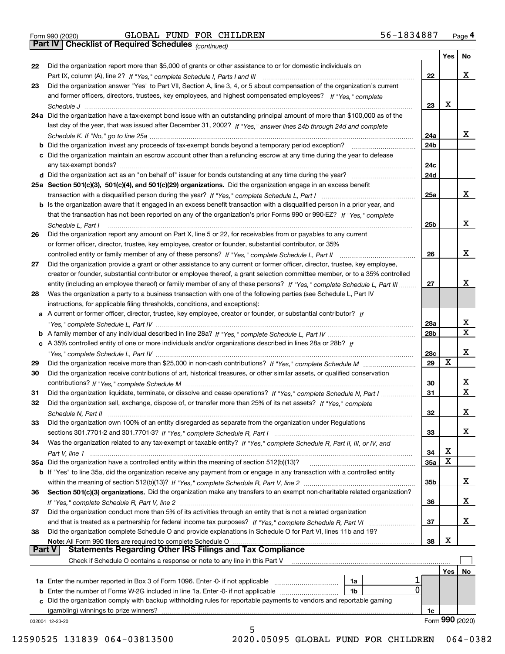|  | Form 990 (2020) |
|--|-----------------|

*(continued)*

|               |                                                                                                                                 |                 | Yes        | No              |
|---------------|---------------------------------------------------------------------------------------------------------------------------------|-----------------|------------|-----------------|
| 22            | Did the organization report more than \$5,000 of grants or other assistance to or for domestic individuals on                   |                 |            |                 |
|               |                                                                                                                                 | 22              |            | x               |
| 23            | Did the organization answer "Yes" to Part VII, Section A, line 3, 4, or 5 about compensation of the organization's current      |                 |            |                 |
|               | and former officers, directors, trustees, key employees, and highest compensated employees? If "Yes," complete                  |                 |            |                 |
|               | Schedule J                                                                                                                      | 23              | X          |                 |
|               | 24a Did the organization have a tax-exempt bond issue with an outstanding principal amount of more than \$100,000 as of the     |                 |            |                 |
|               | last day of the year, that was issued after December 31, 2002? If "Yes," answer lines 24b through 24d and complete              |                 |            |                 |
|               |                                                                                                                                 | 24a             |            | x               |
|               | <b>b</b> Did the organization invest any proceeds of tax-exempt bonds beyond a temporary period exception?                      | 24b             |            |                 |
|               | c Did the organization maintain an escrow account other than a refunding escrow at any time during the year to defease          |                 |            |                 |
|               |                                                                                                                                 | 24c             |            |                 |
|               |                                                                                                                                 | 24d             |            |                 |
|               | 25a Section 501(c)(3), 501(c)(4), and 501(c)(29) organizations. Did the organization engage in an excess benefit                |                 |            |                 |
|               |                                                                                                                                 | 25a             |            | x               |
|               | b Is the organization aware that it engaged in an excess benefit transaction with a disqualified person in a prior year, and    |                 |            |                 |
|               | that the transaction has not been reported on any of the organization's prior Forms 990 or 990-EZ? If "Yes," complete           |                 |            |                 |
|               |                                                                                                                                 | 25b             |            | x               |
|               | Schedule L. Part I                                                                                                              |                 |            |                 |
| 26            | Did the organization report any amount on Part X, line 5 or 22, for receivables from or payables to any current                 |                 |            |                 |
|               | or former officer, director, trustee, key employee, creator or founder, substantial contributor, or 35%                         |                 |            |                 |
|               |                                                                                                                                 | 26              |            | x               |
| 27            | Did the organization provide a grant or other assistance to any current or former officer, director, trustee, key employee,     |                 |            |                 |
|               | creator or founder, substantial contributor or employee thereof, a grant selection committee member, or to a 35% controlled     |                 |            |                 |
|               | entity (including an employee thereof) or family member of any of these persons? If "Yes," complete Schedule L, Part III        | 27              |            | х               |
| 28            | Was the organization a party to a business transaction with one of the following parties (see Schedule L, Part IV               |                 |            |                 |
|               | instructions, for applicable filing thresholds, conditions, and exceptions):                                                    |                 |            |                 |
|               | a A current or former officer, director, trustee, key employee, creator or founder, or substantial contributor? If              |                 |            |                 |
|               |                                                                                                                                 | 28a             |            | x<br>X          |
|               |                                                                                                                                 | 28 <sub>b</sub> |            |                 |
|               | c A 35% controlled entity of one or more individuals and/or organizations described in lines 28a or 28b? If                     |                 |            |                 |
|               |                                                                                                                                 | 28c             |            | х               |
| 29            |                                                                                                                                 | 29              | X          |                 |
| 30            | Did the organization receive contributions of art, historical treasures, or other similar assets, or qualified conservation     |                 |            |                 |
|               |                                                                                                                                 | 30              |            | x               |
| 31            | Did the organization liquidate, terminate, or dissolve and cease operations? If "Yes," complete Schedule N, Part I              | 31              |            | $\mathbf x$     |
| 32            | Did the organization sell, exchange, dispose of, or transfer more than 25% of its net assets? If "Yes," complete                |                 |            |                 |
|               | Schedule N, Part II                                                                                                             | 32              |            | х               |
| 33            | Did the organization own 100% of an entity disregarded as separate from the organization under Regulations                      |                 |            |                 |
|               |                                                                                                                                 | 33              |            | х               |
| 34            | Was the organization related to any tax-exempt or taxable entity? If "Yes," complete Schedule R, Part II, III, or IV, and       |                 |            |                 |
|               |                                                                                                                                 | 34              | х          |                 |
|               | 35a Did the organization have a controlled entity within the meaning of section 512(b)(13)?                                     | 35a             | X          |                 |
|               | b If "Yes" to line 35a, did the organization receive any payment from or engage in any transaction with a controlled entity     |                 |            |                 |
|               |                                                                                                                                 | 35b             |            | X.              |
| 36            | Section 501(c)(3) organizations. Did the organization make any transfers to an exempt non-charitable related organization?      |                 |            |                 |
|               |                                                                                                                                 | 36              |            | x               |
| 37            | Did the organization conduct more than 5% of its activities through an entity that is not a related organization                |                 |            |                 |
|               |                                                                                                                                 | 37              |            | x               |
| 38            | Did the organization complete Schedule O and provide explanations in Schedule O for Part VI, lines 11b and 19?                  |                 |            |                 |
|               | Note: All Form 990 filers are required to complete Schedule O                                                                   | 38              | X          |                 |
| <b>Part V</b> | <b>Statements Regarding Other IRS Filings and Tax Compliance</b>                                                                |                 |            |                 |
|               | Check if Schedule O contains a response or note to any line in this Part V                                                      |                 |            |                 |
|               |                                                                                                                                 |                 | <b>Yes</b> | No              |
|               | <b>1a</b> Enter the number reported in Box 3 of Form 1096. Enter -0- if not applicable <i>manumumumum</i><br>1a<br>$\mathbf{0}$ |                 |            |                 |
|               | 1b                                                                                                                              |                 |            |                 |
|               | c Did the organization comply with backup withholding rules for reportable payments to vendors and reportable gaming            |                 |            |                 |
|               | (gambling) winnings to prize winners?                                                                                           | 1c              |            | Form 990 (2020) |
|               | 032004 12-23-20<br>5                                                                                                            |                 |            |                 |
|               |                                                                                                                                 |                 |            |                 |

12590525 131839 064-03813500 2020.05095 GLOBAL FUND FOR CHILDREN 064-0382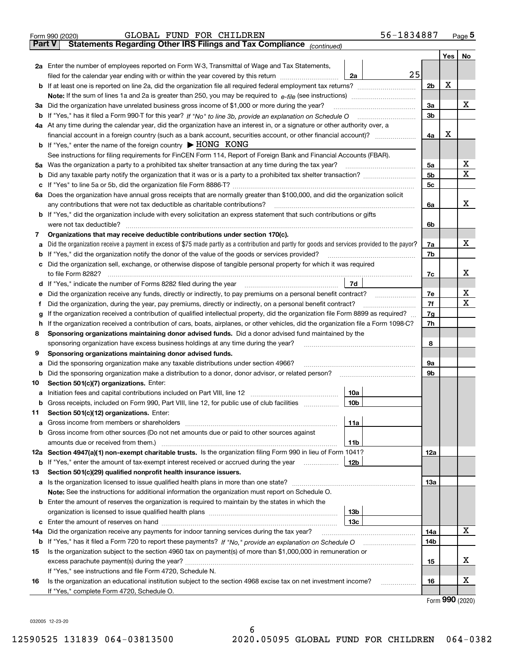| <b>Part V</b><br>Statements Regarding Other IRS Filings and Tax Compliance (continued)<br>No<br>Yes  <br>2a Enter the number of employees reported on Form W-3, Transmittal of Wage and Tax Statements,<br>25<br>filed for the calendar year ending with or within the year covered by this return <i>manumumumum</i><br>2a<br>Х<br>2 <sub>b</sub><br>х<br>3a<br>Did the organization have unrelated business gross income of \$1,000 or more during the year?<br>За<br>3b<br>4a At any time during the calendar year, did the organization have an interest in, or a signature or other authority over, a<br>х<br>financial account in a foreign country (such as a bank account, securities account, or other financial account)?<br>4a<br><b>b</b> If "Yes," enter the name of the foreign country $\blacktriangleright$ HONG KONG<br>See instructions for filing requirements for FinCEN Form 114, Report of Foreign Bank and Financial Accounts (FBAR).<br>х<br>Was the organization a party to a prohibited tax shelter transaction at any time during the tax year?<br>5a<br>5a<br>X<br>5b<br>b<br>5c<br>с<br>6a Does the organization have annual gross receipts that are normally greater than \$100,000, and did the organization solicit<br>x<br>any contributions that were not tax deductible as charitable contributions?<br>6a<br><b>b</b> If "Yes," did the organization include with every solicitation an express statement that such contributions or gifts<br>were not tax deductible?<br>6b<br>Organizations that may receive deductible contributions under section 170(c).<br>7<br>х<br>Did the organization receive a payment in excess of \$75 made partly as a contribution and partly for goods and services provided to the payor?<br>7a<br>а<br>If "Yes," did the organization notify the donor of the value of the goods or services provided?<br>7b<br>b<br>Did the organization sell, exchange, or otherwise dispose of tangible personal property for which it was required<br>с<br>х<br>7c<br>7d  <br>d If "Yes," indicate the number of Forms 8282 filed during the year [11] [11] The Section of Holder and The Year [11] In The Year [11] In The Year [11] In The Year [11] In The Year [11] In The Year [11] In The Year [11] In<br>х<br>7e<br>е<br>х<br>7f<br>Did the organization, during the year, pay premiums, directly or indirectly, on a personal benefit contract?<br>f<br>If the organization received a contribution of qualified intellectual property, did the organization file Form 8899 as required?<br>7g<br>g<br>If the organization received a contribution of cars, boats, airplanes, or other vehicles, did the organization file a Form 1098-C?<br>7h<br>h.<br>Sponsoring organizations maintaining donor advised funds. Did a donor advised fund maintained by the<br>8<br>8<br>sponsoring organization have excess business holdings at any time during the year?<br>Sponsoring organizations maintaining donor advised funds.<br>9<br>Did the sponsoring organization make any taxable distributions under section 4966?<br>9а<br>а<br>Did the sponsoring organization make a distribution to a donor, donor advisor, or related person?<br>9b<br>b<br>Section 501(c)(7) organizations. Enter:<br>10<br>10a<br> 10b <br>Gross receipts, included on Form 990, Part VIII, line 12, for public use of club facilities<br>Section 501(c)(12) organizations. Enter:<br>11<br>11a<br>a<br>b Gross income from other sources (Do not net amounts due or paid to other sources against<br>11b<br>12a Section 4947(a)(1) non-exempt charitable trusts. Is the organization filing Form 990 in lieu of Form 1041?<br>12a<br>12b<br><b>b</b> If "Yes," enter the amount of tax-exempt interest received or accrued during the year <i>manument</i><br>Section 501(c)(29) qualified nonprofit health insurance issuers.<br>13<br>a Is the organization licensed to issue qualified health plans in more than one state?<br>13а<br>Note: See the instructions for additional information the organization must report on Schedule O.<br><b>b</b> Enter the amount of reserves the organization is required to maintain by the states in which the<br>13b<br>13с<br>x<br>Did the organization receive any payments for indoor tanning services during the tax year?<br>14a<br>14a<br><b>b</b> If "Yes," has it filed a Form 720 to report these payments? If "No," provide an explanation on Schedule O<br>14b<br>Is the organization subject to the section 4960 tax on payment(s) of more than \$1,000,000 in remuneration or<br>15<br>X<br>15<br>If "Yes," see instructions and file Form 4720, Schedule N.<br>X<br>Is the organization an educational institution subject to the section 4968 excise tax on net investment income?<br>16<br>16<br>If "Yes," complete Form 4720, Schedule O.<br>Earm $990(2020)$ | 56-1834887<br>GLOBAL FUND FOR CHILDREN<br>Form 990 (2020) |  | $Page$ <sup>5</sup> |
|-----------------------------------------------------------------------------------------------------------------------------------------------------------------------------------------------------------------------------------------------------------------------------------------------------------------------------------------------------------------------------------------------------------------------------------------------------------------------------------------------------------------------------------------------------------------------------------------------------------------------------------------------------------------------------------------------------------------------------------------------------------------------------------------------------------------------------------------------------------------------------------------------------------------------------------------------------------------------------------------------------------------------------------------------------------------------------------------------------------------------------------------------------------------------------------------------------------------------------------------------------------------------------------------------------------------------------------------------------------------------------------------------------------------------------------------------------------------------------------------------------------------------------------------------------------------------------------------------------------------------------------------------------------------------------------------------------------------------------------------------------------------------------------------------------------------------------------------------------------------------------------------------------------------------------------------------------------------------------------------------------------------------------------------------------------------------------------------------------------------------------------------------------------------------------------------------------------------------------------------------------------------------------------------------------------------------------------------------------------------------------------------------------------------------------------------------------------------------------------------------------------------------------------------------------------------------------------------------------------------------------------------------------------------------------------------------------------------------------------------------------------------------------------------------------------------------------------------------------------------------------------------------------------------------------------------------------------------------------------------------------------------------------------------------------------------------------------------------------------------------------------------------------------------------------------------------------------------------------------------------------------------------------------------------------------------------------------------------------------------------------------------------------------------------------------------------------------------------------------------------------------------------------------------------------------------------------------------------------------------------------------------------------------------------------------------------------------------------------------------------------------------------------------------------------------------------------------------------------------------------------------------------------------------------------------------------------------------------------------------------------------------------------------------------------------------------------------------------------------------------------------------------------------------------------------------------------------------------------------------------------------------------------------------------------------------------------------------------------------------------------------------------------------------------------------------------------------------------------------------------------------------------------------------------------------------------------------------------------------------------------------------------------------------------------------------------------------------------------------------------------------------------------------------------------------------------------------------------------------------------|-----------------------------------------------------------|--|---------------------|
|                                                                                                                                                                                                                                                                                                                                                                                                                                                                                                                                                                                                                                                                                                                                                                                                                                                                                                                                                                                                                                                                                                                                                                                                                                                                                                                                                                                                                                                                                                                                                                                                                                                                                                                                                                                                                                                                                                                                                                                                                                                                                                                                                                                                                                                                                                                                                                                                                                                                                                                                                                                                                                                                                                                                                                                                                                                                                                                                                                                                                                                                                                                                                                                                                                                                                                                                                                                                                                                                                                                                                                                                                                                                                                                                                                                                                                                                                                                                                                                                                                                                                                                                                                                                                                                                                                                                                                                                                                                                                                                                                                                                                                                                                                                                                                                                                                                                       |                                                           |  |                     |
|                                                                                                                                                                                                                                                                                                                                                                                                                                                                                                                                                                                                                                                                                                                                                                                                                                                                                                                                                                                                                                                                                                                                                                                                                                                                                                                                                                                                                                                                                                                                                                                                                                                                                                                                                                                                                                                                                                                                                                                                                                                                                                                                                                                                                                                                                                                                                                                                                                                                                                                                                                                                                                                                                                                                                                                                                                                                                                                                                                                                                                                                                                                                                                                                                                                                                                                                                                                                                                                                                                                                                                                                                                                                                                                                                                                                                                                                                                                                                                                                                                                                                                                                                                                                                                                                                                                                                                                                                                                                                                                                                                                                                                                                                                                                                                                                                                                                       |                                                           |  |                     |
|                                                                                                                                                                                                                                                                                                                                                                                                                                                                                                                                                                                                                                                                                                                                                                                                                                                                                                                                                                                                                                                                                                                                                                                                                                                                                                                                                                                                                                                                                                                                                                                                                                                                                                                                                                                                                                                                                                                                                                                                                                                                                                                                                                                                                                                                                                                                                                                                                                                                                                                                                                                                                                                                                                                                                                                                                                                                                                                                                                                                                                                                                                                                                                                                                                                                                                                                                                                                                                                                                                                                                                                                                                                                                                                                                                                                                                                                                                                                                                                                                                                                                                                                                                                                                                                                                                                                                                                                                                                                                                                                                                                                                                                                                                                                                                                                                                                                       |                                                           |  |                     |
|                                                                                                                                                                                                                                                                                                                                                                                                                                                                                                                                                                                                                                                                                                                                                                                                                                                                                                                                                                                                                                                                                                                                                                                                                                                                                                                                                                                                                                                                                                                                                                                                                                                                                                                                                                                                                                                                                                                                                                                                                                                                                                                                                                                                                                                                                                                                                                                                                                                                                                                                                                                                                                                                                                                                                                                                                                                                                                                                                                                                                                                                                                                                                                                                                                                                                                                                                                                                                                                                                                                                                                                                                                                                                                                                                                                                                                                                                                                                                                                                                                                                                                                                                                                                                                                                                                                                                                                                                                                                                                                                                                                                                                                                                                                                                                                                                                                                       |                                                           |  |                     |
|                                                                                                                                                                                                                                                                                                                                                                                                                                                                                                                                                                                                                                                                                                                                                                                                                                                                                                                                                                                                                                                                                                                                                                                                                                                                                                                                                                                                                                                                                                                                                                                                                                                                                                                                                                                                                                                                                                                                                                                                                                                                                                                                                                                                                                                                                                                                                                                                                                                                                                                                                                                                                                                                                                                                                                                                                                                                                                                                                                                                                                                                                                                                                                                                                                                                                                                                                                                                                                                                                                                                                                                                                                                                                                                                                                                                                                                                                                                                                                                                                                                                                                                                                                                                                                                                                                                                                                                                                                                                                                                                                                                                                                                                                                                                                                                                                                                                       |                                                           |  |                     |
|                                                                                                                                                                                                                                                                                                                                                                                                                                                                                                                                                                                                                                                                                                                                                                                                                                                                                                                                                                                                                                                                                                                                                                                                                                                                                                                                                                                                                                                                                                                                                                                                                                                                                                                                                                                                                                                                                                                                                                                                                                                                                                                                                                                                                                                                                                                                                                                                                                                                                                                                                                                                                                                                                                                                                                                                                                                                                                                                                                                                                                                                                                                                                                                                                                                                                                                                                                                                                                                                                                                                                                                                                                                                                                                                                                                                                                                                                                                                                                                                                                                                                                                                                                                                                                                                                                                                                                                                                                                                                                                                                                                                                                                                                                                                                                                                                                                                       |                                                           |  |                     |
|                                                                                                                                                                                                                                                                                                                                                                                                                                                                                                                                                                                                                                                                                                                                                                                                                                                                                                                                                                                                                                                                                                                                                                                                                                                                                                                                                                                                                                                                                                                                                                                                                                                                                                                                                                                                                                                                                                                                                                                                                                                                                                                                                                                                                                                                                                                                                                                                                                                                                                                                                                                                                                                                                                                                                                                                                                                                                                                                                                                                                                                                                                                                                                                                                                                                                                                                                                                                                                                                                                                                                                                                                                                                                                                                                                                                                                                                                                                                                                                                                                                                                                                                                                                                                                                                                                                                                                                                                                                                                                                                                                                                                                                                                                                                                                                                                                                                       |                                                           |  |                     |
|                                                                                                                                                                                                                                                                                                                                                                                                                                                                                                                                                                                                                                                                                                                                                                                                                                                                                                                                                                                                                                                                                                                                                                                                                                                                                                                                                                                                                                                                                                                                                                                                                                                                                                                                                                                                                                                                                                                                                                                                                                                                                                                                                                                                                                                                                                                                                                                                                                                                                                                                                                                                                                                                                                                                                                                                                                                                                                                                                                                                                                                                                                                                                                                                                                                                                                                                                                                                                                                                                                                                                                                                                                                                                                                                                                                                                                                                                                                                                                                                                                                                                                                                                                                                                                                                                                                                                                                                                                                                                                                                                                                                                                                                                                                                                                                                                                                                       |                                                           |  |                     |
|                                                                                                                                                                                                                                                                                                                                                                                                                                                                                                                                                                                                                                                                                                                                                                                                                                                                                                                                                                                                                                                                                                                                                                                                                                                                                                                                                                                                                                                                                                                                                                                                                                                                                                                                                                                                                                                                                                                                                                                                                                                                                                                                                                                                                                                                                                                                                                                                                                                                                                                                                                                                                                                                                                                                                                                                                                                                                                                                                                                                                                                                                                                                                                                                                                                                                                                                                                                                                                                                                                                                                                                                                                                                                                                                                                                                                                                                                                                                                                                                                                                                                                                                                                                                                                                                                                                                                                                                                                                                                                                                                                                                                                                                                                                                                                                                                                                                       |                                                           |  |                     |
|                                                                                                                                                                                                                                                                                                                                                                                                                                                                                                                                                                                                                                                                                                                                                                                                                                                                                                                                                                                                                                                                                                                                                                                                                                                                                                                                                                                                                                                                                                                                                                                                                                                                                                                                                                                                                                                                                                                                                                                                                                                                                                                                                                                                                                                                                                                                                                                                                                                                                                                                                                                                                                                                                                                                                                                                                                                                                                                                                                                                                                                                                                                                                                                                                                                                                                                                                                                                                                                                                                                                                                                                                                                                                                                                                                                                                                                                                                                                                                                                                                                                                                                                                                                                                                                                                                                                                                                                                                                                                                                                                                                                                                                                                                                                                                                                                                                                       |                                                           |  |                     |
|                                                                                                                                                                                                                                                                                                                                                                                                                                                                                                                                                                                                                                                                                                                                                                                                                                                                                                                                                                                                                                                                                                                                                                                                                                                                                                                                                                                                                                                                                                                                                                                                                                                                                                                                                                                                                                                                                                                                                                                                                                                                                                                                                                                                                                                                                                                                                                                                                                                                                                                                                                                                                                                                                                                                                                                                                                                                                                                                                                                                                                                                                                                                                                                                                                                                                                                                                                                                                                                                                                                                                                                                                                                                                                                                                                                                                                                                                                                                                                                                                                                                                                                                                                                                                                                                                                                                                                                                                                                                                                                                                                                                                                                                                                                                                                                                                                                                       |                                                           |  |                     |
|                                                                                                                                                                                                                                                                                                                                                                                                                                                                                                                                                                                                                                                                                                                                                                                                                                                                                                                                                                                                                                                                                                                                                                                                                                                                                                                                                                                                                                                                                                                                                                                                                                                                                                                                                                                                                                                                                                                                                                                                                                                                                                                                                                                                                                                                                                                                                                                                                                                                                                                                                                                                                                                                                                                                                                                                                                                                                                                                                                                                                                                                                                                                                                                                                                                                                                                                                                                                                                                                                                                                                                                                                                                                                                                                                                                                                                                                                                                                                                                                                                                                                                                                                                                                                                                                                                                                                                                                                                                                                                                                                                                                                                                                                                                                                                                                                                                                       |                                                           |  |                     |
|                                                                                                                                                                                                                                                                                                                                                                                                                                                                                                                                                                                                                                                                                                                                                                                                                                                                                                                                                                                                                                                                                                                                                                                                                                                                                                                                                                                                                                                                                                                                                                                                                                                                                                                                                                                                                                                                                                                                                                                                                                                                                                                                                                                                                                                                                                                                                                                                                                                                                                                                                                                                                                                                                                                                                                                                                                                                                                                                                                                                                                                                                                                                                                                                                                                                                                                                                                                                                                                                                                                                                                                                                                                                                                                                                                                                                                                                                                                                                                                                                                                                                                                                                                                                                                                                                                                                                                                                                                                                                                                                                                                                                                                                                                                                                                                                                                                                       |                                                           |  |                     |
|                                                                                                                                                                                                                                                                                                                                                                                                                                                                                                                                                                                                                                                                                                                                                                                                                                                                                                                                                                                                                                                                                                                                                                                                                                                                                                                                                                                                                                                                                                                                                                                                                                                                                                                                                                                                                                                                                                                                                                                                                                                                                                                                                                                                                                                                                                                                                                                                                                                                                                                                                                                                                                                                                                                                                                                                                                                                                                                                                                                                                                                                                                                                                                                                                                                                                                                                                                                                                                                                                                                                                                                                                                                                                                                                                                                                                                                                                                                                                                                                                                                                                                                                                                                                                                                                                                                                                                                                                                                                                                                                                                                                                                                                                                                                                                                                                                                                       |                                                           |  |                     |
|                                                                                                                                                                                                                                                                                                                                                                                                                                                                                                                                                                                                                                                                                                                                                                                                                                                                                                                                                                                                                                                                                                                                                                                                                                                                                                                                                                                                                                                                                                                                                                                                                                                                                                                                                                                                                                                                                                                                                                                                                                                                                                                                                                                                                                                                                                                                                                                                                                                                                                                                                                                                                                                                                                                                                                                                                                                                                                                                                                                                                                                                                                                                                                                                                                                                                                                                                                                                                                                                                                                                                                                                                                                                                                                                                                                                                                                                                                                                                                                                                                                                                                                                                                                                                                                                                                                                                                                                                                                                                                                                                                                                                                                                                                                                                                                                                                                                       |                                                           |  |                     |
|                                                                                                                                                                                                                                                                                                                                                                                                                                                                                                                                                                                                                                                                                                                                                                                                                                                                                                                                                                                                                                                                                                                                                                                                                                                                                                                                                                                                                                                                                                                                                                                                                                                                                                                                                                                                                                                                                                                                                                                                                                                                                                                                                                                                                                                                                                                                                                                                                                                                                                                                                                                                                                                                                                                                                                                                                                                                                                                                                                                                                                                                                                                                                                                                                                                                                                                                                                                                                                                                                                                                                                                                                                                                                                                                                                                                                                                                                                                                                                                                                                                                                                                                                                                                                                                                                                                                                                                                                                                                                                                                                                                                                                                                                                                                                                                                                                                                       |                                                           |  |                     |
|                                                                                                                                                                                                                                                                                                                                                                                                                                                                                                                                                                                                                                                                                                                                                                                                                                                                                                                                                                                                                                                                                                                                                                                                                                                                                                                                                                                                                                                                                                                                                                                                                                                                                                                                                                                                                                                                                                                                                                                                                                                                                                                                                                                                                                                                                                                                                                                                                                                                                                                                                                                                                                                                                                                                                                                                                                                                                                                                                                                                                                                                                                                                                                                                                                                                                                                                                                                                                                                                                                                                                                                                                                                                                                                                                                                                                                                                                                                                                                                                                                                                                                                                                                                                                                                                                                                                                                                                                                                                                                                                                                                                                                                                                                                                                                                                                                                                       |                                                           |  |                     |
|                                                                                                                                                                                                                                                                                                                                                                                                                                                                                                                                                                                                                                                                                                                                                                                                                                                                                                                                                                                                                                                                                                                                                                                                                                                                                                                                                                                                                                                                                                                                                                                                                                                                                                                                                                                                                                                                                                                                                                                                                                                                                                                                                                                                                                                                                                                                                                                                                                                                                                                                                                                                                                                                                                                                                                                                                                                                                                                                                                                                                                                                                                                                                                                                                                                                                                                                                                                                                                                                                                                                                                                                                                                                                                                                                                                                                                                                                                                                                                                                                                                                                                                                                                                                                                                                                                                                                                                                                                                                                                                                                                                                                                                                                                                                                                                                                                                                       |                                                           |  |                     |
|                                                                                                                                                                                                                                                                                                                                                                                                                                                                                                                                                                                                                                                                                                                                                                                                                                                                                                                                                                                                                                                                                                                                                                                                                                                                                                                                                                                                                                                                                                                                                                                                                                                                                                                                                                                                                                                                                                                                                                                                                                                                                                                                                                                                                                                                                                                                                                                                                                                                                                                                                                                                                                                                                                                                                                                                                                                                                                                                                                                                                                                                                                                                                                                                                                                                                                                                                                                                                                                                                                                                                                                                                                                                                                                                                                                                                                                                                                                                                                                                                                                                                                                                                                                                                                                                                                                                                                                                                                                                                                                                                                                                                                                                                                                                                                                                                                                                       |                                                           |  |                     |
|                                                                                                                                                                                                                                                                                                                                                                                                                                                                                                                                                                                                                                                                                                                                                                                                                                                                                                                                                                                                                                                                                                                                                                                                                                                                                                                                                                                                                                                                                                                                                                                                                                                                                                                                                                                                                                                                                                                                                                                                                                                                                                                                                                                                                                                                                                                                                                                                                                                                                                                                                                                                                                                                                                                                                                                                                                                                                                                                                                                                                                                                                                                                                                                                                                                                                                                                                                                                                                                                                                                                                                                                                                                                                                                                                                                                                                                                                                                                                                                                                                                                                                                                                                                                                                                                                                                                                                                                                                                                                                                                                                                                                                                                                                                                                                                                                                                                       |                                                           |  |                     |
|                                                                                                                                                                                                                                                                                                                                                                                                                                                                                                                                                                                                                                                                                                                                                                                                                                                                                                                                                                                                                                                                                                                                                                                                                                                                                                                                                                                                                                                                                                                                                                                                                                                                                                                                                                                                                                                                                                                                                                                                                                                                                                                                                                                                                                                                                                                                                                                                                                                                                                                                                                                                                                                                                                                                                                                                                                                                                                                                                                                                                                                                                                                                                                                                                                                                                                                                                                                                                                                                                                                                                                                                                                                                                                                                                                                                                                                                                                                                                                                                                                                                                                                                                                                                                                                                                                                                                                                                                                                                                                                                                                                                                                                                                                                                                                                                                                                                       |                                                           |  |                     |
|                                                                                                                                                                                                                                                                                                                                                                                                                                                                                                                                                                                                                                                                                                                                                                                                                                                                                                                                                                                                                                                                                                                                                                                                                                                                                                                                                                                                                                                                                                                                                                                                                                                                                                                                                                                                                                                                                                                                                                                                                                                                                                                                                                                                                                                                                                                                                                                                                                                                                                                                                                                                                                                                                                                                                                                                                                                                                                                                                                                                                                                                                                                                                                                                                                                                                                                                                                                                                                                                                                                                                                                                                                                                                                                                                                                                                                                                                                                                                                                                                                                                                                                                                                                                                                                                                                                                                                                                                                                                                                                                                                                                                                                                                                                                                                                                                                                                       |                                                           |  |                     |
|                                                                                                                                                                                                                                                                                                                                                                                                                                                                                                                                                                                                                                                                                                                                                                                                                                                                                                                                                                                                                                                                                                                                                                                                                                                                                                                                                                                                                                                                                                                                                                                                                                                                                                                                                                                                                                                                                                                                                                                                                                                                                                                                                                                                                                                                                                                                                                                                                                                                                                                                                                                                                                                                                                                                                                                                                                                                                                                                                                                                                                                                                                                                                                                                                                                                                                                                                                                                                                                                                                                                                                                                                                                                                                                                                                                                                                                                                                                                                                                                                                                                                                                                                                                                                                                                                                                                                                                                                                                                                                                                                                                                                                                                                                                                                                                                                                                                       |                                                           |  |                     |
|                                                                                                                                                                                                                                                                                                                                                                                                                                                                                                                                                                                                                                                                                                                                                                                                                                                                                                                                                                                                                                                                                                                                                                                                                                                                                                                                                                                                                                                                                                                                                                                                                                                                                                                                                                                                                                                                                                                                                                                                                                                                                                                                                                                                                                                                                                                                                                                                                                                                                                                                                                                                                                                                                                                                                                                                                                                                                                                                                                                                                                                                                                                                                                                                                                                                                                                                                                                                                                                                                                                                                                                                                                                                                                                                                                                                                                                                                                                                                                                                                                                                                                                                                                                                                                                                                                                                                                                                                                                                                                                                                                                                                                                                                                                                                                                                                                                                       |                                                           |  |                     |
|                                                                                                                                                                                                                                                                                                                                                                                                                                                                                                                                                                                                                                                                                                                                                                                                                                                                                                                                                                                                                                                                                                                                                                                                                                                                                                                                                                                                                                                                                                                                                                                                                                                                                                                                                                                                                                                                                                                                                                                                                                                                                                                                                                                                                                                                                                                                                                                                                                                                                                                                                                                                                                                                                                                                                                                                                                                                                                                                                                                                                                                                                                                                                                                                                                                                                                                                                                                                                                                                                                                                                                                                                                                                                                                                                                                                                                                                                                                                                                                                                                                                                                                                                                                                                                                                                                                                                                                                                                                                                                                                                                                                                                                                                                                                                                                                                                                                       |                                                           |  |                     |
|                                                                                                                                                                                                                                                                                                                                                                                                                                                                                                                                                                                                                                                                                                                                                                                                                                                                                                                                                                                                                                                                                                                                                                                                                                                                                                                                                                                                                                                                                                                                                                                                                                                                                                                                                                                                                                                                                                                                                                                                                                                                                                                                                                                                                                                                                                                                                                                                                                                                                                                                                                                                                                                                                                                                                                                                                                                                                                                                                                                                                                                                                                                                                                                                                                                                                                                                                                                                                                                                                                                                                                                                                                                                                                                                                                                                                                                                                                                                                                                                                                                                                                                                                                                                                                                                                                                                                                                                                                                                                                                                                                                                                                                                                                                                                                                                                                                                       |                                                           |  |                     |
|                                                                                                                                                                                                                                                                                                                                                                                                                                                                                                                                                                                                                                                                                                                                                                                                                                                                                                                                                                                                                                                                                                                                                                                                                                                                                                                                                                                                                                                                                                                                                                                                                                                                                                                                                                                                                                                                                                                                                                                                                                                                                                                                                                                                                                                                                                                                                                                                                                                                                                                                                                                                                                                                                                                                                                                                                                                                                                                                                                                                                                                                                                                                                                                                                                                                                                                                                                                                                                                                                                                                                                                                                                                                                                                                                                                                                                                                                                                                                                                                                                                                                                                                                                                                                                                                                                                                                                                                                                                                                                                                                                                                                                                                                                                                                                                                                                                                       |                                                           |  |                     |
|                                                                                                                                                                                                                                                                                                                                                                                                                                                                                                                                                                                                                                                                                                                                                                                                                                                                                                                                                                                                                                                                                                                                                                                                                                                                                                                                                                                                                                                                                                                                                                                                                                                                                                                                                                                                                                                                                                                                                                                                                                                                                                                                                                                                                                                                                                                                                                                                                                                                                                                                                                                                                                                                                                                                                                                                                                                                                                                                                                                                                                                                                                                                                                                                                                                                                                                                                                                                                                                                                                                                                                                                                                                                                                                                                                                                                                                                                                                                                                                                                                                                                                                                                                                                                                                                                                                                                                                                                                                                                                                                                                                                                                                                                                                                                                                                                                                                       |                                                           |  |                     |
|                                                                                                                                                                                                                                                                                                                                                                                                                                                                                                                                                                                                                                                                                                                                                                                                                                                                                                                                                                                                                                                                                                                                                                                                                                                                                                                                                                                                                                                                                                                                                                                                                                                                                                                                                                                                                                                                                                                                                                                                                                                                                                                                                                                                                                                                                                                                                                                                                                                                                                                                                                                                                                                                                                                                                                                                                                                                                                                                                                                                                                                                                                                                                                                                                                                                                                                                                                                                                                                                                                                                                                                                                                                                                                                                                                                                                                                                                                                                                                                                                                                                                                                                                                                                                                                                                                                                                                                                                                                                                                                                                                                                                                                                                                                                                                                                                                                                       |                                                           |  |                     |
|                                                                                                                                                                                                                                                                                                                                                                                                                                                                                                                                                                                                                                                                                                                                                                                                                                                                                                                                                                                                                                                                                                                                                                                                                                                                                                                                                                                                                                                                                                                                                                                                                                                                                                                                                                                                                                                                                                                                                                                                                                                                                                                                                                                                                                                                                                                                                                                                                                                                                                                                                                                                                                                                                                                                                                                                                                                                                                                                                                                                                                                                                                                                                                                                                                                                                                                                                                                                                                                                                                                                                                                                                                                                                                                                                                                                                                                                                                                                                                                                                                                                                                                                                                                                                                                                                                                                                                                                                                                                                                                                                                                                                                                                                                                                                                                                                                                                       |                                                           |  |                     |
|                                                                                                                                                                                                                                                                                                                                                                                                                                                                                                                                                                                                                                                                                                                                                                                                                                                                                                                                                                                                                                                                                                                                                                                                                                                                                                                                                                                                                                                                                                                                                                                                                                                                                                                                                                                                                                                                                                                                                                                                                                                                                                                                                                                                                                                                                                                                                                                                                                                                                                                                                                                                                                                                                                                                                                                                                                                                                                                                                                                                                                                                                                                                                                                                                                                                                                                                                                                                                                                                                                                                                                                                                                                                                                                                                                                                                                                                                                                                                                                                                                                                                                                                                                                                                                                                                                                                                                                                                                                                                                                                                                                                                                                                                                                                                                                                                                                                       |                                                           |  |                     |
|                                                                                                                                                                                                                                                                                                                                                                                                                                                                                                                                                                                                                                                                                                                                                                                                                                                                                                                                                                                                                                                                                                                                                                                                                                                                                                                                                                                                                                                                                                                                                                                                                                                                                                                                                                                                                                                                                                                                                                                                                                                                                                                                                                                                                                                                                                                                                                                                                                                                                                                                                                                                                                                                                                                                                                                                                                                                                                                                                                                                                                                                                                                                                                                                                                                                                                                                                                                                                                                                                                                                                                                                                                                                                                                                                                                                                                                                                                                                                                                                                                                                                                                                                                                                                                                                                                                                                                                                                                                                                                                                                                                                                                                                                                                                                                                                                                                                       |                                                           |  |                     |
|                                                                                                                                                                                                                                                                                                                                                                                                                                                                                                                                                                                                                                                                                                                                                                                                                                                                                                                                                                                                                                                                                                                                                                                                                                                                                                                                                                                                                                                                                                                                                                                                                                                                                                                                                                                                                                                                                                                                                                                                                                                                                                                                                                                                                                                                                                                                                                                                                                                                                                                                                                                                                                                                                                                                                                                                                                                                                                                                                                                                                                                                                                                                                                                                                                                                                                                                                                                                                                                                                                                                                                                                                                                                                                                                                                                                                                                                                                                                                                                                                                                                                                                                                                                                                                                                                                                                                                                                                                                                                                                                                                                                                                                                                                                                                                                                                                                                       |                                                           |  |                     |
|                                                                                                                                                                                                                                                                                                                                                                                                                                                                                                                                                                                                                                                                                                                                                                                                                                                                                                                                                                                                                                                                                                                                                                                                                                                                                                                                                                                                                                                                                                                                                                                                                                                                                                                                                                                                                                                                                                                                                                                                                                                                                                                                                                                                                                                                                                                                                                                                                                                                                                                                                                                                                                                                                                                                                                                                                                                                                                                                                                                                                                                                                                                                                                                                                                                                                                                                                                                                                                                                                                                                                                                                                                                                                                                                                                                                                                                                                                                                                                                                                                                                                                                                                                                                                                                                                                                                                                                                                                                                                                                                                                                                                                                                                                                                                                                                                                                                       |                                                           |  |                     |
|                                                                                                                                                                                                                                                                                                                                                                                                                                                                                                                                                                                                                                                                                                                                                                                                                                                                                                                                                                                                                                                                                                                                                                                                                                                                                                                                                                                                                                                                                                                                                                                                                                                                                                                                                                                                                                                                                                                                                                                                                                                                                                                                                                                                                                                                                                                                                                                                                                                                                                                                                                                                                                                                                                                                                                                                                                                                                                                                                                                                                                                                                                                                                                                                                                                                                                                                                                                                                                                                                                                                                                                                                                                                                                                                                                                                                                                                                                                                                                                                                                                                                                                                                                                                                                                                                                                                                                                                                                                                                                                                                                                                                                                                                                                                                                                                                                                                       |                                                           |  |                     |
|                                                                                                                                                                                                                                                                                                                                                                                                                                                                                                                                                                                                                                                                                                                                                                                                                                                                                                                                                                                                                                                                                                                                                                                                                                                                                                                                                                                                                                                                                                                                                                                                                                                                                                                                                                                                                                                                                                                                                                                                                                                                                                                                                                                                                                                                                                                                                                                                                                                                                                                                                                                                                                                                                                                                                                                                                                                                                                                                                                                                                                                                                                                                                                                                                                                                                                                                                                                                                                                                                                                                                                                                                                                                                                                                                                                                                                                                                                                                                                                                                                                                                                                                                                                                                                                                                                                                                                                                                                                                                                                                                                                                                                                                                                                                                                                                                                                                       |                                                           |  |                     |
|                                                                                                                                                                                                                                                                                                                                                                                                                                                                                                                                                                                                                                                                                                                                                                                                                                                                                                                                                                                                                                                                                                                                                                                                                                                                                                                                                                                                                                                                                                                                                                                                                                                                                                                                                                                                                                                                                                                                                                                                                                                                                                                                                                                                                                                                                                                                                                                                                                                                                                                                                                                                                                                                                                                                                                                                                                                                                                                                                                                                                                                                                                                                                                                                                                                                                                                                                                                                                                                                                                                                                                                                                                                                                                                                                                                                                                                                                                                                                                                                                                                                                                                                                                                                                                                                                                                                                                                                                                                                                                                                                                                                                                                                                                                                                                                                                                                                       |                                                           |  |                     |
|                                                                                                                                                                                                                                                                                                                                                                                                                                                                                                                                                                                                                                                                                                                                                                                                                                                                                                                                                                                                                                                                                                                                                                                                                                                                                                                                                                                                                                                                                                                                                                                                                                                                                                                                                                                                                                                                                                                                                                                                                                                                                                                                                                                                                                                                                                                                                                                                                                                                                                                                                                                                                                                                                                                                                                                                                                                                                                                                                                                                                                                                                                                                                                                                                                                                                                                                                                                                                                                                                                                                                                                                                                                                                                                                                                                                                                                                                                                                                                                                                                                                                                                                                                                                                                                                                                                                                                                                                                                                                                                                                                                                                                                                                                                                                                                                                                                                       |                                                           |  |                     |
|                                                                                                                                                                                                                                                                                                                                                                                                                                                                                                                                                                                                                                                                                                                                                                                                                                                                                                                                                                                                                                                                                                                                                                                                                                                                                                                                                                                                                                                                                                                                                                                                                                                                                                                                                                                                                                                                                                                                                                                                                                                                                                                                                                                                                                                                                                                                                                                                                                                                                                                                                                                                                                                                                                                                                                                                                                                                                                                                                                                                                                                                                                                                                                                                                                                                                                                                                                                                                                                                                                                                                                                                                                                                                                                                                                                                                                                                                                                                                                                                                                                                                                                                                                                                                                                                                                                                                                                                                                                                                                                                                                                                                                                                                                                                                                                                                                                                       |                                                           |  |                     |
|                                                                                                                                                                                                                                                                                                                                                                                                                                                                                                                                                                                                                                                                                                                                                                                                                                                                                                                                                                                                                                                                                                                                                                                                                                                                                                                                                                                                                                                                                                                                                                                                                                                                                                                                                                                                                                                                                                                                                                                                                                                                                                                                                                                                                                                                                                                                                                                                                                                                                                                                                                                                                                                                                                                                                                                                                                                                                                                                                                                                                                                                                                                                                                                                                                                                                                                                                                                                                                                                                                                                                                                                                                                                                                                                                                                                                                                                                                                                                                                                                                                                                                                                                                                                                                                                                                                                                                                                                                                                                                                                                                                                                                                                                                                                                                                                                                                                       |                                                           |  |                     |
|                                                                                                                                                                                                                                                                                                                                                                                                                                                                                                                                                                                                                                                                                                                                                                                                                                                                                                                                                                                                                                                                                                                                                                                                                                                                                                                                                                                                                                                                                                                                                                                                                                                                                                                                                                                                                                                                                                                                                                                                                                                                                                                                                                                                                                                                                                                                                                                                                                                                                                                                                                                                                                                                                                                                                                                                                                                                                                                                                                                                                                                                                                                                                                                                                                                                                                                                                                                                                                                                                                                                                                                                                                                                                                                                                                                                                                                                                                                                                                                                                                                                                                                                                                                                                                                                                                                                                                                                                                                                                                                                                                                                                                                                                                                                                                                                                                                                       |                                                           |  |                     |
|                                                                                                                                                                                                                                                                                                                                                                                                                                                                                                                                                                                                                                                                                                                                                                                                                                                                                                                                                                                                                                                                                                                                                                                                                                                                                                                                                                                                                                                                                                                                                                                                                                                                                                                                                                                                                                                                                                                                                                                                                                                                                                                                                                                                                                                                                                                                                                                                                                                                                                                                                                                                                                                                                                                                                                                                                                                                                                                                                                                                                                                                                                                                                                                                                                                                                                                                                                                                                                                                                                                                                                                                                                                                                                                                                                                                                                                                                                                                                                                                                                                                                                                                                                                                                                                                                                                                                                                                                                                                                                                                                                                                                                                                                                                                                                                                                                                                       |                                                           |  |                     |
|                                                                                                                                                                                                                                                                                                                                                                                                                                                                                                                                                                                                                                                                                                                                                                                                                                                                                                                                                                                                                                                                                                                                                                                                                                                                                                                                                                                                                                                                                                                                                                                                                                                                                                                                                                                                                                                                                                                                                                                                                                                                                                                                                                                                                                                                                                                                                                                                                                                                                                                                                                                                                                                                                                                                                                                                                                                                                                                                                                                                                                                                                                                                                                                                                                                                                                                                                                                                                                                                                                                                                                                                                                                                                                                                                                                                                                                                                                                                                                                                                                                                                                                                                                                                                                                                                                                                                                                                                                                                                                                                                                                                                                                                                                                                                                                                                                                                       |                                                           |  |                     |
|                                                                                                                                                                                                                                                                                                                                                                                                                                                                                                                                                                                                                                                                                                                                                                                                                                                                                                                                                                                                                                                                                                                                                                                                                                                                                                                                                                                                                                                                                                                                                                                                                                                                                                                                                                                                                                                                                                                                                                                                                                                                                                                                                                                                                                                                                                                                                                                                                                                                                                                                                                                                                                                                                                                                                                                                                                                                                                                                                                                                                                                                                                                                                                                                                                                                                                                                                                                                                                                                                                                                                                                                                                                                                                                                                                                                                                                                                                                                                                                                                                                                                                                                                                                                                                                                                                                                                                                                                                                                                                                                                                                                                                                                                                                                                                                                                                                                       |                                                           |  |                     |
|                                                                                                                                                                                                                                                                                                                                                                                                                                                                                                                                                                                                                                                                                                                                                                                                                                                                                                                                                                                                                                                                                                                                                                                                                                                                                                                                                                                                                                                                                                                                                                                                                                                                                                                                                                                                                                                                                                                                                                                                                                                                                                                                                                                                                                                                                                                                                                                                                                                                                                                                                                                                                                                                                                                                                                                                                                                                                                                                                                                                                                                                                                                                                                                                                                                                                                                                                                                                                                                                                                                                                                                                                                                                                                                                                                                                                                                                                                                                                                                                                                                                                                                                                                                                                                                                                                                                                                                                                                                                                                                                                                                                                                                                                                                                                                                                                                                                       |                                                           |  |                     |
|                                                                                                                                                                                                                                                                                                                                                                                                                                                                                                                                                                                                                                                                                                                                                                                                                                                                                                                                                                                                                                                                                                                                                                                                                                                                                                                                                                                                                                                                                                                                                                                                                                                                                                                                                                                                                                                                                                                                                                                                                                                                                                                                                                                                                                                                                                                                                                                                                                                                                                                                                                                                                                                                                                                                                                                                                                                                                                                                                                                                                                                                                                                                                                                                                                                                                                                                                                                                                                                                                                                                                                                                                                                                                                                                                                                                                                                                                                                                                                                                                                                                                                                                                                                                                                                                                                                                                                                                                                                                                                                                                                                                                                                                                                                                                                                                                                                                       |                                                           |  |                     |
|                                                                                                                                                                                                                                                                                                                                                                                                                                                                                                                                                                                                                                                                                                                                                                                                                                                                                                                                                                                                                                                                                                                                                                                                                                                                                                                                                                                                                                                                                                                                                                                                                                                                                                                                                                                                                                                                                                                                                                                                                                                                                                                                                                                                                                                                                                                                                                                                                                                                                                                                                                                                                                                                                                                                                                                                                                                                                                                                                                                                                                                                                                                                                                                                                                                                                                                                                                                                                                                                                                                                                                                                                                                                                                                                                                                                                                                                                                                                                                                                                                                                                                                                                                                                                                                                                                                                                                                                                                                                                                                                                                                                                                                                                                                                                                                                                                                                       |                                                           |  |                     |
|                                                                                                                                                                                                                                                                                                                                                                                                                                                                                                                                                                                                                                                                                                                                                                                                                                                                                                                                                                                                                                                                                                                                                                                                                                                                                                                                                                                                                                                                                                                                                                                                                                                                                                                                                                                                                                                                                                                                                                                                                                                                                                                                                                                                                                                                                                                                                                                                                                                                                                                                                                                                                                                                                                                                                                                                                                                                                                                                                                                                                                                                                                                                                                                                                                                                                                                                                                                                                                                                                                                                                                                                                                                                                                                                                                                                                                                                                                                                                                                                                                                                                                                                                                                                                                                                                                                                                                                                                                                                                                                                                                                                                                                                                                                                                                                                                                                                       |                                                           |  |                     |
|                                                                                                                                                                                                                                                                                                                                                                                                                                                                                                                                                                                                                                                                                                                                                                                                                                                                                                                                                                                                                                                                                                                                                                                                                                                                                                                                                                                                                                                                                                                                                                                                                                                                                                                                                                                                                                                                                                                                                                                                                                                                                                                                                                                                                                                                                                                                                                                                                                                                                                                                                                                                                                                                                                                                                                                                                                                                                                                                                                                                                                                                                                                                                                                                                                                                                                                                                                                                                                                                                                                                                                                                                                                                                                                                                                                                                                                                                                                                                                                                                                                                                                                                                                                                                                                                                                                                                                                                                                                                                                                                                                                                                                                                                                                                                                                                                                                                       |                                                           |  |                     |
|                                                                                                                                                                                                                                                                                                                                                                                                                                                                                                                                                                                                                                                                                                                                                                                                                                                                                                                                                                                                                                                                                                                                                                                                                                                                                                                                                                                                                                                                                                                                                                                                                                                                                                                                                                                                                                                                                                                                                                                                                                                                                                                                                                                                                                                                                                                                                                                                                                                                                                                                                                                                                                                                                                                                                                                                                                                                                                                                                                                                                                                                                                                                                                                                                                                                                                                                                                                                                                                                                                                                                                                                                                                                                                                                                                                                                                                                                                                                                                                                                                                                                                                                                                                                                                                                                                                                                                                                                                                                                                                                                                                                                                                                                                                                                                                                                                                                       |                                                           |  |                     |
|                                                                                                                                                                                                                                                                                                                                                                                                                                                                                                                                                                                                                                                                                                                                                                                                                                                                                                                                                                                                                                                                                                                                                                                                                                                                                                                                                                                                                                                                                                                                                                                                                                                                                                                                                                                                                                                                                                                                                                                                                                                                                                                                                                                                                                                                                                                                                                                                                                                                                                                                                                                                                                                                                                                                                                                                                                                                                                                                                                                                                                                                                                                                                                                                                                                                                                                                                                                                                                                                                                                                                                                                                                                                                                                                                                                                                                                                                                                                                                                                                                                                                                                                                                                                                                                                                                                                                                                                                                                                                                                                                                                                                                                                                                                                                                                                                                                                       |                                                           |  |                     |
|                                                                                                                                                                                                                                                                                                                                                                                                                                                                                                                                                                                                                                                                                                                                                                                                                                                                                                                                                                                                                                                                                                                                                                                                                                                                                                                                                                                                                                                                                                                                                                                                                                                                                                                                                                                                                                                                                                                                                                                                                                                                                                                                                                                                                                                                                                                                                                                                                                                                                                                                                                                                                                                                                                                                                                                                                                                                                                                                                                                                                                                                                                                                                                                                                                                                                                                                                                                                                                                                                                                                                                                                                                                                                                                                                                                                                                                                                                                                                                                                                                                                                                                                                                                                                                                                                                                                                                                                                                                                                                                                                                                                                                                                                                                                                                                                                                                                       |                                                           |  |                     |
|                                                                                                                                                                                                                                                                                                                                                                                                                                                                                                                                                                                                                                                                                                                                                                                                                                                                                                                                                                                                                                                                                                                                                                                                                                                                                                                                                                                                                                                                                                                                                                                                                                                                                                                                                                                                                                                                                                                                                                                                                                                                                                                                                                                                                                                                                                                                                                                                                                                                                                                                                                                                                                                                                                                                                                                                                                                                                                                                                                                                                                                                                                                                                                                                                                                                                                                                                                                                                                                                                                                                                                                                                                                                                                                                                                                                                                                                                                                                                                                                                                                                                                                                                                                                                                                                                                                                                                                                                                                                                                                                                                                                                                                                                                                                                                                                                                                                       |                                                           |  |                     |
|                                                                                                                                                                                                                                                                                                                                                                                                                                                                                                                                                                                                                                                                                                                                                                                                                                                                                                                                                                                                                                                                                                                                                                                                                                                                                                                                                                                                                                                                                                                                                                                                                                                                                                                                                                                                                                                                                                                                                                                                                                                                                                                                                                                                                                                                                                                                                                                                                                                                                                                                                                                                                                                                                                                                                                                                                                                                                                                                                                                                                                                                                                                                                                                                                                                                                                                                                                                                                                                                                                                                                                                                                                                                                                                                                                                                                                                                                                                                                                                                                                                                                                                                                                                                                                                                                                                                                                                                                                                                                                                                                                                                                                                                                                                                                                                                                                                                       |                                                           |  |                     |
|                                                                                                                                                                                                                                                                                                                                                                                                                                                                                                                                                                                                                                                                                                                                                                                                                                                                                                                                                                                                                                                                                                                                                                                                                                                                                                                                                                                                                                                                                                                                                                                                                                                                                                                                                                                                                                                                                                                                                                                                                                                                                                                                                                                                                                                                                                                                                                                                                                                                                                                                                                                                                                                                                                                                                                                                                                                                                                                                                                                                                                                                                                                                                                                                                                                                                                                                                                                                                                                                                                                                                                                                                                                                                                                                                                                                                                                                                                                                                                                                                                                                                                                                                                                                                                                                                                                                                                                                                                                                                                                                                                                                                                                                                                                                                                                                                                                                       |                                                           |  |                     |
|                                                                                                                                                                                                                                                                                                                                                                                                                                                                                                                                                                                                                                                                                                                                                                                                                                                                                                                                                                                                                                                                                                                                                                                                                                                                                                                                                                                                                                                                                                                                                                                                                                                                                                                                                                                                                                                                                                                                                                                                                                                                                                                                                                                                                                                                                                                                                                                                                                                                                                                                                                                                                                                                                                                                                                                                                                                                                                                                                                                                                                                                                                                                                                                                                                                                                                                                                                                                                                                                                                                                                                                                                                                                                                                                                                                                                                                                                                                                                                                                                                                                                                                                                                                                                                                                                                                                                                                                                                                                                                                                                                                                                                                                                                                                                                                                                                                                       |                                                           |  |                     |

Form (2020) **990**

032005 12-23-20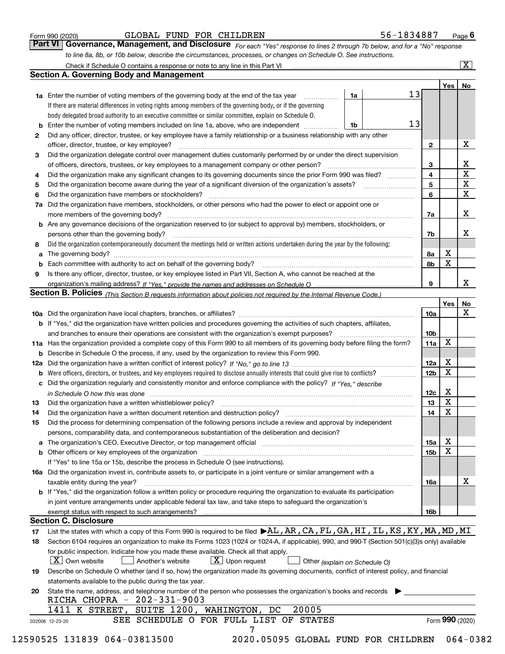|  | Form 990 (2020) |
|--|-----------------|
|  |                 |

| Form 990 (2020) |                                                                                                                               |  |  | GLOBAL FUND FOR CHILDREN | 56-1834887 | $P_{\text{aqe}}$ 6 |  |  |  |  |
|-----------------|-------------------------------------------------------------------------------------------------------------------------------|--|--|--------------------------|------------|--------------------|--|--|--|--|
|                 | Part VI   Governance, Management, and Disclosure For each "Yes" response to lines 2 through 7b below, and for a "No" response |  |  |                          |            |                    |  |  |  |  |
|                 | to line 8a, 8b, or 10b below, describe the circumstances, processes, or changes on Schedule O. See instructions.              |  |  |                          |            |                    |  |  |  |  |

|    |                                                                                                                                                                            |    |    |              | Yes             | No                      |
|----|----------------------------------------------------------------------------------------------------------------------------------------------------------------------------|----|----|--------------|-----------------|-------------------------|
|    | <b>1a</b> Enter the number of voting members of the governing body at the end of the tax year <i>manumum</i>                                                               | 1a | 13 |              |                 |                         |
|    | If there are material differences in voting rights among members of the governing body, or if the governing                                                                |    |    |              |                 |                         |
|    | body delegated broad authority to an executive committee or similar committee, explain on Schedule O.                                                                      |    |    |              |                 |                         |
| b  | Enter the number of voting members included on line 1a, above, who are independent                                                                                         | 1b | 13 |              |                 |                         |
| 2  | Did any officer, director, trustee, or key employee have a family relationship or a business relationship with any other                                                   |    |    |              |                 |                         |
|    | officer, director, trustee, or key employee?                                                                                                                               |    |    | $\mathbf{2}$ |                 | X                       |
| 3  | Did the organization delegate control over management duties customarily performed by or under the direct supervision                                                      |    |    |              |                 |                         |
|    |                                                                                                                                                                            |    |    | 3            |                 | X                       |
| 4  | Did the organization make any significant changes to its governing documents since the prior Form 990 was filed?                                                           |    |    | 4            |                 | $\overline{\mathbf{x}}$ |
| 5  |                                                                                                                                                                            |    |    | 5            |                 | $\mathbf X$             |
| 6  | Did the organization have members or stockholders?                                                                                                                         |    |    | 6            |                 | $\mathbf X$             |
| 7a | Did the organization have members, stockholders, or other persons who had the power to elect or appoint one or                                                             |    |    |              |                 |                         |
|    |                                                                                                                                                                            |    |    | 7a           |                 | X                       |
|    | <b>b</b> Are any governance decisions of the organization reserved to (or subject to approval by) members, stockholders, or                                                |    |    |              |                 |                         |
|    | persons other than the governing body?                                                                                                                                     |    |    | 7b           |                 | X                       |
| 8  | Did the organization contemporaneously document the meetings held or written actions undertaken during the year by the following:                                          |    |    |              |                 |                         |
| a  |                                                                                                                                                                            |    |    | 8a           | X               |                         |
| b  |                                                                                                                                                                            |    |    | 8b           | X               |                         |
| 9  | Is there any officer, director, trustee, or key employee listed in Part VII, Section A, who cannot be reached at the                                                       |    |    |              |                 |                         |
|    |                                                                                                                                                                            |    |    | 9            |                 | х                       |
|    | Section B. Policies <sub>(This Section B requests information about policies not required by the Internal Revenue Code.)</sub>                                             |    |    |              |                 |                         |
|    |                                                                                                                                                                            |    |    |              | Yes             | No                      |
|    |                                                                                                                                                                            |    |    | 10a          |                 | X                       |
|    | <b>b</b> If "Yes," did the organization have written policies and procedures governing the activities of such chapters, affiliates,                                        |    |    |              |                 |                         |
|    |                                                                                                                                                                            |    |    | 10b          |                 |                         |
|    | 11a Has the organization provided a complete copy of this Form 990 to all members of its governing body before filing the form?                                            |    |    | 11a          | X               |                         |
|    | <b>b</b> Describe in Schedule O the process, if any, used by the organization to review this Form 990.                                                                     |    |    |              |                 |                         |
|    |                                                                                                                                                                            |    |    | 12a          | X               |                         |
| b  |                                                                                                                                                                            |    |    | 12b          | X               |                         |
| c  | Did the organization regularly and consistently monitor and enforce compliance with the policy? If "Yes," describe                                                         |    |    |              |                 |                         |
|    | in Schedule O how this was done manufactured and contact the state of the state of the state of the state of t                                                             |    |    | 12c          | X               |                         |
| 13 |                                                                                                                                                                            |    |    | 13           | X               |                         |
| 14 | Did the organization have a written document retention and destruction policy? manufactured and the organization have a written document retention and destruction policy? |    |    | 14           | X               |                         |
| 15 | Did the process for determining compensation of the following persons include a review and approval by independent                                                         |    |    |              |                 |                         |
|    | persons, comparability data, and contemporaneous substantiation of the deliberation and decision?                                                                          |    |    |              |                 |                         |
|    |                                                                                                                                                                            |    |    |              | X               |                         |
|    |                                                                                                                                                                            |    |    | 15a          | X               |                         |
|    | <b>b</b> Other officers or key employees of the organization                                                                                                               |    |    | 15b          |                 |                         |
|    | If "Yes" to line 15a or 15b, describe the process in Schedule O (see instructions).                                                                                        |    |    |              |                 |                         |
|    | 16a Did the organization invest in, contribute assets to, or participate in a joint venture or similar arrangement with a                                                  |    |    |              |                 | X                       |
|    | taxable entity during the year?                                                                                                                                            |    |    | 16a          |                 |                         |
|    | b If "Yes," did the organization follow a written policy or procedure requiring the organization to evaluate its participation                                             |    |    |              |                 |                         |
|    | in joint venture arrangements under applicable federal tax law, and take steps to safeguard the organization's                                                             |    |    |              |                 |                         |
|    | exempt status with respect to such arrangements?                                                                                                                           |    |    | 16b          |                 |                         |
|    | <b>Section C. Disclosure</b>                                                                                                                                               |    |    |              |                 |                         |
| 17 | List the states with which a copy of this Form 990 is required to be filed $\blacktriangleright$ AL, AR, CA, FL, GA, HI, IL, KS, KY, MA, MD, MI                            |    |    |              |                 |                         |
| 18 | Section 6104 requires an organization to make its Forms 1023 (1024 or 1024-A, if applicable), 990, and 990-T (Section 501(c)(3)s only) available                           |    |    |              |                 |                         |
|    | for public inspection. Indicate how you made these available. Check all that apply.                                                                                        |    |    |              |                 |                         |
|    | $\boxed{\text{X}}$ Upon request<br>  X   Own website<br>Another's website<br>Other (explain on Schedule O)                                                                 |    |    |              |                 |                         |
| 19 | Describe on Schedule O whether (and if so, how) the organization made its governing documents, conflict of interest policy, and financial                                  |    |    |              |                 |                         |
|    | statements available to the public during the tax year.                                                                                                                    |    |    |              |                 |                         |
| 20 | State the name, address, and telephone number of the person who possesses the organization's books and records                                                             |    |    |              |                 |                         |
|    | RICHA CHOPRA - 202-331-9003                                                                                                                                                |    |    |              |                 |                         |
|    | 20005<br>1411 K STREET,<br>SUITE 1200, WAHINGTON, DC                                                                                                                       |    |    |              |                 |                         |
|    | SEE SCHEDULE O FOR FULL LIST OF STATES<br>032006 12-23-20                                                                                                                  |    |    |              | Form 990 (2020) |                         |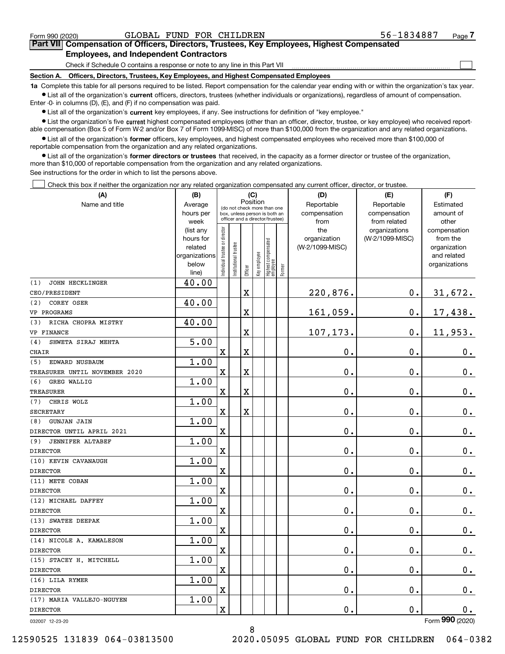$\mathcal{L}^{\text{max}}$ 

### **7Part VII Compensation of Officers, Directors, Trustees, Key Employees, Highest Compensated Employees, and Independent Contractors**

Check if Schedule O contains a response or note to any line in this Part VII

**Section A. Officers, Directors, Trustees, Key Employees, and Highest Compensated Employees**

**1a**  Complete this table for all persons required to be listed. Report compensation for the calendar year ending with or within the organization's tax year. **•** List all of the organization's current officers, directors, trustees (whether individuals or organizations), regardless of amount of compensation.

Enter -0- in columns (D), (E), and (F) if no compensation was paid.

 $\bullet$  List all of the organization's  $\,$ current key employees, if any. See instructions for definition of "key employee."

**•** List the organization's five current highest compensated employees (other than an officer, director, trustee, or key employee) who received reportable compensation (Box 5 of Form W-2 and/or Box 7 of Form 1099-MISC) of more than \$100,000 from the organization and any related organizations.

**•** List all of the organization's former officers, key employees, and highest compensated employees who received more than \$100,000 of reportable compensation from the organization and any related organizations.

**former directors or trustees**  ¥ List all of the organization's that received, in the capacity as a former director or trustee of the organization, more than \$10,000 of reportable compensation from the organization and any related organizations.

See instructions for the order in which to list the persons above.

**(A)**

Check this box if neither the organization nor any related organization compensated any current officer, director, or trustee.  $\mathcal{L}^{\text{max}}$ 

| (A)                            | (B)               |                                         |                                                                  | (C)                     |              |                                  |        | (D)             | (E)                           | (F)                   |
|--------------------------------|-------------------|-----------------------------------------|------------------------------------------------------------------|-------------------------|--------------|----------------------------------|--------|-----------------|-------------------------------|-----------------------|
| Name and title                 | Average           | Position<br>(do not check more than one |                                                                  |                         |              |                                  |        | Reportable      | Reportable                    | Estimated             |
|                                | hours per         |                                         | box, unless person is both an<br>officer and a director/trustee) |                         |              |                                  |        | compensation    | compensation                  | amount of             |
|                                | week<br>(list any |                                         |                                                                  |                         |              |                                  |        | from<br>the     | from related<br>organizations | other<br>compensation |
|                                | hours for         |                                         |                                                                  |                         |              |                                  |        | organization    | (W-2/1099-MISC)               | from the              |
|                                | related           |                                         |                                                                  |                         |              |                                  |        | (W-2/1099-MISC) |                               | organization          |
|                                | organizations     |                                         |                                                                  |                         |              |                                  |        |                 |                               | and related           |
|                                | below             | Individual trustee or director          | Institutional trustee                                            |                         | Key employee | Highest compensated<br> employee |        |                 |                               | organizations         |
|                                | line)             |                                         |                                                                  | Officer                 |              |                                  | Former |                 |                               |                       |
| <b>JOHN HECKLINGER</b><br>(1)  | 40.00             |                                         |                                                                  |                         |              |                                  |        |                 |                               |                       |
| CEO/PRESIDENT                  |                   |                                         |                                                                  | $\rm X$                 |              |                                  |        | 220,876.        | 0.                            | 31,672.               |
| COREY OSER<br>(2)              | 40.00             |                                         |                                                                  |                         |              |                                  |        |                 |                               |                       |
| VP PROGRAMS                    |                   |                                         |                                                                  | $\mathbf X$             |              |                                  |        | 161,059.        | $\mathbf 0$ .                 | 17,438.               |
| RICHA CHOPRA MISTRY<br>(3)     | 40.00             |                                         |                                                                  |                         |              |                                  |        |                 |                               |                       |
| VP FINANCE                     |                   |                                         |                                                                  | $\overline{\mathbf{X}}$ |              |                                  |        | 107,173.        | $\mathbf 0$ .                 | 11,953.               |
| SHWETA SIRAJ MEHTA<br>(4)      | 5.00              |                                         |                                                                  |                         |              |                                  |        |                 |                               |                       |
| <b>CHAIR</b>                   |                   | $\mathbf X$                             |                                                                  | $\mathbf X$             |              |                                  |        | 0.              | 0.                            | $0_{.}$               |
| (5)<br>EDWARD NUSBAUM          | 1.00              |                                         |                                                                  |                         |              |                                  |        |                 |                               |                       |
| TREASURER UNTIL NOVEMBER 2020  |                   | $\overline{\mathbf{X}}$                 |                                                                  | $\mathbf X$             |              |                                  |        | 0.              | $\mathbf 0$ .                 | 0.                    |
| GREG WALLIG<br>(6)             | 1.00              |                                         |                                                                  |                         |              |                                  |        |                 |                               |                       |
| TREASURER                      |                   | $\overline{\mathbf{X}}$                 |                                                                  | $\overline{\mathbf{X}}$ |              |                                  |        | 0.              | $\mathbf 0$ .                 | $0_{.}$               |
| CHRIS WOLZ<br>(7)              | 1.00              |                                         |                                                                  |                         |              |                                  |        |                 |                               |                       |
| <b>SECRETARY</b>               |                   | $\mathbf X$                             |                                                                  | $\mathbf X$             |              |                                  |        | 0.              | $\mathbf 0$ .                 | $\mathbf 0$ .         |
| <b>GUNJAN JAIN</b><br>(8)      | 1.00              |                                         |                                                                  |                         |              |                                  |        |                 |                               |                       |
| DIRECTOR UNTIL APRIL 2021      |                   | $\mathbf X$                             |                                                                  |                         |              |                                  |        | 0.              | $\mathbf 0$ .                 | $\mathbf 0$ .         |
| <b>JENNIFER ALTABEF</b><br>(9) | 1.00              |                                         |                                                                  |                         |              |                                  |        |                 |                               |                       |
| <b>DIRECTOR</b>                |                   | $\rm X$                                 |                                                                  |                         |              |                                  |        | 0.              | 0.                            | 0.                    |
| (10) KEVIN CAVANAUGH           | 1.00              |                                         |                                                                  |                         |              |                                  |        |                 |                               |                       |
| <b>DIRECTOR</b>                |                   | $\overline{\mathbf{X}}$                 |                                                                  |                         |              |                                  |        | 0.              | 0.                            | $\mathbf 0$ .         |
| (11) METE COBAN                | 1.00              |                                         |                                                                  |                         |              |                                  |        |                 |                               |                       |
| <b>DIRECTOR</b>                |                   | $\overline{\mathbf{X}}$                 |                                                                  |                         |              |                                  |        | $\mathbf 0$ .   | $\mathbf 0$ .                 | $\mathbf 0$ .         |
| (12) MICHAEL DAFFEY            | 1.00              |                                         |                                                                  |                         |              |                                  |        |                 |                               |                       |
| <b>DIRECTOR</b>                |                   | $\overline{\mathbf{X}}$                 |                                                                  |                         |              |                                  |        | 0.              | 0.                            | $\mathbf 0$ .         |
| (13) SWATEE DEEPAK             | 1.00              |                                         |                                                                  |                         |              |                                  |        |                 |                               |                       |
| <b>DIRECTOR</b>                |                   | $\mathbf X$                             |                                                                  |                         |              |                                  |        | 0.              | $\mathbf 0$ .                 | 0.                    |
| (14) NICOLE A. KAMALESON       | 1.00              |                                         |                                                                  |                         |              |                                  |        |                 |                               |                       |
| <b>DIRECTOR</b>                |                   | $\overline{\text{X}}$                   |                                                                  |                         |              |                                  |        | 0.              | $\mathbf 0$ .                 | $0_{.}$               |
| (15) STACEY H. MITCHELL        | 1.00              |                                         |                                                                  |                         |              |                                  |        |                 |                               |                       |
| <b>DIRECTOR</b>                |                   | $\overline{\mathbf{X}}$                 |                                                                  |                         |              |                                  |        | $\mathbf 0$ .   | 0.                            | 0.                    |
| (16) LILA RYMER                | 1.00              |                                         |                                                                  |                         |              |                                  |        |                 |                               |                       |
| <b>DIRECTOR</b>                |                   | $\rm X$                                 |                                                                  |                         |              |                                  |        | 0.              | $\mathbf 0$ .                 | 0.                    |
| (17) MARIA VALLEJO-NGUYEN      | 1.00              |                                         |                                                                  |                         |              |                                  |        |                 |                               |                       |
| <b>DIRECTOR</b>                |                   | $\overline{\mathbf{X}}$                 |                                                                  |                         |              |                                  |        | 0.              | $\mathbf{0}$ .                | 0.                    |
| 032007 12-23-20                |                   |                                         |                                                                  |                         |              |                                  |        |                 |                               | Form 990 (2020)       |

12590525 131839 064-03813500 2020.05095 GLOBAL FUND FOR CHILDREN 064-0382

8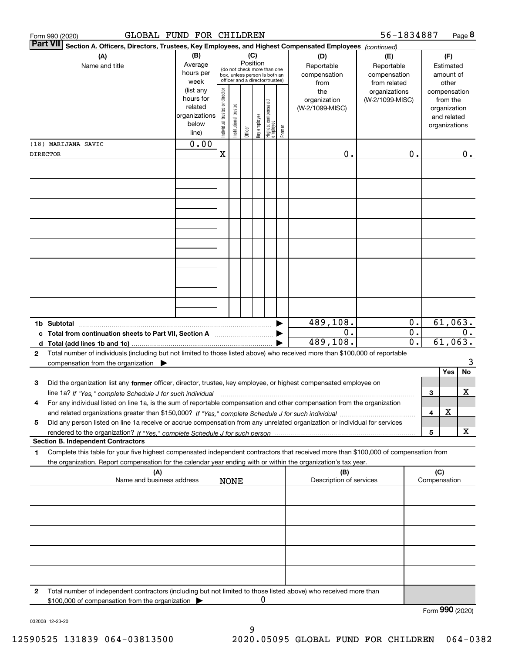|   | GLOBAL FUND FOR CHILDREN<br>Form 990 (2020)                                                                                             |                      |                                |                       |          |              |                                                                  |        |                         | 56-1834887                   |                  |              | Page 8             |    |
|---|-----------------------------------------------------------------------------------------------------------------------------------------|----------------------|--------------------------------|-----------------------|----------|--------------|------------------------------------------------------------------|--------|-------------------------|------------------------------|------------------|--------------|--------------------|----|
|   | <b>Part VII</b><br>Section A. Officers, Directors, Trustees, Key Employees, and Highest Compensated Employees (continued)               |                      |                                |                       |          |              |                                                                  |        |                         |                              |                  |              |                    |    |
|   | (A)                                                                                                                                     | (B)                  |                                |                       | Position | (C)          |                                                                  |        | (D)                     | (E)                          |                  |              | (F)                |    |
|   | Name and title                                                                                                                          | Average<br>hours per |                                |                       |          |              | (do not check more than one                                      |        | Reportable              | Reportable                   |                  |              | Estimated          |    |
|   |                                                                                                                                         | week                 |                                |                       |          |              | box, unless person is both an<br>officer and a director/trustee) |        | compensation<br>from    | compensation<br>from related |                  |              | amount of<br>other |    |
|   |                                                                                                                                         | (list any            |                                |                       |          |              |                                                                  |        | the                     | organizations                |                  |              | compensation       |    |
|   |                                                                                                                                         | hours for            |                                |                       |          |              |                                                                  |        | organization            | (W-2/1099-MISC)              |                  |              | from the           |    |
|   |                                                                                                                                         | related              |                                |                       |          |              |                                                                  |        | (W-2/1099-MISC)         |                              |                  |              | organization       |    |
|   |                                                                                                                                         | organizations        |                                |                       |          |              |                                                                  |        |                         |                              |                  |              | and related        |    |
|   |                                                                                                                                         | below<br>line)       | Individual trustee or director | Institutional trustee | Officer  | Key employee | Highest compensated<br>employee                                  | Former |                         |                              |                  |              | organizations      |    |
|   |                                                                                                                                         | 0.00                 |                                |                       |          |              |                                                                  |        |                         |                              |                  |              |                    |    |
|   | (18) MARIJANA SAVIC<br>DIRECTOR                                                                                                         |                      | X                              |                       |          |              |                                                                  |        | 0.                      |                              | 0.               |              |                    | 0. |
|   |                                                                                                                                         |                      |                                |                       |          |              |                                                                  |        |                         |                              |                  |              |                    |    |
|   |                                                                                                                                         |                      |                                |                       |          |              |                                                                  |        |                         |                              |                  |              |                    |    |
|   |                                                                                                                                         |                      |                                |                       |          |              |                                                                  |        |                         |                              |                  |              |                    |    |
|   |                                                                                                                                         |                      |                                |                       |          |              |                                                                  |        |                         |                              |                  |              |                    |    |
|   |                                                                                                                                         |                      |                                |                       |          |              |                                                                  |        |                         |                              |                  |              |                    |    |
|   |                                                                                                                                         |                      |                                |                       |          |              |                                                                  |        |                         |                              |                  |              |                    |    |
|   |                                                                                                                                         |                      |                                |                       |          |              |                                                                  |        |                         |                              |                  |              |                    |    |
|   |                                                                                                                                         |                      |                                |                       |          |              |                                                                  |        |                         |                              |                  |              |                    |    |
|   |                                                                                                                                         |                      |                                |                       |          |              |                                                                  |        |                         |                              |                  |              |                    |    |
|   |                                                                                                                                         |                      |                                |                       |          |              |                                                                  |        |                         |                              |                  |              |                    |    |
|   |                                                                                                                                         |                      |                                |                       |          |              |                                                                  |        |                         |                              |                  |              |                    |    |
|   |                                                                                                                                         |                      |                                |                       |          |              |                                                                  |        |                         |                              |                  |              |                    |    |
|   |                                                                                                                                         |                      |                                |                       |          |              |                                                                  |        |                         |                              |                  |              |                    |    |
|   |                                                                                                                                         |                      |                                |                       |          |              |                                                                  |        |                         |                              |                  |              |                    |    |
|   |                                                                                                                                         |                      |                                |                       |          |              |                                                                  |        |                         |                              |                  |              |                    |    |
|   |                                                                                                                                         |                      |                                |                       |          |              |                                                                  |        | 489,108.                |                              | 0.               |              | 61,063.            |    |
|   | c Total from continuation sheets to Part VII, Section A                                                                                 |                      |                                |                       |          |              |                                                                  |        | 0.                      |                              | $\overline{0}$ . |              |                    | 0. |
|   |                                                                                                                                         |                      |                                |                       |          |              |                                                                  |        | 489,108.                |                              | $\overline{0}$ . |              | 61,063.            |    |
| 2 | Total number of individuals (including but not limited to those listed above) who received more than \$100,000 of reportable            |                      |                                |                       |          |              |                                                                  |        |                         |                              |                  |              |                    |    |
|   | compensation from the organization $\blacktriangleright$                                                                                |                      |                                |                       |          |              |                                                                  |        |                         |                              |                  |              |                    | 3  |
|   |                                                                                                                                         |                      |                                |                       |          |              |                                                                  |        |                         |                              |                  |              | Yes                | No |
| 3 | Did the organization list any former officer, director, trustee, key employee, or highest compensated employee on                       |                      |                                |                       |          |              |                                                                  |        |                         |                              |                  |              |                    |    |
|   | line 1a? If "Yes," complete Schedule J for such individual manufactured contained and the Ves," complete Schedule J for such individual |                      |                                |                       |          |              |                                                                  |        |                         |                              |                  | 3            | х                  |    |
| 4 | For any individual listed on line 1a, is the sum of reportable compensation and other compensation from the organization                |                      |                                |                       |          |              |                                                                  |        |                         |                              |                  | 4            | X                  |    |
| 5 | Did any person listed on line 1a receive or accrue compensation from any unrelated organization or individual for services              |                      |                                |                       |          |              |                                                                  |        |                         |                              |                  |              |                    |    |
|   |                                                                                                                                         |                      |                                |                       |          |              |                                                                  |        |                         |                              |                  | 5            |                    | х  |
|   | <b>Section B. Independent Contractors</b>                                                                                               |                      |                                |                       |          |              |                                                                  |        |                         |                              |                  |              |                    |    |
| 1 | Complete this table for your five highest compensated independent contractors that received more than \$100,000 of compensation from    |                      |                                |                       |          |              |                                                                  |        |                         |                              |                  |              |                    |    |
|   | the organization. Report compensation for the calendar year ending with or within the organization's tax year.                          |                      |                                |                       |          |              |                                                                  |        |                         |                              |                  |              |                    |    |
|   | (A)                                                                                                                                     |                      |                                |                       |          |              |                                                                  |        | (B)                     |                              |                  | (C)          |                    |    |
|   | Name and business address                                                                                                               |                      |                                | <b>NONE</b>           |          |              |                                                                  |        | Description of services |                              |                  | Compensation |                    |    |
|   |                                                                                                                                         |                      |                                |                       |          |              |                                                                  |        |                         |                              |                  |              |                    |    |
|   |                                                                                                                                         |                      |                                |                       |          |              |                                                                  |        |                         |                              |                  |              |                    |    |
|   |                                                                                                                                         |                      |                                |                       |          |              |                                                                  |        |                         |                              |                  |              |                    |    |
|   |                                                                                                                                         |                      |                                |                       |          |              |                                                                  |        |                         |                              |                  |              |                    |    |
|   |                                                                                                                                         |                      |                                |                       |          |              |                                                                  |        |                         |                              |                  |              |                    |    |
|   |                                                                                                                                         |                      |                                |                       |          |              |                                                                  |        |                         |                              |                  |              |                    |    |
|   |                                                                                                                                         |                      |                                |                       |          |              |                                                                  |        |                         |                              |                  |              |                    |    |
|   |                                                                                                                                         |                      |                                |                       |          |              |                                                                  |        |                         |                              |                  |              |                    |    |
|   |                                                                                                                                         |                      |                                |                       |          |              |                                                                  |        |                         |                              |                  |              |                    |    |
| 2 | Total number of independent contractors (including but not limited to those listed above) who received more than                        |                      |                                |                       |          |              |                                                                  |        |                         |                              |                  |              |                    |    |
|   | \$100,000 of compensation from the organization                                                                                         |                      |                                |                       |          | 0            |                                                                  |        |                         |                              |                  |              |                    |    |
|   |                                                                                                                                         |                      |                                |                       |          |              |                                                                  |        |                         |                              |                  |              | Form 990 (2020)    |    |

032008 12-23-20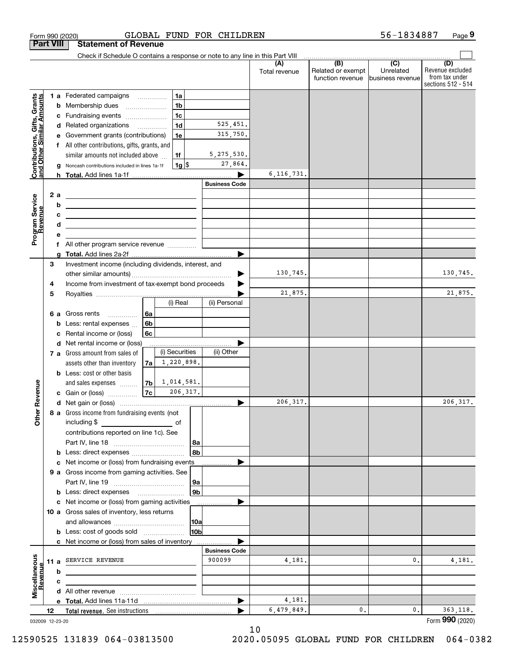|                                                           | <b>Part VIII</b>      |                 | <b>Statement of Revenue</b>                                                                                                                                                                                                          |                |                |                                                                               |                      |                                                           |                                                   |                                                                 |
|-----------------------------------------------------------|-----------------------|-----------------|--------------------------------------------------------------------------------------------------------------------------------------------------------------------------------------------------------------------------------------|----------------|----------------|-------------------------------------------------------------------------------|----------------------|-----------------------------------------------------------|---------------------------------------------------|-----------------------------------------------------------------|
|                                                           |                       |                 |                                                                                                                                                                                                                                      |                |                | Check if Schedule O contains a response or note to any line in this Part VIII |                      |                                                           |                                                   |                                                                 |
|                                                           |                       |                 |                                                                                                                                                                                                                                      |                |                |                                                                               | Total revenue        | $\overline{(B)}$<br>Related or exempt<br>function revenue | $\overline{(C)}$<br>Unrelated<br>business revenue | (D)<br>Revenue excluded<br>from tax under<br>sections 512 - 514 |
|                                                           |                       |                 | <b>1 a</b> Federated campaigns                                                                                                                                                                                                       |                | 1a             |                                                                               |                      |                                                           |                                                   |                                                                 |
|                                                           | b                     | Membership dues |                                                                                                                                                                                                                                      |                | 1 <sub>b</sub> |                                                                               |                      |                                                           |                                                   |                                                                 |
|                                                           | с                     |                 | Fundraising events                                                                                                                                                                                                                   |                | 1 <sub>c</sub> |                                                                               |                      |                                                           |                                                   |                                                                 |
|                                                           | d                     |                 | Related organizations                                                                                                                                                                                                                |                | 1 <sub>d</sub> | 525,451.                                                                      |                      |                                                           |                                                   |                                                                 |
|                                                           |                       |                 | Government grants (contributions)                                                                                                                                                                                                    |                | 1e             | 315,750.                                                                      |                      |                                                           |                                                   |                                                                 |
|                                                           | f                     |                 | All other contributions, gifts, grants, and                                                                                                                                                                                          |                |                |                                                                               |                      |                                                           |                                                   |                                                                 |
|                                                           |                       |                 | similar amounts not included above                                                                                                                                                                                                   |                | 1f             | 5, 275, 530.                                                                  |                      |                                                           |                                                   |                                                                 |
| Contributions, Gifts, Grants<br>and Other Similar Amounts |                       |                 | Noncash contributions included in lines 1a-1f                                                                                                                                                                                        |                | $1g$ \$        | 27,864.                                                                       |                      |                                                           |                                                   |                                                                 |
|                                                           |                       |                 |                                                                                                                                                                                                                                      |                |                |                                                                               | 6, 116, 731.         |                                                           |                                                   |                                                                 |
|                                                           |                       |                 |                                                                                                                                                                                                                                      |                |                | <b>Business Code</b>                                                          |                      |                                                           |                                                   |                                                                 |
|                                                           | 2 a                   |                 | <u> 2008 - Andrea Andrew Maria (h. 1878).</u>                                                                                                                                                                                        |                |                |                                                                               |                      |                                                           |                                                   |                                                                 |
| Program Service                                           | b                     |                 | <u>and the state of the state of the state of the state of the state of the state of the state of the state of the state of the state of the state of the state of the state of the state of the state of the state of the state</u> |                |                |                                                                               |                      |                                                           |                                                   |                                                                 |
| Revenue                                                   |                       |                 | <u> Albanya (Albanya Albanya) a Manazarta (Albanya Albanya)</u>                                                                                                                                                                      |                |                |                                                                               |                      |                                                           |                                                   |                                                                 |
|                                                           | d                     |                 | <u> 1989 - Johann Barn, mars ann an t-Amhain ann an t-Amhain an t-Amhain an t-Amhain an t-Amhain an t-Amhain an t-</u>                                                                                                               |                |                |                                                                               |                      |                                                           |                                                   |                                                                 |
|                                                           | f                     |                 | All other program service revenue                                                                                                                                                                                                    |                |                |                                                                               |                      |                                                           |                                                   |                                                                 |
|                                                           |                       |                 |                                                                                                                                                                                                                                      |                |                |                                                                               |                      |                                                           |                                                   |                                                                 |
|                                                           | 3                     |                 | Investment income (including dividends, interest, and                                                                                                                                                                                |                |                |                                                                               |                      |                                                           |                                                   |                                                                 |
|                                                           |                       |                 |                                                                                                                                                                                                                                      |                |                |                                                                               | 130,745.             |                                                           |                                                   | 130,745.                                                        |
|                                                           | 4                     |                 | Income from investment of tax-exempt bond proceeds                                                                                                                                                                                   |                |                |                                                                               |                      |                                                           |                                                   |                                                                 |
|                                                           | 5                     |                 |                                                                                                                                                                                                                                      |                |                |                                                                               | 21,875.              |                                                           |                                                   | 21,875.                                                         |
|                                                           |                       |                 |                                                                                                                                                                                                                                      |                | (i) Real       | (ii) Personal                                                                 |                      |                                                           |                                                   |                                                                 |
|                                                           | 6а                    | Gross rents     | .                                                                                                                                                                                                                                    | 6a             |                |                                                                               |                      |                                                           |                                                   |                                                                 |
|                                                           | b                     |                 | Less: rental expenses                                                                                                                                                                                                                | 6b             |                |                                                                               |                      |                                                           |                                                   |                                                                 |
|                                                           | c                     |                 | Rental income or (loss)                                                                                                                                                                                                              | 6c             |                |                                                                               |                      |                                                           |                                                   |                                                                 |
|                                                           | d                     |                 | Net rental income or (loss)                                                                                                                                                                                                          |                | (i) Securities | (ii) Other                                                                    |                      |                                                           |                                                   |                                                                 |
|                                                           |                       |                 | 7 a Gross amount from sales of<br>assets other than inventory                                                                                                                                                                        | 7a             | 1,220,898.     |                                                                               |                      |                                                           |                                                   |                                                                 |
|                                                           |                       |                 | <b>b</b> Less: cost or other basis                                                                                                                                                                                                   |                |                |                                                                               |                      |                                                           |                                                   |                                                                 |
|                                                           |                       |                 | and sales expenses                                                                                                                                                                                                                   | 7 <sub>b</sub> | 1,014,581.     |                                                                               |                      |                                                           |                                                   |                                                                 |
| Revenue                                                   |                       |                 | c Gain or (loss)                                                                                                                                                                                                                     | 7c             | 206, 317.      |                                                                               |                      |                                                           |                                                   |                                                                 |
|                                                           |                       |                 |                                                                                                                                                                                                                                      |                |                |                                                                               | 206, 317.            |                                                           |                                                   | 206, 317.                                                       |
|                                                           |                       |                 | 8 a Gross income from fundraising events (not                                                                                                                                                                                        |                |                |                                                                               |                      |                                                           |                                                   |                                                                 |
| Othe                                                      |                       | including \$    |                                                                                                                                                                                                                                      |                | оf             |                                                                               |                      |                                                           |                                                   |                                                                 |
|                                                           |                       |                 | contributions reported on line 1c). See                                                                                                                                                                                              |                |                |                                                                               |                      |                                                           |                                                   |                                                                 |
|                                                           |                       |                 |                                                                                                                                                                                                                                      |                | 8a             |                                                                               |                      |                                                           |                                                   |                                                                 |
|                                                           |                       |                 |                                                                                                                                                                                                                                      |                | 8b             |                                                                               |                      |                                                           |                                                   |                                                                 |
|                                                           | с                     |                 | Net income or (loss) from fundraising events                                                                                                                                                                                         |                |                | .                                                                             |                      |                                                           |                                                   |                                                                 |
|                                                           |                       |                 | 9 a Gross income from gaming activities. See                                                                                                                                                                                         |                |                |                                                                               |                      |                                                           |                                                   |                                                                 |
|                                                           |                       |                 | <b>b</b> Less: direct expenses <b>manually</b>                                                                                                                                                                                       |                | 9a<br>9b       |                                                                               |                      |                                                           |                                                   |                                                                 |
|                                                           |                       |                 | c Net income or (loss) from gaming activities                                                                                                                                                                                        |                |                |                                                                               |                      |                                                           |                                                   |                                                                 |
|                                                           |                       |                 | 10 a Gross sales of inventory, less returns                                                                                                                                                                                          |                |                |                                                                               |                      |                                                           |                                                   |                                                                 |
|                                                           |                       |                 |                                                                                                                                                                                                                                      |                | 10a            |                                                                               |                      |                                                           |                                                   |                                                                 |
|                                                           |                       |                 | <b>b</b> Less: cost of goods sold                                                                                                                                                                                                    |                | 10ь            |                                                                               |                      |                                                           |                                                   |                                                                 |
|                                                           |                       |                 | c Net income or (loss) from sales of inventory                                                                                                                                                                                       |                |                |                                                                               |                      |                                                           |                                                   |                                                                 |
|                                                           |                       |                 |                                                                                                                                                                                                                                      |                |                | <b>Business Code</b>                                                          |                      |                                                           |                                                   |                                                                 |
| Miscellaneous                                             | 11 a                  | SERVICE REVENUE |                                                                                                                                                                                                                                      |                |                | 900099                                                                        | 4,181.               |                                                           | 0.                                                | 4,181.                                                          |
| Revenue                                                   | b                     |                 |                                                                                                                                                                                                                                      |                |                |                                                                               |                      |                                                           |                                                   |                                                                 |
|                                                           | c                     |                 |                                                                                                                                                                                                                                      |                |                |                                                                               |                      |                                                           |                                                   |                                                                 |
|                                                           |                       |                 |                                                                                                                                                                                                                                      |                |                |                                                                               |                      |                                                           |                                                   |                                                                 |
|                                                           |                       |                 |                                                                                                                                                                                                                                      |                |                | ▶                                                                             | 4,181.<br>6,479,849. | 0.                                                        | 0.                                                | 363,118.                                                        |
|                                                           | 12<br>032009 12-23-20 |                 |                                                                                                                                                                                                                                      |                |                |                                                                               |                      |                                                           |                                                   | Form 990 (2020)                                                 |

10

Form 990 (2020) GLOBAL FUND FOR CHILDREN 56-1834887 Page

**9**

56-1834887

12590525 131839 064-03813500 2020.05095 GLOBAL FUND FOR CHILDREN 064-0382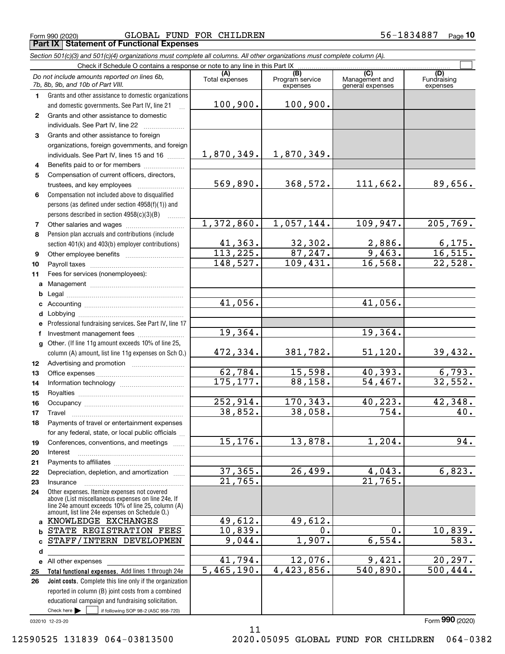Form 990 (2020) Page **Part IX Statement of Functional Expenses** GLOBAL FUND FOR CHILDREN 56-1834887

| Section 501(c)(3) and 501(c)(4) organizations must complete all columns. All other organizations must complete column (A). |  |
|----------------------------------------------------------------------------------------------------------------------------|--|
| Cheale if Cahadula O contains a response ar note to any line in this Dart IV                                               |  |

|              | Do not include amounts reported on lines 6b,<br>7b, 8b, 9b, and 10b of Part VIII.                    | (A)<br>Total expenses | (B)<br>Program service<br>expenses | (C)<br>Management and<br>general expenses | (D)<br>Fundraising<br>expenses |  |  |  |  |  |
|--------------|------------------------------------------------------------------------------------------------------|-----------------------|------------------------------------|-------------------------------------------|--------------------------------|--|--|--|--|--|
| 1.           | Grants and other assistance to domestic organizations                                                |                       |                                    |                                           |                                |  |  |  |  |  |
|              | and domestic governments. See Part IV, line 21                                                       | 100,900.              | 100,900.                           |                                           |                                |  |  |  |  |  |
| $\mathbf{2}$ | Grants and other assistance to domestic                                                              |                       |                                    |                                           |                                |  |  |  |  |  |
|              | individuals. See Part IV, line 22                                                                    |                       |                                    |                                           |                                |  |  |  |  |  |
| 3            | Grants and other assistance to foreign                                                               |                       |                                    |                                           |                                |  |  |  |  |  |
|              | organizations, foreign governments, and foreign                                                      |                       |                                    |                                           |                                |  |  |  |  |  |
|              | individuals. See Part IV, lines 15 and 16                                                            | 1,870,349.            | 1,870,349.                         |                                           |                                |  |  |  |  |  |
| 4            | Benefits paid to or for members                                                                      |                       |                                    |                                           |                                |  |  |  |  |  |
| 5            | Compensation of current officers, directors,                                                         |                       |                                    |                                           |                                |  |  |  |  |  |
|              | trustees, and key employees                                                                          | 569,890.              | 368,572.                           | 111,662.                                  | 89,656.                        |  |  |  |  |  |
| 6            | Compensation not included above to disqualified                                                      |                       |                                    |                                           |                                |  |  |  |  |  |
|              | persons (as defined under section 4958(f)(1)) and                                                    |                       |                                    |                                           |                                |  |  |  |  |  |
|              | persons described in section 4958(c)(3)(B)                                                           |                       |                                    |                                           |                                |  |  |  |  |  |
| 7            |                                                                                                      | 1,372,860.            | 1,057,144.                         | 109,947.                                  | 205,769.                       |  |  |  |  |  |
| 8            | Pension plan accruals and contributions (include                                                     |                       |                                    |                                           |                                |  |  |  |  |  |
|              | section 401(k) and 403(b) employer contributions)                                                    | 41,363.               | 32,302.                            | 2,886.                                    | 6,175.                         |  |  |  |  |  |
| 9            |                                                                                                      | 113,225.              | 87,247.                            | 9,463.                                    | 16, 515.                       |  |  |  |  |  |
| 10           |                                                                                                      | 148,527.              | 109,431.                           | 16, 568.                                  | 22,528.                        |  |  |  |  |  |
| 11           | Fees for services (nonemployees):                                                                    |                       |                                    |                                           |                                |  |  |  |  |  |
| a            |                                                                                                      |                       |                                    |                                           |                                |  |  |  |  |  |
| b            |                                                                                                      |                       |                                    |                                           |                                |  |  |  |  |  |
| c            |                                                                                                      | 41,056.               |                                    | 41,056.                                   |                                |  |  |  |  |  |
| d            |                                                                                                      |                       |                                    |                                           |                                |  |  |  |  |  |
| e            | Professional fundraising services. See Part IV, line 17                                              |                       |                                    |                                           |                                |  |  |  |  |  |
| f            | Investment management fees                                                                           | 19,364.               |                                    | 19,364.                                   |                                |  |  |  |  |  |
| g            | Other. (If line 11g amount exceeds 10% of line 25,                                                   |                       |                                    |                                           |                                |  |  |  |  |  |
|              | column (A) amount, list line 11g expenses on Sch O.)                                                 | 472,334.              | 381,782.                           | 51,120.                                   | 39,432.                        |  |  |  |  |  |
| 12           |                                                                                                      |                       |                                    |                                           |                                |  |  |  |  |  |
| 13           |                                                                                                      | 62,784.               | 15,598.                            | 40,393.                                   | 6, 793.                        |  |  |  |  |  |
| 14           |                                                                                                      | 175, 177.             | 88,158.                            | 54,467.                                   | 32,552.                        |  |  |  |  |  |
| 15           |                                                                                                      |                       |                                    | 40,223.                                   |                                |  |  |  |  |  |
| 16           |                                                                                                      | 252,914.<br>38,852.   | 170,343.<br>38,058.                | 754.                                      | 42,348.<br>40.                 |  |  |  |  |  |
| 17           | Travel                                                                                               |                       |                                    |                                           |                                |  |  |  |  |  |
| 18           | Payments of travel or entertainment expenses                                                         |                       |                                    |                                           |                                |  |  |  |  |  |
|              | for any federal, state, or local public officials<br>Conferences, conventions, and meetings          | 15, 176.              | 13,878.                            | 1,204.                                    | $\overline{94}$ .              |  |  |  |  |  |
| 19           | Interest                                                                                             |                       |                                    |                                           |                                |  |  |  |  |  |
| 20<br>21     |                                                                                                      |                       |                                    |                                           |                                |  |  |  |  |  |
| 22           | Depreciation, depletion, and amortization                                                            | 37, 365.              | 26,499.                            | 4,043.                                    | 6,823.                         |  |  |  |  |  |
| 23           | Insurance                                                                                            | 21,765.               |                                    | 21,765.                                   |                                |  |  |  |  |  |
| 24           | Other expenses. Itemize expenses not covered                                                         |                       |                                    |                                           |                                |  |  |  |  |  |
|              | above (List miscellaneous expenses on line 24e. If                                                   |                       |                                    |                                           |                                |  |  |  |  |  |
|              | line 24e amount exceeds 10% of line 25, column (A)<br>amount, list line 24e expenses on Schedule O.) |                       |                                    |                                           |                                |  |  |  |  |  |
| a            | KNOWLEDGE EXCHANGES                                                                                  | 49,612.               | 49,612.                            |                                           |                                |  |  |  |  |  |
| b            | STATE REGISTRATION FEES                                                                              | 10,839.               | 0.                                 | 0.                                        | 10,839.                        |  |  |  |  |  |
| c            | STAFF/INTERN DEVELOPMEN                                                                              | 9,044.                | 1,907.                             | 6,554.                                    | 583.                           |  |  |  |  |  |
| d            |                                                                                                      |                       |                                    |                                           |                                |  |  |  |  |  |
| е            | All other expenses                                                                                   | 41,794.               | 12,076.                            | 9,421.                                    | 20, 297.                       |  |  |  |  |  |
| 25           | Total functional expenses. Add lines 1 through 24e                                                   | 5,465,190.            | 4,423,856.                         | 540,890.                                  | 500, 444.                      |  |  |  |  |  |
| 26           | Joint costs. Complete this line only if the organization                                             |                       |                                    |                                           |                                |  |  |  |  |  |
|              | reported in column (B) joint costs from a combined                                                   |                       |                                    |                                           |                                |  |  |  |  |  |
|              | educational campaign and fundraising solicitation.                                                   |                       |                                    |                                           |                                |  |  |  |  |  |
|              | Check here $\blacktriangleright$<br>if following SOP 98-2 (ASC 958-720)                              |                       |                                    |                                           |                                |  |  |  |  |  |

11

032010 12-23-20

Form (2020) **990**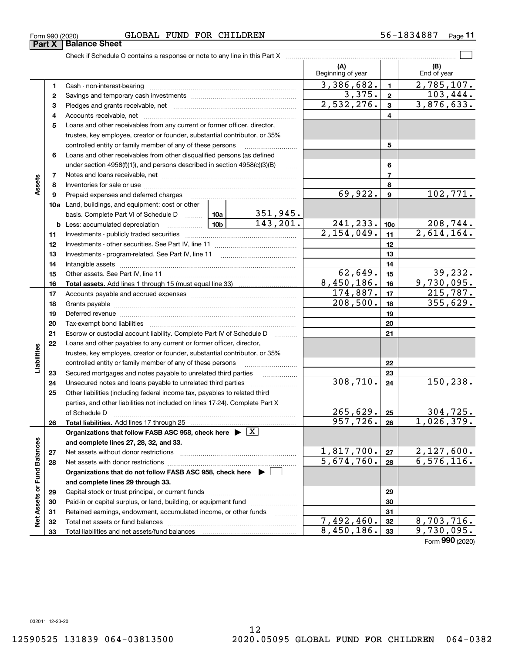| Form 990 (2020) |                      | GLOBAL | FUND | <b>FOR</b> | CHILDREN | 34887,<br>n n —<br>. O | Page |
|-----------------|----------------------|--------|------|------------|----------|------------------------|------|
| <b>Part X</b>   | <b>Balance Sheet</b> |        |      |            |          |                        |      |

|                             |          |                                                                                                                                                                                                                                |                        |                 | (A)<br>Beginning of year |                         | (B)<br>End of year            |
|-----------------------------|----------|--------------------------------------------------------------------------------------------------------------------------------------------------------------------------------------------------------------------------------|------------------------|-----------------|--------------------------|-------------------------|-------------------------------|
|                             | 1        |                                                                                                                                                                                                                                |                        |                 | 3,386,682.               | $\blacksquare$          | $\overline{2,785,107}$ .      |
|                             | 2        |                                                                                                                                                                                                                                | 3,375.                 | $\mathbf{2}$    | 103,444.                 |                         |                               |
|                             | 3        |                                                                                                                                                                                                                                | 2,532,276.             | $\mathbf{3}$    | 3,876,633.               |                         |                               |
|                             | 4        |                                                                                                                                                                                                                                |                        |                 |                          | $\overline{\mathbf{4}}$ |                               |
|                             | 5        | Loans and other receivables from any current or former officer, director,                                                                                                                                                      |                        |                 |                          |                         |                               |
|                             |          | trustee, key employee, creator or founder, substantial contributor, or 35%                                                                                                                                                     |                        |                 |                          |                         |                               |
|                             |          | controlled entity or family member of any of these persons                                                                                                                                                                     |                        | 5               |                          |                         |                               |
|                             | 6        | Loans and other receivables from other disqualified persons (as defined                                                                                                                                                        |                        |                 |                          |                         |                               |
|                             |          | under section $4958(f)(1)$ , and persons described in section $4958(c)(3)(B)$                                                                                                                                                  |                        |                 |                          | 6                       |                               |
|                             | 7        |                                                                                                                                                                                                                                |                        |                 |                          | $\overline{7}$          |                               |
| Assets                      | 8        |                                                                                                                                                                                                                                |                        |                 |                          | 8                       |                               |
|                             | 9        | Prepaid expenses and deferred charges                                                                                                                                                                                          |                        |                 | 69,922.                  | $\boldsymbol{9}$        | 102,771.                      |
|                             |          | 10a Land, buildings, and equipment: cost or other                                                                                                                                                                              |                        |                 |                          |                         |                               |
|                             |          | basis. Complete Part VI of Schedule D  10a                                                                                                                                                                                     |                        | <u>351,945.</u> |                          |                         |                               |
|                             |          | <u> 10b</u><br><b>b</b> Less: accumulated depreciation                                                                                                                                                                         |                        | 143, 201.       | 241,233.                 | 10 <sub>c</sub>         | $\frac{208,744}{2,614,164}$ . |
|                             | 11       |                                                                                                                                                                                                                                |                        |                 | 2,154,049.               | 11                      |                               |
|                             | 12       |                                                                                                                                                                                                                                |                        |                 |                          | 12                      |                               |
|                             | 13       |                                                                                                                                                                                                                                |                        |                 | 13                       |                         |                               |
|                             | 14       |                                                                                                                                                                                                                                |                        |                 | 14                       |                         |                               |
|                             | 15       |                                                                                                                                                                                                                                | $\overline{62}$ , 649. | 15              | 39,232.                  |                         |                               |
|                             | 16       |                                                                                                                                                                                                                                |                        |                 | 8,450,186.               | 16                      | 9,730,095.                    |
|                             | 17       |                                                                                                                                                                                                                                |                        |                 | 174,887.<br>208,500.     | 17                      | 215,787.                      |
|                             | 18       |                                                                                                                                                                                                                                |                        |                 | 18                       | 355,629.                |                               |
|                             | 19       | Deferred revenue information and contact the contract of the contract of the contract of the contract of the contract of the contract of the contract of the contract of the contract of the contract of the contract of the c |                        |                 | 19                       |                         |                               |
|                             | 20       |                                                                                                                                                                                                                                |                        |                 | 20                       |                         |                               |
|                             | 21<br>22 | Escrow or custodial account liability. Complete Part IV of Schedule D                                                                                                                                                          |                        |                 |                          | 21                      |                               |
|                             |          | Loans and other payables to any current or former officer, director,<br>trustee, key employee, creator or founder, substantial contributor, or 35%                                                                             |                        |                 |                          |                         |                               |
| Liabilities                 |          | controlled entity or family member of any of these persons                                                                                                                                                                     |                        | 22              |                          |                         |                               |
|                             | 23       | Secured mortgages and notes payable to unrelated third parties                                                                                                                                                                 |                        |                 |                          | 23                      |                               |
|                             | 24       |                                                                                                                                                                                                                                |                        |                 | $\overline{308,710}$ .   | 24                      | 150,238.                      |
|                             | 25       | Other liabilities (including federal income tax, payables to related third                                                                                                                                                     |                        |                 |                          |                         |                               |
|                             |          | parties, and other liabilities not included on lines 17-24). Complete Part X                                                                                                                                                   |                        |                 |                          |                         |                               |
|                             |          | of Schedule D <b>contract the contract of Schedule D</b>                                                                                                                                                                       |                        |                 | $265, 629.$ 25           |                         | 304,725.                      |
|                             | 26       |                                                                                                                                                                                                                                |                        |                 | 957, 726.                | 26                      | 1,026,379.                    |
|                             |          | Organizations that follow FASB ASC 958, check here $\blacktriangleright \lfloor X \rfloor$                                                                                                                                     |                        |                 |                          |                         |                               |
|                             |          | and complete lines 27, 28, 32, and 33.                                                                                                                                                                                         |                        |                 |                          |                         |                               |
|                             | 27       |                                                                                                                                                                                                                                |                        |                 | 1,817,700.               | 27                      | 2,127,600.                    |
|                             | 28       |                                                                                                                                                                                                                                |                        |                 | 5,674,760.               | 28                      | 6, 576, 116.                  |
|                             |          | Organizations that do not follow FASB ASC 958, check here ▶ [                                                                                                                                                                  |                        |                 |                          |                         |                               |
|                             |          | and complete lines 29 through 33.                                                                                                                                                                                              |                        |                 |                          |                         |                               |
|                             | 29       |                                                                                                                                                                                                                                |                        |                 |                          | 29                      |                               |
|                             | 30       | Paid-in or capital surplus, or land, building, or equipment fund                                                                                                                                                               |                        |                 | 30                       |                         |                               |
| Net Assets or Fund Balances | 31       | Retained earnings, endowment, accumulated income, or other funds                                                                                                                                                               |                        |                 |                          | 31                      |                               |
|                             | 32       |                                                                                                                                                                                                                                |                        |                 | 7,492,460.               | 32                      | 8,703,716.                    |
|                             | 33       |                                                                                                                                                                                                                                |                        |                 | 8,450,186.               | 33                      | 9,730,095.                    |
|                             |          |                                                                                                                                                                                                                                |                        |                 |                          |                         | Form 990 (2020)               |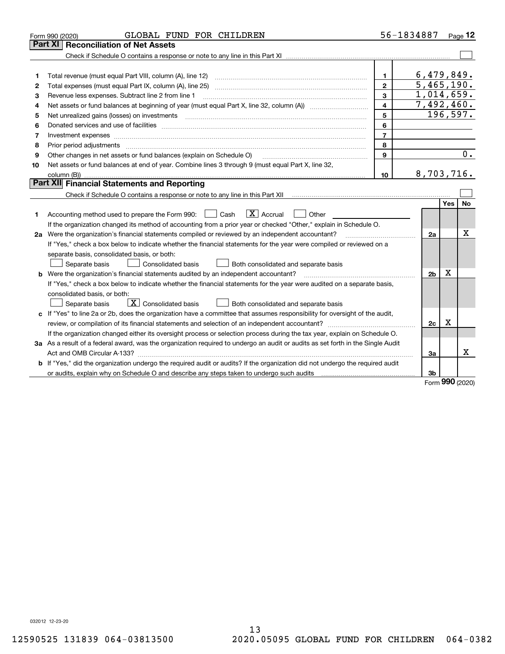|    | GLOBAL FUND FOR CHILDREN<br>Form 990 (2020)                                                                                     |                         | 56-1834887              |     | Page $12$        |
|----|---------------------------------------------------------------------------------------------------------------------------------|-------------------------|-------------------------|-----|------------------|
|    | <b>Reconciliation of Net Assets</b><br>Part XI                                                                                  |                         |                         |     |                  |
|    |                                                                                                                                 |                         |                         |     |                  |
|    |                                                                                                                                 |                         |                         |     |                  |
| 1  | Total revenue (must equal Part VIII, column (A), line 12)                                                                       | $\mathbf{1}$            | 6,479,849.              |     |                  |
| 2  | Total expenses (must equal Part IX, column (A), line 25)                                                                        | $\overline{2}$          | $\overline{5,465,190.}$ |     |                  |
| 3  | Revenue less expenses. Subtract line 2 from line 1                                                                              | 3                       | 1,014,659.              |     |                  |
| 4  |                                                                                                                                 | $\overline{\mathbf{4}}$ | 7,492,460.              |     |                  |
| 5  | Net unrealized gains (losses) on investments                                                                                    | 5                       |                         |     | 196,597.         |
| 6  |                                                                                                                                 | 6                       |                         |     |                  |
| 7  | Investment expenses www.communication.com/www.communication.com/www.communication.com/www.communication.com/ww                  | $\overline{7}$          |                         |     |                  |
| 8  | Prior period adjustments                                                                                                        | 8                       |                         |     |                  |
| 9  | Other changes in net assets or fund balances (explain on Schedule O)                                                            | 9                       |                         |     | $\overline{0}$ . |
| 10 | Net assets or fund balances at end of year. Combine lines 3 through 9 (must equal Part X, line 32,                              |                         |                         |     |                  |
|    |                                                                                                                                 | 10                      | 8,703,716.              |     |                  |
|    | Part XII Financial Statements and Reporting                                                                                     |                         |                         |     |                  |
|    |                                                                                                                                 |                         |                         |     |                  |
|    |                                                                                                                                 |                         |                         | Yes | No               |
| 1  | $\boxed{\mathbf{X}}$ Accrual<br>Accounting method used to prepare the Form 990: <u>I</u> Cash<br>Other                          |                         |                         |     |                  |
|    | If the organization changed its method of accounting from a prior year or checked "Other," explain in Schedule O.               |                         |                         |     |                  |
|    | 2a Were the organization's financial statements compiled or reviewed by an independent accountant?                              |                         | 2a                      |     | x                |
|    | If "Yes," check a box below to indicate whether the financial statements for the year were compiled or reviewed on a            |                         |                         |     |                  |
|    | separate basis, consolidated basis, or both:                                                                                    |                         |                         |     |                  |
|    | Separate basis<br><b>Consolidated basis</b><br>Both consolidated and separate basis                                             |                         |                         |     |                  |
|    | <b>b</b> Were the organization's financial statements audited by an independent accountant?                                     |                         | 2 <sub>b</sub>          | X   |                  |
|    | If "Yes," check a box below to indicate whether the financial statements for the year were audited on a separate basis,         |                         |                         |     |                  |
|    | consolidated basis, or both:                                                                                                    |                         |                         |     |                  |
|    | $\boxed{\textbf{X}}$ Consolidated basis<br>Separate basis<br>Both consolidated and separate basis                               |                         |                         |     |                  |
|    | c If "Yes" to line 2a or 2b, does the organization have a committee that assumes responsibility for oversight of the audit,     |                         |                         |     |                  |
|    | review, or compilation of its financial statements and selection of an independent accountant?                                  |                         | 2c                      | x   |                  |
|    | If the organization changed either its oversight process or selection process during the tax year, explain on Schedule O.       |                         |                         |     |                  |
|    | 3a As a result of a federal award, was the organization required to undergo an audit or audits as set forth in the Single Audit |                         |                         |     |                  |
|    |                                                                                                                                 |                         | 3a                      |     | х                |
|    | b If "Yes," did the organization undergo the required audit or audits? If the organization did not undergo the required audit   |                         |                         |     |                  |
|    |                                                                                                                                 |                         | 3b                      | nnn |                  |

Form (2020) **990**

032012 12-23-20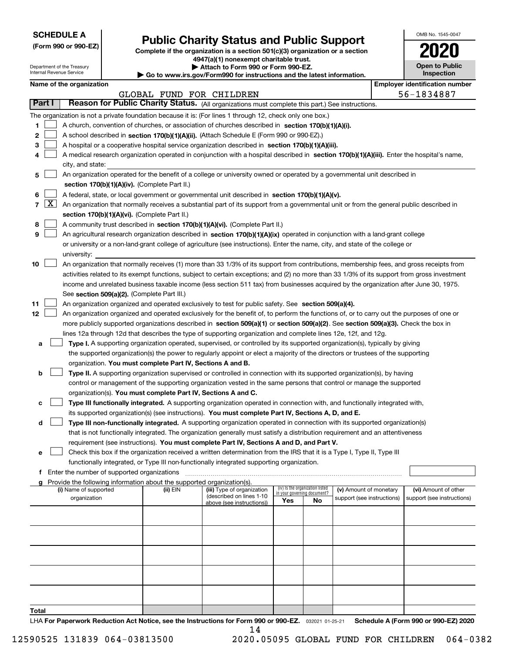| <b>SCHEDULE A</b> |
|-------------------|
|-------------------|

Department of the Treasury Internal Revenue Service

**(Form 990 or 990-EZ)**

### **Public Charity Status and Public Support**

**Complete if the organization is a section 501(c)(3) organization or a section 4947(a)(1) nonexempt charitable trust.**

|  |  |  | Attach to Form 990 or Form 990-EZ. |  |
|--|--|--|------------------------------------|--|
|  |  |  |                                    |  |

**| Go to www.irs.gov/Form990 for instructions and the latest information.**

| OMB No. 1545-0047     |  |
|-----------------------|--|
| 2020                  |  |
| <b>Open to Public</b> |  |

| <b>Inspection</b> |  |
|-------------------|--|
| ----              |  |

|        |                                                                                                      | Name of the organization                                                                                                                                                                                                                                                                                                                                                                                                                                                         |                          |                                                        |                             |                                 |                            |  | <b>Employer identification number</b> |  |  |  |
|--------|------------------------------------------------------------------------------------------------------|----------------------------------------------------------------------------------------------------------------------------------------------------------------------------------------------------------------------------------------------------------------------------------------------------------------------------------------------------------------------------------------------------------------------------------------------------------------------------------|--------------------------|--------------------------------------------------------|-----------------------------|---------------------------------|----------------------------|--|---------------------------------------|--|--|--|
| Part I |                                                                                                      | Reason for Public Charity Status. (All organizations must complete this part.) See instructions.                                                                                                                                                                                                                                                                                                                                                                                 | GLOBAL FUND FOR CHILDREN |                                                        |                             |                                 |                            |  | 56-1834887                            |  |  |  |
|        |                                                                                                      |                                                                                                                                                                                                                                                                                                                                                                                                                                                                                  |                          |                                                        |                             |                                 |                            |  |                                       |  |  |  |
|        |                                                                                                      | The organization is not a private foundation because it is: (For lines 1 through 12, check only one box.)                                                                                                                                                                                                                                                                                                                                                                        |                          |                                                        |                             |                                 |                            |  |                                       |  |  |  |
| 1      |                                                                                                      | A church, convention of churches, or association of churches described in section 170(b)(1)(A)(i).                                                                                                                                                                                                                                                                                                                                                                               |                          |                                                        |                             |                                 |                            |  |                                       |  |  |  |
| 2      |                                                                                                      | A school described in section 170(b)(1)(A)(ii). (Attach Schedule E (Form 990 or 990-EZ).)                                                                                                                                                                                                                                                                                                                                                                                        |                          |                                                        |                             |                                 |                            |  |                                       |  |  |  |
| з      | A hospital or a cooperative hospital service organization described in section $170(b)(1)(A)(iii)$ . |                                                                                                                                                                                                                                                                                                                                                                                                                                                                                  |                          |                                                        |                             |                                 |                            |  |                                       |  |  |  |
| 4      |                                                                                                      | A medical research organization operated in conjunction with a hospital described in section 170(b)(1)(A)(iii). Enter the hospital's name,<br>city, and state:                                                                                                                                                                                                                                                                                                                   |                          |                                                        |                             |                                 |                            |  |                                       |  |  |  |
| 5      |                                                                                                      | An organization operated for the benefit of a college or university owned or operated by a governmental unit described in                                                                                                                                                                                                                                                                                                                                                        |                          |                                                        |                             |                                 |                            |  |                                       |  |  |  |
|        |                                                                                                      | section 170(b)(1)(A)(iv). (Complete Part II.)                                                                                                                                                                                                                                                                                                                                                                                                                                    |                          |                                                        |                             |                                 |                            |  |                                       |  |  |  |
| 6      |                                                                                                      | A federal, state, or local government or governmental unit described in section 170(b)(1)(A)(v).                                                                                                                                                                                                                                                                                                                                                                                 |                          |                                                        |                             |                                 |                            |  |                                       |  |  |  |
|        | $7 \times$                                                                                           | An organization that normally receives a substantial part of its support from a governmental unit or from the general public described in<br>section 170(b)(1)(A)(vi). (Complete Part II.)                                                                                                                                                                                                                                                                                       |                          |                                                        |                             |                                 |                            |  |                                       |  |  |  |
| 8      |                                                                                                      | A community trust described in section 170(b)(1)(A)(vi). (Complete Part II.)                                                                                                                                                                                                                                                                                                                                                                                                     |                          |                                                        |                             |                                 |                            |  |                                       |  |  |  |
| 9      |                                                                                                      | An agricultural research organization described in section 170(b)(1)(A)(ix) operated in conjunction with a land-grant college                                                                                                                                                                                                                                                                                                                                                    |                          |                                                        |                             |                                 |                            |  |                                       |  |  |  |
|        |                                                                                                      | or university or a non-land-grant college of agriculture (see instructions). Enter the name, city, and state of the college or                                                                                                                                                                                                                                                                                                                                                   |                          |                                                        |                             |                                 |                            |  |                                       |  |  |  |
|        |                                                                                                      | university:                                                                                                                                                                                                                                                                                                                                                                                                                                                                      |                          |                                                        |                             |                                 |                            |  |                                       |  |  |  |
| 10     |                                                                                                      | An organization that normally receives (1) more than 33 1/3% of its support from contributions, membership fees, and gross receipts from<br>activities related to its exempt functions, subject to certain exceptions; and (2) no more than 33 1/3% of its support from gross investment<br>income and unrelated business taxable income (less section 511 tax) from businesses acquired by the organization after June 30, 1975.<br>See section 509(a)(2). (Complete Part III.) |                          |                                                        |                             |                                 |                            |  |                                       |  |  |  |
| 11     |                                                                                                      | An organization organized and operated exclusively to test for public safety. See section 509(a)(4).                                                                                                                                                                                                                                                                                                                                                                             |                          |                                                        |                             |                                 |                            |  |                                       |  |  |  |
| 12     |                                                                                                      | An organization organized and operated exclusively for the benefit of, to perform the functions of, or to carry out the purposes of one or                                                                                                                                                                                                                                                                                                                                       |                          |                                                        |                             |                                 |                            |  |                                       |  |  |  |
|        |                                                                                                      | more publicly supported organizations described in section 509(a)(1) or section 509(a)(2). See section 509(a)(3). Check the box in                                                                                                                                                                                                                                                                                                                                               |                          |                                                        |                             |                                 |                            |  |                                       |  |  |  |
|        |                                                                                                      | lines 12a through 12d that describes the type of supporting organization and complete lines 12e, 12f, and 12g.                                                                                                                                                                                                                                                                                                                                                                   |                          |                                                        |                             |                                 |                            |  |                                       |  |  |  |
| а      |                                                                                                      | <b>Type I.</b> A supporting organization operated, supervised, or controlled by its supported organization(s), typically by giving                                                                                                                                                                                                                                                                                                                                               |                          |                                                        |                             |                                 |                            |  |                                       |  |  |  |
|        |                                                                                                      | the supported organization(s) the power to regularly appoint or elect a majority of the directors or trustees of the supporting                                                                                                                                                                                                                                                                                                                                                  |                          |                                                        |                             |                                 |                            |  |                                       |  |  |  |
|        |                                                                                                      | organization. You must complete Part IV, Sections A and B.                                                                                                                                                                                                                                                                                                                                                                                                                       |                          |                                                        |                             |                                 |                            |  |                                       |  |  |  |
| b      |                                                                                                      | Type II. A supporting organization supervised or controlled in connection with its supported organization(s), by having                                                                                                                                                                                                                                                                                                                                                          |                          |                                                        |                             |                                 |                            |  |                                       |  |  |  |
|        |                                                                                                      | control or management of the supporting organization vested in the same persons that control or manage the supported                                                                                                                                                                                                                                                                                                                                                             |                          |                                                        |                             |                                 |                            |  |                                       |  |  |  |
|        |                                                                                                      | organization(s). You must complete Part IV, Sections A and C.                                                                                                                                                                                                                                                                                                                                                                                                                    |                          |                                                        |                             |                                 |                            |  |                                       |  |  |  |
| с      |                                                                                                      | Type III functionally integrated. A supporting organization operated in connection with, and functionally integrated with,                                                                                                                                                                                                                                                                                                                                                       |                          |                                                        |                             |                                 |                            |  |                                       |  |  |  |
|        |                                                                                                      | its supported organization(s) (see instructions). You must complete Part IV, Sections A, D, and E.                                                                                                                                                                                                                                                                                                                                                                               |                          |                                                        |                             |                                 |                            |  |                                       |  |  |  |
| d      |                                                                                                      | Type III non-functionally integrated. A supporting organization operated in connection with its supported organization(s)                                                                                                                                                                                                                                                                                                                                                        |                          |                                                        |                             |                                 |                            |  |                                       |  |  |  |
|        |                                                                                                      | that is not functionally integrated. The organization generally must satisfy a distribution requirement and an attentiveness                                                                                                                                                                                                                                                                                                                                                     |                          |                                                        |                             |                                 |                            |  |                                       |  |  |  |
|        |                                                                                                      | requirement (see instructions). You must complete Part IV, Sections A and D, and Part V.                                                                                                                                                                                                                                                                                                                                                                                         |                          |                                                        |                             |                                 |                            |  |                                       |  |  |  |
|        |                                                                                                      | Check this box if the organization received a written determination from the IRS that it is a Type I, Type II, Type III                                                                                                                                                                                                                                                                                                                                                          |                          |                                                        |                             |                                 |                            |  |                                       |  |  |  |
|        |                                                                                                      | functionally integrated, or Type III non-functionally integrated supporting organization.                                                                                                                                                                                                                                                                                                                                                                                        |                          |                                                        |                             |                                 |                            |  |                                       |  |  |  |
|        |                                                                                                      | f Enter the number of supported organizations                                                                                                                                                                                                                                                                                                                                                                                                                                    |                          |                                                        |                             |                                 |                            |  |                                       |  |  |  |
|        |                                                                                                      | g Provide the following information about the supported organization(s).                                                                                                                                                                                                                                                                                                                                                                                                         |                          |                                                        |                             |                                 |                            |  |                                       |  |  |  |
|        |                                                                                                      | (i) Name of supported                                                                                                                                                                                                                                                                                                                                                                                                                                                            | (ii) EIN                 | (iii) Type of organization<br>(described on lines 1-10 | in your governing document? | (iv) Is the organization listed | (v) Amount of monetary     |  | (vi) Amount of other                  |  |  |  |
|        |                                                                                                      | organization                                                                                                                                                                                                                                                                                                                                                                                                                                                                     |                          | above (see instructions))                              | Yes                         | No                              | support (see instructions) |  | support (see instructions)            |  |  |  |
|        |                                                                                                      |                                                                                                                                                                                                                                                                                                                                                                                                                                                                                  |                          |                                                        |                             |                                 |                            |  |                                       |  |  |  |
|        |                                                                                                      |                                                                                                                                                                                                                                                                                                                                                                                                                                                                                  |                          |                                                        |                             |                                 |                            |  |                                       |  |  |  |
|        |                                                                                                      |                                                                                                                                                                                                                                                                                                                                                                                                                                                                                  |                          |                                                        |                             |                                 |                            |  |                                       |  |  |  |
|        |                                                                                                      |                                                                                                                                                                                                                                                                                                                                                                                                                                                                                  |                          |                                                        |                             |                                 |                            |  |                                       |  |  |  |
|        |                                                                                                      |                                                                                                                                                                                                                                                                                                                                                                                                                                                                                  |                          |                                                        |                             |                                 |                            |  |                                       |  |  |  |
|        |                                                                                                      |                                                                                                                                                                                                                                                                                                                                                                                                                                                                                  |                          |                                                        |                             |                                 |                            |  |                                       |  |  |  |
|        |                                                                                                      |                                                                                                                                                                                                                                                                                                                                                                                                                                                                                  |                          |                                                        |                             |                                 |                            |  |                                       |  |  |  |
|        |                                                                                                      |                                                                                                                                                                                                                                                                                                                                                                                                                                                                                  |                          |                                                        |                             |                                 |                            |  |                                       |  |  |  |

**Total**

LHA For Paperwork Reduction Act Notice, see the Instructions for Form 990 or 990-EZ. <sub>032021</sub> o1-25-21 Schedule A (Form 990 or 990-EZ) 2020 14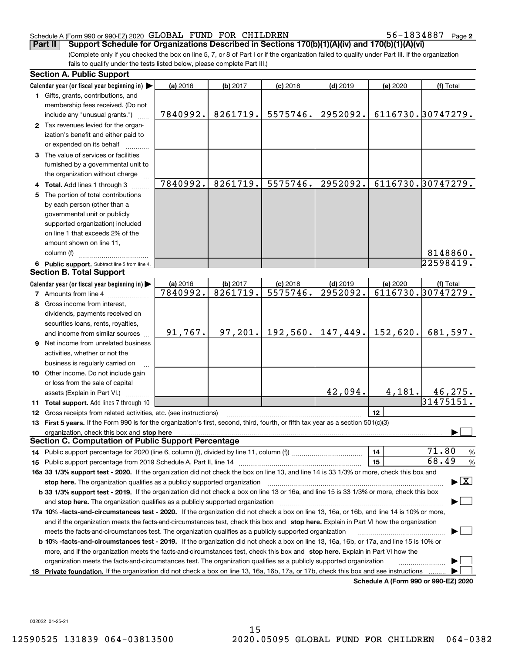#### Schedule A (Form 990 or 990-EZ) 2020 Page GLOBAL FUND FOR CHILDREN 56-1834887

56-1834887 Page 2

(Complete only if you checked the box on line 5, 7, or 8 of Part I or if the organization failed to qualify under Part III. If the organization fails to qualify under the tests listed below, please complete Part III.) **Part II Support Schedule for Organizations Described in Sections 170(b)(1)(A)(iv) and 170(b)(1)(A)(vi)**

|    | <b>Section A. Public Support</b>                                                                                                                                                                                               |          |          |            |            |          |                                      |
|----|--------------------------------------------------------------------------------------------------------------------------------------------------------------------------------------------------------------------------------|----------|----------|------------|------------|----------|--------------------------------------|
|    | Calendar year (or fiscal year beginning in)                                                                                                                                                                                    | (a) 2016 | (b) 2017 | $(c)$ 2018 | $(d)$ 2019 | (e) 2020 | (f) Total                            |
|    | 1 Gifts, grants, contributions, and                                                                                                                                                                                            |          |          |            |            |          |                                      |
|    | membership fees received. (Do not                                                                                                                                                                                              |          |          |            |            |          |                                      |
|    | include any "unusual grants.")                                                                                                                                                                                                 | 7840992. | 8261719. | 5575746.   | 2952092.   |          | 6116730.30747279.                    |
|    | 2 Tax revenues levied for the organ-                                                                                                                                                                                           |          |          |            |            |          |                                      |
|    | ization's benefit and either paid to                                                                                                                                                                                           |          |          |            |            |          |                                      |
|    | or expended on its behalf                                                                                                                                                                                                      |          |          |            |            |          |                                      |
|    | 3 The value of services or facilities                                                                                                                                                                                          |          |          |            |            |          |                                      |
|    | furnished by a governmental unit to                                                                                                                                                                                            |          |          |            |            |          |                                      |
|    | the organization without charge                                                                                                                                                                                                |          |          |            |            |          |                                      |
|    | 4 Total. Add lines 1 through 3                                                                                                                                                                                                 | 7840992. | 8261719. | 5575746.   | 2952092.   |          | 6116730.30747279.                    |
| 5. | The portion of total contributions                                                                                                                                                                                             |          |          |            |            |          |                                      |
|    | by each person (other than a                                                                                                                                                                                                   |          |          |            |            |          |                                      |
|    | governmental unit or publicly                                                                                                                                                                                                  |          |          |            |            |          |                                      |
|    | supported organization) included                                                                                                                                                                                               |          |          |            |            |          |                                      |
|    | on line 1 that exceeds 2% of the                                                                                                                                                                                               |          |          |            |            |          |                                      |
|    | amount shown on line 11,                                                                                                                                                                                                       |          |          |            |            |          |                                      |
|    | column (f)                                                                                                                                                                                                                     |          |          |            |            |          | 8148860.                             |
|    | 6 Public support. Subtract line 5 from line 4.                                                                                                                                                                                 |          |          |            |            |          | 22598419.                            |
|    | <b>Section B. Total Support</b>                                                                                                                                                                                                |          |          |            |            |          |                                      |
|    | Calendar year (or fiscal year beginning in)                                                                                                                                                                                    | (a) 2016 | (b) 2017 | $(c)$ 2018 | $(d)$ 2019 | (e) 2020 | (f) Total                            |
|    | <b>7</b> Amounts from line 4                                                                                                                                                                                                   | 7840992. | 8261719. | 5575746.   | 2952092.   |          | 6116730.30747279.                    |
|    | 8 Gross income from interest,                                                                                                                                                                                                  |          |          |            |            |          |                                      |
|    | dividends, payments received on                                                                                                                                                                                                |          |          |            |            |          |                                      |
|    | securities loans, rents, royalties,                                                                                                                                                                                            |          |          |            |            |          |                                      |
|    | and income from similar sources                                                                                                                                                                                                | 91,767.  | 97,201.  | 192,560.   | 147, 449.  | 152,620. | 681,597.                             |
|    | <b>9</b> Net income from unrelated business                                                                                                                                                                                    |          |          |            |            |          |                                      |
|    | activities, whether or not the                                                                                                                                                                                                 |          |          |            |            |          |                                      |
|    | business is regularly carried on                                                                                                                                                                                               |          |          |            |            |          |                                      |
|    | 10 Other income. Do not include gain                                                                                                                                                                                           |          |          |            |            |          |                                      |
|    | or loss from the sale of capital                                                                                                                                                                                               |          |          |            |            |          |                                      |
|    | assets (Explain in Part VI.)                                                                                                                                                                                                   |          |          |            | 42,094.    | 4,181.   | 46,275.                              |
|    | 11 Total support. Add lines 7 through 10                                                                                                                                                                                       |          |          |            |            |          | 31475151.                            |
|    | 12 Gross receipts from related activities, etc. (see instructions)                                                                                                                                                             |          |          |            |            | 12       |                                      |
|    | 13 First 5 years. If the Form 990 is for the organization's first, second, third, fourth, or fifth tax year as a section 501(c)(3)                                                                                             |          |          |            |            |          |                                      |
|    | organization, check this box and stop here manufactured and according to the state of the state of the state of the state of the state of the state of the state of the state of the state of the state of the state of the st |          |          |            |            |          |                                      |
|    | <b>Section C. Computation of Public Support Percentage</b>                                                                                                                                                                     |          |          |            |            |          |                                      |
|    |                                                                                                                                                                                                                                |          |          |            |            | 14       | 71.80<br>$\frac{9}{6}$               |
|    |                                                                                                                                                                                                                                |          |          |            |            | 15       | 68.49<br>%                           |
|    | 16a 33 1/3% support test - 2020. If the organization did not check the box on line 13, and line 14 is 33 1/3% or more, check this box and                                                                                      |          |          |            |            |          |                                      |
|    | stop here. The organization qualifies as a publicly supported organization                                                                                                                                                     |          |          |            |            |          | $\blacktriangleright$ $\vert$ X      |
|    | b 33 1/3% support test - 2019. If the organization did not check a box on line 13 or 16a, and line 15 is 33 1/3% or more, check this box                                                                                       |          |          |            |            |          |                                      |
|    | and stop here. The organization qualifies as a publicly supported organization                                                                                                                                                 |          |          |            |            |          |                                      |
|    | 17a 10% -facts-and-circumstances test - 2020. If the organization did not check a box on line 13, 16a, or 16b, and line 14 is 10% or more,                                                                                     |          |          |            |            |          |                                      |
|    | and if the organization meets the facts-and-circumstances test, check this box and stop here. Explain in Part VI how the organization                                                                                          |          |          |            |            |          |                                      |
|    | meets the facts-and-circumstances test. The organization qualifies as a publicly supported organization                                                                                                                        |          |          |            |            |          |                                      |
|    | <b>b 10% -facts-and-circumstances test - 2019.</b> If the organization did not check a box on line 13, 16a, 16b, or 17a, and line 15 is 10% or                                                                                 |          |          |            |            |          |                                      |
|    | more, and if the organization meets the facts-and-circumstances test, check this box and stop here. Explain in Part VI how the                                                                                                 |          |          |            |            |          |                                      |
|    | organization meets the facts-and-circumstances test. The organization qualifies as a publicly supported organization                                                                                                           |          |          |            |            |          |                                      |
| 18 | Private foundation. If the organization did not check a box on line 13, 16a, 16b, 17a, or 17b, check this box and see instructions                                                                                             |          |          |            |            |          | Schedule A (Form 990 or 990-EZ) 2020 |

**Schedule A (Form 990 or 990-EZ) 2020**

032022 01-25-21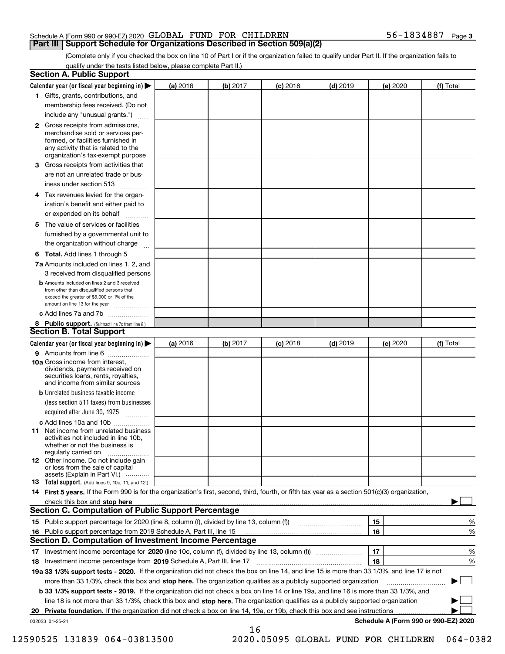#### Schedule A (Form 990 or 990-EZ) 2020 Page GLOBAL FUND FOR CHILDREN 56-1834887 **Part III Support Schedule for Organizations Described in Section 509(a)(2)**

(Complete only if you checked the box on line 10 of Part I or if the organization failed to qualify under Part II. If the organization fails to qualify under the tests listed below, please complete Part II.)

|    | <b>Section A. Public Support</b>                                                                                                                                                                                                                                 |          |          |            |            |          |                                      |
|----|------------------------------------------------------------------------------------------------------------------------------------------------------------------------------------------------------------------------------------------------------------------|----------|----------|------------|------------|----------|--------------------------------------|
|    | Calendar year (or fiscal year beginning in) $\blacktriangleright$                                                                                                                                                                                                | (a) 2016 | (b) 2017 | $(c)$ 2018 | $(d)$ 2019 | (e) 2020 | (f) Total                            |
|    | 1 Gifts, grants, contributions, and                                                                                                                                                                                                                              |          |          |            |            |          |                                      |
|    | membership fees received. (Do not                                                                                                                                                                                                                                |          |          |            |            |          |                                      |
|    | include any "unusual grants.")                                                                                                                                                                                                                                   |          |          |            |            |          |                                      |
|    | <b>2</b> Gross receipts from admissions,<br>merchandise sold or services per-<br>formed, or facilities furnished in<br>any activity that is related to the<br>organization's tax-exempt purpose                                                                  |          |          |            |            |          |                                      |
|    | 3 Gross receipts from activities that<br>are not an unrelated trade or bus-                                                                                                                                                                                      |          |          |            |            |          |                                      |
|    | iness under section 513                                                                                                                                                                                                                                          |          |          |            |            |          |                                      |
|    | 4 Tax revenues levied for the organ-<br>ization's benefit and either paid to<br>or expended on its behalf                                                                                                                                                        |          |          |            |            |          |                                      |
|    | .<br>5 The value of services or facilities                                                                                                                                                                                                                       |          |          |            |            |          |                                      |
|    | furnished by a governmental unit to<br>the organization without charge                                                                                                                                                                                           |          |          |            |            |          |                                      |
|    | <b>6 Total.</b> Add lines 1 through 5                                                                                                                                                                                                                            |          |          |            |            |          |                                      |
|    | 7a Amounts included on lines 1, 2, and<br>3 received from disqualified persons                                                                                                                                                                                   |          |          |            |            |          |                                      |
|    | <b>b</b> Amounts included on lines 2 and 3 received<br>from other than disqualified persons that<br>exceed the greater of \$5,000 or 1% of the<br>amount on line 13 for the year                                                                                 |          |          |            |            |          |                                      |
|    | c Add lines 7a and 7b                                                                                                                                                                                                                                            |          |          |            |            |          |                                      |
|    | 8 Public support. (Subtract line 7c from line 6.)<br><b>Section B. Total Support</b>                                                                                                                                                                             |          |          |            |            |          |                                      |
|    | Calendar year (or fiscal year beginning in)                                                                                                                                                                                                                      | (a) 2016 | (b) 2017 | $(c)$ 2018 | $(d)$ 2019 | (e) 2020 | (f) Total                            |
|    | 9 Amounts from line 6                                                                                                                                                                                                                                            |          |          |            |            |          |                                      |
|    | 10a Gross income from interest,<br>dividends, payments received on<br>securities loans, rents, royalties,<br>and income from similar sources                                                                                                                     |          |          |            |            |          |                                      |
|    | <b>b</b> Unrelated business taxable income                                                                                                                                                                                                                       |          |          |            |            |          |                                      |
|    | (less section 511 taxes) from businesses                                                                                                                                                                                                                         |          |          |            |            |          |                                      |
|    | acquired after June 30, 1975                                                                                                                                                                                                                                     |          |          |            |            |          |                                      |
|    | c Add lines 10a and 10b                                                                                                                                                                                                                                          |          |          |            |            |          |                                      |
|    | 11 Net income from unrelated business<br>activities not included in line 10b,<br>whether or not the business is<br>regularly carried on                                                                                                                          |          |          |            |            |          |                                      |
|    | <b>12</b> Other income. Do not include gain<br>or loss from the sale of capital<br>assets (Explain in Part VI.)                                                                                                                                                  |          |          |            |            |          |                                      |
|    | <b>13</b> Total support. (Add lines 9, 10c, 11, and 12.)                                                                                                                                                                                                         |          |          |            |            |          |                                      |
|    | 14 First 5 years. If the Form 990 is for the organization's first, second, third, fourth, or fifth tax year as a section 501(c)(3) organization,                                                                                                                 |          |          |            |            |          |                                      |
|    | check this box and stop here measurements are constructed as the state of the state of the state of the state o<br>Section C. Computation of Public Support Percentage                                                                                           |          |          |            |            |          |                                      |
|    |                                                                                                                                                                                                                                                                  |          |          |            |            | 15       | %                                    |
|    | 16 Public support percentage from 2019 Schedule A, Part III, line 15                                                                                                                                                                                             |          |          |            |            | 16       | %                                    |
|    | <b>Section D. Computation of Investment Income Percentage</b>                                                                                                                                                                                                    |          |          |            |            |          |                                      |
|    | 17 Investment income percentage for 2020 (line 10c, column (f), divided by line 13, column (f))                                                                                                                                                                  |          |          |            |            | 17       | %                                    |
|    | <b>18</b> Investment income percentage from <b>2019</b> Schedule A, Part III, line 17                                                                                                                                                                            |          |          |            |            | 18       | %                                    |
|    | 19a 33 1/3% support tests - 2020. If the organization did not check the box on line 14, and line 15 is more than 33 1/3%, and line 17 is not                                                                                                                     |          |          |            |            |          | $\sim$ 1                             |
|    | more than 33 1/3%, check this box and stop here. The organization qualifies as a publicly supported organization<br><b>b 33 1/3% support tests - 2019.</b> If the organization did not check a box on line 14 or line 19a, and line 16 is more than 33 1/3%, and |          |          |            |            |          |                                      |
|    | line 18 is not more than 33 1/3%, check this box and stop here. The organization qualifies as a publicly supported organization                                                                                                                                  |          |          |            |            |          |                                      |
| 20 | <b>Private foundation.</b> If the organization did not check a box on line 14, 19a, or 19b, check this box and see instructions                                                                                                                                  |          |          |            |            |          |                                      |
|    | 032023 01-25-21                                                                                                                                                                                                                                                  |          |          |            |            |          | Schedule A (Form 990 or 990-EZ) 2020 |
|    |                                                                                                                                                                                                                                                                  |          | 16       |            |            |          |                                      |

 <sup>12590525 131839 064-03813500 2020.05095</sup> GLOBAL FUND FOR CHILDREN 064-0382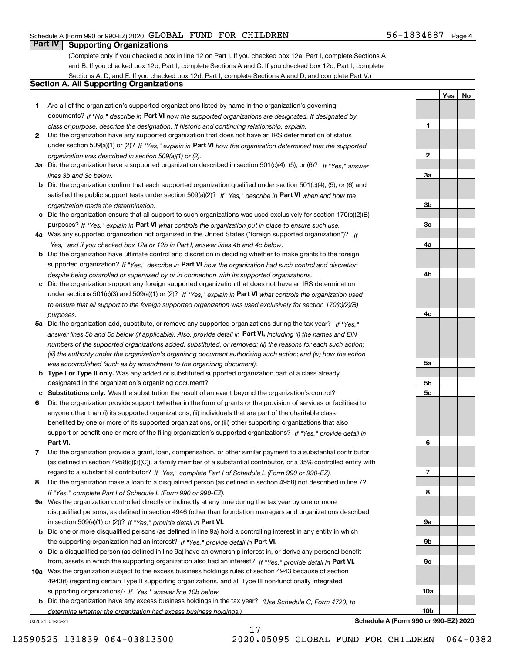#### Schedule A (Form 990 or 990-EZ) 2020 Page GLOBAL FUND FOR CHILDREN 56-1834887

#### **Part IV Supporting Organizations**

(Complete only if you checked a box in line 12 on Part I. If you checked box 12a, Part I, complete Sections A and B. If you checked box 12b, Part I, complete Sections A and C. If you checked box 12c, Part I, complete Sections A, D, and E. If you checked box 12d, Part I, complete Sections A and D, and complete Part V.)

#### **Section A. All Supporting Organizations**

- **1** Are all of the organization's supported organizations listed by name in the organization's governing documents? If "No," describe in **Part VI** how the supported organizations are designated. If designated by *class or purpose, describe the designation. If historic and continuing relationship, explain.*
- **2** Did the organization have any supported organization that does not have an IRS determination of status under section 509(a)(1) or (2)? If "Yes," explain in Part VI how the organization determined that the supported *organization was described in section 509(a)(1) or (2).*
- **3a** Did the organization have a supported organization described in section 501(c)(4), (5), or (6)? If "Yes," answer *lines 3b and 3c below.*
- **b** Did the organization confirm that each supported organization qualified under section 501(c)(4), (5), or (6) and satisfied the public support tests under section 509(a)(2)? If "Yes," describe in **Part VI** when and how the *organization made the determination.*
- **c**Did the organization ensure that all support to such organizations was used exclusively for section 170(c)(2)(B) purposes? If "Yes," explain in **Part VI** what controls the organization put in place to ensure such use.
- **4a***If* Was any supported organization not organized in the United States ("foreign supported organization")? *"Yes," and if you checked box 12a or 12b in Part I, answer lines 4b and 4c below.*
- **b** Did the organization have ultimate control and discretion in deciding whether to make grants to the foreign supported organization? If "Yes," describe in **Part VI** how the organization had such control and discretion *despite being controlled or supervised by or in connection with its supported organizations.*
- **c** Did the organization support any foreign supported organization that does not have an IRS determination under sections 501(c)(3) and 509(a)(1) or (2)? If "Yes," explain in **Part VI** what controls the organization used *to ensure that all support to the foreign supported organization was used exclusively for section 170(c)(2)(B) purposes.*
- **5a** Did the organization add, substitute, or remove any supported organizations during the tax year? If "Yes," answer lines 5b and 5c below (if applicable). Also, provide detail in **Part VI,** including (i) the names and EIN *numbers of the supported organizations added, substituted, or removed; (ii) the reasons for each such action; (iii) the authority under the organization's organizing document authorizing such action; and (iv) how the action was accomplished (such as by amendment to the organizing document).*
- **b** Type I or Type II only. Was any added or substituted supported organization part of a class already designated in the organization's organizing document?
- **cSubstitutions only.**  Was the substitution the result of an event beyond the organization's control?
- **6** Did the organization provide support (whether in the form of grants or the provision of services or facilities) to **Part VI.** *If "Yes," provide detail in* support or benefit one or more of the filing organization's supported organizations? anyone other than (i) its supported organizations, (ii) individuals that are part of the charitable class benefited by one or more of its supported organizations, or (iii) other supporting organizations that also
- **7**Did the organization provide a grant, loan, compensation, or other similar payment to a substantial contributor *If "Yes," complete Part I of Schedule L (Form 990 or 990-EZ).* regard to a substantial contributor? (as defined in section 4958(c)(3)(C)), a family member of a substantial contributor, or a 35% controlled entity with
- **8** Did the organization make a loan to a disqualified person (as defined in section 4958) not described in line 7? *If "Yes," complete Part I of Schedule L (Form 990 or 990-EZ).*
- **9a** Was the organization controlled directly or indirectly at any time during the tax year by one or more in section 509(a)(1) or (2))? If "Yes," *provide detail in* <code>Part VI.</code> disqualified persons, as defined in section 4946 (other than foundation managers and organizations described
- **b** Did one or more disqualified persons (as defined in line 9a) hold a controlling interest in any entity in which the supporting organization had an interest? If "Yes," provide detail in P**art VI**.
- **c**Did a disqualified person (as defined in line 9a) have an ownership interest in, or derive any personal benefit from, assets in which the supporting organization also had an interest? If "Yes," provide detail in P**art VI.**
- **10a** Was the organization subject to the excess business holdings rules of section 4943 because of section supporting organizations)? If "Yes," answer line 10b below. 4943(f) (regarding certain Type II supporting organizations, and all Type III non-functionally integrated
- **b** Did the organization have any excess business holdings in the tax year? (Use Schedule C, Form 4720, to *determine whether the organization had excess business holdings.)*

17

032024 01-25-21

**Schedule A (Form 990 or 990-EZ) 2020**

**1**

**2**

**3a**

**3b**

**3c**

**4a**

**4b**

**4c**

**YesNo**

**5a 5b5c6789a 9b9c10a10b**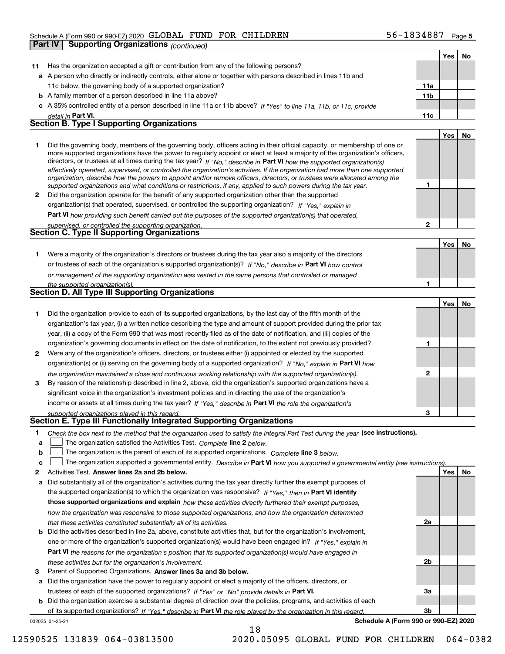#### Schedule A (Form 990 or 990-EZ) 2020 Page GLOBAL FUND FOR CHILDREN 56-1834887

|    | Part IV | <b>Supporting Organizations (continued)</b>                                                                                                                                                                                                                |                 |            |    |
|----|---------|------------------------------------------------------------------------------------------------------------------------------------------------------------------------------------------------------------------------------------------------------------|-----------------|------------|----|
|    |         |                                                                                                                                                                                                                                                            |                 | Yes        | No |
| 11 |         | Has the organization accepted a gift or contribution from any of the following persons?                                                                                                                                                                    |                 |            |    |
|    |         | a A person who directly or indirectly controls, either alone or together with persons described in lines 11b and                                                                                                                                           |                 |            |    |
|    |         | 11c below, the governing body of a supported organization?                                                                                                                                                                                                 | 11a             |            |    |
|    |         | <b>b</b> A family member of a person described in line 11a above?                                                                                                                                                                                          | 11 <sub>b</sub> |            |    |
|    |         | c A 35% controlled entity of a person described in line 11a or 11b above? If "Yes" to line 11a, 11b, or 11c, provide                                                                                                                                       |                 |            |    |
|    |         | detail in Part VI.                                                                                                                                                                                                                                         | 11c             |            |    |
|    |         | <b>Section B. Type I Supporting Organizations</b>                                                                                                                                                                                                          |                 |            |    |
|    |         |                                                                                                                                                                                                                                                            |                 | <b>Yes</b> | No |
| 1  |         | Did the governing body, members of the governing body, officers acting in their official capacity, or membership of one or                                                                                                                                 |                 |            |    |
|    |         | more supported organizations have the power to regularly appoint or elect at least a majority of the organization's officers,                                                                                                                              |                 |            |    |
|    |         | directors, or trustees at all times during the tax year? If "No," describe in Part VI how the supported organization(s)                                                                                                                                    |                 |            |    |
|    |         | effectively operated, supervised, or controlled the organization's activities. If the organization had more than one supported<br>organization, describe how the powers to appoint and/or remove officers, directors, or trustees were allocated among the |                 |            |    |
|    |         | supported organizations and what conditions or restrictions, if any, applied to such powers during the tax year.                                                                                                                                           | 1               |            |    |
| 2  |         | Did the organization operate for the benefit of any supported organization other than the supported                                                                                                                                                        |                 |            |    |
|    |         | organization(s) that operated, supervised, or controlled the supporting organization? If "Yes," explain in                                                                                                                                                 |                 |            |    |
|    |         | Part VI how providing such benefit carried out the purposes of the supported organization(s) that operated,                                                                                                                                                |                 |            |    |
|    |         | supervised, or controlled the supporting organization.                                                                                                                                                                                                     | $\mathbf{2}$    |            |    |
|    |         | <b>Section C. Type II Supporting Organizations</b>                                                                                                                                                                                                         |                 |            |    |
|    |         |                                                                                                                                                                                                                                                            |                 | Yes        | No |
| 1. |         | Were a majority of the organization's directors or trustees during the tax year also a majority of the directors                                                                                                                                           |                 |            |    |
|    |         | or trustees of each of the organization's supported organization(s)? If "No." describe in Part VI how control                                                                                                                                              |                 |            |    |
|    |         | or management of the supporting organization was vested in the same persons that controlled or managed                                                                                                                                                     |                 |            |    |
|    |         | the supported organization(s).                                                                                                                                                                                                                             | 1               |            |    |
|    |         | <b>Section D. All Type III Supporting Organizations</b>                                                                                                                                                                                                    |                 |            |    |
|    |         |                                                                                                                                                                                                                                                            |                 | Yes        | No |
| 1  |         | Did the organization provide to each of its supported organizations, by the last day of the fifth month of the                                                                                                                                             |                 |            |    |
|    |         | organization's tax year, (i) a written notice describing the type and amount of support provided during the prior tax                                                                                                                                      |                 |            |    |
|    |         | year, (ii) a copy of the Form 990 that was most recently filed as of the date of notification, and (iii) copies of the                                                                                                                                     |                 |            |    |
|    |         | organization's governing documents in effect on the date of notification, to the extent not previously provided?                                                                                                                                           | 1               |            |    |
| 2  |         | Were any of the organization's officers, directors, or trustees either (i) appointed or elected by the supported                                                                                                                                           |                 |            |    |
|    |         | organization(s) or (ii) serving on the governing body of a supported organization? If "No," explain in Part VI how                                                                                                                                         |                 |            |    |
|    |         | the organization maintained a close and continuous working relationship with the supported organization(s).                                                                                                                                                | $\mathbf{2}$    |            |    |
| 3  |         | By reason of the relationship described in line 2, above, did the organization's supported organizations have a                                                                                                                                            |                 |            |    |
|    |         | significant voice in the organization's investment policies and in directing the use of the organization's                                                                                                                                                 |                 |            |    |
|    |         | income or assets at all times during the tax year? If "Yes," describe in Part VI the role the organization's                                                                                                                                               |                 |            |    |
|    |         | supported organizations played in this regard.                                                                                                                                                                                                             | з               |            |    |
|    |         | Section E. Type III Functionally Integrated Supporting Organizations                                                                                                                                                                                       |                 |            |    |
| 1  |         | Check the box next to the method that the organization used to satisfy the Integral Part Test during the year (see instructions).                                                                                                                          |                 |            |    |
| а  |         | The organization satisfied the Activities Test. Complete line 2 below.                                                                                                                                                                                     |                 |            |    |
| b  |         | The organization is the parent of each of its supported organizations. Complete line 3 below.                                                                                                                                                              |                 |            |    |
| c  |         | The organization supported a governmental entity. Describe in Part VI how you supported a governmental entity (see instructions)                                                                                                                           |                 |            |    |
| 2  |         | Activities Test. Answer lines 2a and 2b below.                                                                                                                                                                                                             |                 | Yes        | No |
| а  |         | Did substantially all of the organization's activities during the tax year directly further the exempt purposes of                                                                                                                                         |                 |            |    |
|    |         | the supported organization(s) to which the organization was responsive? If "Yes," then in Part VI identify                                                                                                                                                 |                 |            |    |
|    |         | those supported organizations and explain how these activities directly furthered their exempt purposes,                                                                                                                                                   |                 |            |    |
|    |         | how the organization was responsive to those supported organizations, and how the organization determined                                                                                                                                                  |                 |            |    |
|    |         | that these activities constituted substantially all of its activities.                                                                                                                                                                                     | 2a              |            |    |
| b  |         | Did the activities described in line 2a, above, constitute activities that, but for the organization's involvement,                                                                                                                                        |                 |            |    |
|    |         | one or more of the organization's supported organization(s) would have been engaged in? If "Yes," explain in                                                                                                                                               |                 |            |    |
|    |         | Part VI the reasons for the organization's position that its supported organization(s) would have engaged in                                                                                                                                               |                 |            |    |
|    |         | these activities but for the organization's involvement.                                                                                                                                                                                                   | 2b              |            |    |
| 3  |         | Parent of Supported Organizations. Answer lines 3a and 3b below.                                                                                                                                                                                           |                 |            |    |
| а  |         | Did the organization have the power to regularly appoint or elect a majority of the officers, directors, or                                                                                                                                                |                 |            |    |
|    |         | trustees of each of the supported organizations? If "Yes" or "No" provide details in Part VI.                                                                                                                                                              | За              |            |    |

**b** Did the organization exercise a substantial degree of direction over the policies, programs, and activities of each trustees of each of the supported organizations? If "Yes" or "No" provide details in **Part VI.** of its supported organizations? If "Yes," describe in Part VI the role played by the organization in this regard.

18

032025 01-25-21

**Schedule A (Form 990 or 990-EZ) 2020**

**3b**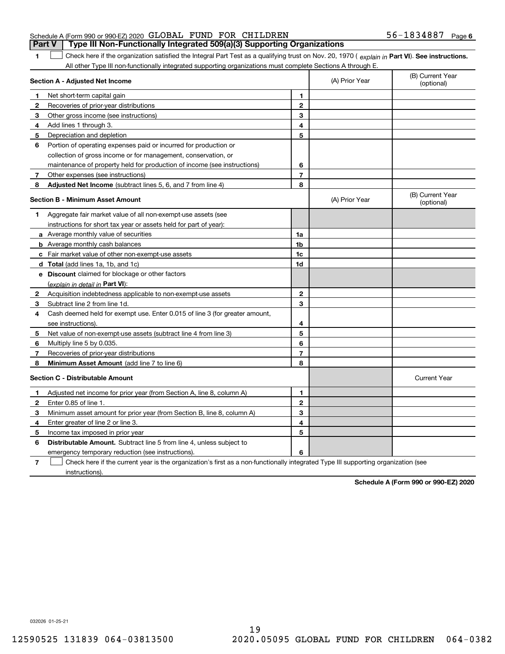|                                                               |  | Part V   Type III Non-Functionally Integrated 509(a)(3) Supporting Organizations |                   |  |
|---------------------------------------------------------------|--|----------------------------------------------------------------------------------|-------------------|--|
| Schedule A (Form 990 or 990-EZ) 2020 GLOBAL FUND FOR CHILDREN |  |                                                                                  | 56-1834887 Page 6 |  |

**Part VI** Check here if the organization satisfied the Integral Part Test as a qualifying trust on Nov. 20, 1970 ( *explain in* Part **VI**). See instructions. All other Type III non-functionally integrated supporting organizations must complete Sections A through E.  $\mathcal{L}^{\text{max}}$ 

|              | Section A - Adjusted Net Income                                             |                | (A) Prior Year | (B) Current Year<br>(optional) |
|--------------|-----------------------------------------------------------------------------|----------------|----------------|--------------------------------|
| 1            | Net short-term capital gain                                                 | 1              |                |                                |
| 2            | Recoveries of prior-year distributions                                      | $\mathbf{2}$   |                |                                |
| 3            | Other gross income (see instructions)                                       | 3              |                |                                |
| 4            | Add lines 1 through 3.                                                      | 4              |                |                                |
| 5            | Depreciation and depletion                                                  | 5              |                |                                |
| 6            | Portion of operating expenses paid or incurred for production or            |                |                |                                |
|              | collection of gross income or for management, conservation, or              |                |                |                                |
|              | maintenance of property held for production of income (see instructions)    | 6              |                |                                |
| 7            | Other expenses (see instructions)                                           | $\overline{7}$ |                |                                |
| 8            | Adjusted Net Income (subtract lines 5, 6, and 7 from line 4)                | 8              |                |                                |
|              | <b>Section B - Minimum Asset Amount</b>                                     |                | (A) Prior Year | (B) Current Year<br>(optional) |
| 1            | Aggregate fair market value of all non-exempt-use assets (see               |                |                |                                |
|              | instructions for short tax year or assets held for part of year):           |                |                |                                |
|              | a Average monthly value of securities                                       | 1a             |                |                                |
|              | <b>b</b> Average monthly cash balances                                      | 1b             |                |                                |
|              | c Fair market value of other non-exempt-use assets                          | 1c             |                |                                |
|              | <b>d</b> Total (add lines 1a, 1b, and 1c)                                   | 1d             |                |                                |
|              | e Discount claimed for blockage or other factors                            |                |                |                                |
|              | (explain in detail in Part VI):                                             |                |                |                                |
| 2            | Acquisition indebtedness applicable to non-exempt-use assets                | $\mathbf{2}$   |                |                                |
| 3            | Subtract line 2 from line 1d.                                               | 3              |                |                                |
| 4            | Cash deemed held for exempt use. Enter 0.015 of line 3 (for greater amount, |                |                |                                |
|              | see instructions).                                                          | 4              |                |                                |
| 5            | Net value of non-exempt-use assets (subtract line 4 from line 3)            | 5              |                |                                |
| 6            | Multiply line 5 by 0.035.                                                   | 6              |                |                                |
| 7            | Recoveries of prior-year distributions                                      | $\overline{7}$ |                |                                |
| 8            | Minimum Asset Amount (add line 7 to line 6)                                 | 8              |                |                                |
|              | <b>Section C - Distributable Amount</b>                                     |                |                | <b>Current Year</b>            |
| 1            | Adjusted net income for prior year (from Section A, line 8, column A)       | 1              |                |                                |
| $\mathbf{2}$ | Enter 0.85 of line 1                                                        | $\mathbf{2}$   |                |                                |
| 3            | Minimum asset amount for prior year (from Section B, line 8, column A)      | 3              |                |                                |
| 4            | Enter greater of line 2 or line 3.                                          | 4              |                |                                |
| 5            | Income tax imposed in prior year                                            | 5              |                |                                |
| 6            | <b>Distributable Amount.</b> Subtract line 5 from line 4, unless subject to |                |                |                                |
|              | emergency temporary reduction (see instructions).                           | 6              |                |                                |
|              | $\sim$ $\sim$ $\sim$ $\sim$                                                 |                |                |                                |

**7**Check here if the current year is the organization's first as a non-functionally integrated Type III supporting organization (see instructions).

**Schedule A (Form 990 or 990-EZ) 2020**

032026 01-25-21

**1**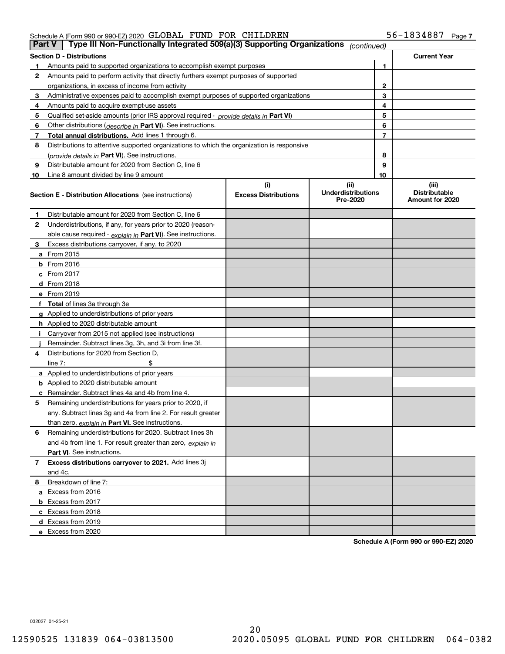#### Schedule A (Form 990 or 990-EZ) 2020 Page GLOBAL FUND FOR CHILDREN 56-1834887

| Type III Non-Functionally Integrated 509(a)(3) Supporting Organizations<br><b>Part V</b><br>(continued) |                                                                                                                                                                |                             |                                       |                |                                         |  |  |
|---------------------------------------------------------------------------------------------------------|----------------------------------------------------------------------------------------------------------------------------------------------------------------|-----------------------------|---------------------------------------|----------------|-----------------------------------------|--|--|
|                                                                                                         | <b>Section D - Distributions</b>                                                                                                                               |                             |                                       |                | <b>Current Year</b>                     |  |  |
| 1                                                                                                       | Amounts paid to supported organizations to accomplish exempt purposes                                                                                          |                             | 1                                     |                |                                         |  |  |
| 2                                                                                                       | Amounts paid to perform activity that directly furthers exempt purposes of supported                                                                           |                             |                                       |                |                                         |  |  |
|                                                                                                         | organizations, in excess of income from activity                                                                                                               |                             | 2                                     |                |                                         |  |  |
| 3                                                                                                       | Administrative expenses paid to accomplish exempt purposes of supported organizations                                                                          |                             |                                       | 3              |                                         |  |  |
| 4                                                                                                       | Amounts paid to acquire exempt-use assets                                                                                                                      |                             |                                       | 4              |                                         |  |  |
| 5                                                                                                       | Qualified set-aside amounts (prior IRS approval required - provide details in Part VI)                                                                         |                             |                                       | 5              |                                         |  |  |
| 6                                                                                                       | Other distributions ( <i>describe in</i> Part VI). See instructions.                                                                                           |                             |                                       | 6              |                                         |  |  |
| 7                                                                                                       | Total annual distributions. Add lines 1 through 6.                                                                                                             |                             |                                       | $\overline{7}$ |                                         |  |  |
| 8                                                                                                       | Distributions to attentive supported organizations to which the organization is responsive                                                                     |                             |                                       |                |                                         |  |  |
|                                                                                                         | (provide details in Part VI). See instructions.                                                                                                                |                             |                                       | 8              |                                         |  |  |
| 9                                                                                                       | Distributable amount for 2020 from Section C, line 6                                                                                                           |                             |                                       | 9              |                                         |  |  |
| 10                                                                                                      | Line 8 amount divided by line 9 amount                                                                                                                         |                             |                                       | 10             |                                         |  |  |
|                                                                                                         |                                                                                                                                                                | (i)                         | (ii)                                  |                | (iii)                                   |  |  |
|                                                                                                         | <b>Section E - Distribution Allocations</b> (see instructions)                                                                                                 | <b>Excess Distributions</b> | <b>Underdistributions</b><br>Pre-2020 |                | <b>Distributable</b><br>Amount for 2020 |  |  |
| 1                                                                                                       | Distributable amount for 2020 from Section C, line 6                                                                                                           |                             |                                       |                |                                         |  |  |
| 2                                                                                                       | Underdistributions, if any, for years prior to 2020 (reason-                                                                                                   |                             |                                       |                |                                         |  |  |
|                                                                                                         | able cause required - explain in Part VI). See instructions.                                                                                                   |                             |                                       |                |                                         |  |  |
| 3                                                                                                       | Excess distributions carryover, if any, to 2020                                                                                                                |                             |                                       |                |                                         |  |  |
|                                                                                                         | <b>a</b> From 2015                                                                                                                                             |                             |                                       |                |                                         |  |  |
|                                                                                                         | <b>b</b> From 2016                                                                                                                                             |                             |                                       |                |                                         |  |  |
|                                                                                                         | c From 2017                                                                                                                                                    |                             |                                       |                |                                         |  |  |
|                                                                                                         | <b>d</b> From 2018                                                                                                                                             |                             |                                       |                |                                         |  |  |
|                                                                                                         | e From 2019                                                                                                                                                    |                             |                                       |                |                                         |  |  |
|                                                                                                         | f Total of lines 3a through 3e                                                                                                                                 |                             |                                       |                |                                         |  |  |
|                                                                                                         | g Applied to underdistributions of prior years                                                                                                                 |                             |                                       |                |                                         |  |  |
|                                                                                                         | <b>h</b> Applied to 2020 distributable amount                                                                                                                  |                             |                                       |                |                                         |  |  |
|                                                                                                         | Carryover from 2015 not applied (see instructions)                                                                                                             |                             |                                       |                |                                         |  |  |
|                                                                                                         | Remainder. Subtract lines 3g, 3h, and 3i from line 3f.                                                                                                         |                             |                                       |                |                                         |  |  |
| 4                                                                                                       | Distributions for 2020 from Section D,                                                                                                                         |                             |                                       |                |                                         |  |  |
|                                                                                                         | line $7:$                                                                                                                                                      |                             |                                       |                |                                         |  |  |
|                                                                                                         | a Applied to underdistributions of prior years                                                                                                                 |                             |                                       |                |                                         |  |  |
|                                                                                                         | <b>b</b> Applied to 2020 distributable amount                                                                                                                  |                             |                                       |                |                                         |  |  |
|                                                                                                         | c Remainder. Subtract lines 4a and 4b from line 4.                                                                                                             |                             |                                       |                |                                         |  |  |
| 5                                                                                                       | Remaining underdistributions for years prior to 2020, if                                                                                                       |                             |                                       |                |                                         |  |  |
|                                                                                                         | any. Subtract lines 3g and 4a from line 2. For result greater                                                                                                  |                             |                                       |                |                                         |  |  |
|                                                                                                         | than zero, explain in Part VI. See instructions.                                                                                                               |                             |                                       |                |                                         |  |  |
| 6                                                                                                       | Remaining underdistributions for 2020. Subtract lines 3h                                                                                                       |                             |                                       |                |                                         |  |  |
|                                                                                                         | and 4b from line 1. For result greater than zero, explain in                                                                                                   |                             |                                       |                |                                         |  |  |
|                                                                                                         | Part VI. See instructions.                                                                                                                                     |                             |                                       |                |                                         |  |  |
|                                                                                                         |                                                                                                                                                                |                             |                                       |                |                                         |  |  |
|                                                                                                         |                                                                                                                                                                |                             |                                       |                |                                         |  |  |
| 8                                                                                                       | Breakdown of line 7:                                                                                                                                           |                             |                                       |                |                                         |  |  |
|                                                                                                         |                                                                                                                                                                |                             |                                       |                |                                         |  |  |
|                                                                                                         |                                                                                                                                                                |                             |                                       |                |                                         |  |  |
|                                                                                                         |                                                                                                                                                                |                             |                                       |                |                                         |  |  |
|                                                                                                         |                                                                                                                                                                |                             |                                       |                |                                         |  |  |
|                                                                                                         | e Excess from 2020                                                                                                                                             |                             |                                       |                |                                         |  |  |
| 7                                                                                                       | Excess distributions carryover to 2021. Add lines 3j<br>and 4c.<br>a Excess from 2016<br><b>b</b> Excess from 2017<br>c Excess from 2018<br>d Excess from 2019 |                             |                                       |                |                                         |  |  |

**Schedule A (Form 990 or 990-EZ) 2020**

032027 01-25-21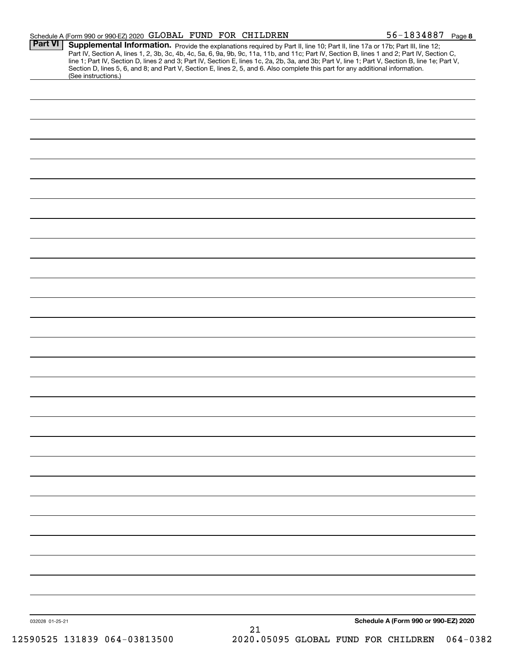|                 | Schedule A (Form 990 or 990-EZ) 2020 GLOBAL FUND FOR CHILDREN                                                                                                                                                                                                                                                                                                                                                                                                                                                                                                        |    | $56 - 1834887$ Page 8                |
|-----------------|----------------------------------------------------------------------------------------------------------------------------------------------------------------------------------------------------------------------------------------------------------------------------------------------------------------------------------------------------------------------------------------------------------------------------------------------------------------------------------------------------------------------------------------------------------------------|----|--------------------------------------|
| <b>Part VI</b>  | Supplemental Information. Provide the explanations required by Part II, line 10; Part II, line 17a or 17b; Part III, line 12;<br>Part IV, Section A, lines 1, 2, 3b, 3c, 4b, 4c, 5a, 6, 9a, 9b, 9c, 11a, 11b, and 11c; Part IV, Section B, lines 1 and 2; Part IV, Section C,<br>line 1; Part IV, Section D, lines 2 and 3; Part IV, Section E, lines 1c, 2a, 2b, 3a, and 3b; Part V, line 1; Part V, Section B, line 1e; Part V,<br>Section D, lines 5, 6, and 8; and Part V, Section E, lines 2, 5, and 6. Also complete this part for any additional information. |    |                                      |
|                 | (See instructions.)                                                                                                                                                                                                                                                                                                                                                                                                                                                                                                                                                  |    |                                      |
|                 |                                                                                                                                                                                                                                                                                                                                                                                                                                                                                                                                                                      |    |                                      |
|                 |                                                                                                                                                                                                                                                                                                                                                                                                                                                                                                                                                                      |    |                                      |
|                 |                                                                                                                                                                                                                                                                                                                                                                                                                                                                                                                                                                      |    |                                      |
|                 |                                                                                                                                                                                                                                                                                                                                                                                                                                                                                                                                                                      |    |                                      |
|                 |                                                                                                                                                                                                                                                                                                                                                                                                                                                                                                                                                                      |    |                                      |
|                 |                                                                                                                                                                                                                                                                                                                                                                                                                                                                                                                                                                      |    |                                      |
|                 |                                                                                                                                                                                                                                                                                                                                                                                                                                                                                                                                                                      |    |                                      |
|                 |                                                                                                                                                                                                                                                                                                                                                                                                                                                                                                                                                                      |    |                                      |
|                 |                                                                                                                                                                                                                                                                                                                                                                                                                                                                                                                                                                      |    |                                      |
|                 |                                                                                                                                                                                                                                                                                                                                                                                                                                                                                                                                                                      |    |                                      |
|                 |                                                                                                                                                                                                                                                                                                                                                                                                                                                                                                                                                                      |    |                                      |
|                 |                                                                                                                                                                                                                                                                                                                                                                                                                                                                                                                                                                      |    |                                      |
|                 |                                                                                                                                                                                                                                                                                                                                                                                                                                                                                                                                                                      |    |                                      |
|                 |                                                                                                                                                                                                                                                                                                                                                                                                                                                                                                                                                                      |    |                                      |
|                 |                                                                                                                                                                                                                                                                                                                                                                                                                                                                                                                                                                      |    |                                      |
|                 |                                                                                                                                                                                                                                                                                                                                                                                                                                                                                                                                                                      |    |                                      |
|                 |                                                                                                                                                                                                                                                                                                                                                                                                                                                                                                                                                                      |    |                                      |
|                 |                                                                                                                                                                                                                                                                                                                                                                                                                                                                                                                                                                      |    |                                      |
|                 |                                                                                                                                                                                                                                                                                                                                                                                                                                                                                                                                                                      |    |                                      |
|                 |                                                                                                                                                                                                                                                                                                                                                                                                                                                                                                                                                                      |    |                                      |
|                 |                                                                                                                                                                                                                                                                                                                                                                                                                                                                                                                                                                      |    |                                      |
|                 |                                                                                                                                                                                                                                                                                                                                                                                                                                                                                                                                                                      |    |                                      |
|                 |                                                                                                                                                                                                                                                                                                                                                                                                                                                                                                                                                                      |    |                                      |
|                 |                                                                                                                                                                                                                                                                                                                                                                                                                                                                                                                                                                      |    |                                      |
|                 |                                                                                                                                                                                                                                                                                                                                                                                                                                                                                                                                                                      |    |                                      |
|                 |                                                                                                                                                                                                                                                                                                                                                                                                                                                                                                                                                                      |    |                                      |
|                 |                                                                                                                                                                                                                                                                                                                                                                                                                                                                                                                                                                      |    |                                      |
|                 |                                                                                                                                                                                                                                                                                                                                                                                                                                                                                                                                                                      |    |                                      |
|                 |                                                                                                                                                                                                                                                                                                                                                                                                                                                                                                                                                                      |    |                                      |
|                 |                                                                                                                                                                                                                                                                                                                                                                                                                                                                                                                                                                      |    |                                      |
|                 |                                                                                                                                                                                                                                                                                                                                                                                                                                                                                                                                                                      |    |                                      |
|                 |                                                                                                                                                                                                                                                                                                                                                                                                                                                                                                                                                                      |    |                                      |
|                 |                                                                                                                                                                                                                                                                                                                                                                                                                                                                                                                                                                      |    |                                      |
| 032028 01-25-21 |                                                                                                                                                                                                                                                                                                                                                                                                                                                                                                                                                                      | 21 | Schedule A (Form 990 or 990-EZ) 2020 |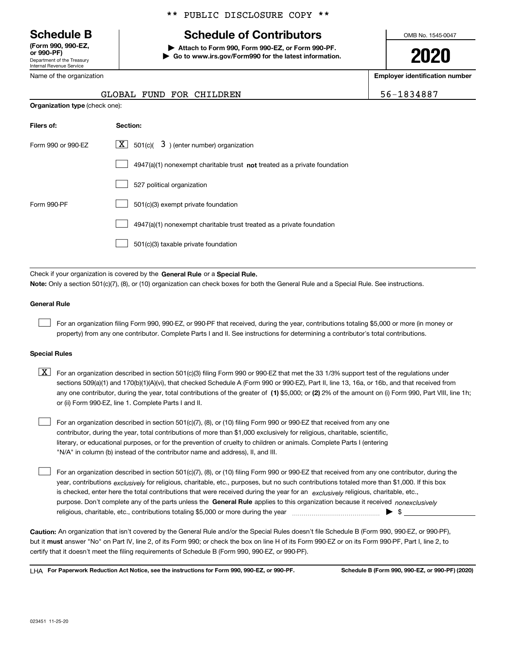Department of the Treasury Internal Revenue Service **(Form 990, 990-EZ, or 990-PF)**

Name of the organization

#### \*\* PUBLIC DISCLOSURE COPY \*\*

### **Schedule B Schedule of Contributors**

**| Attach to Form 990, Form 990-EZ, or Form 990-PF. | Go to www.irs.gov/Form990 for the latest information.** OMB No. 1545-0047

**2020**

**Employer identification number**

| 6-1834887 |  |
|-----------|--|
|-----------|--|

| $\frac{1}{2}$                         | ---- |
|---------------------------------------|------|
| GLOBAL FUND FOR CHILDREN              |      |
| <b>Organization type</b> (check one): |      |

| Filers of:         | Section:                                                                    |
|--------------------|-----------------------------------------------------------------------------|
| Form 990 or 990-EZ | $ \mathbf{X} $ 501(c)( 3) (enter number) organization                       |
|                    | $4947(a)(1)$ nonexempt charitable trust not treated as a private foundation |
|                    | 527 political organization                                                  |
| Form 990-PF        | 501(c)(3) exempt private foundation                                         |
|                    | 4947(a)(1) nonexempt charitable trust treated as a private foundation       |
|                    | 501(c)(3) taxable private foundation                                        |

Check if your organization is covered by the **General Rule** or a **Special Rule. Note:**  Only a section 501(c)(7), (8), or (10) organization can check boxes for both the General Rule and a Special Rule. See instructions.

#### **General Rule**

 $\mathcal{L}^{\text{max}}$ 

For an organization filing Form 990, 990-EZ, or 990-PF that received, during the year, contributions totaling \$5,000 or more (in money or property) from any one contributor. Complete Parts I and II. See instructions for determining a contributor's total contributions.

#### **Special Rules**

any one contributor, during the year, total contributions of the greater of  $\,$  (1) \$5,000; or **(2)** 2% of the amount on (i) Form 990, Part VIII, line 1h;  $\boxed{\textbf{X}}$  For an organization described in section 501(c)(3) filing Form 990 or 990-EZ that met the 33 1/3% support test of the regulations under sections 509(a)(1) and 170(b)(1)(A)(vi), that checked Schedule A (Form 990 or 990-EZ), Part II, line 13, 16a, or 16b, and that received from or (ii) Form 990-EZ, line 1. Complete Parts I and II.

For an organization described in section 501(c)(7), (8), or (10) filing Form 990 or 990-EZ that received from any one contributor, during the year, total contributions of more than \$1,000 exclusively for religious, charitable, scientific, literary, or educational purposes, or for the prevention of cruelty to children or animals. Complete Parts I (entering "N/A" in column (b) instead of the contributor name and address), II, and III.  $\mathcal{L}^{\text{max}}$ 

purpose. Don't complete any of the parts unless the **General Rule** applies to this organization because it received *nonexclusively* year, contributions <sub>exclusively</sub> for religious, charitable, etc., purposes, but no such contributions totaled more than \$1,000. If this box is checked, enter here the total contributions that were received during the year for an  $\;$ exclusively religious, charitable, etc., For an organization described in section 501(c)(7), (8), or (10) filing Form 990 or 990-EZ that received from any one contributor, during the religious, charitable, etc., contributions totaling \$5,000 or more during the year  $\Box$ — $\Box$   $\Box$  $\mathcal{L}^{\text{max}}$ 

**Caution:**  An organization that isn't covered by the General Rule and/or the Special Rules doesn't file Schedule B (Form 990, 990-EZ, or 990-PF),  **must** but it answer "No" on Part IV, line 2, of its Form 990; or check the box on line H of its Form 990-EZ or on its Form 990-PF, Part I, line 2, to certify that it doesn't meet the filing requirements of Schedule B (Form 990, 990-EZ, or 990-PF).

**For Paperwork Reduction Act Notice, see the instructions for Form 990, 990-EZ, or 990-PF. Schedule B (Form 990, 990-EZ, or 990-PF) (2020)** LHA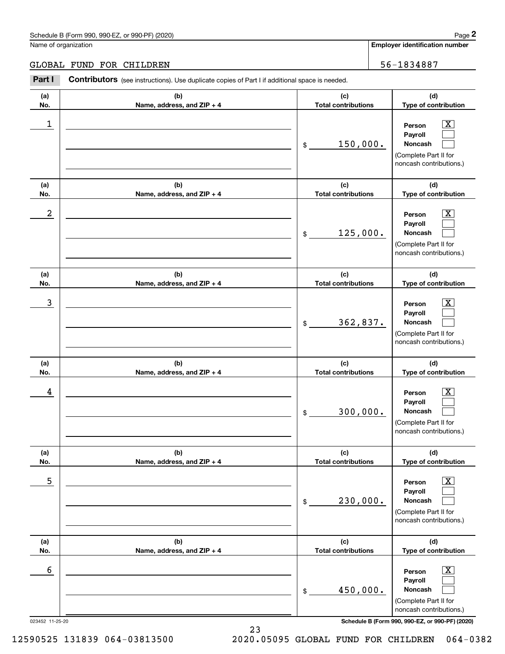#### Schedule B (Form 990, 990-EZ, or 990-PF) (2020) **Page 2** Page 2 and the state of the state of the state of the state of the state of the state of the state of the state of the state of the state of the state of the state o

Name of organization

**Employer identification number**

GLOBAL FUND FOR CHILDREN  $\vert$  56-1834887

#### **(a)No.(b)Name, address, and ZIP + 4 (c)Total contributions (d)Type of contribution PersonPayrollNoncash (a)No.(b)Name, address, and ZIP + 4 (c)Total contributions (d)Type of contribution PersonPayrollNoncash (a)No.(b)Name, address, and ZIP + 4 (c)Total contributions (d)Type of contribution PersonPayrollNoncash (a) No.(b) Name, address, and ZIP + 4 (c) Total contributions (d) Type of contribution PersonPayrollNoncash (a) No.(b) Name, address, and ZIP + 4 (c) Total contributions (d) Type of contribution PersonPayrollNoncash(a) No.(b)Name, address, and ZIP + 4 (c) Total contributions (d)Type of contribution PersonPayrollNoncash Contributors** (see instructions). Use duplicate copies of Part I if additional space is needed. \$(Complete Part II for noncash contributions.) \$(Complete Part II for noncash contributions.) \$(Complete Part II for noncash contributions.) \$(Complete Part II for noncash contributions.) \$(Complete Part II for noncash contributions.) \$(Complete Part II for noncash contributions.) Employer identification Page 2<br>
Iame of organization<br> **2Part I 2Part I Contributors** (see instructions). Use duplicate copies of Part I if additional space is needed.<br>
2Part I **Contributors** (see instructions). Use dup  $|X|$  $\mathcal{L}^{\text{max}}$  $\mathcal{L}^{\text{max}}$  $\boxed{\text{X}}$  $\mathcal{L}^{\text{max}}$  $\mathcal{L}^{\text{max}}$  $|X|$  $\mathcal{L}^{\text{max}}$  $\mathcal{L}^{\text{max}}$  $\boxed{\text{X}}$  $\mathcal{L}^{\text{max}}$  $\mathcal{L}^{\text{max}}$  $\boxed{\text{X}}$  $\mathcal{L}^{\text{max}}$  $\mathcal{L}^{\text{max}}$  $\lfloor x \rfloor$  $\mathcal{L}^{\text{max}}$  $\mathcal{L}^{\text{max}}$  $\begin{array}{c|c|c|c|c|c} 1 & \hspace{1.5cm} & \hspace{1.5cm} & \hspace{1.5cm} & \hspace{1.5cm} & \hspace{1.5cm} & \hspace{1.5cm} & \hspace{1.5cm} & \hspace{1.5cm} & \hspace{1.5cm} & \hspace{1.5cm} & \hspace{1.5cm} & \hspace{1.5cm} & \hspace{1.5cm} & \hspace{1.5cm} & \hspace{1.5cm} & \hspace{1.5cm} & \hspace{1.5cm} & \hspace{1.5cm} & \hspace{1.5cm} & \hspace{1.5cm} &$ 150,000.  $2$  | Person  $\overline{\text{X}}$ 125,000.  $\overline{3}$  | Person  $\overline{X}$ 362,837.  $4$  | Person  $\overline{\text{X}}$ 300,000.  $\sim$  5 | Person X 230,000.  $\sim$  6 | Person X 450,000.

023452 11-25-20 **Schedule B (Form 990, 990-EZ, or 990-PF) (2020)**

12590525 131839 064-03813500 2020.05095 GLOBAL FUND FOR CHILDREN 064-0382

23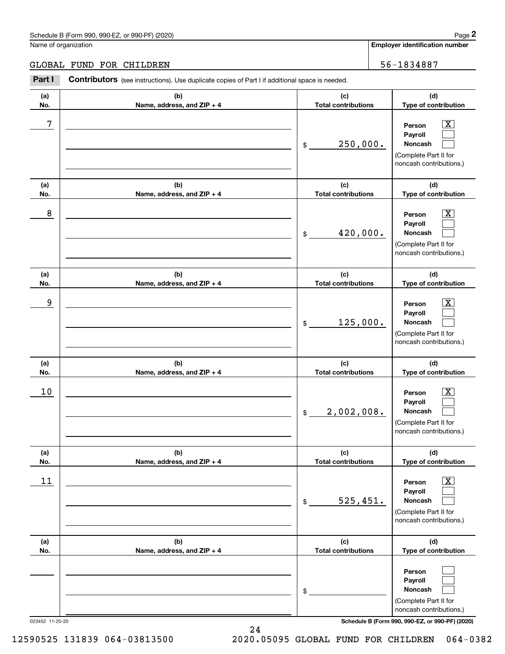### Schedule B (Form 990, 990-EZ, or 990-PF) (2020) Page 2

#### GLOBAL FUND FOR CHILDREN 56-1834887

|                      | Schedule B (Form 990, 990-EZ, or 990-PF) (2020)                                                |                                   | Page 2                                                                                                      |
|----------------------|------------------------------------------------------------------------------------------------|-----------------------------------|-------------------------------------------------------------------------------------------------------------|
| Name of organization |                                                                                                |                                   | <b>Employer identification number</b>                                                                       |
|                      | <b>GLOBAL FUND FOR CHILDREN</b>                                                                |                                   | 56-1834887                                                                                                  |
| Part I               | Contributors (see instructions). Use duplicate copies of Part I if additional space is needed. |                                   |                                                                                                             |
| (a)<br>No.           | (b)<br>Name, address, and ZIP + 4                                                              | (c)<br><b>Total contributions</b> | (d)<br>Type of contribution                                                                                 |
| 7                    |                                                                                                | 250,000.<br>\$                    | $\overline{\mathbf{X}}$<br>Person<br>Payroll<br>Noncash<br>(Complete Part II for<br>noncash contributions.) |
| (a)<br>No.           | (b)<br>Name, address, and ZIP + 4                                                              | (c)<br><b>Total contributions</b> | (d)<br>Type of contribution                                                                                 |
| 8                    |                                                                                                | 420,000.<br>\$                    | $\overline{\mathbf{X}}$<br>Person<br>Payroll<br>Noncash<br>(Complete Part II for<br>noncash contributions.) |
| (a)<br>No.           | (b)<br>Name, address, and ZIP + 4                                                              | (c)<br><b>Total contributions</b> | (d)<br>Type of contribution                                                                                 |
| 9                    |                                                                                                | 125,000.<br>\$                    | $\overline{\text{X}}$<br>Person<br>Payroll<br>Noncash<br>(Complete Part II for<br>noncash contributions.)   |
| (a)<br>No.           | (b)<br>Name, address, and ZIP + 4                                                              | (c)<br><b>Total contributions</b> | (d)<br>Type of contribution                                                                                 |
| 10                   |                                                                                                | 2,002,008.<br>\$                  | $\mathbf{X}$<br>Person<br>Payroll<br>Noncash<br>(Complete Part II for<br>noncash contributions.)            |
| (a)<br>No.           | (b)<br>Name, address, and ZIP + 4                                                              | (c)<br><b>Total contributions</b> | (d)<br>Type of contribution                                                                                 |
| 11                   |                                                                                                | 525,451.<br>\$                    | $\boxed{\text{X}}$<br>Person<br>Payroll<br>Noncash<br>(Complete Part II for<br>noncash contributions.)      |
| (a)<br>No.           | (b)<br>Name, address, and ZIP + 4                                                              | (c)<br><b>Total contributions</b> | (d)<br>Type of contribution                                                                                 |
|                      |                                                                                                | \$                                | Person<br>Payroll<br>Noncash<br>(Complete Part II for<br>noncash contributions.)                            |

023452 11-25-20 **Schedule B (Form 990, 990-EZ, or 990-PF) (2020)**

12590525 131839 064-03813500 2020.05095 GLOBAL FUND FOR CHILDREN 064-0382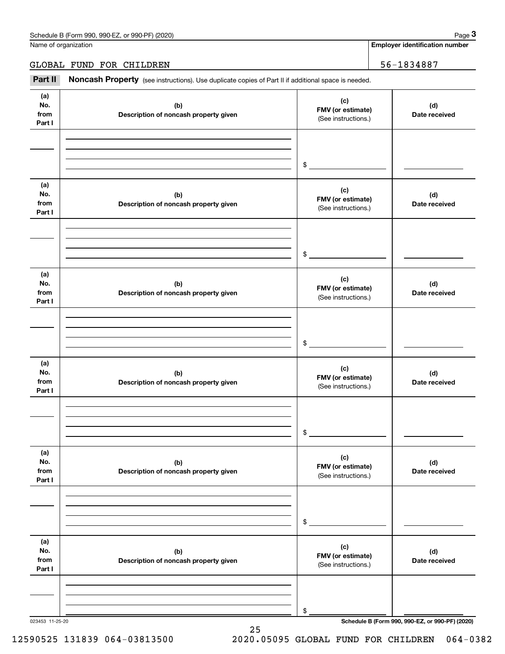Name of organization

**Employer identification number**

GLOBAL FUND FOR CHILDREN | 56-1834887

Chedule B (Form 990, 990-EZ, or 990-PF) (2020)<br> **2Part II is additional space is needed.**<br> **3Part II is Additional space is needed.**<br> **2Part II Noncash Property** (see instructions). Use duplicate copies of Part II if addit

| (a)<br>No.<br>from<br>Part I | (b)<br>Description of noncash property given | (c)<br>FMV (or estimate)<br>(See instructions.) | (d)<br>Date received |
|------------------------------|----------------------------------------------|-------------------------------------------------|----------------------|
|                              |                                              | \$                                              |                      |
| (a)<br>No.<br>from<br>Part I | (b)<br>Description of noncash property given | (c)<br>FMV (or estimate)<br>(See instructions.) | (d)<br>Date received |
|                              |                                              | \$                                              |                      |
| (a)<br>No.<br>from<br>Part I | (b)<br>Description of noncash property given | (c)<br>FMV (or estimate)<br>(See instructions.) | (d)<br>Date received |
|                              |                                              | \$                                              |                      |
| (a)<br>No.<br>from<br>Part I | (b)<br>Description of noncash property given | (c)<br>FMV (or estimate)<br>(See instructions.) | (d)<br>Date received |
|                              |                                              | \$                                              |                      |
| (a)<br>No.<br>from<br>Part I | (b)<br>Description of noncash property given | (c)<br>FMV (or estimate)<br>(See instructions.) | (d)<br>Date received |
|                              |                                              | \$                                              |                      |
| (a)<br>No.<br>from<br>Part I | (b)<br>Description of noncash property given | (c)<br>FMV (or estimate)<br>(See instructions.) | (d)<br>Date received |
|                              |                                              | \$                                              |                      |

25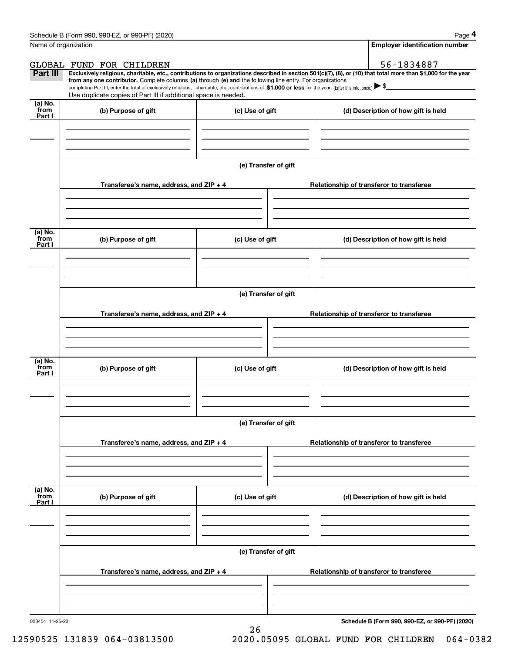|                           | Schedule B (Form 990, 990-EZ, or 990-PF) (2020)                                                                                                                                                                                                                                                                                                                                                                                                                   |                      |                                          |  | Page 4                                   |  |  |
|---------------------------|-------------------------------------------------------------------------------------------------------------------------------------------------------------------------------------------------------------------------------------------------------------------------------------------------------------------------------------------------------------------------------------------------------------------------------------------------------------------|----------------------|------------------------------------------|--|------------------------------------------|--|--|
| Name of organization      |                                                                                                                                                                                                                                                                                                                                                                                                                                                                   |                      |                                          |  | <b>Employer identification number</b>    |  |  |
|                           | GLOBAL FUND FOR CHILDREN                                                                                                                                                                                                                                                                                                                                                                                                                                          |                      |                                          |  | 56-1834887                               |  |  |
| Part III                  | Exclusively religious, charitable, etc., contributions to organizations described in section 501(c)(7), (8), or (10) that total more than \$1,000 for the year<br>from any one contributor. Complete columns (a) through (e) and the following line entry. For organizations<br>completing Part III, enter the total of exclusively religious, charitable, etc., contributions of \$1,000 or less for the year. (Enter this info. once.) $\blacktriangleright$ \$ |                      |                                          |  |                                          |  |  |
|                           | Use duplicate copies of Part III if additional space is needed.                                                                                                                                                                                                                                                                                                                                                                                                   |                      |                                          |  |                                          |  |  |
| (a) No.<br>from<br>Part I | (b) Purpose of gift                                                                                                                                                                                                                                                                                                                                                                                                                                               | (c) Use of gift      |                                          |  | (d) Description of how gift is held      |  |  |
|                           |                                                                                                                                                                                                                                                                                                                                                                                                                                                                   |                      |                                          |  |                                          |  |  |
|                           |                                                                                                                                                                                                                                                                                                                                                                                                                                                                   | (e) Transfer of gift |                                          |  |                                          |  |  |
|                           | Transferee's name, address, and ZIP + 4                                                                                                                                                                                                                                                                                                                                                                                                                           |                      |                                          |  | Relationship of transferor to transferee |  |  |
|                           |                                                                                                                                                                                                                                                                                                                                                                                                                                                                   |                      |                                          |  |                                          |  |  |
| (a) No.<br>from<br>Part I | (b) Purpose of gift                                                                                                                                                                                                                                                                                                                                                                                                                                               | (c) Use of gift      |                                          |  | (d) Description of how gift is held      |  |  |
|                           |                                                                                                                                                                                                                                                                                                                                                                                                                                                                   |                      |                                          |  |                                          |  |  |
|                           | (e) Transfer of gift                                                                                                                                                                                                                                                                                                                                                                                                                                              |                      |                                          |  |                                          |  |  |
|                           |                                                                                                                                                                                                                                                                                                                                                                                                                                                                   |                      |                                          |  |                                          |  |  |
|                           | Transferee's name, address, and ZIP + 4                                                                                                                                                                                                                                                                                                                                                                                                                           |                      |                                          |  | Relationship of transferor to transferee |  |  |
|                           |                                                                                                                                                                                                                                                                                                                                                                                                                                                                   |                      |                                          |  |                                          |  |  |
|                           |                                                                                                                                                                                                                                                                                                                                                                                                                                                                   |                      |                                          |  |                                          |  |  |
| (a) No.<br>from<br>Part I | (b) Purpose of gift                                                                                                                                                                                                                                                                                                                                                                                                                                               | (c) Use of gift      |                                          |  | (d) Description of how gift is held      |  |  |
|                           |                                                                                                                                                                                                                                                                                                                                                                                                                                                                   |                      |                                          |  |                                          |  |  |
|                           |                                                                                                                                                                                                                                                                                                                                                                                                                                                                   |                      |                                          |  |                                          |  |  |
|                           |                                                                                                                                                                                                                                                                                                                                                                                                                                                                   | (e) Transfer of gift |                                          |  |                                          |  |  |
|                           | Transferee's name, address, and $ZIP + 4$                                                                                                                                                                                                                                                                                                                                                                                                                         |                      |                                          |  | Relationship of transferor to transferee |  |  |
|                           |                                                                                                                                                                                                                                                                                                                                                                                                                                                                   |                      |                                          |  |                                          |  |  |
|                           |                                                                                                                                                                                                                                                                                                                                                                                                                                                                   |                      |                                          |  |                                          |  |  |
| (a) No.<br>from<br>Part I | (b) Purpose of gift                                                                                                                                                                                                                                                                                                                                                                                                                                               | (c) Use of gift      |                                          |  | (d) Description of how gift is held      |  |  |
|                           |                                                                                                                                                                                                                                                                                                                                                                                                                                                                   |                      |                                          |  |                                          |  |  |
|                           |                                                                                                                                                                                                                                                                                                                                                                                                                                                                   |                      |                                          |  |                                          |  |  |
|                           | (e) Transfer of gift                                                                                                                                                                                                                                                                                                                                                                                                                                              |                      |                                          |  |                                          |  |  |
|                           | Transferee's name, address, and ZIP + 4                                                                                                                                                                                                                                                                                                                                                                                                                           |                      | Relationship of transferor to transferee |  |                                          |  |  |
|                           |                                                                                                                                                                                                                                                                                                                                                                                                                                                                   |                      |                                          |  |                                          |  |  |
|                           |                                                                                                                                                                                                                                                                                                                                                                                                                                                                   |                      |                                          |  |                                          |  |  |
|                           |                                                                                                                                                                                                                                                                                                                                                                                                                                                                   |                      |                                          |  |                                          |  |  |

26

023454 11-25-20

**Schedule B (Form 990, 990-EZ, or 990-PF) (2020)**

12590525 131839 064-03813500 2020.05095 GLOBAL FUND FOR CHILDREN 064-0382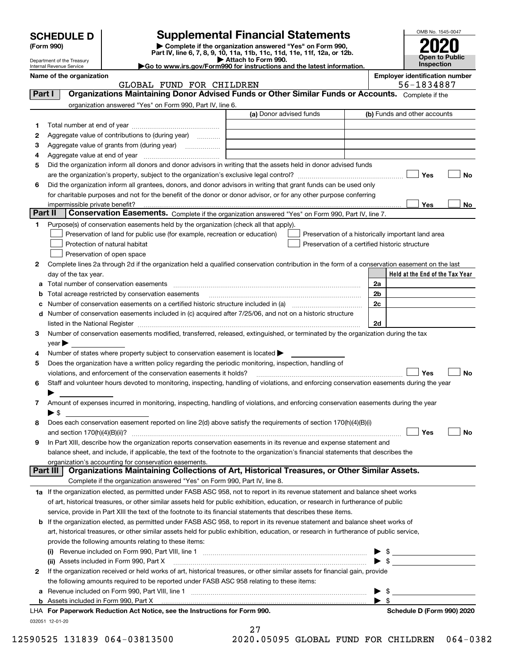| <b>CHEDULE D</b> |
|------------------|
|------------------|

| (Form 990) |
|------------|
|            |

Department of the Treasury Internal Revenue Service

### **SCHEDULE D Supplemental Financial Statements**

(Form 990)<br>
Pepartment of the Treasury<br>
Department of the Treasury<br>
Department of the Treasury<br>
Department of the Treasury<br> **Co to www.irs.gov/Form990 for instructions and the latest information.**<br> **Co to www.irs.gov/Form9** 



**Name of the organization Employer identification number**

|          | GLOBAL FUND FOR CHILDREN                                                                                                                                                                                                      |                         |  | 56-1834887                                         |
|----------|-------------------------------------------------------------------------------------------------------------------------------------------------------------------------------------------------------------------------------|-------------------------|--|----------------------------------------------------|
| Part I   | Organizations Maintaining Donor Advised Funds or Other Similar Funds or Accounts. Complete if the                                                                                                                             |                         |  |                                                    |
|          | organization answered "Yes" on Form 990, Part IV, line 6.                                                                                                                                                                     |                         |  |                                                    |
|          |                                                                                                                                                                                                                               | (a) Donor advised funds |  | (b) Funds and other accounts                       |
| 1        |                                                                                                                                                                                                                               |                         |  |                                                    |
| 2        | Aggregate value of contributions to (during year)                                                                                                                                                                             |                         |  |                                                    |
| 3        | Aggregate value of grants from (during year)                                                                                                                                                                                  |                         |  |                                                    |
| 4        |                                                                                                                                                                                                                               |                         |  |                                                    |
| 5        | Did the organization inform all donors and donor advisors in writing that the assets held in donor advised funds                                                                                                              |                         |  |                                                    |
|          |                                                                                                                                                                                                                               |                         |  | Yes<br>No                                          |
| 6        | Did the organization inform all grantees, donors, and donor advisors in writing that grant funds can be used only                                                                                                             |                         |  |                                                    |
|          | for charitable purposes and not for the benefit of the donor or donor advisor, or for any other purpose conferring                                                                                                            |                         |  |                                                    |
|          |                                                                                                                                                                                                                               |                         |  | Yes<br>No                                          |
| Part II  | impermissible private benefit? использовании положительно положительно положительно положительно положительно<br>Conservation Easements. Complete if the organization answered "Yes" on Form 990, Part IV, line 7.            |                         |  |                                                    |
|          |                                                                                                                                                                                                                               |                         |  |                                                    |
| 1        | Purpose(s) of conservation easements held by the organization (check all that apply).                                                                                                                                         |                         |  |                                                    |
|          | Preservation of land for public use (for example, recreation or education)                                                                                                                                                    |                         |  | Preservation of a historically important land area |
|          | Protection of natural habitat                                                                                                                                                                                                 |                         |  | Preservation of a certified historic structure     |
|          | Preservation of open space                                                                                                                                                                                                    |                         |  |                                                    |
| 2        | Complete lines 2a through 2d if the organization held a qualified conservation contribution in the form of a conservation easement on the last                                                                                |                         |  |                                                    |
|          | day of the tax year.                                                                                                                                                                                                          |                         |  | Held at the End of the Tax Year                    |
| а        |                                                                                                                                                                                                                               |                         |  | 2a                                                 |
| b        | Total acreage restricted by conservation easements                                                                                                                                                                            |                         |  | 2 <sub>b</sub>                                     |
|          |                                                                                                                                                                                                                               |                         |  | 2c                                                 |
| d        | Number of conservation easements included in (c) acquired after 7/25/06, and not on a historic structure                                                                                                                      |                         |  |                                                    |
|          | listed in the National Register [111] Marshall Register [11] Marshall Register [11] Marshall Register [11] Marshall Register [11] Marshall Register [11] Marshall Register [11] Marshall Register [11] Marshall Register [11] |                         |  | 2d                                                 |
| 3        | Number of conservation easements modified, transferred, released, extinguished, or terminated by the organization during the tax                                                                                              |                         |  |                                                    |
|          | year                                                                                                                                                                                                                          |                         |  |                                                    |
| 4        | Number of states where property subject to conservation easement is located >                                                                                                                                                 |                         |  |                                                    |
| 5        | Does the organization have a written policy regarding the periodic monitoring, inspection, handling of                                                                                                                        |                         |  |                                                    |
|          | violations, and enforcement of the conservation easements it holds?                                                                                                                                                           |                         |  | Yes<br>No                                          |
| 6        | Staff and volunteer hours devoted to monitoring, inspecting, handling of violations, and enforcing conservation easements during the year                                                                                     |                         |  |                                                    |
|          |                                                                                                                                                                                                                               |                         |  |                                                    |
| 7        | Amount of expenses incurred in monitoring, inspecting, handling of violations, and enforcing conservation easements during the year                                                                                           |                         |  |                                                    |
|          | $\blacktriangleright$ \$                                                                                                                                                                                                      |                         |  |                                                    |
| 8        | Does each conservation easement reported on line 2(d) above satisfy the requirements of section 170(h)(4)(B)(i)                                                                                                               |                         |  |                                                    |
|          |                                                                                                                                                                                                                               |                         |  | Yes<br>No                                          |
| 9        | In Part XIII, describe how the organization reports conservation easements in its revenue and expense statement and                                                                                                           |                         |  |                                                    |
|          | balance sheet, and include, if applicable, the text of the footnote to the organization's financial statements that describes the                                                                                             |                         |  |                                                    |
|          | organization's accounting for conservation easements.                                                                                                                                                                         |                         |  |                                                    |
| Part III | Organizations Maintaining Collections of Art, Historical Treasures, or Other Similar Assets.                                                                                                                                  |                         |  |                                                    |
|          | Complete if the organization answered "Yes" on Form 990, Part IV, line 8.                                                                                                                                                     |                         |  |                                                    |
|          | 1a If the organization elected, as permitted under FASB ASC 958, not to report in its revenue statement and balance sheet works                                                                                               |                         |  |                                                    |
|          | of art, historical treasures, or other similar assets held for public exhibition, education, or research in furtherance of public                                                                                             |                         |  |                                                    |
|          | service, provide in Part XIII the text of the footnote to its financial statements that describes these items.                                                                                                                |                         |  |                                                    |
| b        | If the organization elected, as permitted under FASB ASC 958, to report in its revenue statement and balance sheet works of                                                                                                   |                         |  |                                                    |
|          | art, historical treasures, or other similar assets held for public exhibition, education, or research in furtherance of public service,                                                                                       |                         |  |                                                    |
|          | provide the following amounts relating to these items:                                                                                                                                                                        |                         |  |                                                    |
|          |                                                                                                                                                                                                                               |                         |  | \$<br>▶                                            |
|          | (ii) Assets included in Form 990, Part X                                                                                                                                                                                      |                         |  | $\blacktriangleright$ \$                           |
| 2        | If the organization received or held works of art, historical treasures, or other similar assets for financial gain, provide                                                                                                  |                         |  |                                                    |
|          | the following amounts required to be reported under FASB ASC 958 relating to these items:                                                                                                                                     |                         |  |                                                    |
| а        | Revenue included on Form 990, Part VIII, line 1 [2000] [2000] [2000] [2000] [3000] [3000] [3000] [3000] [3000                                                                                                                 |                         |  | - \$<br>▶                                          |
|          |                                                                                                                                                                                                                               |                         |  | $\blacktriangleright$ s                            |
|          | LHA For Paperwork Reduction Act Notice, see the Instructions for Form 990.                                                                                                                                                    |                         |  | Schedule D (Form 990) 2020                         |
|          | 032051 12-01-20                                                                                                                                                                                                               |                         |  |                                                    |
|          |                                                                                                                                                                                                                               | 27                      |  |                                                    |

| . 1 |                    |  |
|-----|--------------------|--|
|     | 05095 CLORAL FILMD |  |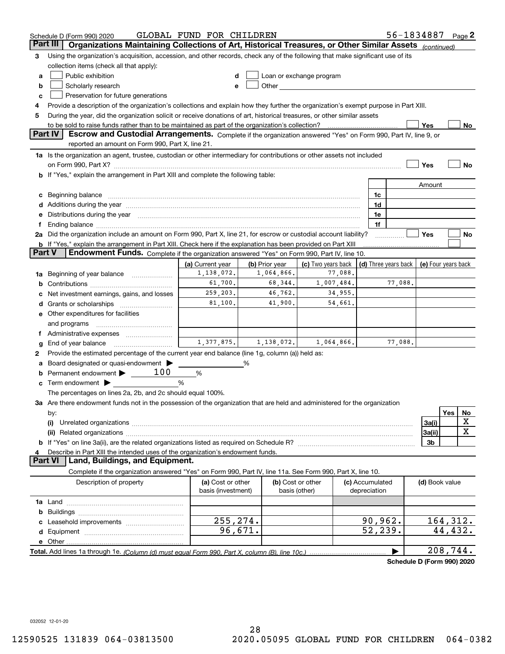|        | Schedule D (Form 990) 2020                                                                                                                                                                                                     | GLOBAL FUND FOR CHILDREN                |                |                                    |                                            |         | 56-1834887     | Page 2    |
|--------|--------------------------------------------------------------------------------------------------------------------------------------------------------------------------------------------------------------------------------|-----------------------------------------|----------------|------------------------------------|--------------------------------------------|---------|----------------|-----------|
|        | Organizations Maintaining Collections of Art, Historical Treasures, or Other Similar Assets (continued)<br>Part III                                                                                                            |                                         |                |                                    |                                            |         |                |           |
| 3      | Using the organization's acquisition, accession, and other records, check any of the following that make significant use of its                                                                                                |                                         |                |                                    |                                            |         |                |           |
|        | collection items (check all that apply):                                                                                                                                                                                       |                                         |                |                                    |                                            |         |                |           |
| a      | Public exhibition                                                                                                                                                                                                              |                                         |                | Loan or exchange program           |                                            |         |                |           |
| b      | Scholarly research                                                                                                                                                                                                             | е                                       |                |                                    |                                            |         |                |           |
| c      | Preservation for future generations                                                                                                                                                                                            |                                         |                |                                    |                                            |         |                |           |
| 4      | Provide a description of the organization's collections and explain how they further the organization's exempt purpose in Part XIII.                                                                                           |                                         |                |                                    |                                            |         |                |           |
| 5      | During the year, did the organization solicit or receive donations of art, historical treasures, or other similar assets                                                                                                       |                                         |                |                                    |                                            |         |                |           |
|        | to be sold to raise funds rather than to be maintained as part of the organization's collection?                                                                                                                               |                                         |                |                                    |                                            |         | Yes            | No        |
|        | <b>Part IV</b><br>Escrow and Custodial Arrangements. Complete if the organization answered "Yes" on Form 990, Part IV, line 9, or                                                                                              |                                         |                |                                    |                                            |         |                |           |
|        | reported an amount on Form 990, Part X, line 21.                                                                                                                                                                               |                                         |                |                                    |                                            |         |                |           |
|        | 1a Is the organization an agent, trustee, custodian or other intermediary for contributions or other assets not included                                                                                                       |                                         |                |                                    |                                            |         |                |           |
|        |                                                                                                                                                                                                                                |                                         |                |                                    |                                            |         | Yes            | No        |
|        | b If "Yes," explain the arrangement in Part XIII and complete the following table:                                                                                                                                             |                                         |                |                                    |                                            |         |                |           |
|        |                                                                                                                                                                                                                                |                                         |                |                                    |                                            |         | Amount         |           |
|        | Beginning balance                                                                                                                                                                                                              |                                         |                |                                    | 1c                                         |         |                |           |
|        | Additions during the year manufactured and an account of the year manufactured and account of the year manufactured and account of the year manufactured and account of the year manufactured and account of the year manufact |                                         |                |                                    | 1d                                         |         |                |           |
|        | Distributions during the year manufactured and an account of the state of the state of the state of the state o                                                                                                                |                                         |                |                                    | 1e<br>1f                                   |         |                |           |
|        | 2a Did the organization include an amount on Form 990, Part X, line 21, for escrow or custodial account liability?                                                                                                             |                                         |                |                                    |                                            |         | Yes            | No        |
|        | <b>b</b> If "Yes," explain the arrangement in Part XIII. Check here if the explanation has been provided on Part XIII                                                                                                          |                                         |                |                                    |                                            |         |                |           |
| Part V | Endowment Funds. Complete if the organization answered "Yes" on Form 990, Part IV, line 10.                                                                                                                                    |                                         |                |                                    |                                            |         |                |           |
|        |                                                                                                                                                                                                                                | (a) Current year                        | (b) Prior year | (c) Two years back                 | (d) Three years back   (e) Four years back |         |                |           |
| 1a     | Beginning of year balance                                                                                                                                                                                                      | 1,138,072.                              | 1,064,866.     | 77,088.                            |                                            |         |                |           |
| b      |                                                                                                                                                                                                                                | 61,700.                                 | 68,344.        | 1,007,484.                         |                                            | 77,088. |                |           |
|        | Net investment earnings, gains, and losses                                                                                                                                                                                     | 259,203.                                | 46,762.        | 34,955.                            |                                            |         |                |           |
|        |                                                                                                                                                                                                                                | 81,100.                                 | 41,900.        | 54,661.                            |                                            |         |                |           |
|        | Other expenditures for facilities                                                                                                                                                                                              |                                         |                |                                    |                                            |         |                |           |
|        | and programs                                                                                                                                                                                                                   |                                         |                |                                    |                                            |         |                |           |
|        |                                                                                                                                                                                                                                |                                         |                |                                    |                                            |         |                |           |
| g      | End of year balance                                                                                                                                                                                                            | 1,377,875.                              | 1,138,072.     | 1,064,866.                         |                                            | 77,088. |                |           |
| 2      | Provide the estimated percentage of the current year end balance (line 1g, column (a)) held as:                                                                                                                                |                                         |                |                                    |                                            |         |                |           |
|        | Board designated or quasi-endowment                                                                                                                                                                                            |                                         | %              |                                    |                                            |         |                |           |
| b      | 100<br>Permanent endowment > _____                                                                                                                                                                                             | %                                       |                |                                    |                                            |         |                |           |
| с      | Term endowment $\blacktriangleright$                                                                                                                                                                                           | %                                       |                |                                    |                                            |         |                |           |
|        | The percentages on lines 2a, 2b, and 2c should equal 100%.                                                                                                                                                                     |                                         |                |                                    |                                            |         |                |           |
|        | 3a Are there endowment funds not in the possession of the organization that are held and administered for the organization                                                                                                     |                                         |                |                                    |                                            |         |                |           |
|        | by:                                                                                                                                                                                                                            |                                         |                |                                    |                                            |         |                | Yes<br>No |
|        | (i)                                                                                                                                                                                                                            |                                         |                |                                    |                                            |         | 3a(i)          | X         |
|        |                                                                                                                                                                                                                                |                                         |                |                                    |                                            |         | 3a(ii)         | X         |
|        |                                                                                                                                                                                                                                |                                         |                |                                    |                                            |         | 3b             |           |
|        | Describe in Part XIII the intended uses of the organization's endowment funds.<br>Land, Buildings, and Equipment.<br>Part VI                                                                                                   |                                         |                |                                    |                                            |         |                |           |
|        |                                                                                                                                                                                                                                |                                         |                |                                    |                                            |         |                |           |
|        | Complete if the organization answered "Yes" on Form 990, Part IV, line 11a. See Form 990, Part X, line 10.                                                                                                                     |                                         |                |                                    |                                            |         |                |           |
|        | Description of property                                                                                                                                                                                                        | (a) Cost or other<br>basis (investment) |                | (b) Cost or other<br>basis (other) | (c) Accumulated<br>depreciation            |         | (d) Book value |           |
|        |                                                                                                                                                                                                                                |                                         |                |                                    |                                            |         |                |           |
|        |                                                                                                                                                                                                                                |                                         |                |                                    |                                            |         |                |           |
| b      | Leasehold improvements                                                                                                                                                                                                         | 255,274.                                |                |                                    | 90, 962.                                   |         |                | 164,312.  |
| d      |                                                                                                                                                                                                                                |                                         | 96,671.        |                                    | 52,239.                                    |         |                | 44,432.   |
|        |                                                                                                                                                                                                                                |                                         |                |                                    |                                            |         |                |           |
|        |                                                                                                                                                                                                                                |                                         |                |                                    |                                            |         |                | 208,744.  |
|        |                                                                                                                                                                                                                                |                                         |                |                                    |                                            |         |                |           |

**Schedule D (Form 990) 2020**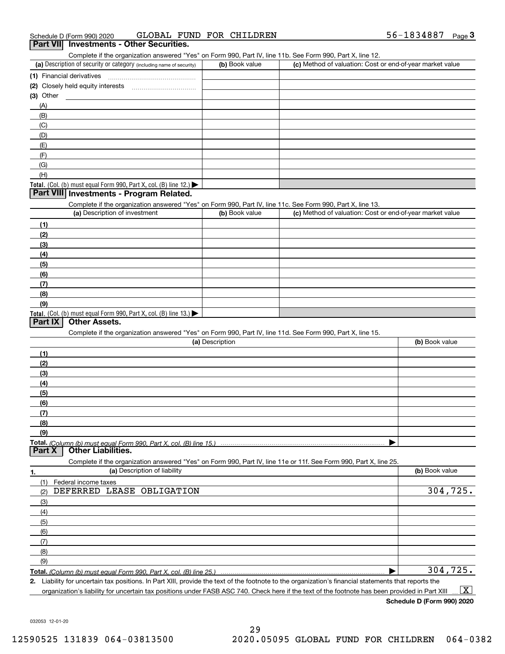| Schedule D (Form 990) 2020                                                                                 | GLOBAL FUND FOR CHILDREN | 56-1834887<br>$P$ aqe $3$                                 |
|------------------------------------------------------------------------------------------------------------|--------------------------|-----------------------------------------------------------|
| <b>Investments - Other Securities.</b><br><b>Part VII</b>                                                  |                          |                                                           |
| Complete if the organization answered "Yes" on Form 990, Part IV, line 11b. See Form 990, Part X, line 12. |                          |                                                           |
| (a) Description of security or category (including name of security)                                       | (b) Book value           | (c) Method of valuation: Cost or end-of-year market value |
| (1) Financial derivatives                                                                                  |                          |                                                           |
| Closely held equity interests<br>(2)                                                                       |                          |                                                           |
| $(3)$ Other                                                                                                |                          |                                                           |
| (A)                                                                                                        |                          |                                                           |
| (B)                                                                                                        |                          |                                                           |
| (C)                                                                                                        |                          |                                                           |
| (D)                                                                                                        |                          |                                                           |
| (E)                                                                                                        |                          |                                                           |
| (F)                                                                                                        |                          |                                                           |
| (G)                                                                                                        |                          |                                                           |
| (H)                                                                                                        |                          |                                                           |
| <b>Total.</b> (Col. (b) must equal Form 990, Part X, col. (B) line 12.) $\blacktriangleright$              |                          |                                                           |
| Part VIII Investments - Program Related.                                                                   |                          |                                                           |
| Complete if the organization answered "Yes" on Form 990, Part IV, line 11c. See Form 990, Part X, line 13. |                          |                                                           |
| (a) Description of investment                                                                              | (b) Book value           | (c) Method of valuation: Cost or end-of-year market value |
| (1)                                                                                                        |                          |                                                           |
|                                                                                                            |                          |                                                           |

| (2)                                                                                     |  |
|-----------------------------------------------------------------------------------------|--|
| (3)                                                                                     |  |
| (4)                                                                                     |  |
| (5)                                                                                     |  |
| (6)                                                                                     |  |
| (7)                                                                                     |  |
| (8)                                                                                     |  |
| (9)                                                                                     |  |
| Total. (Col. (b) must equal Form 990, Part X, col. (B) line $13.$ $\blacktriangleright$ |  |

#### **Part IX Other Assets.**

Complete if the organization answered "Yes" on Form 990, Part IV, line 11d. See Form 990, Part X, line 15.

| (a) Description                                                                                                   | (b) Book value |
|-------------------------------------------------------------------------------------------------------------------|----------------|
| (1)                                                                                                               |                |
| (2)                                                                                                               |                |
| $\frac{1}{2}$                                                                                                     |                |
| (4)                                                                                                               |                |
| $\frac{1}{2}$ (5)                                                                                                 |                |
| (6)                                                                                                               |                |
| $\sqrt{(7)}$                                                                                                      |                |
| (8)                                                                                                               |                |
| (9)                                                                                                               |                |
|                                                                                                                   |                |
| <b>Other Liabilities.</b><br>Part X                                                                               |                |
| Complete if the organization answered "Yes" on Form 990, Part IV, line 11e or 11f. See Form 990, Part X, line 25. |                |

| 1.  | (a) Description of liability | (b) Book value |
|-----|------------------------------|----------------|
| (1) | Federal income taxes         |                |
| (2) | DEFERRED LEASE OBLIGATION    | 304,725.       |
| (3) |                              |                |
| (4) |                              |                |
| (5) |                              |                |
| (6) |                              |                |
| (7) |                              |                |
| (8) |                              |                |
| (9) |                              |                |
|     |                              | 304,725.       |

**2.** Liability for uncertain tax positions. In Part XIII, provide the text of the footnote to the organization's financial statements that reports the organization's liability for uncertain tax positions under FASB ASC 740. Check here if the text of the footnote has been provided in Part XIII  $\boxed{\text{X}}$ 

**Schedule D (Form 990) 2020**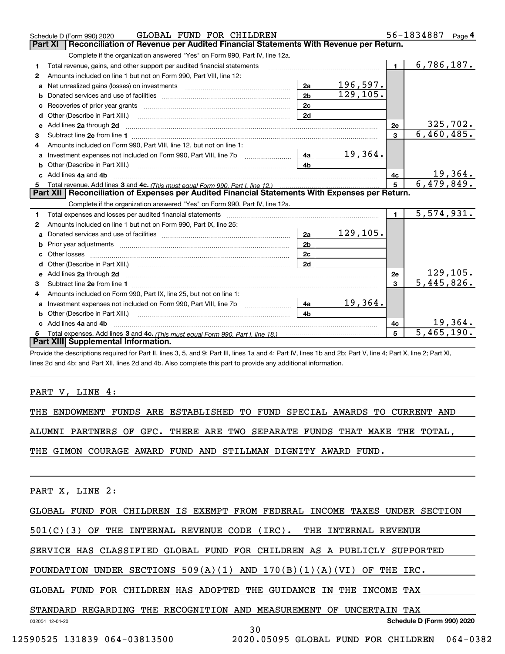|    | GLOBAL FUND FOR CHILDREN<br>Schedule D (Form 990) 2020                                                                                                                                                                              |                |                 |                | 56-1834887<br>Page $4$ |
|----|-------------------------------------------------------------------------------------------------------------------------------------------------------------------------------------------------------------------------------------|----------------|-----------------|----------------|------------------------|
|    | Part XI<br>Reconciliation of Revenue per Audited Financial Statements With Revenue per Return.                                                                                                                                      |                |                 |                |                        |
|    | Complete if the organization answered "Yes" on Form 990, Part IV, line 12a.                                                                                                                                                         |                |                 |                |                        |
| 1  | Total revenue, gains, and other support per audited financial statements                                                                                                                                                            |                |                 | 1.             | 6,786,187.             |
| 2  | Amounts included on line 1 but not on Form 990, Part VIII, line 12:                                                                                                                                                                 |                |                 |                |                        |
|    | a Net unrealized gains (losses) on investments [11] [11] Net unrealized gains (losses) on investments [11] [11                                                                                                                      | 2a             | 196,597.        |                |                        |
| b  |                                                                                                                                                                                                                                     | 2 <sub>b</sub> | 129,105.        |                |                        |
| c  |                                                                                                                                                                                                                                     | 2c             |                 |                |                        |
|    |                                                                                                                                                                                                                                     | 2d             |                 |                |                        |
|    | e Add lines 2a through 2d                                                                                                                                                                                                           |                |                 | 2е             | 325, 702.              |
| 3  |                                                                                                                                                                                                                                     |                |                 | 3              | 6,460,485.             |
| 4  | Amounts included on Form 990, Part VIII, line 12, but not on line 1:                                                                                                                                                                |                |                 |                |                        |
|    |                                                                                                                                                                                                                                     | 4a             | 19,364.         |                |                        |
|    |                                                                                                                                                                                                                                     | 4 <sub>b</sub> |                 |                |                        |
|    | c Add lines 4a and 4b                                                                                                                                                                                                               |                |                 | 4c             | <u> 19,364.</u>        |
| 5  |                                                                                                                                                                                                                                     |                |                 | 5              | 6,479,849.             |
|    | Part XII   Reconciliation of Expenses per Audited Financial Statements With Expenses per Return.                                                                                                                                    |                |                 |                |                        |
|    | Complete if the organization answered "Yes" on Form 990, Part IV, line 12a.                                                                                                                                                         |                |                 |                |                        |
| 1  | Total expenses and losses per audited financial statements                                                                                                                                                                          |                |                 | $\blacksquare$ | 5,574,931.             |
| 2  | Amounts included on line 1 but not on Form 990, Part IX, line 25:                                                                                                                                                                   |                |                 |                |                        |
| a  |                                                                                                                                                                                                                                     | 2a             | <u>129,105.</u> |                |                        |
| b  |                                                                                                                                                                                                                                     | 2 <sub>b</sub> |                 |                |                        |
|    |                                                                                                                                                                                                                                     | 2c             |                 |                |                        |
| d  |                                                                                                                                                                                                                                     | 2d             |                 |                |                        |
| e  | Add lines 2a through 2d <b>contained a contained a contained a</b> contained a contact the state of the contained and contained a contact the state of the contact of the contact of the contact of the contact of the contact of t |                |                 | 2e             | 129, 105.              |
| 3  |                                                                                                                                                                                                                                     |                |                 | 3              | 5,445,826.             |
| 4  | Amounts included on Form 990, Part IX, line 25, but not on line 1:                                                                                                                                                                  |                |                 |                |                        |
| a  | Investment expenses not included on Form 990, Part VIII, line 7b [11, 111, 111, 111]                                                                                                                                                | 4a             | 19,364.         |                |                        |
|    |                                                                                                                                                                                                                                     | 4 <sub>h</sub> |                 |                |                        |
|    | Add lines 4a and 4b                                                                                                                                                                                                                 |                |                 | 4с             | 19,364.                |
| 5. |                                                                                                                                                                                                                                     |                |                 | 5              | 5,465,190.             |
|    | Part XIII Supplemental Information.                                                                                                                                                                                                 |                |                 |                |                        |
|    | Provide the descriptions required for Part II, lines 3, 5, and 9; Part III, lines 1a and 4; Part IV, lines 1b and 2b; Part V, line 4; Part X, line 2; Part XI,                                                                      |                |                 |                |                        |

lines 2d and 4b; and Part XII, lines 2d and 4b. Also complete this part to provide any additional information.

#### PART V, LINE 4:

THE ENDOWMENT FUNDS ARE ESTABLISHED TO FUND SPECIAL AWARDS TO CURRENT AND

ALUMNI PARTNERS OF GFC. THERE ARE TWO SEPARATE FUNDS THAT MAKE THE TOTAL,

THE GIMON COURAGE AWARD FUND AND STILLMAN DIGNITY AWARD FUND.

PART X, LINE 2:

GLOBAL FUND FOR CHILDREN IS EXEMPT FROM FEDERAL INCOME TAXES UNDER SECTION

30

501(C)(3) OF THE INTERNAL REVENUE CODE (IRC). THE INTERNAL REVENUE

SERVICE HAS CLASSIFIED GLOBAL FUND FOR CHILDREN AS A PUBLICLY SUPPORTED

FOUNDATION UNDER SECTIONS  $509(A)(1)$  AND  $170(B)(1)(A)(VI)$  OF THE IRC.

GLOBAL FUND FOR CHILDREN HAS ADOPTED THE GUIDANCE IN THE INCOME TAX

STANDARD REGARDING THE RECOGNITION AND MEASUREMENT OF UNCERTAIN TAX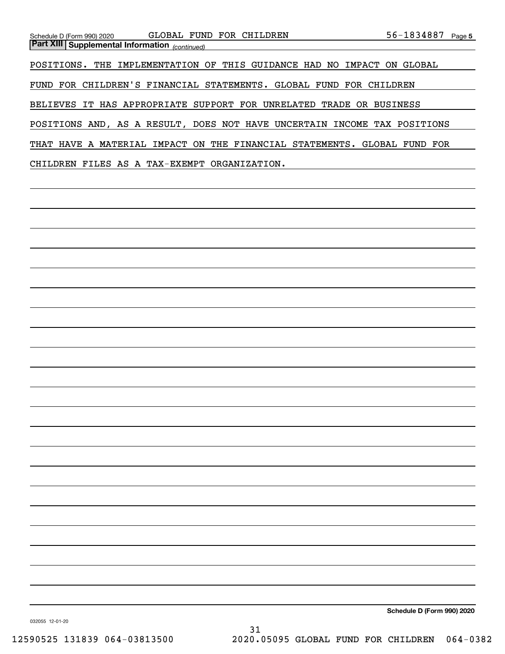| Schedule D (Form 990) 2020                            | GLOBAL FUND FOR CHILDREN                                      | 56-1834887<br>Page 5 |
|-------------------------------------------------------|---------------------------------------------------------------|----------------------|
| <b>Part XIII Supplemental Information</b> (continued) |                                                               |                      |
|                                                       |                                                               |                      |
| POSITIONS.<br>THE                                     | THIS GUIDANCE HAD NO<br>IMPLEMENTATION OF<br>IMPACT           | ON.<br>GLOBAL        |
| FUND FOR CHILDREN'S FINANCIAL STATEMENTS.             | GLOBAL<br>FUND FOR CHILDREN                                   |                      |
|                                                       |                                                               |                      |
| <b>BELIEVES</b>                                       | IT HAS APPROPRIATE SUPPORT FOR UNRELATED<br>TRADE OR BUSINESS |                      |
|                                                       |                                                               |                      |
|                                                       | POSITIONS AND, AS A RESULT, DOES NOT HAVE UNCERTAIN           | INCOME TAX POSITIONS |
|                                                       |                                                               |                      |
| THAT HAVE A                                           | MATERIAL IMPACT ON THE FINANCIAL<br>STATEMENTS. GLOBAL FUND   | FOR                  |
|                                                       |                                                               |                      |
| CHILDREN                                              | FILES AS A TAX-EXEMPT ORGANIZATION.                           |                      |

**Schedule D (Form 990) 2020**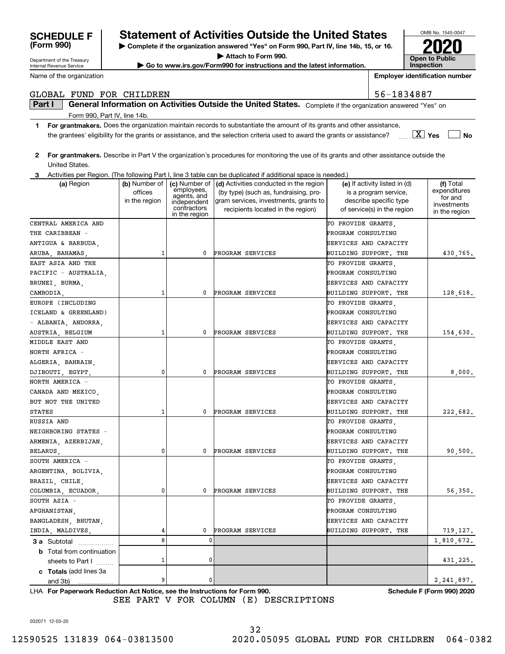032071 12-03-20

# 32

# **SCHEDULE F Statement of Activities Outside the United States**

**| Complete if the organization answered "Yes" on Form 990, Part IV, line 14b, 15, or 16. | Attach to Form 990.**

**| Go to www.irs.gov/Form990 for instructions and the latest information.**

OMB No. 1545-0047 **Open to Public InspectionEmployer identification number 2020**

Department of the Treasury Internal Revenue Service

**(Form 990)**

Name of the organization

### GLOBAL FUND FOR CHILDREN 56-1834887

**Part I**  $\parallel$  General Information on Activities Outside the United States. Complete if the organization answered "Yes" on Form 990, Part IV, line 14b.

- **1For grantmakers.**  Does the organization maintain records to substantiate the amount of its grants and other assistance, **Yes No** X the grantees' eligibility for the grants or assistance, and the selection criteria used to award the grants or assistance?
- **2 For grantmakers.**  Describe in Part V the organization's procedures for monitoring the use of its grants and other assistance outside the United States.

|  | 3 Activities per Region. (The following Part I, line 3 table can be duplicated if additional space is needed.) |  |
|--|----------------------------------------------------------------------------------------------------------------|--|
|  |                                                                                                                |  |

| (c) Number of $\vert$ (d) Activities conducted in the region<br>(a) Region<br>(b) Number of<br>(e) If activity listed in (d)<br>(f) Total<br>employees,<br>expenditures<br>offices<br>(by type) (such as, fundraising, pro-<br>is a program service,<br>agents, and<br>for and<br>in the region<br>gram services, investments, grants to<br>describe specific type<br>independent<br>investments<br>contractors<br>recipients located in the region)<br>of service(s) in the region<br>in the region<br>in the region<br>CENTRAL AMERICA AND<br>TO PROVIDE GRANTS,<br>PROGRAM CONSULTING<br>THE CARIBBEAN -<br>SERVICES AND CAPACITY<br>0<br>PROGRAM SERVICES<br>BUILDING SUPPORT. THE<br>1<br>EAST ASIA AND THE<br>TO PROVIDE GRANTS,<br>PROGRAM CONSULTING<br>PACIFIC - AUSTRALIA,<br>BRUNEI, BURMA,<br>SERVICES AND CAPACITY<br>0<br>PROGRAM SERVICES<br>BUILDING SUPPORT. THE<br>CAMBODIA,<br>1<br>EUROPE (INCLUDING<br>TO PROVIDE GRANTS,<br>PROGRAM CONSULTING<br>ICELAND & GREENLAND)<br>- ALBANIA, ANDORRA,<br>SERVICES AND CAPACITY<br>PROGRAM SERVICES<br>BUILDING SUPPORT. THE<br>154,630.<br>1<br>0<br>TO PROVIDE GRANTS,<br>PROGRAM CONSULTING<br>SERVICES AND CAPACITY<br>$\mathbf 0$<br>PROGRAM SERVICES<br>BUILDING SUPPORT. THE<br>8,000.<br>0<br>TO PROVIDE GRANTS,<br>PROGRAM CONSULTING<br>CANADA AND MEXICO,<br>BUT NOT THE UNITED<br>SERVICES AND CAPACITY<br>0<br>PROGRAM SERVICES<br>BUILDING SUPPORT. THE<br><b>STATES</b><br>1<br>TO PROVIDE GRANTS,<br>PROGRAM CONSULTING<br>SERVICES AND CAPACITY<br>0<br>$\mathbf{0}$<br>PROGRAM SERVICES<br>BUILDING SUPPORT. THE<br>BELARUS,<br>SOUTH AMERICA -<br>TO PROVIDE GRANTS,<br>ARGENTINA, BOLIVIA,<br>PROGRAM CONSULTING<br>BRAZIL, CHILE,<br>SERVICES AND CAPACITY<br>0<br>56, 350.<br>COLUMBIA, ECUADOR,<br>0<br>PROGRAM SERVICES<br>BUILDING SUPPORT. THE<br>SOUTH ASIA -<br>TO PROVIDE GRANTS,<br>PROGRAM CONSULTING<br>BANGLADESH, BHUTAN,<br>SERVICES AND CAPACITY<br>PROGRAM SERVICES<br>BUILDING SUPPORT. THE<br>INDIA, MALDIVES,<br>4<br>0<br>719,127.<br>8<br>$\mathbf 0$<br>1,810,672.<br>3 a Subtotal<br><b>b</b> Total from continuation<br>$\mathbf 0$<br>1<br>sheets to Part I<br>c Totals (add lines 3a<br>9<br>0<br>2, 241, 897.<br>and 3b)<br>. |                      |  | Activities per Region. (The following Part I, line 5 table can be duplicated if additional space is needed.) |          |
|--------------------------------------------------------------------------------------------------------------------------------------------------------------------------------------------------------------------------------------------------------------------------------------------------------------------------------------------------------------------------------------------------------------------------------------------------------------------------------------------------------------------------------------------------------------------------------------------------------------------------------------------------------------------------------------------------------------------------------------------------------------------------------------------------------------------------------------------------------------------------------------------------------------------------------------------------------------------------------------------------------------------------------------------------------------------------------------------------------------------------------------------------------------------------------------------------------------------------------------------------------------------------------------------------------------------------------------------------------------------------------------------------------------------------------------------------------------------------------------------------------------------------------------------------------------------------------------------------------------------------------------------------------------------------------------------------------------------------------------------------------------------------------------------------------------------------------------------------------------------------------------------------------------------------------------------------------------------------------------------------------------------------------------------------------------------------------------------------------------------------------------------------------------------------------------------------------------------------------------------|----------------------|--|--------------------------------------------------------------------------------------------------------------|----------|
|                                                                                                                                                                                                                                                                                                                                                                                                                                                                                                                                                                                                                                                                                                                                                                                                                                                                                                                                                                                                                                                                                                                                                                                                                                                                                                                                                                                                                                                                                                                                                                                                                                                                                                                                                                                                                                                                                                                                                                                                                                                                                                                                                                                                                                            |                      |  |                                                                                                              |          |
|                                                                                                                                                                                                                                                                                                                                                                                                                                                                                                                                                                                                                                                                                                                                                                                                                                                                                                                                                                                                                                                                                                                                                                                                                                                                                                                                                                                                                                                                                                                                                                                                                                                                                                                                                                                                                                                                                                                                                                                                                                                                                                                                                                                                                                            |                      |  |                                                                                                              |          |
|                                                                                                                                                                                                                                                                                                                                                                                                                                                                                                                                                                                                                                                                                                                                                                                                                                                                                                                                                                                                                                                                                                                                                                                                                                                                                                                                                                                                                                                                                                                                                                                                                                                                                                                                                                                                                                                                                                                                                                                                                                                                                                                                                                                                                                            |                      |  |                                                                                                              |          |
|                                                                                                                                                                                                                                                                                                                                                                                                                                                                                                                                                                                                                                                                                                                                                                                                                                                                                                                                                                                                                                                                                                                                                                                                                                                                                                                                                                                                                                                                                                                                                                                                                                                                                                                                                                                                                                                                                                                                                                                                                                                                                                                                                                                                                                            |                      |  |                                                                                                              |          |
|                                                                                                                                                                                                                                                                                                                                                                                                                                                                                                                                                                                                                                                                                                                                                                                                                                                                                                                                                                                                                                                                                                                                                                                                                                                                                                                                                                                                                                                                                                                                                                                                                                                                                                                                                                                                                                                                                                                                                                                                                                                                                                                                                                                                                                            |                      |  |                                                                                                              |          |
|                                                                                                                                                                                                                                                                                                                                                                                                                                                                                                                                                                                                                                                                                                                                                                                                                                                                                                                                                                                                                                                                                                                                                                                                                                                                                                                                                                                                                                                                                                                                                                                                                                                                                                                                                                                                                                                                                                                                                                                                                                                                                                                                                                                                                                            |                      |  |                                                                                                              |          |
|                                                                                                                                                                                                                                                                                                                                                                                                                                                                                                                                                                                                                                                                                                                                                                                                                                                                                                                                                                                                                                                                                                                                                                                                                                                                                                                                                                                                                                                                                                                                                                                                                                                                                                                                                                                                                                                                                                                                                                                                                                                                                                                                                                                                                                            | ANTIGUA & BARBUDA,   |  |                                                                                                              |          |
|                                                                                                                                                                                                                                                                                                                                                                                                                                                                                                                                                                                                                                                                                                                                                                                                                                                                                                                                                                                                                                                                                                                                                                                                                                                                                                                                                                                                                                                                                                                                                                                                                                                                                                                                                                                                                                                                                                                                                                                                                                                                                                                                                                                                                                            | ARUBA, BAHAMAS,      |  |                                                                                                              | 430,765. |
|                                                                                                                                                                                                                                                                                                                                                                                                                                                                                                                                                                                                                                                                                                                                                                                                                                                                                                                                                                                                                                                                                                                                                                                                                                                                                                                                                                                                                                                                                                                                                                                                                                                                                                                                                                                                                                                                                                                                                                                                                                                                                                                                                                                                                                            |                      |  |                                                                                                              |          |
|                                                                                                                                                                                                                                                                                                                                                                                                                                                                                                                                                                                                                                                                                                                                                                                                                                                                                                                                                                                                                                                                                                                                                                                                                                                                                                                                                                                                                                                                                                                                                                                                                                                                                                                                                                                                                                                                                                                                                                                                                                                                                                                                                                                                                                            |                      |  |                                                                                                              |          |
|                                                                                                                                                                                                                                                                                                                                                                                                                                                                                                                                                                                                                                                                                                                                                                                                                                                                                                                                                                                                                                                                                                                                                                                                                                                                                                                                                                                                                                                                                                                                                                                                                                                                                                                                                                                                                                                                                                                                                                                                                                                                                                                                                                                                                                            |                      |  |                                                                                                              |          |
|                                                                                                                                                                                                                                                                                                                                                                                                                                                                                                                                                                                                                                                                                                                                                                                                                                                                                                                                                                                                                                                                                                                                                                                                                                                                                                                                                                                                                                                                                                                                                                                                                                                                                                                                                                                                                                                                                                                                                                                                                                                                                                                                                                                                                                            |                      |  |                                                                                                              | 128,618. |
|                                                                                                                                                                                                                                                                                                                                                                                                                                                                                                                                                                                                                                                                                                                                                                                                                                                                                                                                                                                                                                                                                                                                                                                                                                                                                                                                                                                                                                                                                                                                                                                                                                                                                                                                                                                                                                                                                                                                                                                                                                                                                                                                                                                                                                            |                      |  |                                                                                                              |          |
|                                                                                                                                                                                                                                                                                                                                                                                                                                                                                                                                                                                                                                                                                                                                                                                                                                                                                                                                                                                                                                                                                                                                                                                                                                                                                                                                                                                                                                                                                                                                                                                                                                                                                                                                                                                                                                                                                                                                                                                                                                                                                                                                                                                                                                            |                      |  |                                                                                                              |          |
|                                                                                                                                                                                                                                                                                                                                                                                                                                                                                                                                                                                                                                                                                                                                                                                                                                                                                                                                                                                                                                                                                                                                                                                                                                                                                                                                                                                                                                                                                                                                                                                                                                                                                                                                                                                                                                                                                                                                                                                                                                                                                                                                                                                                                                            |                      |  |                                                                                                              |          |
|                                                                                                                                                                                                                                                                                                                                                                                                                                                                                                                                                                                                                                                                                                                                                                                                                                                                                                                                                                                                                                                                                                                                                                                                                                                                                                                                                                                                                                                                                                                                                                                                                                                                                                                                                                                                                                                                                                                                                                                                                                                                                                                                                                                                                                            | AUSTRIA, BELGIUM     |  |                                                                                                              |          |
|                                                                                                                                                                                                                                                                                                                                                                                                                                                                                                                                                                                                                                                                                                                                                                                                                                                                                                                                                                                                                                                                                                                                                                                                                                                                                                                                                                                                                                                                                                                                                                                                                                                                                                                                                                                                                                                                                                                                                                                                                                                                                                                                                                                                                                            | MIDDLE EAST AND      |  |                                                                                                              |          |
|                                                                                                                                                                                                                                                                                                                                                                                                                                                                                                                                                                                                                                                                                                                                                                                                                                                                                                                                                                                                                                                                                                                                                                                                                                                                                                                                                                                                                                                                                                                                                                                                                                                                                                                                                                                                                                                                                                                                                                                                                                                                                                                                                                                                                                            | NORTH AFRICA -       |  |                                                                                                              |          |
|                                                                                                                                                                                                                                                                                                                                                                                                                                                                                                                                                                                                                                                                                                                                                                                                                                                                                                                                                                                                                                                                                                                                                                                                                                                                                                                                                                                                                                                                                                                                                                                                                                                                                                                                                                                                                                                                                                                                                                                                                                                                                                                                                                                                                                            | ALGERIA, BAHRAIN,    |  |                                                                                                              |          |
|                                                                                                                                                                                                                                                                                                                                                                                                                                                                                                                                                                                                                                                                                                                                                                                                                                                                                                                                                                                                                                                                                                                                                                                                                                                                                                                                                                                                                                                                                                                                                                                                                                                                                                                                                                                                                                                                                                                                                                                                                                                                                                                                                                                                                                            | DJIBOUTI, EGYPT,     |  |                                                                                                              |          |
|                                                                                                                                                                                                                                                                                                                                                                                                                                                                                                                                                                                                                                                                                                                                                                                                                                                                                                                                                                                                                                                                                                                                                                                                                                                                                                                                                                                                                                                                                                                                                                                                                                                                                                                                                                                                                                                                                                                                                                                                                                                                                                                                                                                                                                            | NORTH AMERICA -      |  |                                                                                                              |          |
|                                                                                                                                                                                                                                                                                                                                                                                                                                                                                                                                                                                                                                                                                                                                                                                                                                                                                                                                                                                                                                                                                                                                                                                                                                                                                                                                                                                                                                                                                                                                                                                                                                                                                                                                                                                                                                                                                                                                                                                                                                                                                                                                                                                                                                            |                      |  |                                                                                                              |          |
|                                                                                                                                                                                                                                                                                                                                                                                                                                                                                                                                                                                                                                                                                                                                                                                                                                                                                                                                                                                                                                                                                                                                                                                                                                                                                                                                                                                                                                                                                                                                                                                                                                                                                                                                                                                                                                                                                                                                                                                                                                                                                                                                                                                                                                            |                      |  |                                                                                                              |          |
|                                                                                                                                                                                                                                                                                                                                                                                                                                                                                                                                                                                                                                                                                                                                                                                                                                                                                                                                                                                                                                                                                                                                                                                                                                                                                                                                                                                                                                                                                                                                                                                                                                                                                                                                                                                                                                                                                                                                                                                                                                                                                                                                                                                                                                            |                      |  |                                                                                                              | 222,682. |
|                                                                                                                                                                                                                                                                                                                                                                                                                                                                                                                                                                                                                                                                                                                                                                                                                                                                                                                                                                                                                                                                                                                                                                                                                                                                                                                                                                                                                                                                                                                                                                                                                                                                                                                                                                                                                                                                                                                                                                                                                                                                                                                                                                                                                                            | RUSSIA AND           |  |                                                                                                              |          |
|                                                                                                                                                                                                                                                                                                                                                                                                                                                                                                                                                                                                                                                                                                                                                                                                                                                                                                                                                                                                                                                                                                                                                                                                                                                                                                                                                                                                                                                                                                                                                                                                                                                                                                                                                                                                                                                                                                                                                                                                                                                                                                                                                                                                                                            | NEIGHBORING STATES - |  |                                                                                                              |          |
|                                                                                                                                                                                                                                                                                                                                                                                                                                                                                                                                                                                                                                                                                                                                                                                                                                                                                                                                                                                                                                                                                                                                                                                                                                                                                                                                                                                                                                                                                                                                                                                                                                                                                                                                                                                                                                                                                                                                                                                                                                                                                                                                                                                                                                            | ARMENIA, AZERBIJAN,  |  |                                                                                                              |          |
|                                                                                                                                                                                                                                                                                                                                                                                                                                                                                                                                                                                                                                                                                                                                                                                                                                                                                                                                                                                                                                                                                                                                                                                                                                                                                                                                                                                                                                                                                                                                                                                                                                                                                                                                                                                                                                                                                                                                                                                                                                                                                                                                                                                                                                            |                      |  |                                                                                                              | 90,500.  |
|                                                                                                                                                                                                                                                                                                                                                                                                                                                                                                                                                                                                                                                                                                                                                                                                                                                                                                                                                                                                                                                                                                                                                                                                                                                                                                                                                                                                                                                                                                                                                                                                                                                                                                                                                                                                                                                                                                                                                                                                                                                                                                                                                                                                                                            |                      |  |                                                                                                              |          |
|                                                                                                                                                                                                                                                                                                                                                                                                                                                                                                                                                                                                                                                                                                                                                                                                                                                                                                                                                                                                                                                                                                                                                                                                                                                                                                                                                                                                                                                                                                                                                                                                                                                                                                                                                                                                                                                                                                                                                                                                                                                                                                                                                                                                                                            |                      |  |                                                                                                              |          |
|                                                                                                                                                                                                                                                                                                                                                                                                                                                                                                                                                                                                                                                                                                                                                                                                                                                                                                                                                                                                                                                                                                                                                                                                                                                                                                                                                                                                                                                                                                                                                                                                                                                                                                                                                                                                                                                                                                                                                                                                                                                                                                                                                                                                                                            |                      |  |                                                                                                              |          |
|                                                                                                                                                                                                                                                                                                                                                                                                                                                                                                                                                                                                                                                                                                                                                                                                                                                                                                                                                                                                                                                                                                                                                                                                                                                                                                                                                                                                                                                                                                                                                                                                                                                                                                                                                                                                                                                                                                                                                                                                                                                                                                                                                                                                                                            |                      |  |                                                                                                              |          |
|                                                                                                                                                                                                                                                                                                                                                                                                                                                                                                                                                                                                                                                                                                                                                                                                                                                                                                                                                                                                                                                                                                                                                                                                                                                                                                                                                                                                                                                                                                                                                                                                                                                                                                                                                                                                                                                                                                                                                                                                                                                                                                                                                                                                                                            |                      |  |                                                                                                              |          |
|                                                                                                                                                                                                                                                                                                                                                                                                                                                                                                                                                                                                                                                                                                                                                                                                                                                                                                                                                                                                                                                                                                                                                                                                                                                                                                                                                                                                                                                                                                                                                                                                                                                                                                                                                                                                                                                                                                                                                                                                                                                                                                                                                                                                                                            | AFGHANISTAN,         |  |                                                                                                              |          |
|                                                                                                                                                                                                                                                                                                                                                                                                                                                                                                                                                                                                                                                                                                                                                                                                                                                                                                                                                                                                                                                                                                                                                                                                                                                                                                                                                                                                                                                                                                                                                                                                                                                                                                                                                                                                                                                                                                                                                                                                                                                                                                                                                                                                                                            |                      |  |                                                                                                              |          |
|                                                                                                                                                                                                                                                                                                                                                                                                                                                                                                                                                                                                                                                                                                                                                                                                                                                                                                                                                                                                                                                                                                                                                                                                                                                                                                                                                                                                                                                                                                                                                                                                                                                                                                                                                                                                                                                                                                                                                                                                                                                                                                                                                                                                                                            |                      |  |                                                                                                              |          |
|                                                                                                                                                                                                                                                                                                                                                                                                                                                                                                                                                                                                                                                                                                                                                                                                                                                                                                                                                                                                                                                                                                                                                                                                                                                                                                                                                                                                                                                                                                                                                                                                                                                                                                                                                                                                                                                                                                                                                                                                                                                                                                                                                                                                                                            |                      |  |                                                                                                              |          |
|                                                                                                                                                                                                                                                                                                                                                                                                                                                                                                                                                                                                                                                                                                                                                                                                                                                                                                                                                                                                                                                                                                                                                                                                                                                                                                                                                                                                                                                                                                                                                                                                                                                                                                                                                                                                                                                                                                                                                                                                                                                                                                                                                                                                                                            |                      |  |                                                                                                              |          |
|                                                                                                                                                                                                                                                                                                                                                                                                                                                                                                                                                                                                                                                                                                                                                                                                                                                                                                                                                                                                                                                                                                                                                                                                                                                                                                                                                                                                                                                                                                                                                                                                                                                                                                                                                                                                                                                                                                                                                                                                                                                                                                                                                                                                                                            |                      |  |                                                                                                              | 431,225. |
|                                                                                                                                                                                                                                                                                                                                                                                                                                                                                                                                                                                                                                                                                                                                                                                                                                                                                                                                                                                                                                                                                                                                                                                                                                                                                                                                                                                                                                                                                                                                                                                                                                                                                                                                                                                                                                                                                                                                                                                                                                                                                                                                                                                                                                            |                      |  |                                                                                                              |          |
|                                                                                                                                                                                                                                                                                                                                                                                                                                                                                                                                                                                                                                                                                                                                                                                                                                                                                                                                                                                                                                                                                                                                                                                                                                                                                                                                                                                                                                                                                                                                                                                                                                                                                                                                                                                                                                                                                                                                                                                                                                                                                                                                                                                                                                            |                      |  |                                                                                                              |          |

**For Paperwork Reduction Act Notice, see the Instructions for Form 990. Schedule F (Form 990) 2020** LHA SEE PART V FOR COLUMN (E) DESCRIPTIONS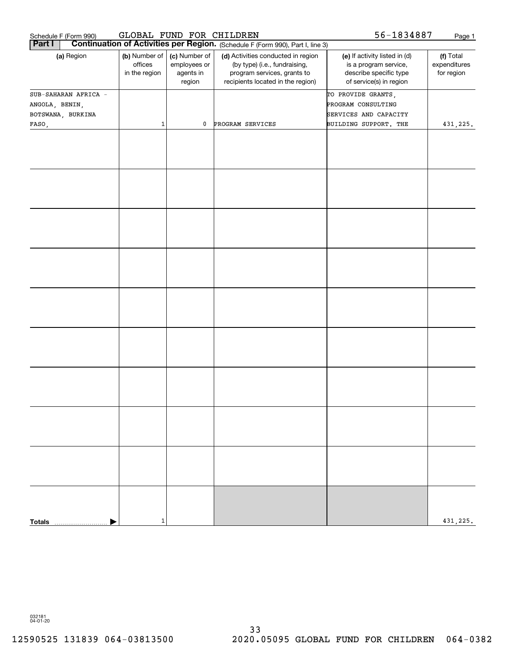| Schedule F (Form 990)<br><b>Part I</b>                      | GLOBAL FUND FOR CHILDREN                  |                                                      | Continuation of Activities per Region. (Schedule F (Form 990), Part I, line 3)                                                          | 56-1834887                                                                                                  | Page 1                                  |
|-------------------------------------------------------------|-------------------------------------------|------------------------------------------------------|-----------------------------------------------------------------------------------------------------------------------------------------|-------------------------------------------------------------------------------------------------------------|-----------------------------------------|
| (a) Region                                                  | (b) Number of<br>offices<br>in the region | (c) Number of<br>employees or<br>agents in<br>region | (d) Activities conducted in region<br>(by type) (i.e., fundraising,<br>program services, grants to<br>recipients located in the region) | (e) If activity listed in (d)<br>is a program service,<br>describe specific type<br>of service(s) in region | (f) Total<br>expenditures<br>for region |
| SUB-SAHARAN AFRICA -<br>ANGOLA, BENIN,<br>BOTSWANA, BURKINA |                                           |                                                      |                                                                                                                                         | TO PROVIDE GRANTS,<br>PROGRAM CONSULTING<br>SERVICES AND CAPACITY                                           |                                         |
| FASO,                                                       | 1                                         | $\mathbf 0$                                          | PROGRAM SERVICES                                                                                                                        | BUILDING SUPPORT. THE                                                                                       | 431,225.                                |
|                                                             |                                           |                                                      |                                                                                                                                         |                                                                                                             |                                         |
|                                                             |                                           |                                                      |                                                                                                                                         |                                                                                                             |                                         |
|                                                             |                                           |                                                      |                                                                                                                                         |                                                                                                             |                                         |
|                                                             |                                           |                                                      |                                                                                                                                         |                                                                                                             |                                         |
|                                                             |                                           |                                                      |                                                                                                                                         |                                                                                                             |                                         |
|                                                             |                                           |                                                      |                                                                                                                                         |                                                                                                             |                                         |
|                                                             |                                           |                                                      |                                                                                                                                         |                                                                                                             |                                         |
|                                                             |                                           |                                                      |                                                                                                                                         |                                                                                                             |                                         |
|                                                             |                                           |                                                      |                                                                                                                                         |                                                                                                             |                                         |
|                                                             | 1                                         |                                                      |                                                                                                                                         |                                                                                                             | 431,225.                                |
| <b>Totals</b><br>.                                          |                                           |                                                      |                                                                                                                                         |                                                                                                             |                                         |

032181 04-01-20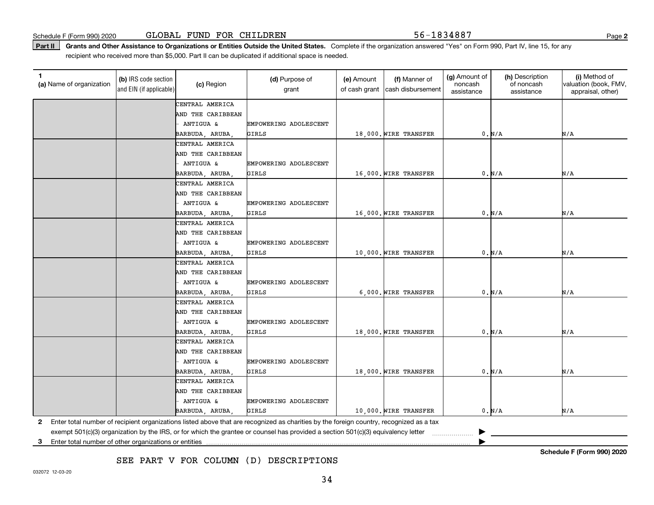Part II | Grants and Other Assistance to Organizations or Entities Outside the United States. Complete if the organization answered "Yes" on Form 990, Part IV, line 15, for any recipient who received more than \$5,000. Part II can be duplicated if additional space is needed.

| 1.<br>(a) Name of organization | (b) IRS code section<br>and EIN (if applicable) | (c) Region           | (d) Purpose of<br>grant                                                                                                                 | (e) Amount<br>of cash grant | (f) Manner of<br>cash disbursement | (g) Amount of<br>noncash<br>assistance | (h) Description<br>of noncash<br>assistance | (i) Method of<br>valuation (book, FMV,<br>appraisal, other) |
|--------------------------------|-------------------------------------------------|----------------------|-----------------------------------------------------------------------------------------------------------------------------------------|-----------------------------|------------------------------------|----------------------------------------|---------------------------------------------|-------------------------------------------------------------|
|                                |                                                 | CENTRAL AMERICA      |                                                                                                                                         |                             |                                    |                                        |                                             |                                                             |
|                                |                                                 | AND THE CARIBBEAN    |                                                                                                                                         |                             |                                    |                                        |                                             |                                                             |
|                                |                                                 | ANTIGUA &            | EMPOWERING ADOLESCENT                                                                                                                   |                             |                                    |                                        |                                             |                                                             |
|                                |                                                 | BARBUDA, ARUBA       | GIRLS                                                                                                                                   |                             | 18,000. WIRE TRANSFER              |                                        | 0. N/A                                      | N/A                                                         |
|                                |                                                 | CENTRAL AMERICA      |                                                                                                                                         |                             |                                    |                                        |                                             |                                                             |
|                                |                                                 | AND THE CARIBBEAN    |                                                                                                                                         |                             |                                    |                                        |                                             |                                                             |
|                                |                                                 | ANTIGUA &            | EMPOWERING ADOLESCENT                                                                                                                   |                             |                                    |                                        |                                             |                                                             |
|                                |                                                 | BARBUDA, ARUBA       | GIRLS                                                                                                                                   |                             | 16,000. WIRE TRANSFER              |                                        | 0. N/A                                      | N/A                                                         |
|                                |                                                 | CENTRAL AMERICA      |                                                                                                                                         |                             |                                    |                                        |                                             |                                                             |
|                                |                                                 | AND THE CARIBBEAN    |                                                                                                                                         |                             |                                    |                                        |                                             |                                                             |
|                                |                                                 | ANTIGUA &            | EMPOWERING ADOLESCENT                                                                                                                   |                             |                                    |                                        |                                             |                                                             |
|                                |                                                 | BARBUDA, ARUBA       | GIRLS                                                                                                                                   |                             | 16,000. WIRE TRANSFER              |                                        | 0. N/A                                      | N/A                                                         |
|                                |                                                 | CENTRAL AMERICA      |                                                                                                                                         |                             |                                    |                                        |                                             |                                                             |
|                                |                                                 | AND THE CARIBBEAN    |                                                                                                                                         |                             |                                    |                                        |                                             |                                                             |
|                                |                                                 | ANTIGUA &            | EMPOWERING ADOLESCENT                                                                                                                   |                             |                                    |                                        |                                             |                                                             |
|                                |                                                 | BARBUDA, ARUBA,      | GIRLS                                                                                                                                   |                             | 10,000. WIRE TRANSFER              |                                        | 0. N/A                                      | N/A                                                         |
|                                |                                                 | CENTRAL AMERICA      |                                                                                                                                         |                             |                                    |                                        |                                             |                                                             |
|                                |                                                 | AND THE CARIBBEAN    |                                                                                                                                         |                             |                                    |                                        |                                             |                                                             |
|                                |                                                 | <b>ANTIGUA &amp;</b> | EMPOWERING ADOLESCENT                                                                                                                   |                             |                                    |                                        |                                             |                                                             |
|                                |                                                 | BARBUDA, ARUBA,      | GIRLS                                                                                                                                   |                             | 6,000. WIRE TRANSFER               |                                        | 0. N/A                                      | N/A                                                         |
|                                |                                                 | CENTRAL AMERICA      |                                                                                                                                         |                             |                                    |                                        |                                             |                                                             |
|                                |                                                 | AND THE CARIBBEAN    |                                                                                                                                         |                             |                                    |                                        |                                             |                                                             |
|                                |                                                 | ANTIGUA &            | EMPOWERING ADOLESCENT                                                                                                                   |                             |                                    |                                        |                                             |                                                             |
|                                |                                                 | BARBUDA, ARUBA,      | GIRLS                                                                                                                                   |                             | 18,000. WIRE TRANSFER              |                                        | 0. N/A                                      | N/A                                                         |
|                                |                                                 | CENTRAL AMERICA      |                                                                                                                                         |                             |                                    |                                        |                                             |                                                             |
|                                |                                                 | AND THE CARIBBEAN    |                                                                                                                                         |                             |                                    |                                        |                                             |                                                             |
|                                |                                                 | ANTIGUA &            | EMPOWERING ADOLESCENT                                                                                                                   |                             |                                    |                                        |                                             |                                                             |
|                                |                                                 | BARBUDA, ARUBA,      | GIRLS                                                                                                                                   |                             | 18,000. WIRE TRANSFER              |                                        | 0. N/A                                      | N/A                                                         |
|                                |                                                 | CENTRAL AMERICA      |                                                                                                                                         |                             |                                    |                                        |                                             |                                                             |
|                                |                                                 | AND THE CARIBBEAN    |                                                                                                                                         |                             |                                    |                                        |                                             |                                                             |
|                                |                                                 | ANTIGUA &            | EMPOWERING ADOLESCENT                                                                                                                   |                             |                                    |                                        |                                             |                                                             |
|                                |                                                 | BARBUDA, ARUBA,      | GIRLS                                                                                                                                   |                             | 10,000. WIRE TRANSFER              |                                        | 0. N/A                                      | N/A                                                         |
| 2                              |                                                 |                      | Enter total number of recipient organizations listed above that are recognized as charities by the foreign country, recognized as a tax |                             |                                    |                                        |                                             |                                                             |
|                                |                                                 |                      | exempt 501(c)(3) organization by the IRS, or for which the grantee or counsel has provided a section 501(c)(3) equivalency letter       |                             |                                    |                                        |                                             |                                                             |

**3**Enter total number of other organizations or entities |

SEE PART V FOR COLUMN (D) DESCRIPTIONS

**Schedule F (Form 990) 2020**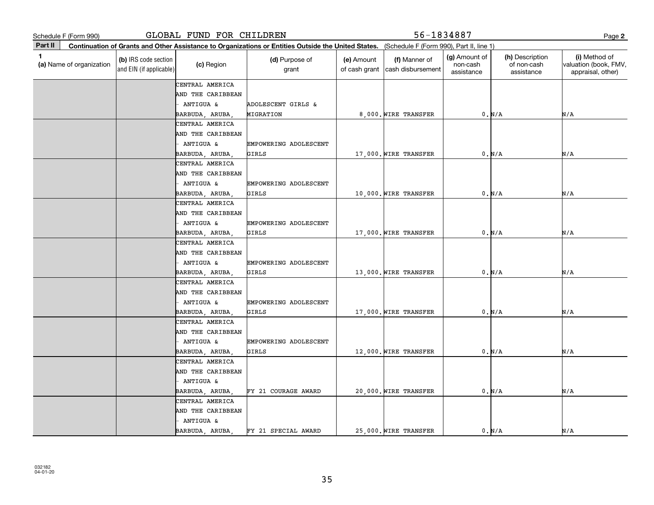**2Part II** (a) Name of organization **Continuation of Grants and Other Assistance to Organizations or Entities Outside the United States. (b)**  IRS code section **(c)**  Region **(d)** Purpose of **c c (e)** Amount **c (f) 1**(a)  $\Box$  (a)  $\Box$  (a)  $\Box$  (a)  $\Box$  (a)  $\Box$  (a)  $\Box$  (a)  $\Box$  (a)  $\Box$  (a)  $\Box$  (b)  $\Box$  (b)  $\Box$  (b)  $\Box$  (scription  $\Box$  (i) and EIN (if applicable) Schedule F (Form 990)<br> **Part II** Continuation of Grants and Other Assistance to Organizations or Entities Outside the United States. (Schedule F (Form 990), Part II, line 1)<br> **Part II** Continuation of Grants and Other Assi (Schedule F (Form 990), Part II, line 1) grant (e) Amount of cash grant |cash disbursement (f) Manner of (g) Amount of non-cash assistance(h) Description of non-cash assistance(i) Method of valuation (book, FMV, appraisal, other) CENTRAL AMERICA CENTRAL AMERICA AND THE CARIBBEAN ANTIGUA & EMPOWERING ADOLESCENT BARBUDA, ARUBA, GIRLS 17,000. WIRE TRANSFER 0. N/A AND THE CARIBBEAN ANTIGUA & ADOLESCENT GIRLS & BARBUDA, ARUBA, MIGRATION 8,000. WIRE TRANSFER 0. N/A N/A N/A CENTRAL AMERICA AND THE CARIBBEAN ANTIGUA & EMPOWERING ADOLESCENT BARBUDA, ARUBA, GIRLS 10,000. WIRE TRANSFER 0. N/A N/A CENTRAL AMERICA AND THE CARIBBEAN ANTIGUA & EMPOWERING ADOLESCENT BARBUDA, ARUBA, GIRLS 17,000. WIRE TRANSFER 0. N/A N/A CENTRAL AMERICA AND THE CARIBBEAN ANTIGUA & EMPOWERING ADOLESCENT BARBUDA, ARUBA, GIRLS 13,000. WIRE TRANSFER 0. N/A N/A CENTRAL AMERICA AND THE CARIBBEAN ANTIGUA & EMPOWERING ADOLESCENT BARBUDA, ARUBA, GIRLS 17,000. WIRE TRANSFER 0. N/A N/A CENTRAL AMERICA AND THE CARIBBEAN ANTIGUA & EMPOWERING ADOLESCENT BARBUDA, ARUBA, GIRLS 12,000. WIRE TRANSFER 0. N/A N/A CENTRAL AMERICA AND THE CARIBBEAN - ANTIGUA & BARBUDA, ARUBA, GLOBAL FUND FOR CHILDREN 56-1834887 FY 21 COURAGE AWARD 20,000. WIRE TRANSFER 0. N/A N/A CENTRAL AMERICA AND THE CARIBBEAN - ANTIGUA & BARBUDA, ARUBA, FY 21 SPECIAL AWARD 25,000. WIRE TRANSFER 0. N/A N/A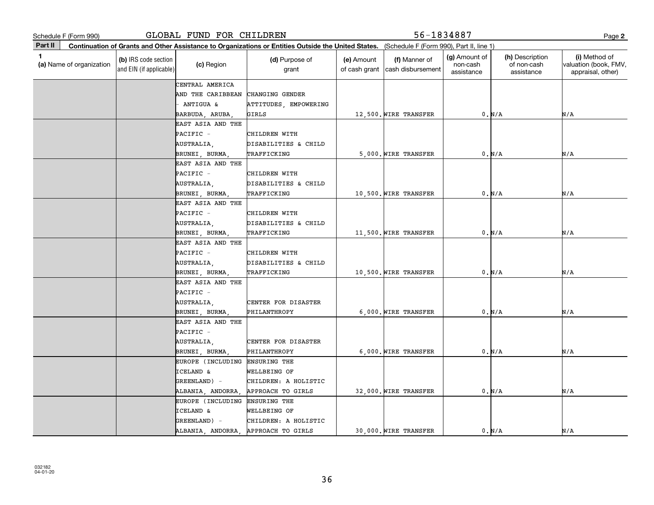| Schedule F (Form 990)         |                                                 | GLOBAL FUND FOR CHILDREN                                             |                                                                                                                                              |                             | 56-1834887                         |                                         |                                              | Page 2                                                      |
|-------------------------------|-------------------------------------------------|----------------------------------------------------------------------|----------------------------------------------------------------------------------------------------------------------------------------------|-----------------------------|------------------------------------|-----------------------------------------|----------------------------------------------|-------------------------------------------------------------|
| Part II                       |                                                 |                                                                      | Continuation of Grants and Other Assistance to Organizations or Entities Outside the United States. (Schedule F (Form 990), Part II, line 1) |                             |                                    |                                         |                                              |                                                             |
| 1<br>(a) Name of organization | (b) IRS code section<br>and EIN (if applicable) | (c) Region                                                           | (d) Purpose of<br>grant                                                                                                                      | (e) Amount<br>of cash grant | (f) Manner of<br>cash disbursement | (g) Amount of<br>non-cash<br>assistance | (h) Description<br>of non-cash<br>assistance | (i) Method of<br>valuation (book, FMV,<br>appraisal, other) |
|                               |                                                 | CENTRAL AMERICA<br>AND THE CARIBBEAN<br>ANTIGUA &<br>BARBUDA, ARUBA, | CHANGING GENDER<br>ATTITUDES, EMPOWERING<br>GIRLS                                                                                            |                             | 12,500. WIRE TRANSFER              |                                         | 0. N/A                                       | N/A                                                         |
|                               |                                                 | EAST ASIA AND THE<br>PACIFIC -<br>AUSTRALIA,<br>BRUNEI, BURMA        | CHILDREN WITH<br>DISABILITIES & CHILD<br>TRAFFICKING                                                                                         |                             | 5,000. WIRE TRANSFER               |                                         | 0. N/A                                       | N/A                                                         |
|                               |                                                 | EAST ASIA AND THE<br>PACIFIC -<br>AUSTRALIA,<br>BRUNEI, BURMA        | CHILDREN WITH<br>DISABILITIES & CHILD<br>TRAFFICKING                                                                                         |                             | 10,500. WIRE TRANSFER              |                                         | 0. N/A                                       | N/A                                                         |
|                               |                                                 | EAST ASIA AND THE<br>PACIFIC -<br>AUSTRALIA,<br>BRUNEI, BURMA,       | CHILDREN WITH<br>DISABILITIES & CHILD<br>TRAFFICKING                                                                                         |                             | 11,500. WIRE TRANSFER              |                                         | 0. N/A                                       | N/A                                                         |
|                               |                                                 | EAST ASIA AND THE<br>PACIFIC -<br>AUSTRALIA,<br>BRUNEI, BURMA,       | CHILDREN WITH<br>DISABILITIES & CHILD<br>TRAFFICKING                                                                                         |                             | 10,500. WIRE TRANSFER              |                                         | 0. N/A                                       | N/A                                                         |
|                               |                                                 | EAST ASIA AND THE<br>PACIFIC -<br>AUSTRALIA,<br>BRUNEI, BURMA        | CENTER FOR DISASTER<br>PHILANTHROPY                                                                                                          |                             | 6,000. WIRE TRANSFER               |                                         | 0. N/A                                       | N/A                                                         |
|                               |                                                 | EAST ASIA AND THE<br>PACIFIC -<br>AUSTRALIA,<br>BRUNEI, BURMA        | CENTER FOR DISASTER<br>PHILANTHROPY                                                                                                          |                             | 6.000. WIRE TRANSFER               |                                         | 0. N/A                                       | N/A                                                         |
|                               |                                                 | EUROPE (INCLUDING<br>ICELAND &<br>GREENLAND) -<br>ALBANIA, ANDORRA   | <b>ENSURING THE</b><br>WELLBEING OF<br>CHILDREN: A HOLISTIC<br>APPROACH TO GIRLS                                                             |                             | 32,000. WIRE TRANSFER              |                                         | 0. N/A                                       | N/A                                                         |
|                               |                                                 | EUROPE (INCLUDING<br>ICELAND &<br>GREENLAND) -<br>ALBANIA, ANDORRA,  | ENSURING THE<br>WELLBEING OF<br>CHILDREN: A HOLISTIC<br>APPROACH TO GIRLS                                                                    |                             | 30,000. WIRE TRANSFER              |                                         | 0. N/A                                       | N/A                                                         |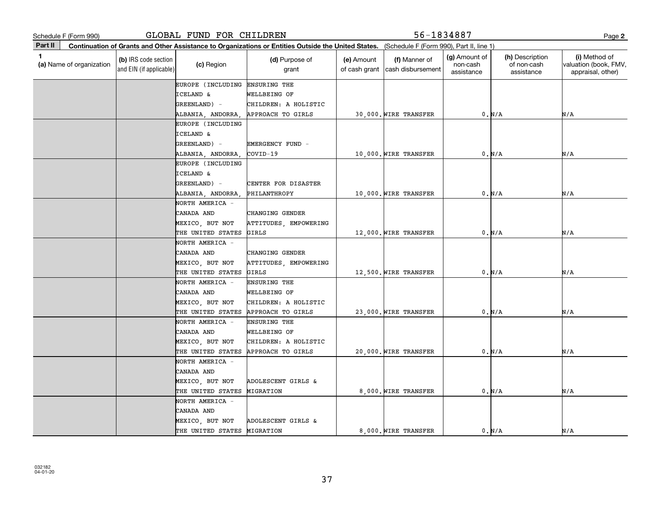| Schedule F (Form 990)                    |                                                 | GLOBAL FUND FOR CHILDREN |                                                                                                                                              |                             | 56-1834887                         |                                         |                                              | Page 2                                                      |
|------------------------------------------|-------------------------------------------------|--------------------------|----------------------------------------------------------------------------------------------------------------------------------------------|-----------------------------|------------------------------------|-----------------------------------------|----------------------------------------------|-------------------------------------------------------------|
| Part II                                  |                                                 |                          | Continuation of Grants and Other Assistance to Organizations or Entities Outside the United States. (Schedule F (Form 990), Part II, line 1) |                             |                                    |                                         |                                              |                                                             |
| $\mathbf{1}$<br>(a) Name of organization | (b) IRS code section<br>and EIN (if applicable) | (c) Region               | (d) Purpose of<br>grant                                                                                                                      | (e) Amount<br>of cash grant | (f) Manner of<br>cash disbursement | (g) Amount of<br>non-cash<br>assistance | (h) Description<br>of non-cash<br>assistance | (i) Method of<br>valuation (book, FMV,<br>appraisal, other) |
|                                          |                                                 | EUROPE (INCLUDING        | <b>ENSURING THE</b>                                                                                                                          |                             |                                    |                                         |                                              |                                                             |
|                                          |                                                 | <b>ICELAND &amp;</b>     | WELLBEING OF                                                                                                                                 |                             |                                    |                                         |                                              |                                                             |
|                                          |                                                 | GREENLAND) -             | CHILDREN: A HOLISTIC                                                                                                                         |                             |                                    |                                         |                                              |                                                             |
|                                          |                                                 | ALBANIA, ANDORRA,        | APPROACH TO GIRLS                                                                                                                            |                             | 30,000. WIRE TRANSFER              |                                         | 0. N/A                                       | N/A                                                         |
|                                          |                                                 | EUROPE (INCLUDING        |                                                                                                                                              |                             |                                    |                                         |                                              |                                                             |
|                                          |                                                 | ICELAND &                |                                                                                                                                              |                             |                                    |                                         |                                              |                                                             |
|                                          |                                                 | GREENLAND) -             | EMERGENCY FUND -                                                                                                                             |                             |                                    |                                         |                                              |                                                             |
|                                          |                                                 | ALBANIA, ANDORRA,        | COVID-19                                                                                                                                     |                             | 10,000. WIRE TRANSFER              |                                         | 0. N/A                                       | N/A                                                         |
|                                          |                                                 | EUROPE (INCLUDING        |                                                                                                                                              |                             |                                    |                                         |                                              |                                                             |
|                                          |                                                 | ICELAND &                |                                                                                                                                              |                             |                                    |                                         |                                              |                                                             |
|                                          |                                                 | GREENLAND) -             | CENTER FOR DISASTER                                                                                                                          |                             |                                    |                                         |                                              |                                                             |
|                                          |                                                 | ALBANIA, ANDORRA         | PHILANTHROPY                                                                                                                                 |                             | 10,000. WIRE TRANSFER              |                                         | 0. N/A                                       | N/A                                                         |
|                                          |                                                 | NORTH AMERICA -          |                                                                                                                                              |                             |                                    |                                         |                                              |                                                             |
|                                          |                                                 | CANADA AND               | <b>CHANGING GENDER</b>                                                                                                                       |                             |                                    |                                         |                                              |                                                             |
|                                          |                                                 | MEXICO, BUT NOT          | ATTITUDES, EMPOWERING                                                                                                                        |                             |                                    |                                         |                                              |                                                             |
|                                          |                                                 | THE UNITED STATES        | GIRLS                                                                                                                                        |                             | 12,000. WIRE TRANSFER              |                                         | 0. N/A                                       | N/A                                                         |
|                                          |                                                 | NORTH AMERICA -          |                                                                                                                                              |                             |                                    |                                         |                                              |                                                             |
|                                          |                                                 | CANADA AND               | <b>CHANGING GENDER</b>                                                                                                                       |                             |                                    |                                         |                                              |                                                             |
|                                          |                                                 | MEXICO, BUT NOT          | ATTITUDES, EMPOWERING                                                                                                                        |                             |                                    |                                         |                                              |                                                             |
|                                          |                                                 | THE UNITED STATES        | <b>GIRLS</b>                                                                                                                                 |                             | 12,500. WIRE TRANSFER              |                                         | 0. N/A                                       | N/A                                                         |
|                                          |                                                 | NORTH AMERICA -          | ENSURING THE                                                                                                                                 |                             |                                    |                                         |                                              |                                                             |
|                                          |                                                 | CANADA AND               | WELLBEING OF                                                                                                                                 |                             |                                    |                                         |                                              |                                                             |
|                                          |                                                 | MEXICO, BUT NOT          | CHILDREN: A HOLISTIC                                                                                                                         |                             |                                    |                                         |                                              |                                                             |
|                                          |                                                 | THE UNITED STATES        | APPROACH TO GIRLS                                                                                                                            |                             | 23,000. WIRE TRANSFER              |                                         | 0. N/A                                       | N/A                                                         |
|                                          |                                                 | NORTH AMERICA -          | ENSURING THE                                                                                                                                 |                             |                                    |                                         |                                              |                                                             |
|                                          |                                                 | CANADA AND               | WELLBEING OF                                                                                                                                 |                             |                                    |                                         |                                              |                                                             |
|                                          |                                                 | MEXICO, BUT NOT          | CHILDREN: A HOLISTIC                                                                                                                         |                             |                                    |                                         |                                              |                                                             |
|                                          |                                                 | THE UNITED STATES        | APPROACH TO GIRLS                                                                                                                            |                             | 20,000. WIRE TRANSFER              |                                         | 0. N/A                                       | N/A                                                         |
|                                          |                                                 | NORTH AMERICA -          |                                                                                                                                              |                             |                                    |                                         |                                              |                                                             |
|                                          |                                                 | CANADA AND               |                                                                                                                                              |                             |                                    |                                         |                                              |                                                             |
|                                          |                                                 | MEXICO, BUT NOT          | ADOLESCENT GIRLS &                                                                                                                           |                             |                                    |                                         |                                              |                                                             |
|                                          |                                                 | THE UNITED STATES        | MIGRATION                                                                                                                                    |                             | 8,000. WIRE TRANSFER               |                                         | 0. N/A                                       | N/A                                                         |
|                                          |                                                 | NORTH AMERICA -          |                                                                                                                                              |                             |                                    |                                         |                                              |                                                             |
|                                          |                                                 | CANADA AND               |                                                                                                                                              |                             |                                    |                                         |                                              |                                                             |
|                                          |                                                 | MEXICO, BUT NOT          | ADOLESCENT GIRLS &                                                                                                                           |                             |                                    |                                         |                                              |                                                             |
|                                          |                                                 | THE UNITED STATES        | MIGRATION                                                                                                                                    |                             | 8,000. WIRE TRANSFER               |                                         | 0. N/A                                       | N/A                                                         |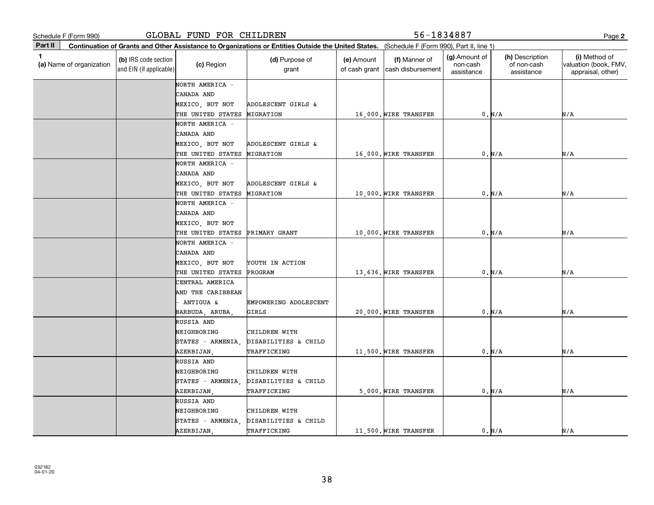GLOBAL FUND FOR CHILDREN 56-1834887

**2**

|         | Schedule F (Form 990)    |                                                 | GLOBAL FUND FOR CHILDREN |                                                                                                                                              | 56-1834887                  |                                    |                                         |                                              |                                                             |
|---------|--------------------------|-------------------------------------------------|--------------------------|----------------------------------------------------------------------------------------------------------------------------------------------|-----------------------------|------------------------------------|-----------------------------------------|----------------------------------------------|-------------------------------------------------------------|
| Part II |                          |                                                 |                          | Continuation of Grants and Other Assistance to Organizations or Entities Outside the United States. (Schedule F (Form 990), Part II, line 1) |                             |                                    |                                         |                                              |                                                             |
| 1.      | (a) Name of organization | (b) IRS code section<br>and EIN (if applicable) | (c) Region               | (d) Purpose of<br>grant                                                                                                                      | (e) Amount<br>of cash grant | (f) Manner of<br>cash disbursement | (g) Amount of<br>non-cash<br>assistance | (h) Description<br>of non-cash<br>assistance | (i) Method of<br>valuation (book, FMV,<br>appraisal, other) |
|         |                          |                                                 | NORTH AMERICA -          |                                                                                                                                              |                             |                                    |                                         |                                              |                                                             |
|         |                          |                                                 | CANADA AND               |                                                                                                                                              |                             |                                    |                                         |                                              |                                                             |
|         |                          |                                                 | MEXICO, BUT NOT          | ADOLESCENT GIRLS &                                                                                                                           |                             |                                    |                                         |                                              |                                                             |
|         |                          |                                                 | THE UNITED STATES        | MIGRATION                                                                                                                                    |                             | 16,000. WIRE TRANSFER              |                                         | 0. N/A                                       | N/A                                                         |
|         |                          |                                                 | NORTH AMERICA -          |                                                                                                                                              |                             |                                    |                                         |                                              |                                                             |
|         |                          |                                                 | CANADA AND               |                                                                                                                                              |                             |                                    |                                         |                                              |                                                             |
|         |                          |                                                 | MEXICO, BUT NOT          | ADOLESCENT GIRLS &                                                                                                                           |                             |                                    |                                         |                                              |                                                             |
|         |                          |                                                 | THE UNITED STATES        | MIGRATION                                                                                                                                    |                             | 16,000. WIRE TRANSFER              |                                         | 0. N/A                                       | N/A                                                         |
|         |                          |                                                 | NORTH AMERICA -          |                                                                                                                                              |                             |                                    |                                         |                                              |                                                             |
|         |                          |                                                 | CANADA AND               |                                                                                                                                              |                             |                                    |                                         |                                              |                                                             |
|         |                          |                                                 | MEXICO, BUT NOT          | ADOLESCENT GIRLS &                                                                                                                           |                             |                                    |                                         |                                              |                                                             |
|         |                          |                                                 | THE UNITED STATES        | MIGRATION                                                                                                                                    |                             | 10,000. WIRE TRANSFER              |                                         | 0. N/A                                       | N/A                                                         |
|         |                          |                                                 | NORTH AMERICA -          |                                                                                                                                              |                             |                                    |                                         |                                              |                                                             |
|         |                          |                                                 | CANADA AND               |                                                                                                                                              |                             |                                    |                                         |                                              |                                                             |
|         |                          |                                                 | MEXICO, BUT NOT          |                                                                                                                                              |                             |                                    |                                         |                                              |                                                             |
|         |                          |                                                 | THE UNITED STATES        | PRIMARY GRANT                                                                                                                                |                             | 10,000. WIRE TRANSFER              |                                         | 0. N/A                                       | N/A                                                         |
|         |                          |                                                 | NORTH AMERICA -          |                                                                                                                                              |                             |                                    |                                         |                                              |                                                             |
|         |                          |                                                 | CANADA AND               |                                                                                                                                              |                             |                                    |                                         |                                              |                                                             |
|         |                          |                                                 | MEXICO, BUT NOT          | YOUTH IN ACTION                                                                                                                              |                             |                                    |                                         |                                              |                                                             |
|         |                          |                                                 | THE UNITED STATES        | PROGRAM                                                                                                                                      |                             | 13,636. WIRE TRANSFER              |                                         | 0. N/A                                       | N/A                                                         |
|         |                          |                                                 | CENTRAL AMERICA          |                                                                                                                                              |                             |                                    |                                         |                                              |                                                             |
|         |                          |                                                 | AND THE CARIBBEAN        |                                                                                                                                              |                             |                                    |                                         |                                              |                                                             |
|         |                          |                                                 | - ANTIGUA &              | EMPOWERING ADOLESCENT                                                                                                                        |                             |                                    |                                         |                                              |                                                             |
|         |                          |                                                 | BARBUDA, ARUBA,          | GIRLS                                                                                                                                        |                             | 20,000. WIRE TRANSFER              |                                         | 0. N/A                                       | N/A                                                         |
|         |                          |                                                 | RUSSIA AND               |                                                                                                                                              |                             |                                    |                                         |                                              |                                                             |
|         |                          |                                                 | NEIGHBORING              | CHILDREN WITH                                                                                                                                |                             |                                    |                                         |                                              |                                                             |
|         |                          |                                                 | STATES - ARMENIA,        | DISABILITIES & CHILD                                                                                                                         |                             |                                    |                                         |                                              |                                                             |
|         |                          |                                                 | AZERBIJAN,               | TRAFFICKING                                                                                                                                  |                             | 11,500. WIRE TRANSFER              |                                         | 0. N/A                                       | N/A                                                         |
|         |                          |                                                 | RUSSIA AND               |                                                                                                                                              |                             |                                    |                                         |                                              |                                                             |
|         |                          |                                                 | NEIGHBORING              | CHILDREN WITH                                                                                                                                |                             |                                    |                                         |                                              |                                                             |
|         |                          |                                                 | STATES - ARMENIA,        | DISABILITIES & CHILD                                                                                                                         |                             |                                    |                                         |                                              |                                                             |
|         |                          |                                                 | AZERBIJAN,               | TRAFFICKING                                                                                                                                  |                             | 5,000. WIRE TRANSFER               |                                         | 0. N/A                                       | N/A                                                         |
|         |                          |                                                 | RUSSIA AND               |                                                                                                                                              |                             |                                    |                                         |                                              |                                                             |
|         |                          |                                                 | NEIGHBORING              | CHILDREN WITH                                                                                                                                |                             |                                    |                                         |                                              |                                                             |
|         |                          |                                                 | STATES - ARMENIA,        | DISABILITIES & CHILD                                                                                                                         |                             |                                    |                                         |                                              |                                                             |
|         |                          |                                                 | AZERBIJAN,               | TRAFFICKING                                                                                                                                  |                             | 11,500. WIRE TRANSFER              |                                         | 0. N/A                                       | N/A                                                         |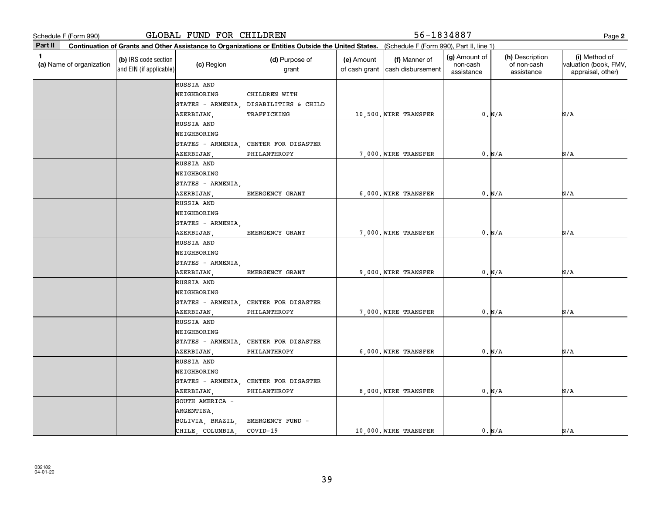| Schedule F (Form 990)         |                                                 | GLOBAL FUND FOR CHILDREN |                                                                                                                                              |                             | 56-1834887                         |                                         |                                              | Page 2                                                      |
|-------------------------------|-------------------------------------------------|--------------------------|----------------------------------------------------------------------------------------------------------------------------------------------|-----------------------------|------------------------------------|-----------------------------------------|----------------------------------------------|-------------------------------------------------------------|
| Part II                       |                                                 |                          | Continuation of Grants and Other Assistance to Organizations or Entities Outside the United States. (Schedule F (Form 990), Part II, line 1) |                             |                                    |                                         |                                              |                                                             |
| 1<br>(a) Name of organization | (b) IRS code section<br>and EIN (if applicable) | (c) Region               | (d) Purpose of<br>grant                                                                                                                      | (e) Amount<br>of cash grant | (f) Manner of<br>cash disbursement | (g) Amount of<br>non-cash<br>assistance | (h) Description<br>of non-cash<br>assistance | (i) Method of<br>valuation (book, FMV,<br>appraisal, other) |
|                               |                                                 | RUSSIA AND               |                                                                                                                                              |                             |                                    |                                         |                                              |                                                             |
|                               |                                                 | NEIGHBORING              | CHILDREN WITH                                                                                                                                |                             |                                    |                                         |                                              |                                                             |
|                               |                                                 | STATES - ARMENIA,        | DISABILITIES & CHILD                                                                                                                         |                             |                                    |                                         |                                              |                                                             |
|                               |                                                 | AZERBIJAN                | TRAFFICKING                                                                                                                                  |                             | 10,500. WIRE TRANSFER              |                                         | 0. N/A                                       | N/A                                                         |
|                               |                                                 | RUSSIA AND               |                                                                                                                                              |                             |                                    |                                         |                                              |                                                             |
|                               |                                                 | NEIGHBORING              |                                                                                                                                              |                             |                                    |                                         |                                              |                                                             |
|                               |                                                 | STATES - ARMENIA,        | CENTER FOR DISASTER                                                                                                                          |                             |                                    |                                         |                                              |                                                             |
|                               |                                                 | AZERBIJAN                | PHILANTHROPY                                                                                                                                 |                             | 7,000. WIRE TRANSFER               |                                         | 0. N/A                                       | N/A                                                         |
|                               |                                                 | RUSSIA AND               |                                                                                                                                              |                             |                                    |                                         |                                              |                                                             |
|                               |                                                 | NEIGHBORING              |                                                                                                                                              |                             |                                    |                                         |                                              |                                                             |
|                               |                                                 | $STATES - ARMENIA$       |                                                                                                                                              |                             |                                    |                                         |                                              |                                                             |
|                               |                                                 | AZERBIJAN,               | EMERGENCY GRANT                                                                                                                              |                             | 6,000. WIRE TRANSFER               |                                         | 0. N/A                                       | N/A                                                         |
|                               |                                                 | RUSSIA AND               |                                                                                                                                              |                             |                                    |                                         |                                              |                                                             |
|                               |                                                 | NEIGHBORING              |                                                                                                                                              |                             |                                    |                                         |                                              |                                                             |
|                               |                                                 | STATES - ARMENIA         |                                                                                                                                              |                             |                                    |                                         |                                              |                                                             |
|                               |                                                 | AZERBIJAN,               | EMERGENCY GRANT                                                                                                                              |                             | 7.000. WIRE TRANSFER               |                                         | 0. N/A                                       | N/A                                                         |
|                               |                                                 | RUSSIA AND               |                                                                                                                                              |                             |                                    |                                         |                                              |                                                             |
|                               |                                                 | NEIGHBORING              |                                                                                                                                              |                             |                                    |                                         |                                              |                                                             |
|                               |                                                 | STATES - ARMENIA,        |                                                                                                                                              |                             |                                    |                                         |                                              |                                                             |
|                               |                                                 | AZERBIJAN,               | EMERGENCY GRANT                                                                                                                              |                             | 9,000. WIRE TRANSFER               |                                         | 0. N/A                                       | N/A                                                         |
|                               |                                                 | RUSSIA AND               |                                                                                                                                              |                             |                                    |                                         |                                              |                                                             |
|                               |                                                 | NEIGHBORING              |                                                                                                                                              |                             |                                    |                                         |                                              |                                                             |
|                               |                                                 | STATES - ARMENIA,        | CENTER FOR DISASTER                                                                                                                          |                             |                                    |                                         |                                              |                                                             |
|                               |                                                 | AZERBIJAN,               | PHILANTHROPY                                                                                                                                 |                             | 7,000. WIRE TRANSFER               |                                         | 0. N/A                                       | N/A                                                         |
|                               |                                                 | RUSSIA AND               |                                                                                                                                              |                             |                                    |                                         |                                              |                                                             |
|                               |                                                 | NEIGHBORING              |                                                                                                                                              |                             |                                    |                                         |                                              |                                                             |
|                               |                                                 | STATES - ARMENIA,        | CENTER FOR DISASTER                                                                                                                          |                             |                                    |                                         |                                              |                                                             |
|                               |                                                 | AZERBIJAN,               | PHILANTHROPY                                                                                                                                 |                             | 6,000. WIRE TRANSFER               |                                         | 0. N/A                                       | N/A                                                         |
|                               |                                                 | RUSSIA AND               |                                                                                                                                              |                             |                                    |                                         |                                              |                                                             |
|                               |                                                 | NEIGHBORING              |                                                                                                                                              |                             |                                    |                                         |                                              |                                                             |
|                               |                                                 | $STATES - ARMENIA$       | CENTER FOR DISASTER                                                                                                                          |                             |                                    |                                         |                                              |                                                             |
|                               |                                                 | AZERBIJAN                | PHILANTHROPY                                                                                                                                 |                             | 8,000. WIRE TRANSFER               |                                         | 0. N/A                                       | N/A                                                         |
|                               |                                                 | SOUTH AMERICA -          |                                                                                                                                              |                             |                                    |                                         |                                              |                                                             |
|                               |                                                 | ARGENTINA,               |                                                                                                                                              |                             |                                    |                                         |                                              |                                                             |
|                               |                                                 | BOLIVIA, BRAZIL,         | EMERGENCY FUND -                                                                                                                             |                             |                                    |                                         |                                              |                                                             |
|                               |                                                 | CHILE, COLUMBIA          | COVID-19                                                                                                                                     |                             | 10,000. WIRE TRANSFER              |                                         | 0. N/A                                       | N/A                                                         |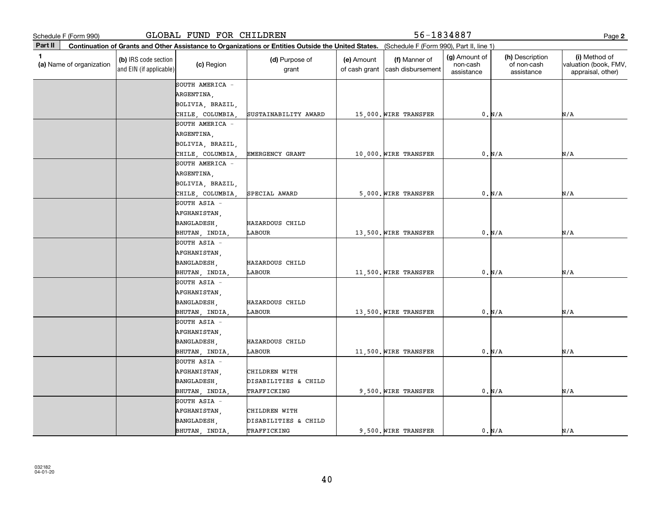GLOBAL FUND FOR CHILDREN 56-1834887

**2**

|         | Schedule F (Form 990)    |                                                 | GLOBAL FUND FOR CHILDREN |                                                                                                                                              | 56-1834887                  |                                    |                                         |                                              |                                                             |
|---------|--------------------------|-------------------------------------------------|--------------------------|----------------------------------------------------------------------------------------------------------------------------------------------|-----------------------------|------------------------------------|-----------------------------------------|----------------------------------------------|-------------------------------------------------------------|
| Part II |                          |                                                 |                          | Continuation of Grants and Other Assistance to Organizations or Entities Outside the United States. (Schedule F (Form 990), Part II, line 1) |                             |                                    |                                         |                                              |                                                             |
| 1       | (a) Name of organization | (b) IRS code section<br>and EIN (if applicable) | (c) Region               | (d) Purpose of<br>grant                                                                                                                      | (e) Amount<br>of cash grant | (f) Manner of<br>cash disbursement | (g) Amount of<br>non-cash<br>assistance | (h) Description<br>of non-cash<br>assistance | (i) Method of<br>valuation (book, FMV,<br>appraisal, other) |
|         |                          |                                                 | SOUTH AMERICA -          |                                                                                                                                              |                             |                                    |                                         |                                              |                                                             |
|         |                          |                                                 | ARGENTINA,               |                                                                                                                                              |                             |                                    |                                         |                                              |                                                             |
|         |                          |                                                 | BOLIVIA, BRAZIL,         |                                                                                                                                              |                             |                                    |                                         |                                              |                                                             |
|         |                          |                                                 | CHILE, COLUMBIA          | SUSTAINABILITY AWARD                                                                                                                         |                             | 15,000. WIRE TRANSFER              |                                         | 0. N/A                                       | N/A                                                         |
|         |                          |                                                 | SOUTH AMERICA -          |                                                                                                                                              |                             |                                    |                                         |                                              |                                                             |
|         |                          |                                                 | ARGENTINA,               |                                                                                                                                              |                             |                                    |                                         |                                              |                                                             |
|         |                          |                                                 | BOLIVIA, BRAZIL,         |                                                                                                                                              |                             |                                    |                                         |                                              |                                                             |
|         |                          |                                                 | CHILE, COLUMBIA,         | EMERGENCY GRANT                                                                                                                              |                             | 10,000. WIRE TRANSFER              |                                         | 0. N/A                                       | N/A                                                         |
|         |                          |                                                 | SOUTH AMERICA -          |                                                                                                                                              |                             |                                    |                                         |                                              |                                                             |
|         |                          |                                                 | ARGENTINA,               |                                                                                                                                              |                             |                                    |                                         |                                              |                                                             |
|         |                          |                                                 | BOLIVIA, BRAZIL,         |                                                                                                                                              |                             |                                    |                                         |                                              |                                                             |
|         |                          |                                                 | CHILE, COLUMBIA          | SPECIAL AWARD                                                                                                                                |                             | 5,000. WIRE TRANSFER               |                                         | 0. N/A                                       | N/A                                                         |
|         |                          |                                                 | SOUTH ASIA -             |                                                                                                                                              |                             |                                    |                                         |                                              |                                                             |
|         |                          |                                                 | AFGHANISTAN,             |                                                                                                                                              |                             |                                    |                                         |                                              |                                                             |
|         |                          |                                                 | BANGLADESH,              | HAZARDOUS CHILD                                                                                                                              |                             |                                    |                                         |                                              |                                                             |
|         |                          |                                                 | BHUTAN, INDIA,           | LABOUR                                                                                                                                       |                             | 13,500. WIRE TRANSFER              |                                         | 0. N/A                                       | N/A                                                         |
|         |                          |                                                 | SOUTH ASIA -             |                                                                                                                                              |                             |                                    |                                         |                                              |                                                             |
|         |                          |                                                 | AFGHANISTAN,             |                                                                                                                                              |                             |                                    |                                         |                                              |                                                             |
|         |                          |                                                 | BANGLADESH,              | HAZARDOUS CHILD                                                                                                                              |                             |                                    |                                         |                                              |                                                             |
|         |                          |                                                 | BHUTAN, INDIA,           | LABOUR                                                                                                                                       |                             | 11,500. WIRE TRANSFER              |                                         | 0. N/A                                       | N/A                                                         |
|         |                          |                                                 | SOUTH ASIA -             |                                                                                                                                              |                             |                                    |                                         |                                              |                                                             |
|         |                          |                                                 | AFGHANISTAN,             |                                                                                                                                              |                             |                                    |                                         |                                              |                                                             |
|         |                          |                                                 | BANGLADESH,              | HAZARDOUS CHILD                                                                                                                              |                             |                                    |                                         |                                              |                                                             |
|         |                          |                                                 | BHUTAN, INDIA,           | LABOUR                                                                                                                                       |                             | 13,500. WIRE TRANSFER              |                                         | 0. N/A                                       | N/A                                                         |
|         |                          |                                                 | SOUTH ASIA -             |                                                                                                                                              |                             |                                    |                                         |                                              |                                                             |
|         |                          |                                                 | AFGHANISTAN,             |                                                                                                                                              |                             |                                    |                                         |                                              |                                                             |
|         |                          |                                                 | BANGLADESH,              | HAZARDOUS CHILD                                                                                                                              |                             |                                    |                                         |                                              |                                                             |
|         |                          |                                                 | BHUTAN, INDIA,           | LABOUR                                                                                                                                       |                             | 11,500. WIRE TRANSFER              |                                         | 0. N/A                                       | N/A                                                         |
|         |                          |                                                 | SOUTH ASIA -             |                                                                                                                                              |                             |                                    |                                         |                                              |                                                             |
|         |                          |                                                 | AFGHANISTAN,             | CHILDREN WITH                                                                                                                                |                             |                                    |                                         |                                              |                                                             |
|         |                          |                                                 | BANGLADESH,              | DISABILITIES & CHILD                                                                                                                         |                             |                                    |                                         |                                              |                                                             |
|         |                          |                                                 | BHUTAN, INDIA,           | TRAFFICKING                                                                                                                                  |                             | 9,500. WIRE TRANSFER               |                                         | 0. N/A                                       | N/A                                                         |
|         |                          |                                                 | SOUTH ASIA -             |                                                                                                                                              |                             |                                    |                                         |                                              |                                                             |
|         |                          |                                                 | AFGHANISTAN,             | CHILDREN WITH                                                                                                                                |                             |                                    |                                         |                                              |                                                             |
|         |                          |                                                 | BANGLADESH,              | DISABILITIES & CHILD                                                                                                                         |                             |                                    |                                         |                                              |                                                             |
|         |                          |                                                 | BHUTAN, INDIA            | TRAFFICKING                                                                                                                                  |                             | 9.500. WIRE TRANSFER               |                                         | 0. N/A                                       | N/A                                                         |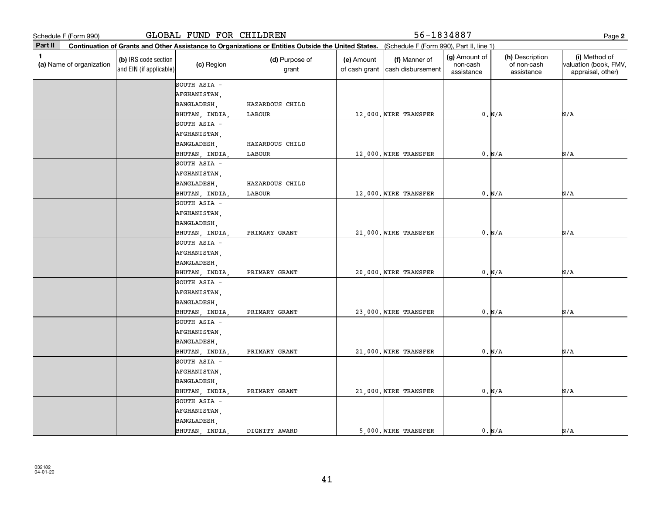| Schedule F (Form 990)                      |                                                 | GLOBAL FUND FOR CHILDREN |                                                                                                                                              |                             | 56-1834887                         |                                         |                                              | Page 2                                                      |
|--------------------------------------------|-------------------------------------------------|--------------------------|----------------------------------------------------------------------------------------------------------------------------------------------|-----------------------------|------------------------------------|-----------------------------------------|----------------------------------------------|-------------------------------------------------------------|
| Part II                                    |                                                 |                          | Continuation of Grants and Other Assistance to Organizations or Entities Outside the United States. (Schedule F (Form 990), Part II, line 1) |                             |                                    |                                         |                                              |                                                             |
| $\blacksquare$<br>(a) Name of organization | (b) IRS code section<br>and EIN (if applicable) | (c) Region               | (d) Purpose of<br>grant                                                                                                                      | (e) Amount<br>of cash grant | (f) Manner of<br>cash disbursement | (g) Amount of<br>non-cash<br>assistance | (h) Description<br>of non-cash<br>assistance | (i) Method of<br>valuation (book, FMV,<br>appraisal, other) |
|                                            |                                                 | SOUTH ASIA -             |                                                                                                                                              |                             |                                    |                                         |                                              |                                                             |
|                                            |                                                 | AFGHANISTAN,             |                                                                                                                                              |                             |                                    |                                         |                                              |                                                             |
|                                            |                                                 | BANGLADESH,              | HAZARDOUS CHILD                                                                                                                              |                             |                                    |                                         |                                              |                                                             |
|                                            |                                                 | BHUTAN, INDIA,           | LABOUR                                                                                                                                       |                             | 12,000. WIRE TRANSFER              |                                         | 0. N/A                                       | N/A                                                         |
|                                            |                                                 | SOUTH ASIA -             |                                                                                                                                              |                             |                                    |                                         |                                              |                                                             |
|                                            |                                                 | AFGHANISTAN,             |                                                                                                                                              |                             |                                    |                                         |                                              |                                                             |
|                                            |                                                 | BANGLADESH,              | HAZARDOUS CHILD                                                                                                                              |                             |                                    |                                         |                                              |                                                             |
|                                            |                                                 | BHUTAN, INDIA,           | LABOUR                                                                                                                                       |                             | 12,000. WIRE TRANSFER              |                                         | 0. N/A                                       | N/A                                                         |
|                                            |                                                 | SOUTH ASIA -             |                                                                                                                                              |                             |                                    |                                         |                                              |                                                             |
|                                            |                                                 | AFGHANISTAN,             |                                                                                                                                              |                             |                                    |                                         |                                              |                                                             |
|                                            |                                                 | BANGLADESH,              | HAZARDOUS CHILD                                                                                                                              |                             |                                    |                                         |                                              |                                                             |
|                                            |                                                 | BHUTAN, INDIA,           | LABOUR                                                                                                                                       |                             | 12,000. WIRE TRANSFER              |                                         | 0. N/A                                       | N/A                                                         |
|                                            |                                                 | SOUTH ASIA -             |                                                                                                                                              |                             |                                    |                                         |                                              |                                                             |
|                                            |                                                 | AFGHANISTAN,             |                                                                                                                                              |                             |                                    |                                         |                                              |                                                             |
|                                            |                                                 | BANGLADESH,              |                                                                                                                                              |                             |                                    |                                         |                                              |                                                             |
|                                            |                                                 | BHUTAN, INDIA,           | PRIMARY GRANT                                                                                                                                |                             | 21,000. WIRE TRANSFER              |                                         | 0. N/A                                       | N/A                                                         |
|                                            |                                                 | SOUTH ASIA -             |                                                                                                                                              |                             |                                    |                                         |                                              |                                                             |
|                                            |                                                 | AFGHANISTAN,             |                                                                                                                                              |                             |                                    |                                         |                                              |                                                             |
|                                            |                                                 | BANGLADESH,              |                                                                                                                                              |                             |                                    |                                         |                                              |                                                             |
|                                            |                                                 | BHUTAN, INDIA,           | PRIMARY GRANT                                                                                                                                |                             | 20,000. WIRE TRANSFER              |                                         | 0. N/A                                       | N/A                                                         |
|                                            |                                                 | SOUTH ASIA -             |                                                                                                                                              |                             |                                    |                                         |                                              |                                                             |
|                                            |                                                 | AFGHANISTAN,             |                                                                                                                                              |                             |                                    |                                         |                                              |                                                             |
|                                            |                                                 | BANGLADESH,              |                                                                                                                                              |                             |                                    |                                         |                                              |                                                             |
|                                            |                                                 | BHUTAN, INDIA,           | PRIMARY GRANT                                                                                                                                |                             | 23,000. WIRE TRANSFER              |                                         | 0. N/A                                       | N/A                                                         |
|                                            |                                                 | SOUTH ASIA -             |                                                                                                                                              |                             |                                    |                                         |                                              |                                                             |
|                                            |                                                 | AFGHANISTAN,             |                                                                                                                                              |                             |                                    |                                         |                                              |                                                             |
|                                            |                                                 | BANGLADESH,              |                                                                                                                                              |                             |                                    |                                         |                                              |                                                             |
|                                            |                                                 | BHUTAN, INDIA,           | PRIMARY GRANT                                                                                                                                |                             | 21,000. WIRE TRANSFER              |                                         | 0. N/A                                       | N/A                                                         |
|                                            |                                                 | SOUTH ASIA -             |                                                                                                                                              |                             |                                    |                                         |                                              |                                                             |
|                                            |                                                 | AFGHANISTAN,             |                                                                                                                                              |                             |                                    |                                         |                                              |                                                             |
|                                            |                                                 | BANGLADESH,              |                                                                                                                                              |                             |                                    |                                         |                                              |                                                             |
|                                            |                                                 | BHUTAN, INDIA,           | PRIMARY GRANT                                                                                                                                |                             | 21,000. WIRE TRANSFER              |                                         | 0. N/A                                       | N/A                                                         |
|                                            |                                                 | SOUTH ASIA -             |                                                                                                                                              |                             |                                    |                                         |                                              |                                                             |
|                                            |                                                 | AFGHANISTAN,             |                                                                                                                                              |                             |                                    |                                         |                                              |                                                             |
|                                            |                                                 | BANGLADESH,              |                                                                                                                                              |                             |                                    |                                         |                                              |                                                             |
|                                            |                                                 | BHUTAN, INDIA            | DIGNITY AWARD                                                                                                                                |                             | 5,000. WIRE TRANSFER               |                                         | 0. N/A                                       | N/A                                                         |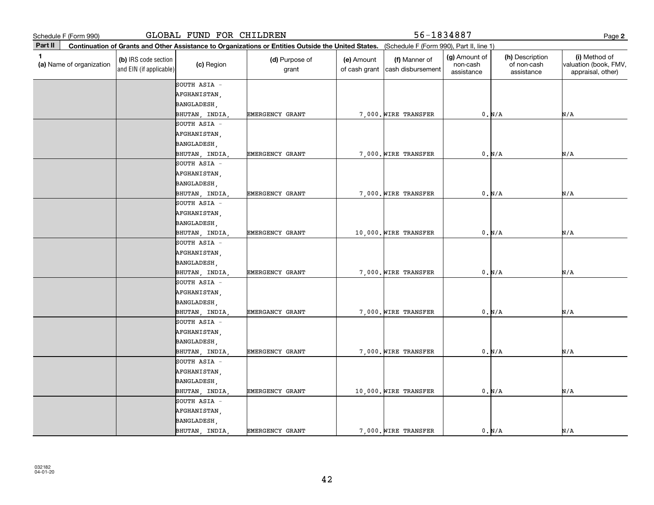**2Part II** (a) Name of organization **Continuation of Grants and Other Assistance to Organizations or Entities Outside the United States. (b)**  IRS code section **(c)**  Region **(d)** Purpose of **c c (e)** Amount **c (f) 1**(a)  $\Box$  (a)  $\Box$  (a)  $\Box$  (a)  $\Box$  (a)  $\Box$  (a)  $\Box$  (a)  $\Box$  (a)  $\Box$  (a)  $\Box$  (b)  $\Box$  (b)  $\Box$  (b)  $\Box$  (scription  $\Box$  (i) and EIN (if applicable) Schedule F (Form 990)<br> **Part II** Continuation of Grants and Other Assistance to Organizations or Entities Outside the United States. (Schedule F (Form 990), Part II, line 1)<br> **Part II** Continuation of Grants and Other Assi (Schedule F (Form 990), Part II, line 1) grant (e) Amount of cash grant |cash disbursement (f) Manner of (g) Amount of non-cash assistance(h) Description of non-cash assistance(i) Method of valuation (book, FMV, appraisal, other) SOUTH ASIA SOUTH ASIA - AFGHANISTAN, BANGLADESH, BHUTAN, INDIA, EMERGENCY GRANT | 7,000. WIRE TRANSFER | 0. N/A AFGHANISTAN, BANGLADESH, BHUTAN, INDIA, EMERGENCY GRANT 7,000. WIRE TRANSFER 0. N/A N/A N/A N/A SOUTH ASIA - AFGHANISTAN, BANGLADESH, BHUTAN, INDIA, EMERGENCY GRANT 7,000. WIRE TRANSFER 0. N/A N/A N/A SOUTH ASIA - AFGHANISTAN, BANGLADESH, BHUTAN, INDIA, EMERGENCY GRANT 10,000. WIRE TRANSFER 0. N/A N/A N/A SOUTH ASIA - AFGHANISTAN, BANGLADESH, BHUTAN, INDIA, EMERGENCY GRANT 7,000. WIRE TRANSFER 0. N/A N/A N/A SOUTH ASIA AFGHANISTAN, BANGLADESH, BHUTAN, INDIA, EMERGANCY GRANT | 7,000. WIRE TRANSFER | 0. N/A N/A N/A SOUTH ASIA - AFGHANISTAN, BANGLADESH, BHUTAN, INDIA, EMERGENCY GRANT 7,000. WIRE TRANSFER 0. N/A N/A N/A SOUTH ASIA AFGHANISTAN, BANGLADESH, BHUTAN, INDIA, GLOBAL FUND FOR CHILDREN 56-1834887 EMERGENCY GRANT  $\vert$  10,000. WIRE TRANSFER  $\vert$  0. N/A N/A N/A SOUTH ASIA - AFGHANISTAN, BANGLADESH, BHUTAN, INDIA, EMERGENCY GRANT 7,000. WIRE TRANSFER 0. N/A N/A N/A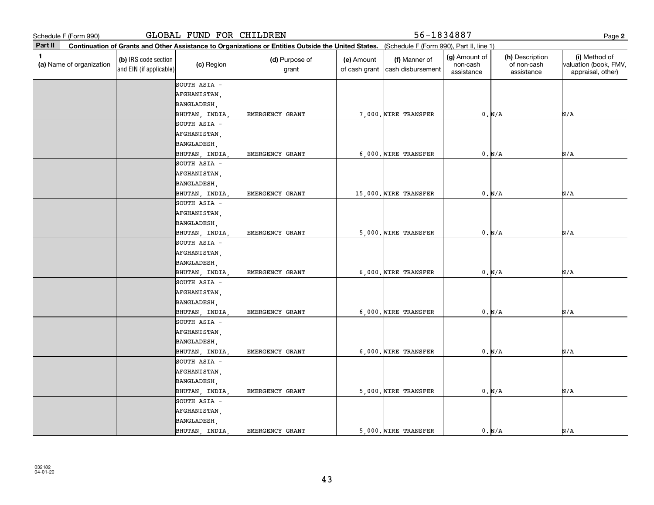**2Part II** (a) Name of organization **Continuation of Grants and Other Assistance to Organizations or Entities Outside the United States. (b)**  IRS code section **(c)**  Region **(d)** Purpose of **c c (e)** Amount **c (f) 1**(a)  $\Box$  (a)  $\Box$  (a)  $\Box$  (a)  $\Box$  (a)  $\Box$  (a)  $\Box$  (a)  $\Box$  (a)  $\Box$  (a)  $\Box$  (b)  $\Box$  (b)  $\Box$  (b)  $\Box$  (scription  $\Box$  (i) and EIN (if applicable) Schedule F (Form 990)<br> **Part II** Continuation of Grants and Other Assistance to Organizations or Entities Outside the United States. (Schedule F (Form 990), Part II, line 1)<br> **Part II** Continuation of Grants and Other Assi (Schedule F (Form 990), Part II, line 1) grant (e) Amount of cash grant |cash disbursement (f) Manner of (g) Amount of non-cash assistance(h) Description of non-cash assistance(i) Method of valuation (book, FMV, appraisal, other) SOUTH ASIA SOUTH ASIA - AFGHANISTAN, BANGLADESH, BHUTAN, INDIA, EMERGENCY GRANT | 6,000. WIRE TRANSFER | 0. N/A AFGHANISTAN, BANGLADESH, BHUTAN, INDIA, EMERGENCY GRANT 7,000. WIRE TRANSFER 0. N/A N/A N/A N/A SOUTH ASIA - AFGHANISTAN, BANGLADESH, BHUTAN, INDIA, EMERGENCY GRANT 15,000. WIRE TRANSFER 0. N/A N/A N/A SOUTH ASIA AFGHANISTAN, BANGLADESH, BHUTAN, INDIA, EMERGENCY GRANT 5,000. WIRE TRANSFER 0. N/A N/A N/A SOUTH ASIA - AFGHANISTAN, BANGLADESH, BHUTAN, INDIA, EMERGENCY GRANT 6,000. WIRE TRANSFER 0. N/A N/A N/A SOUTH ASIA AFGHANISTAN, BANGLADESH, BHUTAN, INDIA, EMERGENCY GRANT 6,000. WIRE TRANSFER 0. N/A N/A N/A SOUTH ASIA - AFGHANISTAN, BANGLADESH, BHUTAN, INDIA, EMERGENCY GRANT 6,000. WIRE TRANSFER 0. N/A N/A N/A SOUTH ASIA AFGHANISTAN, BANGLADESH, BHUTAN, INDIA, GLOBAL FUND FOR CHILDREN 56-1834887 EMERGENCY GRANT  $\begin{matrix} 5,000 \\ \end{matrix}$  wire transfer  $\begin{matrix} 0,0 \end{matrix}$   $\begin{matrix} 0,0 \end{matrix}$   $\begin{matrix} 0,0 \end{matrix}$   $\begin{matrix} 0,0 \end{matrix}$   $\begin{matrix} 0,0 \end{matrix}$   $\begin{matrix} 0,0 \end{matrix}$   $\begin{matrix} 0,0 \end{matrix}$   $\begin{matrix} 0,0 \end{matrix}$   $\begin{matrix} 0,0 \end{matrix}$   $\begin{matrix} 0,0 \end{matrix}$   $\$ SOUTH ASIA - AFGHANISTAN, BANGLADESH, BHUTAN, INDIA, EMERGENCY GRANT | 5,000. WIRE TRANSFER | 0. N/A N/A N/A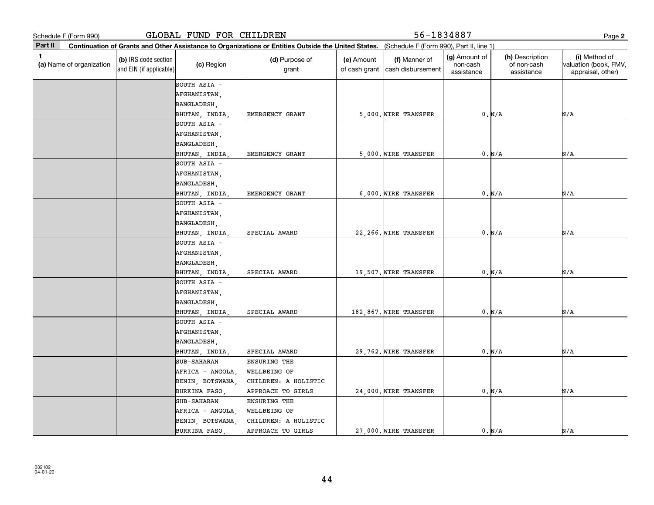**2Part II** (a) Name of organization **Continuation of Grants and Other Assistance to Organizations or Entities Outside the United States. (b)**  IRS code section **(c)**  Region **(d)** Purpose of **c c (e)** Amount **c (f) 1**(a)  $\Box$  (a)  $\Box$  (a)  $\Box$  (a)  $\Box$  (a)  $\Box$  (a)  $\Box$  (a)  $\Box$  (a)  $\Box$  (a)  $\Box$  (b)  $\Box$  (b)  $\Box$  (b)  $\Box$  (scription  $\Box$  (i) and EIN (if applicable) Schedule F (Form 990)<br> **Part II** Continuation of Grants and Other Assistance to Organizations or Entities Outside the United States. (Schedule F (Form 990), Part II, line 1)<br> **Part II** Continuation of Grants and Other Assi (Schedule F (Form 990), Part II, line 1) grant (e) Amount of cash grant |cash disbursement (f) Manner of (g) Amount of non-cash assistance(h) Description of non-cash assistance(i) Method of valuation (book, FMV, appraisal, other) SOUTH ASIA SOUTH ASIA - AFGHANISTAN, BANGLADESH, BHUTAN, INDIA, EMERGENCY GRANT | 5,000. WIRE TRANSFER | 0. N/A AFGHANISTAN, BANGLADESH, BHUTAN, INDIA, EMERGENCY GRANT 5,000. WIRE TRANSFER 0. N/A N/A N/A N/A SOUTH ASIA - AFGHANISTAN, BANGLADESH, BHUTAN, INDIA, EMERGENCY GRANT | 6,000. WIRE TRANSFER | 0. N/A N/A N/A SOUTH ASIA - AFGHANISTAN, BANGLADESH, BHUTAN, INDIA, SPECIAL AWARD 22,266. WIRE TRANSFER 0. N/A N/A N/A SOUTH ASIA - AFGHANISTAN, BANGLADESH, BHUTAN, INDIA, SPECIAL AWARD 19,507. WIRE TRANSFER 0. N/A N/A N/A SOUTH ASIA AFGHANISTAN, BANGLADESH, BHUTAN, INDIA, SPECIAL AWARD 182,867. WIRE TRANSFER 0. N/A N/A N/A SOUTH ASIA - AFGHANISTAN, BANGLADESH, BHUTAN, INDIA, SPECIAL AWARD 29,762. WIRE TRANSFER 0. N/A N/A N/A SUB-SAHARAN ENSURING THE AFRICA - ANGOLA, WELLBEING OF BENIN, BOTSWANA, CHILDREN: A HOLISTIC BURKINA FASO, GLOBAL FUND FOR CHILDREN 56-1834887 APPROACH TO GIRLS 24,000. WIRE TRANSFER 0. N/A N/A SUB-SAHARAN ENSURING THE AFRICA - ANGOLA, WELLBEING OF BENIN, BOTSWANA, CHILDREN: A HOLISTIC BURKINA FASO, APPROACH TO GIRLS | 27,000. WIRE TRANSFER | 0. N/A N/A N/A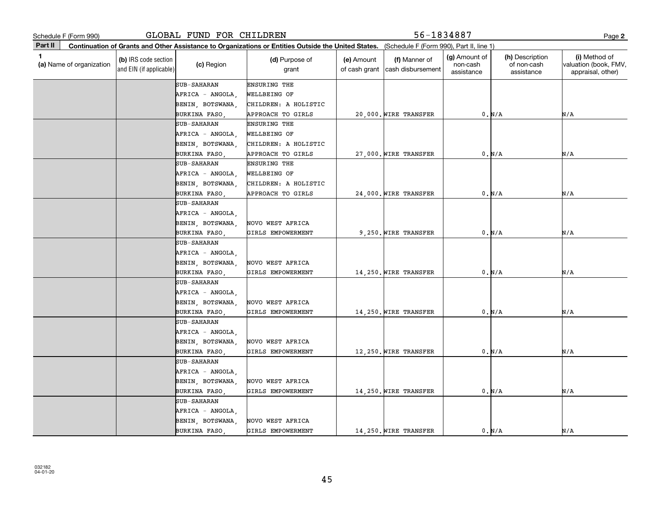| Schedule F (Form 990)                                                                                                                                   | GLOBAL FUND FOR CHILDREN |                         |                             | 56-1834887                         |                                         |                                              | Page 2                                                      |
|---------------------------------------------------------------------------------------------------------------------------------------------------------|--------------------------|-------------------------|-----------------------------|------------------------------------|-----------------------------------------|----------------------------------------------|-------------------------------------------------------------|
| Part II<br>Continuation of Grants and Other Assistance to Organizations or Entities Outside the United States. (Schedule F (Form 990), Part II, line 1) |                          |                         |                             |                                    |                                         |                                              |                                                             |
| 1<br>(b) IRS code section<br>(a) Name of organization<br>and EIN (if applicable)                                                                        | (c) Region               | (d) Purpose of<br>grant | (e) Amount<br>of cash grant | (f) Manner of<br>cash disbursement | (g) Amount of<br>non-cash<br>assistance | (h) Description<br>of non-cash<br>assistance | (i) Method of<br>valuation (book, FMV,<br>appraisal, other) |
|                                                                                                                                                         | <b>SUB-SAHARAN</b>       | ENSURING THE            |                             |                                    |                                         |                                              |                                                             |
|                                                                                                                                                         | AFRICA - ANGOLA,         | WELLBEING OF            |                             |                                    |                                         |                                              |                                                             |
|                                                                                                                                                         | BENIN, BOTSWANA,         | CHILDREN: A HOLISTIC    |                             |                                    |                                         |                                              |                                                             |
|                                                                                                                                                         | BURKINA FASO             | APPROACH TO GIRLS       |                             | 20,000. WIRE TRANSFER              |                                         | 0. N/A                                       | N/A                                                         |
|                                                                                                                                                         | SUB-SAHARAN              | ENSURING THE            |                             |                                    |                                         |                                              |                                                             |
|                                                                                                                                                         | AFRICA - ANGOLA,         | WELLBEING OF            |                             |                                    |                                         |                                              |                                                             |
|                                                                                                                                                         | BENIN, BOTSWANA,         | CHILDREN: A HOLISTIC    |                             |                                    |                                         |                                              |                                                             |
|                                                                                                                                                         | BURKINA FASO,            | APPROACH TO GIRLS       |                             | 27,000. WIRE TRANSFER              |                                         | 0. N/A                                       | N/A                                                         |
|                                                                                                                                                         | <b>SUB-SAHARAN</b>       | ENSURING THE            |                             |                                    |                                         |                                              |                                                             |
|                                                                                                                                                         | AFRICA - ANGOLA.         | WELLBEING OF            |                             |                                    |                                         |                                              |                                                             |
|                                                                                                                                                         | BENIN, BOTSWANA,         | CHILDREN: A HOLISTIC    |                             |                                    |                                         |                                              |                                                             |
|                                                                                                                                                         | BURKINA FASO,            | APPROACH TO GIRLS       |                             | 24,000. WIRE TRANSFER              |                                         | 0. N/A                                       | N/A                                                         |
|                                                                                                                                                         | <b>SUB-SAHARAN</b>       |                         |                             |                                    |                                         |                                              |                                                             |
|                                                                                                                                                         | AFRICA - ANGOLA,         |                         |                             |                                    |                                         |                                              |                                                             |
|                                                                                                                                                         | BENIN, BOTSWANA,         | NOVO WEST AFRICA        |                             |                                    |                                         |                                              |                                                             |
|                                                                                                                                                         | BURKINA FASO             | GIRLS EMPOWERMENT       |                             | 9,250. WIRE TRANSFER               |                                         | 0. N/A                                       | N/A                                                         |
|                                                                                                                                                         | <b>SUB-SAHARAN</b>       |                         |                             |                                    |                                         |                                              |                                                             |
|                                                                                                                                                         | AFRICA - ANGOLA,         |                         |                             |                                    |                                         |                                              |                                                             |
|                                                                                                                                                         | BENIN, BOTSWANA,         | NOVO WEST AFRICA        |                             |                                    |                                         |                                              |                                                             |
|                                                                                                                                                         | BURKINA FASO             | GIRLS EMPOWERMENT       |                             | 14,250. WIRE TRANSFER              |                                         | 0. N/A                                       | N/A                                                         |
|                                                                                                                                                         | SUB-SAHARAN              |                         |                             |                                    |                                         |                                              |                                                             |
|                                                                                                                                                         | AFRICA - ANGOLA,         |                         |                             |                                    |                                         |                                              |                                                             |
|                                                                                                                                                         | BENIN, BOTSWANA,         | NOVO WEST AFRICA        |                             |                                    |                                         |                                              |                                                             |
|                                                                                                                                                         | BURKINA FASO             | GIRLS EMPOWERMENT       |                             | 14,250. WIRE TRANSFER              |                                         | 0. N/A                                       | N/A                                                         |
|                                                                                                                                                         | <b>SUB-SAHARAN</b>       |                         |                             |                                    |                                         |                                              |                                                             |
|                                                                                                                                                         | AFRICA - ANGOLA,         |                         |                             |                                    |                                         |                                              |                                                             |
|                                                                                                                                                         | BENIN, BOTSWANA,         | NOVO WEST AFRICA        |                             |                                    |                                         |                                              |                                                             |
|                                                                                                                                                         | BURKINA FASO             | GIRLS EMPOWERMENT       |                             | 12,250. WIRE TRANSFER              |                                         | 0. N/A                                       | N/A                                                         |
|                                                                                                                                                         | <b>SUB-SAHARAN</b>       |                         |                             |                                    |                                         |                                              |                                                             |
|                                                                                                                                                         | AFRICA - ANGOLA.         |                         |                             |                                    |                                         |                                              |                                                             |
|                                                                                                                                                         | BENIN, BOTSWANA,         | NOVO WEST AFRICA        |                             |                                    |                                         |                                              |                                                             |
|                                                                                                                                                         | BURKINA FASO             | GIRLS EMPOWERMENT       |                             | 14,250. WIRE TRANSFER              |                                         | 0. N/A                                       | N/A                                                         |
|                                                                                                                                                         | <b>SUB-SAHARAN</b>       |                         |                             |                                    |                                         |                                              |                                                             |
|                                                                                                                                                         | AFRICA - ANGOLA,         |                         |                             |                                    |                                         |                                              |                                                             |
|                                                                                                                                                         | BENIN, BOTSWANA,         | NOVO WEST AFRICA        |                             |                                    |                                         |                                              |                                                             |
|                                                                                                                                                         | BURKINA FASO             | GIRLS EMPOWERMENT       |                             | 14,250. WIRE TRANSFER              |                                         | 0. N/A                                       | N/A                                                         |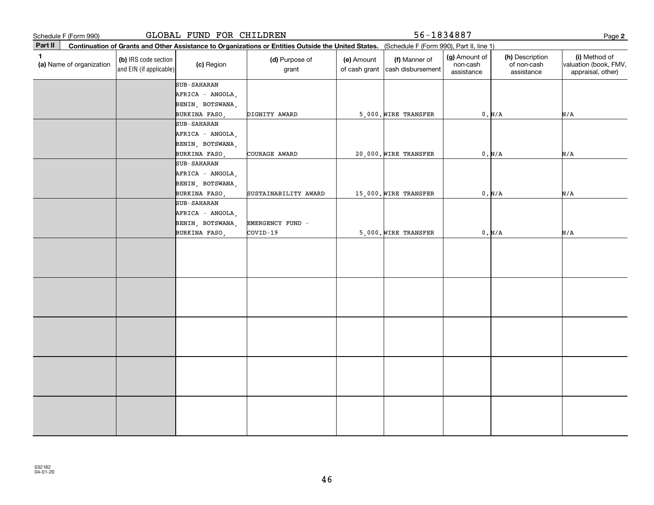**2Part II** (a) Name of organization **Continuation of Grants and Other Assistance to Organizations or Entities Outside the United States. (b)**  IRS code section **(c)**  Region **(d)** Purpose of **c c (e)** Amount **c (f) 1**(a)  $\Box$  (a)  $\Box$  (a)  $\Box$  (a)  $\Box$  (a)  $\Box$  (a)  $\Box$  (a)  $\Box$  (a)  $\Box$  (a)  $\Box$  (b)  $\Box$  (b)  $\Box$  (b)  $\Box$  (scription  $\Box$  (i) and EIN (if applicable) Schedule F (Form 990)<br> **Part II** Continuation of Grants and Other Assistance to Organizations or Entities Outside the United States. (Schedule F (Form 990), Part II, line 1)<br> **Part II** Continuation of Grants and Other Assi (Schedule F (Form 990), Part II, line 1) grant (e) Amount of cash grant |cash disbursement (f) Manner of (g) Amount of non-cash assistance(h) Description of non-cash assistance(i) Method of valuation (book, FMV, appraisal, other) SUB-SAHARAN SUB-SAHARAN AFRICA - ANGOLA, BENIN, BOTSWANA, BURKINA FASO, COURAGE AWARD 20,000. WIRE TRANSFER 0. N/A AFRICA - ANGOLA, BENIN, BOTSWANA, BURKINA FASO, DIGNITY AWARD 5,000. WIRE TRANSFER 0. N/A N/A N/A N/A SUB-SAHARANAFRICA - ANGOLA, BENIN, BOTSWANA, BURKINA FASO, SUSTAINABILITY AWARD 15,000. WIRE TRANSFER 0. N/A N/A SUB-SAHARANAFRICA - ANGOLA, BENIN, BOTSWANA, EMERGENCY FUND - BURKINA FASO, COVID-19 5,000. WIRE TRANSFER 0. N/A N/A N/A GLOBAL FUND FOR CHILDREN 56-1834887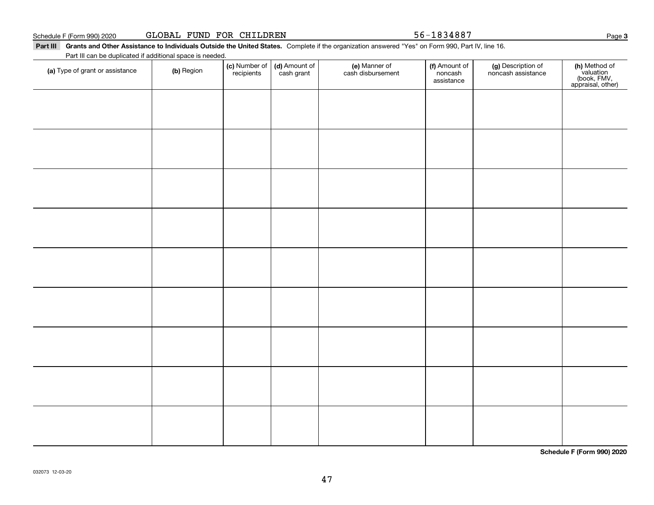47

Schedule F (Form 990) 2020 Page GLOBAL FUND FOR CHILDREN 56-1834887

**(a)** Type of grant or assistance  $\qquad$  **(b)** Region

Part III Grants and Other Assistance to Individuals Outside the United States. Complete if the organization answered "Yes" on Form 990, Part IV, line 16. Part III can be duplicated if additional space is needed.

> (d) Amount of cash grant

(c) Number of *recipients* 

032073 12-03-20

**Schedule F (Form 990) 2020**

Page 3

**(h)** Method of<br>valuation<br>(book, FMV,<br>appraisal, other)

(f) Amount of noncashassistance

noncash assistance

**(c)** Number of **| (d)** Amount of **| (e)** Manner of **| (f)** Amount of **| (g)** Description of **| (h)** 

(e) Manner of cash disbursement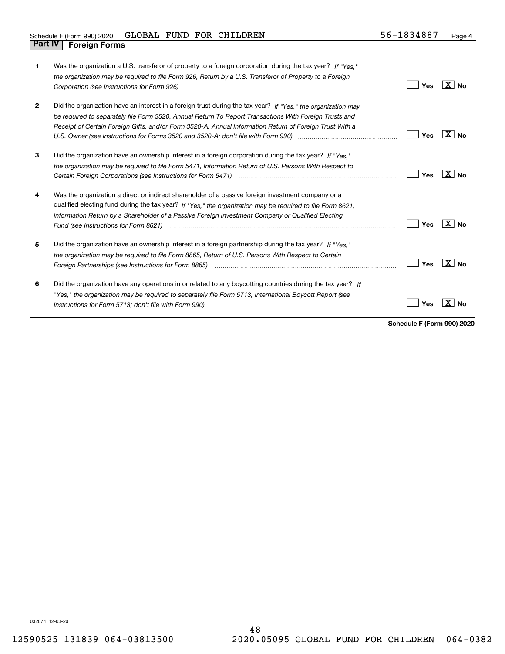| 1            | Was the organization a U.S. transferor of property to a foreign corporation during the tax year? If "Yes."<br>the organization may be required to file Form 926, Return by a U.S. Transferor of Property to a Foreign<br>Corporation (see Instructions for Form 926)                                                                                                                                                                                    | Yes | X∣No         |
|--------------|---------------------------------------------------------------------------------------------------------------------------------------------------------------------------------------------------------------------------------------------------------------------------------------------------------------------------------------------------------------------------------------------------------------------------------------------------------|-----|--------------|
| $\mathbf{2}$ | Did the organization have an interest in a foreign trust during the tax year? If "Yes," the organization may<br>be required to separately file Form 3520, Annual Return To Report Transactions With Foreign Trusts and<br>Receipt of Certain Foreign Gifts, and/or Form 3520-A, Annual Information Return of Foreign Trust With a                                                                                                                       | Yes | $X $ No      |
| 3            | Did the organization have an ownership interest in a foreign corporation during the tax year? If "Yes."<br>the organization may be required to file Form 5471, Information Return of U.S. Persons With Respect to                                                                                                                                                                                                                                       | Yes | $X \mid N_0$ |
| 4            | Was the organization a direct or indirect shareholder of a passive foreign investment company or a<br>qualified electing fund during the tax year? If "Yes," the organization may be required to file Form 8621,<br>Information Return by a Shareholder of a Passive Foreign Investment Company or Qualified Electing                                                                                                                                   | Yes | X∣No         |
| 5            | Did the organization have an ownership interest in a foreign partnership during the tax year? If "Yes."<br>the organization may be required to file Form 8865, Return of U.S. Persons With Respect to Certain<br>Foreign Partnerships (see Instructions for Form 8865)                                                                                                                                                                                  | Yes | $X $ No      |
| 6            | Did the organization have any operations in or related to any boycotting countries during the tax year? If<br>"Yes," the organization may be required to separately file Form 5713, International Boycott Report (see<br>Instructions for Form 5713; don't file with Form 990) manufactured and the content of the content of the content of the content of the content of the content of the content of the content of the content of the content of t | Yes |              |

**Schedule F (Form 990) 2020**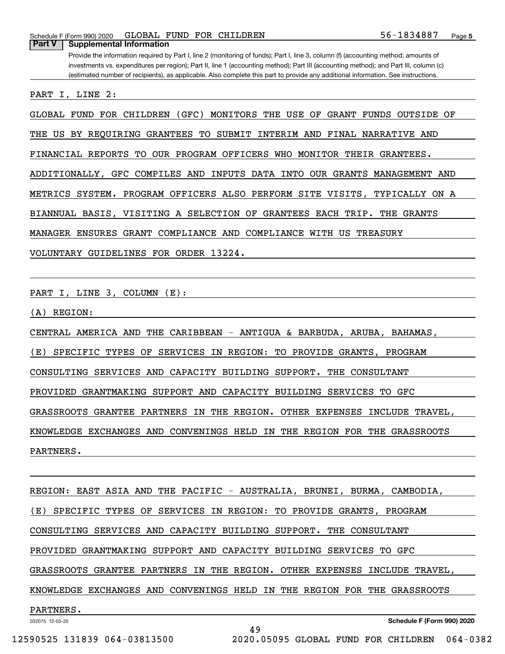PART I, LINE 2:

GLOBAL FUND FOR CHILDREN (GFC) MONITORS THE USE OF GRANT FUNDS OUTSIDE OF

THE US BY REQUIRING GRANTEES TO SUBMIT INTERIM AND FINAL NARRATIVE AND

FINANCIAL REPORTS TO OUR PROGRAM OFFICERS WHO MONITOR THEIR GRANTEES.

ADDITIONALLY, GFC COMPILES AND INPUTS DATA INTO OUR GRANTS MANAGEMENT AND

METRICS SYSTEM. PROGRAM OFFICERS ALSO PERFORM SITE VISITS, TYPICALLY ON A

BIANNUAL BASIS, VISITING A SELECTION OF GRANTEES EACH TRIP. THE GRANTS

MANAGER ENSURES GRANT COMPLIANCE AND COMPLIANCE WITH US TREASURY

VOLUNTARY GUIDELINES FOR ORDER 13224.

PART I, LINE 3, COLUMN (E):

(A) REGION:

CENTRAL AMERICA AND THE CARIBBEAN - ANTIGUA & BARBUDA, ARUBA, BAHAMAS,

(E) SPECIFIC TYPES OF SERVICES IN REGION: TO PROVIDE GRANTS, PROGRAM

CONSULTING SERVICES AND CAPACITY BUILDING SUPPORT. THE CONSULTANT

PROVIDED GRANTMAKING SUPPORT AND CAPACITY BUILDING SERVICES TO GFC

GRASSROOTS GRANTEE PARTNERS IN THE REGION. OTHER EXPENSES INCLUDE TRAVEL,

KNOWLEDGE EXCHANGES AND CONVENINGS HELD IN THE REGION FOR THE GRASSROOTS

PARTNERS.

REGION: EAST ASIA AND THE PACIFIC - AUSTRALIA, BRUNEI, BURMA, CAMBODIA, (E) SPECIFIC TYPES OF SERVICES IN REGION: TO PROVIDE GRANTS, PROGRAM CONSULTING SERVICES AND CAPACITY BUILDING SUPPORT. THE CONSULTANT PROVIDED GRANTMAKING SUPPORT AND CAPACITY BUILDING SERVICES TO GFC GRASSROOTS GRANTEE PARTNERS IN THE REGION. OTHER EXPENSES INCLUDE TRAVEL, KNOWLEDGE EXCHANGES AND CONVENINGS HELD IN THE REGION FOR THE GRASSROOTS PARTNERS.

49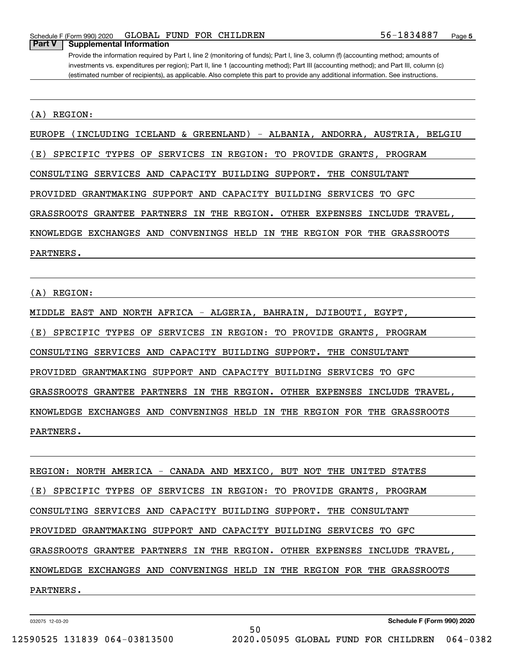#### (A) REGION:

EUROPE (INCLUDING ICELAND & GREENLAND) - ALBANIA, ANDORRA, AUSTRIA, BELGIU

(E) SPECIFIC TYPES OF SERVICES IN REGION: TO PROVIDE GRANTS, PROGRAM

CONSULTING SERVICES AND CAPACITY BUILDING SUPPORT. THE CONSULTANT

PROVIDED GRANTMAKING SUPPORT AND CAPACITY BUILDING SERVICES TO GFC

GRASSROOTS GRANTEE PARTNERS IN THE REGION. OTHER EXPENSES INCLUDE TRAVEL,

KNOWLEDGE EXCHANGES AND CONVENINGS HELD IN THE REGION FOR THE GRASSROOTS

PARTNERS.

#### (A) REGION:

MIDDLE EAST AND NORTH AFRICA - ALGERIA, BAHRAIN, DJIBOUTI, EGYPT,

(E) SPECIFIC TYPES OF SERVICES IN REGION: TO PROVIDE GRANTS, PROGRAM

CONSULTING SERVICES AND CAPACITY BUILDING SUPPORT. THE CONSULTANT

PROVIDED GRANTMAKING SUPPORT AND CAPACITY BUILDING SERVICES TO GFC

GRASSROOTS GRANTEE PARTNERS IN THE REGION. OTHER EXPENSES INCLUDE TRAVEL,

KNOWLEDGE EXCHANGES AND CONVENINGS HELD IN THE REGION FOR THE GRASSROOTS

PARTNERS.

REGION: NORTH AMERICA - CANADA AND MEXICO, BUT NOT THE UNITED STATES (E) SPECIFIC TYPES OF SERVICES IN REGION: TO PROVIDE GRANTS, PROGRAM CONSULTING SERVICES AND CAPACITY BUILDING SUPPORT. THE CONSULTANT PROVIDED GRANTMAKING SUPPORT AND CAPACITY BUILDING SERVICES TO GFC GRASSROOTS GRANTEE PARTNERS IN THE REGION. OTHER EXPENSES INCLUDE TRAVEL, KNOWLEDGE EXCHANGES AND CONVENINGS HELD IN THE REGION FOR THE GRASSROOTS PARTNERS.

50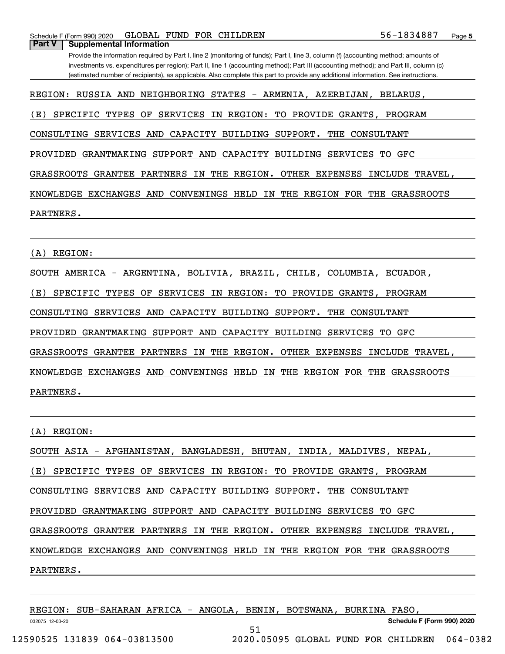REGION: RUSSIA AND NEIGHBORING STATES - ARMENIA, AZERBIJAN, BELARUS,

(E) SPECIFIC TYPES OF SERVICES IN REGION: TO PROVIDE GRANTS, PROGRAM

CONSULTING SERVICES AND CAPACITY BUILDING SUPPORT. THE CONSULTANT

PROVIDED GRANTMAKING SUPPORT AND CAPACITY BUILDING SERVICES TO GFC

GRASSROOTS GRANTEE PARTNERS IN THE REGION. OTHER EXPENSES INCLUDE TRAVEL,

KNOWLEDGE EXCHANGES AND CONVENINGS HELD IN THE REGION FOR THE GRASSROOTS

PARTNERS.

(A) REGION:

SOUTH AMERICA - ARGENTINA, BOLIVIA, BRAZIL, CHILE, COLUMBIA, ECUADOR,

(E) SPECIFIC TYPES OF SERVICES IN REGION: TO PROVIDE GRANTS, PROGRAM

CONSULTING SERVICES AND CAPACITY BUILDING SUPPORT. THE CONSULTANT

PROVIDED GRANTMAKING SUPPORT AND CAPACITY BUILDING SERVICES TO GFC

GRASSROOTS GRANTEE PARTNERS IN THE REGION. OTHER EXPENSES INCLUDE TRAVEL,

KNOWLEDGE EXCHANGES AND CONVENINGS HELD IN THE REGION FOR THE GRASSROOTS PARTNERS.

(A) REGION:

SOUTH ASIA - AFGHANISTAN, BANGLADESH, BHUTAN, INDIA, MALDIVES, NEPAL,

(E) SPECIFIC TYPES OF SERVICES IN REGION: TO PROVIDE GRANTS, PROGRAM

CONSULTING SERVICES AND CAPACITY BUILDING SUPPORT. THE CONSULTANT

PROVIDED GRANTMAKING SUPPORT AND CAPACITY BUILDING SERVICES TO GFC

GRASSROOTS GRANTEE PARTNERS IN THE REGION. OTHER EXPENSES INCLUDE TRAVEL,

KNOWLEDGE EXCHANGES AND CONVENINGS HELD IN THE REGION FOR THE GRASSROOTS

PARTNERS.

032075 12-03-20 **Schedule F (Form 990) 2020** REGION: SUB-SAHARAN AFRICA - ANGOLA, BENIN, BOTSWANA, BURKINA FASO, 51 12590525 131839 064-03813500 2020.05095 GLOBAL FUND FOR CHILDREN 064-0382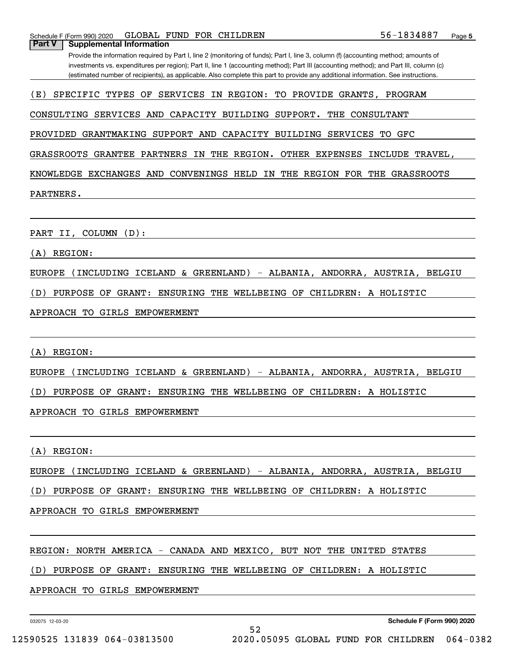(E) SPECIFIC TYPES OF SERVICES IN REGION: TO PROVIDE GRANTS, PROGRAM

Provide the information required by Part I, line 2 (monitoring of funds); Part I, line 3, column (f) (accounting method; amounts of investments vs. expenditures per region); Part II, line 1 (accounting method); Part III (accounting method); and Part III, column (c) (estimated number of recipients), as applicable. Also complete this part to provide any additional information. See instructions.

PARTNERS.

PART II, COLUMN (D):

**Part V Supplemental Information**

(A) REGION:

EUROPE (INCLUDING ICELAND & GREENLAND) - ALBANIA, ANDORRA, AUSTRIA, BELGIU

(D) PURPOSE OF GRANT: ENSURING THE WELLBEING OF CHILDREN: A HOLISTIC

APPROACH TO GIRLS EMPOWERMENT

(A) REGION:

EUROPE (INCLUDING ICELAND & GREENLAND) - ALBANIA, ANDORRA, AUSTRIA, BELGIU

(D) PURPOSE OF GRANT: ENSURING THE WELLBEING OF CHILDREN: A HOLISTIC

APPROACH TO GIRLS EMPOWERMENT

(A) REGION:

EUROPE (INCLUDING ICELAND & GREENLAND) - ALBANIA, ANDORRA, AUSTRIA, BELGIU

(D) PURPOSE OF GRANT: ENSURING THE WELLBEING OF CHILDREN: A HOLISTIC

APPROACH TO GIRLS EMPOWERMENT

REGION: NORTH AMERICA - CANADA AND MEXICO, BUT NOT THE UNITED STATES

(D) PURPOSE OF GRANT: ENSURING THE WELLBEING OF CHILDREN: A HOLISTIC

APPROACH TO GIRLS EMPOWERMENT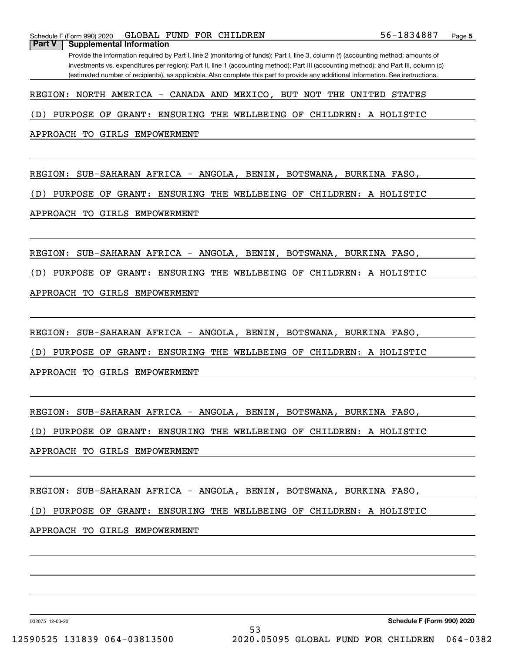REGION: NORTH AMERICA - CANADA AND MEXICO, BUT NOT THE UNITED STATES

(D) PURPOSE OF GRANT: ENSURING THE WELLBEING OF CHILDREN: A HOLISTIC

APPROACH TO GIRLS EMPOWERMENT

REGION: SUB-SAHARAN AFRICA - ANGOLA, BENIN, BOTSWANA, BURKINA FASO,

(D) PURPOSE OF GRANT: ENSURING THE WELLBEING OF CHILDREN: A HOLISTIC

APPROACH TO GIRLS EMPOWERMENT

REGION: SUB-SAHARAN AFRICA - ANGOLA, BENIN, BOTSWANA, BURKINA FASO,

(D) PURPOSE OF GRANT: ENSURING THE WELLBEING OF CHILDREN: A HOLISTIC

APPROACH TO GIRLS EMPOWERMENT

REGION: SUB-SAHARAN AFRICA - ANGOLA, BENIN, BOTSWANA, BURKINA FASO,

(D) PURPOSE OF GRANT: ENSURING THE WELLBEING OF CHILDREN: A HOLISTIC

APPROACH TO GIRLS EMPOWERMENT

REGION: SUB-SAHARAN AFRICA - ANGOLA, BENIN, BOTSWANA, BURKINA FASO,

(D) PURPOSE OF GRANT: ENSURING THE WELLBEING OF CHILDREN: A HOLISTIC

APPROACH TO GIRLS EMPOWERMENT

REGION: SUB-SAHARAN AFRICA - ANGOLA, BENIN, BOTSWANA, BURKINA FASO,

(D) PURPOSE OF GRANT: ENSURING THE WELLBEING OF CHILDREN: A HOLISTIC

53

APPROACH TO GIRLS EMPOWERMENT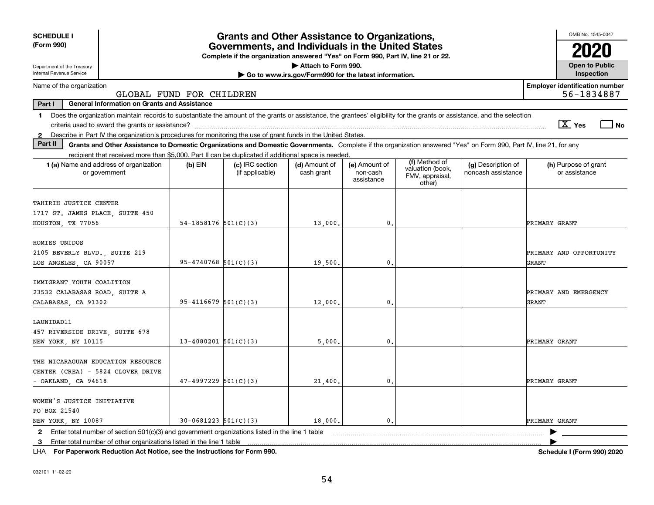| <b>SCHEDULE I</b><br>(Form 990)                                                                                                                                               |                                              | <b>Grants and Other Assistance to Organizations,</b><br>Governments, and Individuals in the United States |                                                       |                                         |                                               |                                          | OMB No. 1545-0047                                   |
|-------------------------------------------------------------------------------------------------------------------------------------------------------------------------------|----------------------------------------------|-----------------------------------------------------------------------------------------------------------|-------------------------------------------------------|-----------------------------------------|-----------------------------------------------|------------------------------------------|-----------------------------------------------------|
|                                                                                                                                                                               |                                              | Complete if the organization answered "Yes" on Form 990, Part IV, line 21 or 22.                          |                                                       |                                         |                                               |                                          |                                                     |
| Department of the Treasury                                                                                                                                                    | Attach to Form 990.<br><b>Open to Public</b> |                                                                                                           |                                                       |                                         |                                               |                                          |                                                     |
| Internal Revenue Service                                                                                                                                                      |                                              |                                                                                                           | Go to www.irs.gov/Form990 for the latest information. |                                         |                                               |                                          | Inspection                                          |
| Name of the organization                                                                                                                                                      | GLOBAL FUND FOR CHILDREN                     |                                                                                                           |                                                       |                                         |                                               |                                          | <b>Employer identification number</b><br>56-1834887 |
| Part I<br><b>General Information on Grants and Assistance</b>                                                                                                                 |                                              |                                                                                                           |                                                       |                                         |                                               |                                          |                                                     |
| 1 Does the organization maintain records to substantiate the amount of the grants or assistance, the grantees' eligibility for the grants or assistance, and the selection    |                                              |                                                                                                           |                                                       |                                         |                                               |                                          |                                                     |
|                                                                                                                                                                               |                                              |                                                                                                           |                                                       |                                         |                                               |                                          | $\sqrt{X}$ Yes<br>l No                              |
| 2 Describe in Part IV the organization's procedures for monitoring the use of grant funds in the United States.                                                               |                                              |                                                                                                           |                                                       |                                         |                                               |                                          |                                                     |
| Part II<br>Grants and Other Assistance to Domestic Organizations and Domestic Governments. Complete if the organization answered "Yes" on Form 990, Part IV, line 21, for any |                                              |                                                                                                           |                                                       |                                         |                                               |                                          |                                                     |
| recipient that received more than \$5,000. Part II can be duplicated if additional space is needed.                                                                           |                                              |                                                                                                           |                                                       |                                         | (f) Method of                                 |                                          |                                                     |
| <b>1 (a)</b> Name and address of organization<br>or government                                                                                                                | $(b)$ EIN                                    | (c) IRC section<br>(if applicable)                                                                        | (d) Amount of<br>cash grant                           | (e) Amount of<br>non-cash<br>assistance | valuation (book,<br>FMV, appraisal,<br>other) | (g) Description of<br>noncash assistance | (h) Purpose of grant<br>or assistance               |
| TAHIRIH JUSTICE CENTER<br>1717 ST. JAMES PLACE, SUITE 450                                                                                                                     |                                              |                                                                                                           |                                                       |                                         |                                               |                                          |                                                     |
| HOUSTON, TX 77056                                                                                                                                                             | 54-1858176 $501(C)(3)$                       |                                                                                                           | 13,000.                                               | $\mathbf{0}$ .                          |                                               |                                          | PRIMARY GRANT                                       |
| HOMIES UNIDOS<br>2105 BEVERLY BLVD., SUITE 219<br>LOS ANGELES, CA 90057                                                                                                       | $95 - 4740768$ 501(C)(3)                     |                                                                                                           | 19,500.                                               | $\mathbf{0}$ .                          |                                               |                                          | PRIMARY AND OPPORTUNITY<br>GRANT                    |
| IMMIGRANT YOUTH COALITION<br>23532 CALABASAS ROAD, SUITE A<br>CALABASAS, CA 91302                                                                                             | $95 - 4116679$ $501(C)(3)$                   |                                                                                                           | 12,000.                                               | 0.                                      |                                               |                                          | PRIMARY AND EMERGENCY<br>GRANT                      |
| LAUNIDAD11<br>457 RIVERSIDE DRIVE, SUITE 678<br>NEW YORK, NY 10115                                                                                                            | $13 - 4080201$ 501(C)(3)                     |                                                                                                           | 5.000                                                 | 0.                                      |                                               |                                          | PRIMARY GRANT                                       |
| THE NICARAGUAN EDUCATION RESOURCE<br>CENTER (CREA) - 5824 CLOVER DRIVE<br>$-$ OAKLAND, CA 94618                                                                               | $47-4997229$ 501(C)(3)                       |                                                                                                           | 21,400.                                               | 0.                                      |                                               |                                          | PRIMARY GRANT                                       |
| WOMEN'S JUSTICE INITIATIVE<br>PO BOX 21540<br>NEW YORK, NY 10087                                                                                                              | $30-0681223$ $501(C)(3)$                     |                                                                                                           | 18,000.                                               | $\mathbf{0}$ .                          |                                               |                                          | PRIMARY GRANT                                       |
| 2 Enter total number of section 501(c)(3) and government organizations listed in the line 1 table<br>3 Enter total number of other organizations listed in the line 1 table   |                                              |                                                                                                           |                                                       |                                         |                                               |                                          |                                                     |
|                                                                                                                                                                               |                                              |                                                                                                           |                                                       |                                         |                                               |                                          |                                                     |

**For Paperwork Reduction Act Notice, see the Instructions for Form 990. Schedule I (Form 990) 2020** LHA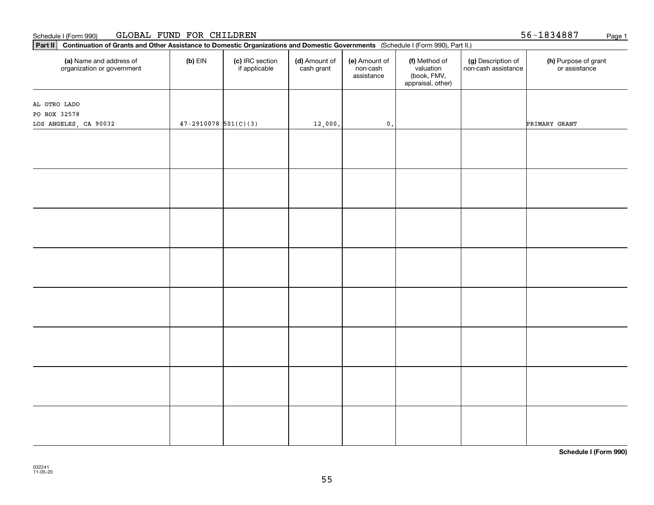#### Schedule I (Form 990) GLOBAL FUND FOR CHILDREN 5 5-1 8 3 4 8 8 7 Page 1

| Continuation of Grants and Other Assistance to Domestic Organizations and Domestic Governments (Schedule I (Form 990), Part II.)<br>Part II |                          |                                  |                             |                                         |                                                                |                                           |                                       |
|---------------------------------------------------------------------------------------------------------------------------------------------|--------------------------|----------------------------------|-----------------------------|-----------------------------------------|----------------------------------------------------------------|-------------------------------------------|---------------------------------------|
| (a) Name and address of<br>organization or government                                                                                       | $(b)$ EIN                | (c) IRC section<br>if applicable | (d) Amount of<br>cash grant | (e) Amount of<br>non-cash<br>assistance | (f) Method of<br>valuation<br>(book, FMV,<br>appraisal, other) | (g) Description of<br>non-cash assistance | (h) Purpose of grant<br>or assistance |
|                                                                                                                                             |                          |                                  |                             |                                         |                                                                |                                           |                                       |
| AL OTRO LADO                                                                                                                                |                          |                                  |                             |                                         |                                                                |                                           |                                       |
| PO BOX 32578                                                                                                                                |                          |                                  |                             |                                         |                                                                |                                           |                                       |
| LOS ANGELES, CA 90032                                                                                                                       | $47 - 2910078$ 501(C)(3) |                                  | 12,000.                     | $\mathbf 0$ .                           |                                                                |                                           | PRIMARY GRANT                         |
|                                                                                                                                             |                          |                                  |                             |                                         |                                                                |                                           |                                       |
|                                                                                                                                             |                          |                                  |                             |                                         |                                                                |                                           |                                       |
|                                                                                                                                             |                          |                                  |                             |                                         |                                                                |                                           |                                       |
|                                                                                                                                             |                          |                                  |                             |                                         |                                                                |                                           |                                       |
|                                                                                                                                             |                          |                                  |                             |                                         |                                                                |                                           |                                       |
|                                                                                                                                             |                          |                                  |                             |                                         |                                                                |                                           |                                       |
|                                                                                                                                             |                          |                                  |                             |                                         |                                                                |                                           |                                       |
|                                                                                                                                             |                          |                                  |                             |                                         |                                                                |                                           |                                       |
|                                                                                                                                             |                          |                                  |                             |                                         |                                                                |                                           |                                       |
|                                                                                                                                             |                          |                                  |                             |                                         |                                                                |                                           |                                       |
|                                                                                                                                             |                          |                                  |                             |                                         |                                                                |                                           |                                       |
|                                                                                                                                             |                          |                                  |                             |                                         |                                                                |                                           |                                       |
|                                                                                                                                             |                          |                                  |                             |                                         |                                                                |                                           |                                       |
|                                                                                                                                             |                          |                                  |                             |                                         |                                                                |                                           |                                       |
|                                                                                                                                             |                          |                                  |                             |                                         |                                                                |                                           |                                       |
|                                                                                                                                             |                          |                                  |                             |                                         |                                                                |                                           |                                       |
|                                                                                                                                             |                          |                                  |                             |                                         |                                                                |                                           |                                       |
|                                                                                                                                             |                          |                                  |                             |                                         |                                                                |                                           |                                       |
|                                                                                                                                             |                          |                                  |                             |                                         |                                                                |                                           |                                       |
|                                                                                                                                             |                          |                                  |                             |                                         |                                                                |                                           |                                       |
|                                                                                                                                             |                          |                                  |                             |                                         |                                                                |                                           |                                       |
|                                                                                                                                             |                          |                                  |                             |                                         |                                                                |                                           |                                       |
|                                                                                                                                             |                          |                                  |                             |                                         |                                                                |                                           |                                       |
|                                                                                                                                             |                          |                                  |                             |                                         |                                                                |                                           |                                       |
|                                                                                                                                             |                          |                                  |                             |                                         |                                                                |                                           |                                       |
|                                                                                                                                             |                          |                                  |                             |                                         |                                                                |                                           |                                       |
|                                                                                                                                             |                          |                                  |                             |                                         |                                                                |                                           |                                       |
|                                                                                                                                             |                          |                                  |                             |                                         |                                                                |                                           |                                       |
|                                                                                                                                             |                          |                                  |                             |                                         |                                                                |                                           |                                       |

**Schedule I (Form 990)**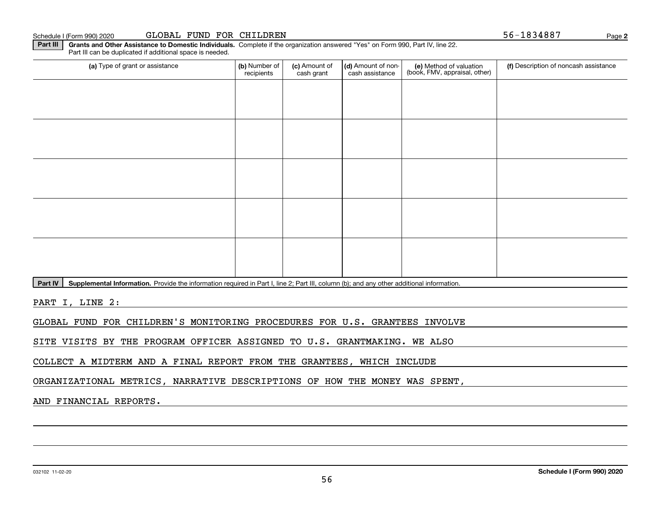032102 11-02-20

#### Schedule I (Form 990) 2020

| GLOBAL FUND FOR CHILDREN |  |
|--------------------------|--|
|--------------------------|--|

**Part III | Grants and Other Assistance to Domestic Individuals. Complete if the organization answered "Yes" on Form 990, Part IV, line 22.** 

(a) Type of grant or assistance **Audity Commet Audio Commet Commet Commet Commet Commet Commet Commet Commet Comme** Part III can be duplicated if additional space is needed. (e) Method of valuation (book, FMV, appraisal, other) recipients(c) Amount of cash grant (d) Amount of noncash assistance (f) Description of noncash assistance

Part IV | Supplemental Information. Provide the information required in Part I, line 2; Part III, column (b); and any other additional information.

PART I, LINE 2:

GLOBAL FUND FOR CHILDREN'S MONITORING PROCEDURES FOR U.S. GRANTEES INVOLVE

SITE VISITS BY THE PROGRAM OFFICER ASSIGNED TO U.S. GRANTMAKING. WE ALSO

COLLECT A MIDTERM AND A FINAL REPORT FROM THE GRANTEES, WHICH INCLUDE

ORGANIZATIONAL METRICS, NARRATIVE DESCRIPTIONS OF HOW THE MONEY WAS SPENT,

#### AND FINANCIAL REPORTS.

56-1834887

**2**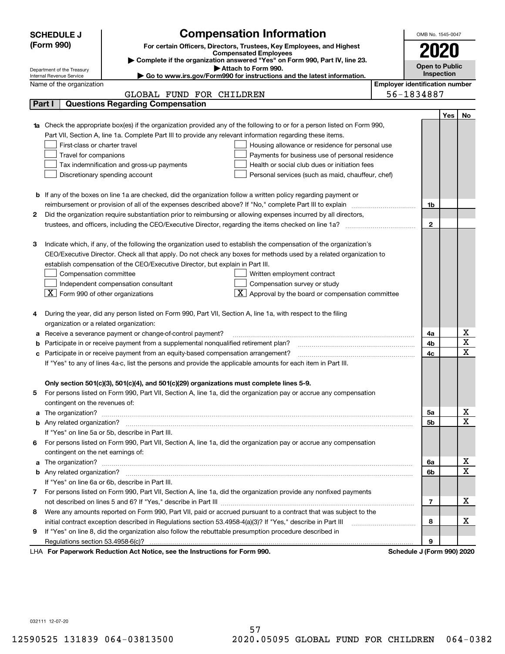|                                                                                                               | <b>Compensation Information</b><br><b>SCHEDULE J</b>                                                                                                                                                                                 |                                       | OMB No. 1545-0047          |     |                         |  |  |
|---------------------------------------------------------------------------------------------------------------|--------------------------------------------------------------------------------------------------------------------------------------------------------------------------------------------------------------------------------------|---------------------------------------|----------------------------|-----|-------------------------|--|--|
|                                                                                                               | (Form 990)<br>For certain Officers, Directors, Trustees, Key Employees, and Highest<br>2020<br><b>Compensated Employees</b>                                                                                                          |                                       |                            |     |                         |  |  |
|                                                                                                               | Complete if the organization answered "Yes" on Form 990, Part IV, line 23.                                                                                                                                                           |                                       |                            |     |                         |  |  |
|                                                                                                               | <b>Open to Public</b><br>Attach to Form 990.<br>Department of the Treasury<br><b>Inspection</b>                                                                                                                                      |                                       |                            |     |                         |  |  |
|                                                                                                               | Go to www.irs.gov/Form990 for instructions and the latest information.<br>Internal Revenue Service                                                                                                                                   | <b>Employer identification number</b> |                            |     |                         |  |  |
|                                                                                                               | Name of the organization                                                                                                                                                                                                             |                                       |                            |     |                         |  |  |
|                                                                                                               | GLOBAL FUND FOR CHILDREN<br><b>Questions Regarding Compensation</b><br>Part I                                                                                                                                                        |                                       | 56-1834887                 |     |                         |  |  |
|                                                                                                               |                                                                                                                                                                                                                                      |                                       |                            |     |                         |  |  |
|                                                                                                               |                                                                                                                                                                                                                                      |                                       |                            | Yes | No                      |  |  |
|                                                                                                               | 1a Check the appropriate box(es) if the organization provided any of the following to or for a person listed on Form 990,                                                                                                            |                                       |                            |     |                         |  |  |
|                                                                                                               | Part VII, Section A, line 1a. Complete Part III to provide any relevant information regarding these items.                                                                                                                           |                                       |                            |     |                         |  |  |
|                                                                                                               | First-class or charter travel<br>Housing allowance or residence for personal use                                                                                                                                                     |                                       |                            |     |                         |  |  |
|                                                                                                               | Travel for companions<br>Payments for business use of personal residence                                                                                                                                                             |                                       |                            |     |                         |  |  |
|                                                                                                               | Tax indemnification and gross-up payments<br>Health or social club dues or initiation fees                                                                                                                                           |                                       |                            |     |                         |  |  |
|                                                                                                               | Discretionary spending account<br>Personal services (such as maid, chauffeur, chef)                                                                                                                                                  |                                       |                            |     |                         |  |  |
|                                                                                                               |                                                                                                                                                                                                                                      |                                       |                            |     |                         |  |  |
|                                                                                                               | <b>b</b> If any of the boxes on line 1a are checked, did the organization follow a written policy regarding payment or                                                                                                               |                                       |                            |     |                         |  |  |
|                                                                                                               | reimbursement or provision of all of the expenses described above? If "No," complete Part III to explain                                                                                                                             |                                       | 1b                         |     |                         |  |  |
| 2                                                                                                             | Did the organization require substantiation prior to reimbursing or allowing expenses incurred by all directors,                                                                                                                     |                                       | $\mathbf{2}$               |     |                         |  |  |
|                                                                                                               | trustees, and officers, including the CEO/Executive Director, regarding the items checked on line 1a?                                                                                                                                |                                       |                            |     |                         |  |  |
| З                                                                                                             | Indicate which, if any, of the following the organization used to establish the compensation of the organization's                                                                                                                   |                                       |                            |     |                         |  |  |
|                                                                                                               | CEO/Executive Director. Check all that apply. Do not check any boxes for methods used by a related organization to                                                                                                                   |                                       |                            |     |                         |  |  |
|                                                                                                               | establish compensation of the CEO/Executive Director, but explain in Part III.                                                                                                                                                       |                                       |                            |     |                         |  |  |
|                                                                                                               | Compensation committee                                                                                                                                                                                                               |                                       |                            |     |                         |  |  |
|                                                                                                               | Written employment contract                                                                                                                                                                                                          |                                       |                            |     |                         |  |  |
|                                                                                                               | Compensation survey or study<br>Independent compensation consultant<br>$\overline{\textbf{X}}$ Approval by the board or compensation committee<br>$\lfloor x \rfloor$ Form 990 of other organizations                                |                                       |                            |     |                         |  |  |
|                                                                                                               |                                                                                                                                                                                                                                      |                                       |                            |     |                         |  |  |
|                                                                                                               | During the year, did any person listed on Form 990, Part VII, Section A, line 1a, with respect to the filing                                                                                                                         |                                       |                            |     |                         |  |  |
|                                                                                                               | organization or a related organization:                                                                                                                                                                                              |                                       |                            |     |                         |  |  |
| а                                                                                                             | Receive a severance payment or change-of-control payment?                                                                                                                                                                            |                                       | 4a                         |     | х                       |  |  |
| b                                                                                                             | Participate in or receive payment from a supplemental nonqualified retirement plan?                                                                                                                                                  |                                       | 4b                         |     | $\overline{\texttt{x}}$ |  |  |
| с                                                                                                             | Participate in or receive payment from an equity-based compensation arrangement?                                                                                                                                                     |                                       | 4c                         |     | $\overline{\text{x}}$   |  |  |
| If "Yes" to any of lines 4a-c, list the persons and provide the applicable amounts for each item in Part III. |                                                                                                                                                                                                                                      |                                       |                            |     |                         |  |  |
|                                                                                                               |                                                                                                                                                                                                                                      |                                       |                            |     |                         |  |  |
|                                                                                                               | Only section 501(c)(3), 501(c)(4), and 501(c)(29) organizations must complete lines 5-9.                                                                                                                                             |                                       |                            |     |                         |  |  |
|                                                                                                               | For persons listed on Form 990, Part VII, Section A, line 1a, did the organization pay or accrue any compensation                                                                                                                    |                                       |                            |     |                         |  |  |
|                                                                                                               | contingent on the revenues of:                                                                                                                                                                                                       |                                       |                            |     |                         |  |  |
|                                                                                                               | a The organization? <b>Entitled Strategies and Strategies and Strategies and Strategies and Strategies and Strategies and Strategies and Strategies and Strategies and Strategies and Strategies and Strategies and Strategies a</b> |                                       | 5а                         |     | x                       |  |  |
|                                                                                                               |                                                                                                                                                                                                                                      |                                       | <b>5b</b>                  |     | $\overline{\text{x}}$   |  |  |
|                                                                                                               | If "Yes" on line 5a or 5b, describe in Part III.                                                                                                                                                                                     |                                       |                            |     |                         |  |  |
| 6.                                                                                                            | For persons listed on Form 990, Part VII, Section A, line 1a, did the organization pay or accrue any compensation                                                                                                                    |                                       |                            |     |                         |  |  |
|                                                                                                               | contingent on the net earnings of:                                                                                                                                                                                                   |                                       |                            |     |                         |  |  |
|                                                                                                               | a The organization? <b>Entitled Strategies and Strategies and Strategies and Strategies and Strategies and Strategies and Strategies and Strategies and Strategies and Strategies and Strategies and Strategies and Strategies a</b> |                                       |                            |     | x                       |  |  |
|                                                                                                               |                                                                                                                                                                                                                                      |                                       | 6b                         |     | $\overline{\text{x}}$   |  |  |
|                                                                                                               | If "Yes" on line 6a or 6b, describe in Part III.                                                                                                                                                                                     |                                       |                            |     |                         |  |  |
|                                                                                                               | 7 For persons listed on Form 990, Part VII, Section A, line 1a, did the organization provide any nonfixed payments                                                                                                                   |                                       |                            |     |                         |  |  |
|                                                                                                               |                                                                                                                                                                                                                                      |                                       | 7                          |     | х                       |  |  |
| 8                                                                                                             | Were any amounts reported on Form 990, Part VII, paid or accrued pursuant to a contract that was subject to the                                                                                                                      |                                       |                            |     |                         |  |  |
|                                                                                                               | initial contract exception described in Regulations section 53.4958-4(a)(3)? If "Yes," describe in Part III                                                                                                                          |                                       | 8                          |     | x                       |  |  |
| 9                                                                                                             | If "Yes" on line 8, did the organization also follow the rebuttable presumption procedure described in                                                                                                                               |                                       |                            |     |                         |  |  |
|                                                                                                               | Regulations section 53.4958-6(c)?                                                                                                                                                                                                    |                                       | 9                          |     |                         |  |  |
|                                                                                                               | LHA For Paperwork Reduction Act Notice, see the Instructions for Form 990.                                                                                                                                                           |                                       | Schedule J (Form 990) 2020 |     |                         |  |  |

032111 12-07-20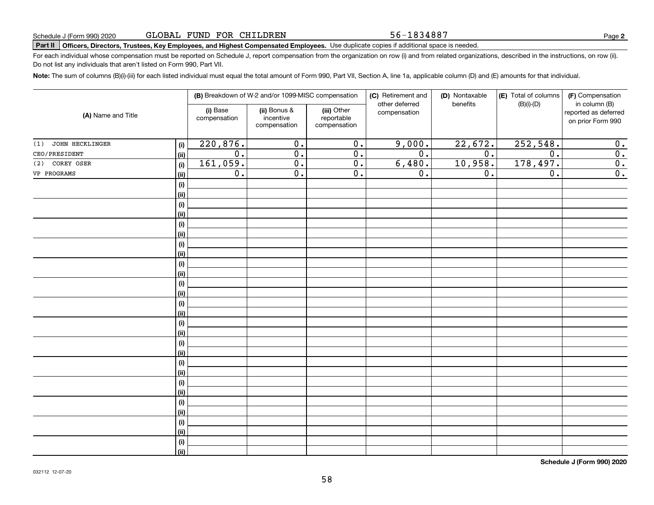56-1834887

### **Part II Officers, Directors, Trustees, Key Employees, and Highest Compensated Employees.**  Schedule J (Form 990) 2020 Page Use duplicate copies if additional space is needed.

For each individual whose compensation must be reported on Schedule J, report compensation from the organization on row (i) and from related organizations, described in the instructions, on row (ii). Do not list any individuals that aren't listed on Form 990, Part VII.

**Note:**  The sum of columns (B)(i)-(iii) for each listed individual must equal the total amount of Form 990, Part VII, Section A, line 1a, applicable column (D) and (E) amounts for that individual.

|                               |      |                          | (B) Breakdown of W-2 and/or 1099-MISC compensation |                                           | (C) Retirement and<br>other deferred | (D) Nontaxable<br>benefits | (E) Total of columns<br>$(B)(i)-(D)$ | (F) Compensation<br>in column (B)         |
|-------------------------------|------|--------------------------|----------------------------------------------------|-------------------------------------------|--------------------------------------|----------------------------|--------------------------------------|-------------------------------------------|
| (A) Name and Title            |      | (i) Base<br>compensation | (ii) Bonus &<br>incentive<br>compensation          | (iii) Other<br>reportable<br>compensation | compensation                         |                            |                                      | reported as deferred<br>on prior Form 990 |
| <b>JOHN HECKLINGER</b><br>(1) | (i)  | 220,876.                 | $\overline{0}$ .                                   | $\overline{0}$ .                          | 9,000.                               | 22,672.                    | 252, 548.                            | 0.                                        |
| CEO/PRESIDENT                 | (ii) | $\overline{0}$ .         | $\overline{0}$ .                                   | $\overline{0}$ .                          | $\overline{0}$ .                     | $\overline{0}$ .           | $\overline{0}$ .                     | $\overline{0}$ .                          |
| COREY OSER<br>(2)             | (i)  | 161,059.                 | $\overline{0}$ .                                   | $\overline{0}$ .                          | 6,480.                               | 10,958.                    | 178,497.                             | $\overline{0}$ .                          |
| VP PROGRAMS                   | (ii) | $\overline{0}$ .         | $\overline{0}$ .                                   | $\overline{0}$ .                          | $\overline{0}$ .                     | 0.                         | $\overline{0}$ .                     | $\overline{0}$ .                          |
|                               | (i)  |                          |                                                    |                                           |                                      |                            |                                      |                                           |
|                               | (ii) |                          |                                                    |                                           |                                      |                            |                                      |                                           |
|                               | (i)  |                          |                                                    |                                           |                                      |                            |                                      |                                           |
|                               | (ii) |                          |                                                    |                                           |                                      |                            |                                      |                                           |
|                               | (i)  |                          |                                                    |                                           |                                      |                            |                                      |                                           |
|                               | (ii) |                          |                                                    |                                           |                                      |                            |                                      |                                           |
|                               | (i)  |                          |                                                    |                                           |                                      |                            |                                      |                                           |
|                               | (ii) |                          |                                                    |                                           |                                      |                            |                                      |                                           |
|                               | (i)  |                          |                                                    |                                           |                                      |                            |                                      |                                           |
|                               | (ii) |                          |                                                    |                                           |                                      |                            |                                      |                                           |
|                               | (i)  |                          |                                                    |                                           |                                      |                            |                                      |                                           |
|                               | (ii) |                          |                                                    |                                           |                                      |                            |                                      |                                           |
|                               | (i)  |                          |                                                    |                                           |                                      |                            |                                      |                                           |
|                               | (ii) |                          |                                                    |                                           |                                      |                            |                                      |                                           |
|                               | (i)  |                          |                                                    |                                           |                                      |                            |                                      |                                           |
|                               | (ii) |                          |                                                    |                                           |                                      |                            |                                      |                                           |
|                               | (i)  |                          |                                                    |                                           |                                      |                            |                                      |                                           |
|                               | (ii) |                          |                                                    |                                           |                                      |                            |                                      |                                           |
|                               | (i)  |                          |                                                    |                                           |                                      |                            |                                      |                                           |
|                               | (ii) |                          |                                                    |                                           |                                      |                            |                                      |                                           |
|                               | (i)  |                          |                                                    |                                           |                                      |                            |                                      |                                           |
|                               | (ii) |                          |                                                    |                                           |                                      |                            |                                      |                                           |
|                               | (i)  |                          |                                                    |                                           |                                      |                            |                                      |                                           |
|                               | (ii) |                          |                                                    |                                           |                                      |                            |                                      |                                           |
|                               | (i)  |                          |                                                    |                                           |                                      |                            |                                      |                                           |
|                               | (ii) |                          |                                                    |                                           |                                      |                            |                                      |                                           |
|                               | (i)  |                          |                                                    |                                           |                                      |                            |                                      |                                           |
|                               | (ii) |                          |                                                    |                                           |                                      |                            |                                      |                                           |

**Schedule J (Form 990) 2020**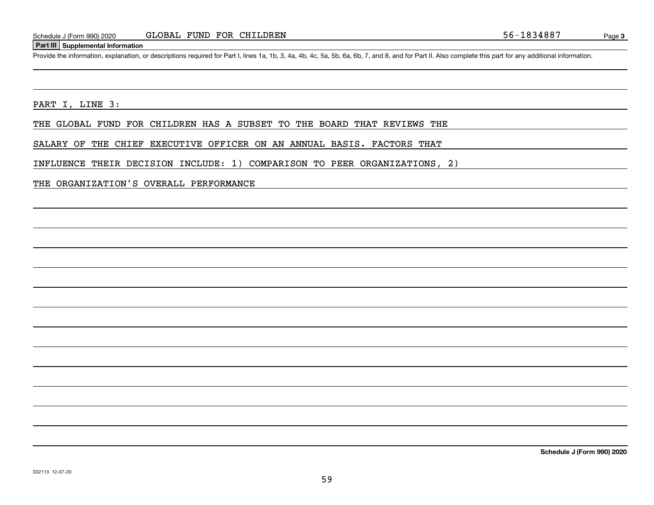#### **Part III Supplemental Information**

Schedule J (Form 990) 2020 GLOBAL FUND FOR CHILDREN<br>Part III Supplemental Information<br>Provide the information, explanation, or descriptions required for Part I, lines 1a, 1b, 3, 4a, 4b, 4c, 5a, 5b, 6a, 6b, 7, and 8, and fo

PART I, LINE 3:

THE GLOBAL FUND FOR CHILDREN HAS A SUBSET TO THE BOARD THAT REVIEWS THE

SALARY OF THE CHIEF EXECUTIVE OFFICER ON AN ANNUAL BASIS. FACTORS THAT

INFLUENCE THEIR DECISION INCLUDE: 1) COMPARISON TO PEER ORGANIZATIONS, 2)

THE ORGANIZATION'S OVERALL PERFORMANCE

**Schedule J (Form 990) 2020**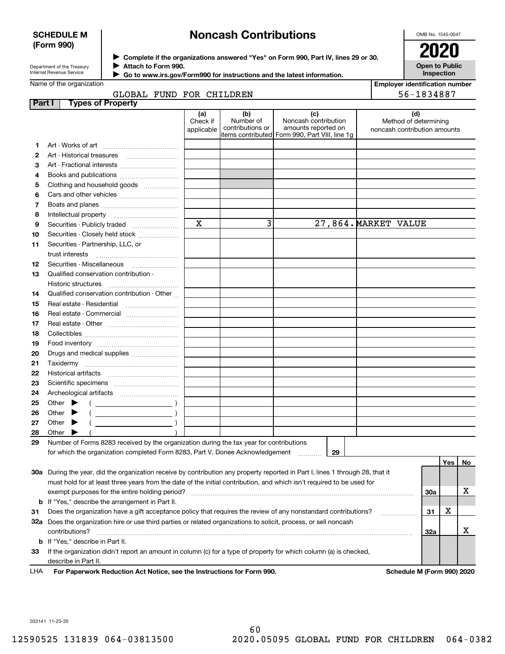#### **SCHEDULE M (Form 990)**

### **Noncash Contributions**

OMB No. 1545-0047

| Department of the Treasury |
|----------------------------|
| Internal Revenue Service   |

**Complete if the organizations answered "Yes" on Form 990, Part IV, lines 29 or 30.** <sup>J</sup>**2020 Attach to Form 990.** J

**Open to Public Inspection**

|  | Name of the organization |  |
|--|--------------------------|--|

 **Go to www.irs.gov/Form990 for instructions and the latest information.** J

|               | Name of the organization                                                                                                       |                               |                                      |                                                                                                      |  | <b>Employer identification number</b>                        |            |     |    |
|---------------|--------------------------------------------------------------------------------------------------------------------------------|-------------------------------|--------------------------------------|------------------------------------------------------------------------------------------------------|--|--------------------------------------------------------------|------------|-----|----|
|               | GLOBAL FUND FOR CHILDREN                                                                                                       |                               |                                      |                                                                                                      |  |                                                              | 56-1834887 |     |    |
| <b>Part I</b> | <b>Types of Property</b>                                                                                                       |                               |                                      |                                                                                                      |  |                                                              |            |     |    |
|               |                                                                                                                                | (a)<br>Check if<br>applicable | (b)<br>Number of<br>contributions or | (c)<br>Noncash contribution<br>amounts reported on<br>items contributed Form 990, Part VIII, line 1g |  | (d)<br>Method of determining<br>noncash contribution amounts |            |     |    |
| 1.            |                                                                                                                                |                               |                                      |                                                                                                      |  |                                                              |            |     |    |
| 2             |                                                                                                                                |                               |                                      |                                                                                                      |  |                                                              |            |     |    |
| 3             | Art - Fractional interests                                                                                                     |                               |                                      |                                                                                                      |  |                                                              |            |     |    |
| 4             | Books and publications                                                                                                         |                               |                                      |                                                                                                      |  |                                                              |            |     |    |
| 5             | Clothing and household goods                                                                                                   |                               |                                      |                                                                                                      |  |                                                              |            |     |    |
| 6             |                                                                                                                                |                               |                                      |                                                                                                      |  |                                                              |            |     |    |
| 7             |                                                                                                                                |                               |                                      |                                                                                                      |  |                                                              |            |     |    |
| 8             |                                                                                                                                |                               |                                      |                                                                                                      |  |                                                              |            |     |    |
| 9             |                                                                                                                                | $\mathbf X$                   | 3                                    |                                                                                                      |  | 27,864. MARKET VALUE                                         |            |     |    |
| 10            | Securities - Closely held stock                                                                                                |                               |                                      |                                                                                                      |  |                                                              |            |     |    |
| 11            | Securities - Partnership, LLC, or                                                                                              |                               |                                      |                                                                                                      |  |                                                              |            |     |    |
|               | trust interests                                                                                                                |                               |                                      |                                                                                                      |  |                                                              |            |     |    |
| 12            |                                                                                                                                |                               |                                      |                                                                                                      |  |                                                              |            |     |    |
| 13            | Qualified conservation contribution -                                                                                          |                               |                                      |                                                                                                      |  |                                                              |            |     |    |
|               | Historic structures                                                                                                            |                               |                                      |                                                                                                      |  |                                                              |            |     |    |
| 14            | Qualified conservation contribution - Other                                                                                    |                               |                                      |                                                                                                      |  |                                                              |            |     |    |
| 15            | Real estate - Residential                                                                                                      |                               |                                      |                                                                                                      |  |                                                              |            |     |    |
| 16            | Real estate - Commercial                                                                                                       |                               |                                      |                                                                                                      |  |                                                              |            |     |    |
| 17            |                                                                                                                                |                               |                                      |                                                                                                      |  |                                                              |            |     |    |
| 18            |                                                                                                                                |                               |                                      |                                                                                                      |  |                                                              |            |     |    |
| 19            |                                                                                                                                |                               |                                      |                                                                                                      |  |                                                              |            |     |    |
| 20            | Drugs and medical supplies                                                                                                     |                               |                                      |                                                                                                      |  |                                                              |            |     |    |
| 21            |                                                                                                                                |                               |                                      |                                                                                                      |  |                                                              |            |     |    |
| 22            |                                                                                                                                |                               |                                      |                                                                                                      |  |                                                              |            |     |    |
| 23            |                                                                                                                                |                               |                                      |                                                                                                      |  |                                                              |            |     |    |
| 24            |                                                                                                                                |                               |                                      |                                                                                                      |  |                                                              |            |     |    |
| 25            | Other $\blacktriangleright$                                                                                                    |                               |                                      |                                                                                                      |  |                                                              |            |     |    |
| 26            | Other<br>▸                                                                                                                     |                               |                                      |                                                                                                      |  |                                                              |            |     |    |
| 27            | Other $\blacktriangleright$                                                                                                    |                               |                                      |                                                                                                      |  |                                                              |            |     |    |
| 28            | Other                                                                                                                          |                               |                                      |                                                                                                      |  |                                                              |            |     |    |
| 29            | Number of Forms 8283 received by the organization during the tax year for contributions                                        |                               |                                      |                                                                                                      |  |                                                              |            |     |    |
|               | for which the organization completed Form 8283, Part V, Donee Acknowledgement                                                  |                               |                                      | 29                                                                                                   |  |                                                              |            |     |    |
|               |                                                                                                                                |                               |                                      |                                                                                                      |  |                                                              |            | Yes | No |
|               | 30a During the year, did the organization receive by contribution any property reported in Part I, lines 1 through 28, that it |                               |                                      |                                                                                                      |  |                                                              |            |     |    |
|               | must hold for at least three years from the date of the initial contribution, and which isn't required to be used for          |                               |                                      |                                                                                                      |  |                                                              |            |     |    |
|               | exempt purposes for the entire holding period?                                                                                 |                               |                                      |                                                                                                      |  |                                                              | 30a        |     | х  |
|               | <b>b</b> If "Yes," describe the arrangement in Part II.                                                                        |                               |                                      |                                                                                                      |  |                                                              |            |     |    |
| 31            | Does the organization have a gift acceptance policy that requires the review of any nonstandard contributions?                 |                               |                                      |                                                                                                      |  |                                                              | 31         | X   |    |
|               | 32a Does the organization hire or use third parties or related organizations to solicit, process, or sell noncash              |                               |                                      |                                                                                                      |  |                                                              |            |     |    |
|               | contributions?                                                                                                                 |                               |                                      |                                                                                                      |  |                                                              | <b>32a</b> |     | х  |
|               | <b>b</b> If "Yes," describe in Part II.                                                                                        |                               |                                      |                                                                                                      |  |                                                              |            |     |    |
| 33            | If the organization didn't report an amount in column (c) for a type of property for which column (a) is checked,              |                               |                                      |                                                                                                      |  |                                                              |            |     |    |
|               | describe in Part II.                                                                                                           |                               |                                      |                                                                                                      |  |                                                              |            |     |    |
|               |                                                                                                                                |                               |                                      |                                                                                                      |  |                                                              |            |     |    |

**For Paperwork Reduction Act Notice, see the Instructions for Form 990. Schedule M (Form 990) 2020** LHA

032141 11-23-20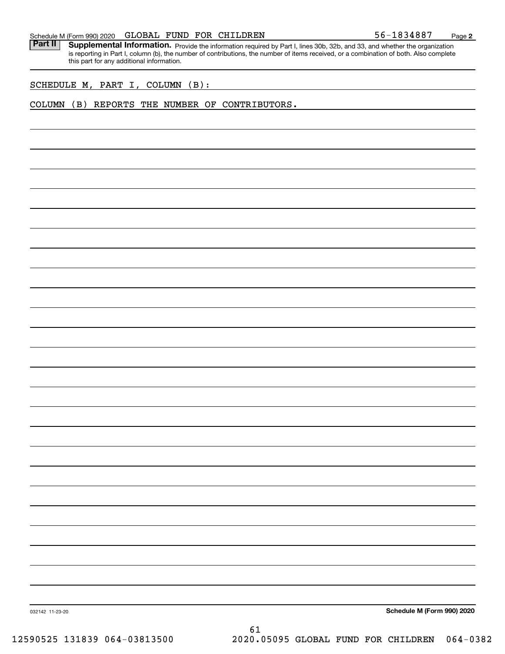#### Schedule M (Form 990) 2020 Page GLOBAL FUND FOR CHILDREN 56-1834887

Part II | Supplemental Information. Provide the information required by Part I, lines 30b, 32b, and 33, and whether the organization is reporting in Part I, column (b), the number of contributions, the number of items received, or a combination of both. Also complete this part for any additional information.

SCHEDULE M, PART I, COLUMN (B):

#### COLUMN (B) REPORTS THE NUMBER OF CONTRIBUTORS.

**Schedule M (Form 990) 2020**

032142 11-23-20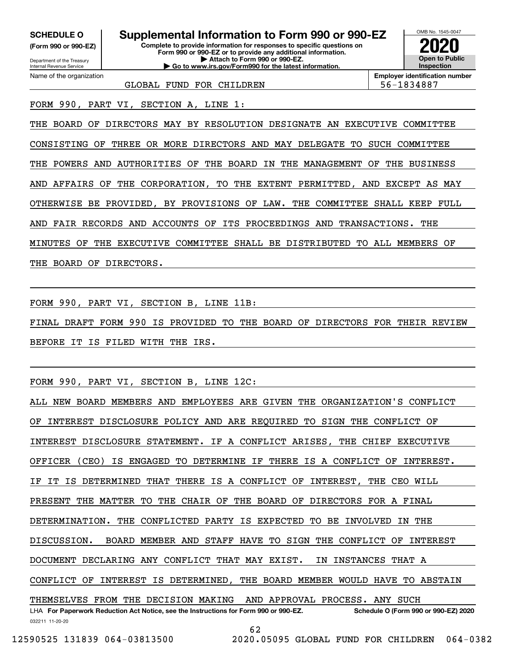**(Form 990 or 990-EZ)**

Department of the Treasury Internal Revenue Service Name of the organization

### **Complete to provide information for responses to specific questions on SCHEDULE O Supplemental Information to Form 990 or 990-EZ**

**Form 990 or 990-EZ or to provide any additional information. | Attach to Form 990 or 990-EZ. | Go to www.irs.gov/Form990 for the latest information.**



**Employer identification number**

GLOBAL FUND FOR CHILDREN THE RESERVIES RESIDENT SERVIES AND SERVIES RESERVE

FORM 990, PART VI, SECTION A, LINE 1:

THE BOARD OF DIRECTORS MAY BY RESOLUTION DESIGNATE AN EXECUTIVE COMMITTEE CONSISTING OF THREE OR MORE DIRECTORS AND MAY DELEGATE TO SUCH COMMITTEE THE POWERS AND AUTHORITIES OF THE BOARD IN THE MANAGEMENT OF THE BUSINESS AND AFFAIRS OF THE CORPORATION, TO THE EXTENT PERMITTED, AND EXCEPT AS MAY OTHERWISE BE PROVIDED, BY PROVISIONS OF LAW. THE COMMITTEE SHALL KEEP FULL AND FAIR RECORDS AND ACCOUNTS OF ITS PROCEEDINGS AND TRANSACTIONS. THE MINUTES OF THE EXECUTIVE COMMITTEE SHALL BE DISTRIBUTED TO ALL MEMBERS OF THE BOARD OF DIRECTORS.

FORM 990, PART VI, SECTION B, LINE 11B:

FINAL DRAFT FORM 990 IS PROVIDED TO THE BOARD OF DIRECTORS FOR THEIR REVIEW BEFORE IT IS FILED WITH THE IRS.

FORM 990, PART VI, SECTION B, LINE 12C:

032211 11-20-20 LHA For Paperwork Reduction Act Notice, see the Instructions for Form 990 or 990-EZ. Schedule O (Form 990 or 990-EZ) 2020 ALL NEW BOARD MEMBERS AND EMPLOYEES ARE GIVEN THE ORGANIZATION'S CONFLICT OF INTEREST DISCLOSURE POLICY AND ARE REQUIRED TO SIGN THE CONFLICT OF INTEREST DISCLOSURE STATEMENT. IF A CONFLICT ARISES, THE CHIEF EXECUTIVE OFFICER (CEO) IS ENGAGED TO DETERMINE IF THERE IS A CONFLICT OF INTEREST. IF IT IS DETERMINED THAT THERE IS A CONFLICT OF INTEREST, THE CEO WILL PRESENT THE MATTER TO THE CHAIR OF THE BOARD OF DIRECTORS FOR A FINAL DETERMINATION. THE CONFLICTED PARTY IS EXPECTED TO BE INVOLVED IN THE DISCUSSION. BOARD MEMBER AND STAFF HAVE TO SIGN THE CONFLICT OF INTEREST DOCUMENT DECLARING ANY CONFLICT THAT MAY EXIST. IN INSTANCES THAT A CONFLICT OF INTEREST IS DETERMINED, THE BOARD MEMBER WOULD HAVE TO ABSTAIN THEMSELVES FROM THE DECISION MAKING AND APPROVAL PROCESS. ANY SUCH 62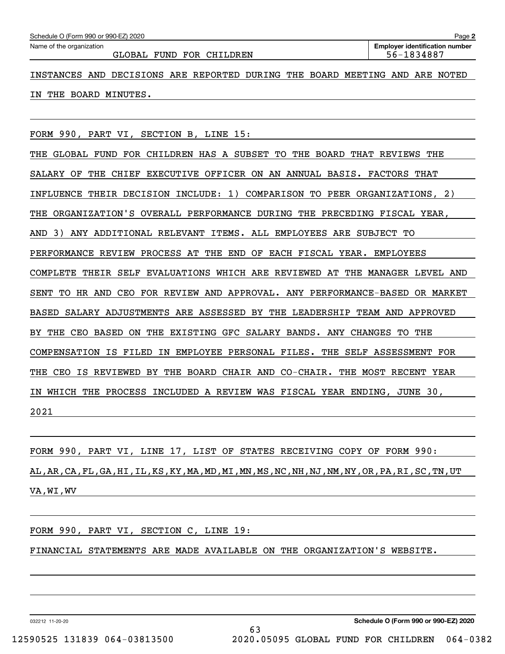GLOBAL FUND FOR CHILDREN 61 and 56-1834887

INSTANCES AND DECISIONS ARE REPORTED DURING THE BOARD MEETING AND ARE NOTED IN THE BOARD MINUTES.

FORM 990, PART VI, SECTION B, LINE 15:

THE GLOBAL FUND FOR CHILDREN HAS A SUBSET TO THE BOARD THAT REVIEWS THE SALARY OF THE CHIEF EXECUTIVE OFFICER ON AN ANNUAL BASIS. FACTORS THAT INFLUENCE THEIR DECISION INCLUDE: 1) COMPARISON TO PEER ORGANIZATIONS, 2) THE ORGANIZATION'S OVERALL PERFORMANCE DURING THE PRECEDING FISCAL YEAR, AND 3) ANY ADDITIONAL RELEVANT ITEMS. ALL EMPLOYEES ARE SUBJECT TO PERFORMANCE REVIEW PROCESS AT THE END OF EACH FISCAL YEAR. EMPLOYEES COMPLETE THEIR SELF EVALUATIONS WHICH ARE REVIEWED AT THE MANAGER LEVEL AND SENT TO HR AND CEO FOR REVIEW AND APPROVAL. ANY PERFORMANCE-BASED OR MARKET BASED SALARY ADJUSTMENTS ARE ASSESSED BY THE LEADERSHIP TEAM AND APPROVED BY THE CEO BASED ON THE EXISTING GFC SALARY BANDS. ANY CHANGES TO THE COMPENSATION IS FILED IN EMPLOYEE PERSONAL FILES. THE SELF ASSESSMENT FOR THE CEO IS REVIEWED BY THE BOARD CHAIR AND CO-CHAIR. THE MOST RECENT YEAR IN WHICH THE PROCESS INCLUDED A REVIEW WAS FISCAL YEAR ENDING, JUNE 30, 2021

FORM 990, PART VI, LINE 17, LIST OF STATES RECEIVING COPY OF FORM 990: AL,AR,CA,FL,GA,HI,IL,KS,KY,MA,MD,MI,MN,MS,NC,NH,NJ,NM,NY,OR,PA,RI,SC,TN,UT VA,WI,WV

#### FORM 990, PART VI, SECTION C, LINE 19:

FINANCIAL STATEMENTS ARE MADE AVAILABLE ON THE ORGANIZATION'S WEBSITE.

032212 11-20-20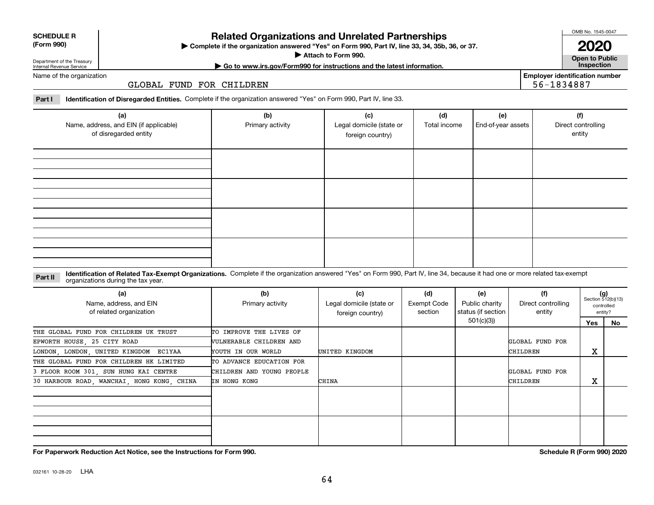# **(a) (b) (c) (d) (e) (f)** Name, address, and EIN (if applicable) of disregarded entity Primary activity **Legal domicile (state or** foreign country) Total income | End-of-year assets | Direct controlling entity

#### **Identification of Related Tax-Exempt Organizations.** Complete if the organization answered "Yes" on Form 990, Part IV, line 34, because it had one or more related tax-exempt **Part II** organizations during the tax year.

| (a)<br>Name, address, and EIN<br>of related organization | (b)<br>Primary activity   | (c)<br>Legal domicile (state or<br>foreign country) | (d)<br>Exempt Code<br>section | (e)<br>Public charity<br>status (if section | (f)<br>Direct controlling<br>entity |        | $(g)$<br>Section 512(b)(13)<br>controlled<br>entity? |
|----------------------------------------------------------|---------------------------|-----------------------------------------------------|-------------------------------|---------------------------------------------|-------------------------------------|--------|------------------------------------------------------|
|                                                          |                           |                                                     |                               | 501(c)(3))                                  |                                     | Yes    | No                                                   |
| THE GLOBAL FUND FOR CHILDREN UK TRUST                    | TO IMPROVE THE LIVES OF   |                                                     |                               |                                             |                                     |        |                                                      |
| EPWORTH HOUSE, 25 CITY ROAD                              | VULNERABLE CHILDREN AND   |                                                     |                               |                                             | GLOBAL FUND FOR                     |        |                                                      |
| LONDON, LONDON, UNITED KINGDOM EC1YAA                    | YOUTH IN OUR WORLD        | UNITED KINGDOM                                      |                               |                                             | CHILDREN                            | v<br>A |                                                      |
| THE GLOBAL FUND FOR CHILDREN HK LIMITED                  | TO ADVANCE EDUCATION FOR  |                                                     |                               |                                             |                                     |        |                                                      |
| 3 FLOOR ROOM 301, SUN HUNG KAI CENTRE                    | CHILDREN AND YOUNG PEOPLE |                                                     |                               |                                             | GLOBAL FUND FOR                     |        |                                                      |
| 30 HARBOUR ROAD, WANCHAI, HONG KONG, CHINA               | IN HONG KONG              | CHINA                                               |                               |                                             | CHILDREN                            | Х      |                                                      |
|                                                          |                           |                                                     |                               |                                             |                                     |        |                                                      |
|                                                          |                           |                                                     |                               |                                             |                                     |        |                                                      |

**For Paperwork Reduction Act Notice, see the Instructions for Form 990. Schedule R (Form 990) 2020**

## **Related Organizations and Unrelated Partnerships**

"Yes" on Form 990, Part IV, line 33, 34, 35b, 36, or 37.

**Attach to Form 990.**  |

**Employer identification number** 56-1834887

| <b>Related Organizations</b>              |
|-------------------------------------------|
| ► Complete if the organization answered " |
|                                           |

**Part I Identification of Disregarded Entities.**  Complete if the organization answered "Yes" on Form 990, Part IV, line 33.

GLOBAL FUND FOR CHILDREN

### **SCHEDULE R**

Department of the Treasury Internal Revenue Service

Name of the organization

**(Form 990)**

032161 10-28-20 LHA

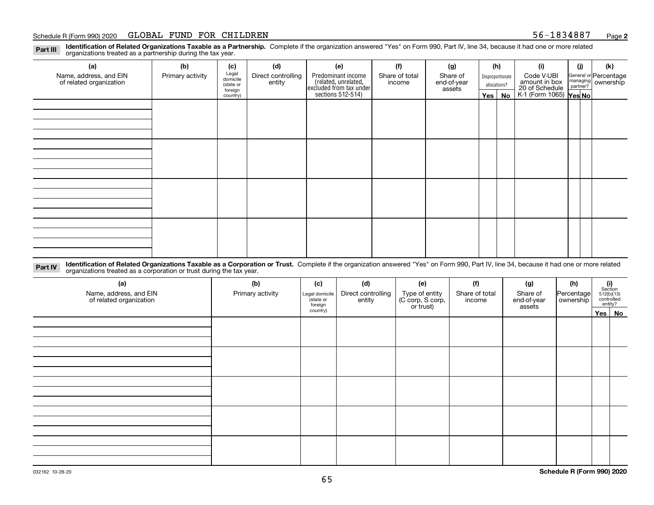#### Schedule R (Form 990) 2020 Page GLOBAL FUND FOR CHILDREN 56-1834887

**2**

**Identification of Related Organizations Taxable as a Partnership.** Complete if the organization answered "Yes" on Form 990, Part IV, line 34, because it had one or more related **Part III** organizations treated as a partnership during the tax year.

| (a)                                               | (b)              | (c)                  | (d)                          | (e)                                                                                        | (f)                      | (g)                               |                                  | (h) | (i)                                                       | (i) | (k)                                                       |
|---------------------------------------------------|------------------|----------------------|------------------------------|--------------------------------------------------------------------------------------------|--------------------------|-----------------------------------|----------------------------------|-----|-----------------------------------------------------------|-----|-----------------------------------------------------------|
| Name, address, and EIN<br>of related organization | Primary activity | Legal<br>domicile    | Direct controlling<br>entity | Predominant income<br>(related, unrelated,<br>excluded from tax under<br>sections 512-514) | Share of total<br>income | Share of<br>end-of-year<br>assets | Disproportionate<br>allocations? |     | Code V-UBI                                                |     | General or Percentage<br>managing<br>partner?<br>partner? |
|                                                   |                  | (state or<br>foreign |                              |                                                                                            |                          |                                   |                                  |     |                                                           |     |                                                           |
|                                                   |                  | country)             |                              |                                                                                            |                          |                                   | Yes $ $                          | No  | amount in box<br>20 of Schedule<br>K-1 (Form 1065) Yes No |     |                                                           |
|                                                   |                  |                      |                              |                                                                                            |                          |                                   |                                  |     |                                                           |     |                                                           |
|                                                   |                  |                      |                              |                                                                                            |                          |                                   |                                  |     |                                                           |     |                                                           |
|                                                   |                  |                      |                              |                                                                                            |                          |                                   |                                  |     |                                                           |     |                                                           |
|                                                   |                  |                      |                              |                                                                                            |                          |                                   |                                  |     |                                                           |     |                                                           |
|                                                   |                  |                      |                              |                                                                                            |                          |                                   |                                  |     |                                                           |     |                                                           |
|                                                   |                  |                      |                              |                                                                                            |                          |                                   |                                  |     |                                                           |     |                                                           |
|                                                   |                  |                      |                              |                                                                                            |                          |                                   |                                  |     |                                                           |     |                                                           |
|                                                   |                  |                      |                              |                                                                                            |                          |                                   |                                  |     |                                                           |     |                                                           |
|                                                   |                  |                      |                              |                                                                                            |                          |                                   |                                  |     |                                                           |     |                                                           |
|                                                   |                  |                      |                              |                                                                                            |                          |                                   |                                  |     |                                                           |     |                                                           |
|                                                   |                  |                      |                              |                                                                                            |                          |                                   |                                  |     |                                                           |     |                                                           |
|                                                   |                  |                      |                              |                                                                                            |                          |                                   |                                  |     |                                                           |     |                                                           |
|                                                   |                  |                      |                              |                                                                                            |                          |                                   |                                  |     |                                                           |     |                                                           |
|                                                   |                  |                      |                              |                                                                                            |                          |                                   |                                  |     |                                                           |     |                                                           |
|                                                   |                  |                      |                              |                                                                                            |                          |                                   |                                  |     |                                                           |     |                                                           |
|                                                   |                  |                      |                              |                                                                                            |                          |                                   |                                  |     |                                                           |     |                                                           |
|                                                   |                  |                      |                              |                                                                                            |                          |                                   |                                  |     |                                                           |     |                                                           |

**Identification of Related Organizations Taxable as a Corporation or Trust.** Complete if the organization answered "Yes" on Form 990, Part IV, line 34, because it had one or more related **Part IV** organizations treated as a corporation or trust during the tax year.

| (a)<br>Name, address, and EIN<br>of related organization | (b)<br>Primary activity | (c)<br>Legal domicile<br>(state or<br>foreign | (d)<br>Direct controlling<br>entity | (e)<br>Type of entity<br>(C corp, S corp,<br>or trust) | (f)<br>Share of total<br>income | (g)<br>Share of<br>end-of-year<br>assets | (h)<br>Percentage<br>ownership | (i)<br>Section<br>512(b)(13)<br>controlled<br>entity? |          |
|----------------------------------------------------------|-------------------------|-----------------------------------------------|-------------------------------------|--------------------------------------------------------|---------------------------------|------------------------------------------|--------------------------------|-------------------------------------------------------|----------|
|                                                          |                         | country)                                      |                                     |                                                        |                                 |                                          |                                |                                                       | Yes   No |
|                                                          |                         |                                               |                                     |                                                        |                                 |                                          |                                |                                                       |          |
|                                                          |                         |                                               |                                     |                                                        |                                 |                                          |                                |                                                       |          |
|                                                          |                         |                                               |                                     |                                                        |                                 |                                          |                                |                                                       |          |
|                                                          |                         |                                               |                                     |                                                        |                                 |                                          |                                |                                                       |          |
|                                                          |                         |                                               |                                     |                                                        |                                 |                                          |                                |                                                       |          |
|                                                          |                         |                                               |                                     |                                                        |                                 |                                          |                                |                                                       |          |
|                                                          |                         |                                               |                                     |                                                        |                                 |                                          |                                |                                                       |          |
|                                                          |                         |                                               |                                     |                                                        |                                 |                                          |                                |                                                       |          |
|                                                          |                         |                                               |                                     |                                                        |                                 |                                          |                                |                                                       |          |
|                                                          |                         |                                               |                                     |                                                        |                                 |                                          |                                |                                                       |          |
|                                                          |                         |                                               |                                     |                                                        |                                 |                                          |                                |                                                       |          |
|                                                          |                         |                                               |                                     |                                                        |                                 |                                          |                                |                                                       |          |
|                                                          |                         |                                               |                                     |                                                        |                                 |                                          |                                |                                                       |          |
|                                                          |                         |                                               |                                     |                                                        |                                 |                                          |                                |                                                       |          |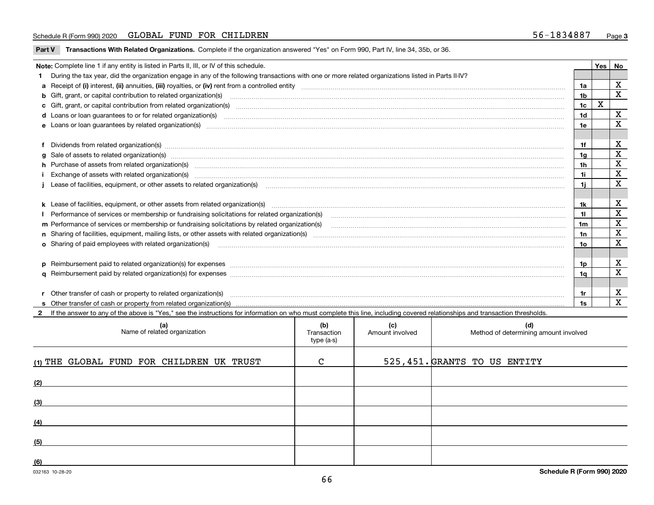#### Schedule R (Form 990) 2020 Page GLOBAL FUND FOR CHILDREN 56-1834887

**Part V** T**ransactions With Related Organizations.** Complete if the organization answered "Yes" on Form 990, Part IV, line 34, 35b, or 36.

| Note: Complete line 1 if any entity is listed in Parts II, III, or IV of this schedule. |                                                                                                                                                                                                                                |                |   |             |  |  |
|-----------------------------------------------------------------------------------------|--------------------------------------------------------------------------------------------------------------------------------------------------------------------------------------------------------------------------------|----------------|---|-------------|--|--|
|                                                                                         | 1 During the tax year, did the organization engage in any of the following transactions with one or more related organizations listed in Parts II-IV?                                                                          |                |   |             |  |  |
|                                                                                         |                                                                                                                                                                                                                                |                |   | X           |  |  |
|                                                                                         | b Gift, grant, or capital contribution to related organization(s) mature and contained and contribution to related organization(s)                                                                                             | 1 <sub>b</sub> |   | $\mathbf x$ |  |  |
|                                                                                         | c Gift, grant, or capital contribution from related organization(s) matches contains and contribution from related organization(s) matches contains and contribution from related organization(s) matches contains and contain | 1c             | X |             |  |  |
|                                                                                         | d Loans or loan guarantees to or for related organization(s) committion contracts are constructed as a control or contract or contract or contract or contract or contract or contract or contract or contract or contract or  | 1 <sub>d</sub> |   | $\mathbf X$ |  |  |
|                                                                                         |                                                                                                                                                                                                                                | 1e             |   | X           |  |  |
|                                                                                         |                                                                                                                                                                                                                                |                |   |             |  |  |
|                                                                                         | f Dividends from related organization(s) manufactured contains and contained a series of the contact of the contact of the contact of the contact of the contact of the contact of the contact of the contact of the contact o | 1f             |   | X           |  |  |
|                                                                                         | g Sale of assets to related organization(s) www.assettion.com/www.assettion.com/www.assettion.com/www.assettion.com/www.assettion.com/www.assettion.com/www.assettion.com/www.assettion.com/www.assettion.com/www.assettion.co | 1a             |   | $\mathbf X$ |  |  |
|                                                                                         | h Purchase of assets from related organization(s) manufactured content to content the content of the content of the content of the content of the content of the content of the content of the content of the content of the c | 1 <sub>h</sub> |   | X           |  |  |
|                                                                                         | Exchange of assets with related organization(s) www.communically.communically.communically and a strategy of assets with related organization(s) www.communically.communically and a strategy of assets with related organizat | 1i.            |   | X           |  |  |
|                                                                                         | Lease of facilities, equipment, or other assets to related organization(s) contain an according to the content of the state of facilities, equipment, or other assets to related organization(s) contained and according to th | 11             |   | $\mathbf x$ |  |  |
|                                                                                         |                                                                                                                                                                                                                                |                |   |             |  |  |
|                                                                                         |                                                                                                                                                                                                                                | 1k             |   | X           |  |  |
|                                                                                         |                                                                                                                                                                                                                                | 11.            |   | $\mathbf X$ |  |  |
|                                                                                         | m Performance of services or membership or fundraising solicitations by related organization(s)                                                                                                                                | 1m             |   | $\mathbf X$ |  |  |
|                                                                                         |                                                                                                                                                                                                                                | 1n             |   | $\mathbf X$ |  |  |
|                                                                                         | <b>o</b> Sharing of paid employees with related organization(s)                                                                                                                                                                | 10             |   | X           |  |  |
|                                                                                         |                                                                                                                                                                                                                                |                |   |             |  |  |
|                                                                                         | p Reimbursement paid to related organization(s) for expenses [1111] and manufacture manufacture manufacture manufacture manufacture manufacture manufacture manufacture manufacture manufacture manufacture manufacture manufa | 1p.            |   | X           |  |  |
|                                                                                         |                                                                                                                                                                                                                                | 1q             |   | X           |  |  |
|                                                                                         |                                                                                                                                                                                                                                |                |   |             |  |  |
|                                                                                         | r Other transfer of cash or property to related organization(s)                                                                                                                                                                | 1r             |   | X           |  |  |
|                                                                                         | r Other transfer of cash or property to related organization(s) encourance contains an example of cash or property from related organization(s) encourance contained and a substitution of the transfer of cash or property fr | 1s             |   | $\mathbf X$ |  |  |
|                                                                                         | 2 If the answer to any of the above is "Yes," see the instructions for information on who must complete this line, including covered relationships and transaction thresholds.                                                 |                |   |             |  |  |

| (a)<br>Name of related organization       | (b)<br>Transaction<br>type (a-s) | (c)<br>Amount involved | (d)<br>Method of determining amount involved |
|-------------------------------------------|----------------------------------|------------------------|----------------------------------------------|
| (1) THE GLOBAL FUND FOR CHILDREN UK TRUST | $\mathcal{C}$                    |                        | 525, 451. GRANTS TO US ENTITY                |
| (2)                                       |                                  |                        |                                              |
| (3)                                       |                                  |                        |                                              |
| (4)                                       |                                  |                        |                                              |
| (5)                                       |                                  |                        |                                              |
| (6)                                       |                                  |                        |                                              |

 $\overline{\phantom{a}}$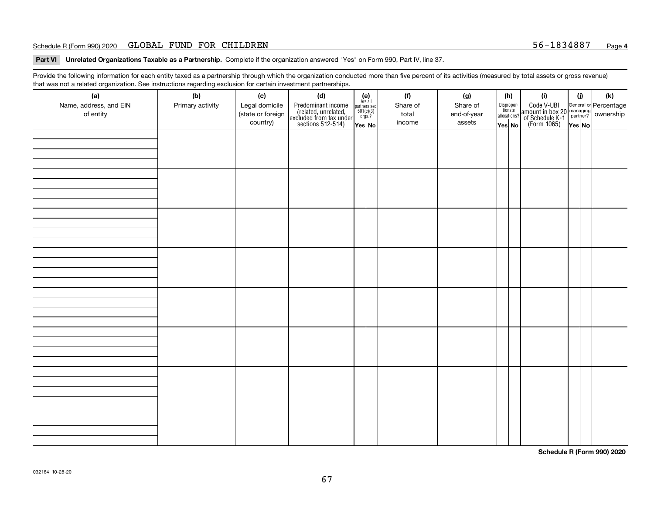#### Schedule R (Form 990) 2020 Page GLOBAL FUND FOR CHILDREN 56-1834887

**Part VI Unrelated Organizations Taxable as a Partnership. Complete if the organization answered "Yes" on Form 990, Part IV, line 37.** 

Provide the following information for each entity taxed as a partnership through which the organization conducted more than five percent of its activities (measured by total assets or gross revenue) that was not a related organization. See instructions regarding exclusion for certain investment partnerships.

| ັ                      | ັ<br>ັ           |                   |                                                                                            |                                                                                               |          |             |                                  |  |                                                                                                  |        |     |
|------------------------|------------------|-------------------|--------------------------------------------------------------------------------------------|-----------------------------------------------------------------------------------------------|----------|-------------|----------------------------------|--|--------------------------------------------------------------------------------------------------|--------|-----|
| (a)                    | (b)              | (c)               | (d)                                                                                        | $(e)$<br>Are all                                                                              | (f)      | (g)         | (h)                              |  | (i)                                                                                              | (i)    | (k) |
| Name, address, and EIN | Primary activity | Legal domicile    | Predominant income<br>(related, unrelated,<br>excluded from tax under<br>sections 512-514) |                                                                                               | Share of | Share of    | Disproportionate<br>allocations? |  | Code V-UBI<br>amount in box 20 managing<br>of Schedule K-1<br>(Form 1065)<br>$\overline{Yes}$ No |        |     |
| of entity              |                  | (state or foreign |                                                                                            | $\begin{array}{c}\n\text{partners} & \text{sec.} \\ 501(c)(3) & \text{orgs.?} \\ \end{array}$ | total    | end-of-year |                                  |  |                                                                                                  |        |     |
|                        |                  | country)          |                                                                                            | Yes No                                                                                        | income   | assets      | Yes No                           |  |                                                                                                  | Yes No |     |
|                        |                  |                   |                                                                                            |                                                                                               |          |             |                                  |  |                                                                                                  |        |     |
|                        |                  |                   |                                                                                            |                                                                                               |          |             |                                  |  |                                                                                                  |        |     |
|                        |                  |                   |                                                                                            |                                                                                               |          |             |                                  |  |                                                                                                  |        |     |
|                        |                  |                   |                                                                                            |                                                                                               |          |             |                                  |  |                                                                                                  |        |     |
|                        |                  |                   |                                                                                            |                                                                                               |          |             |                                  |  |                                                                                                  |        |     |
|                        |                  |                   |                                                                                            |                                                                                               |          |             |                                  |  |                                                                                                  |        |     |
|                        |                  |                   |                                                                                            |                                                                                               |          |             |                                  |  |                                                                                                  |        |     |
|                        |                  |                   |                                                                                            |                                                                                               |          |             |                                  |  |                                                                                                  |        |     |
|                        |                  |                   |                                                                                            |                                                                                               |          |             |                                  |  |                                                                                                  |        |     |
|                        |                  |                   |                                                                                            |                                                                                               |          |             |                                  |  |                                                                                                  |        |     |
|                        |                  |                   |                                                                                            |                                                                                               |          |             |                                  |  |                                                                                                  |        |     |
|                        |                  |                   |                                                                                            |                                                                                               |          |             |                                  |  |                                                                                                  |        |     |
|                        |                  |                   |                                                                                            |                                                                                               |          |             |                                  |  |                                                                                                  |        |     |
|                        |                  |                   |                                                                                            |                                                                                               |          |             |                                  |  |                                                                                                  |        |     |
|                        |                  |                   |                                                                                            |                                                                                               |          |             |                                  |  |                                                                                                  |        |     |
|                        |                  |                   |                                                                                            |                                                                                               |          |             |                                  |  |                                                                                                  |        |     |
|                        |                  |                   |                                                                                            |                                                                                               |          |             |                                  |  |                                                                                                  |        |     |
|                        |                  |                   |                                                                                            |                                                                                               |          |             |                                  |  |                                                                                                  |        |     |
|                        |                  |                   |                                                                                            |                                                                                               |          |             |                                  |  |                                                                                                  |        |     |
|                        |                  |                   |                                                                                            |                                                                                               |          |             |                                  |  |                                                                                                  |        |     |
|                        |                  |                   |                                                                                            |                                                                                               |          |             |                                  |  |                                                                                                  |        |     |
|                        |                  |                   |                                                                                            |                                                                                               |          |             |                                  |  |                                                                                                  |        |     |
|                        |                  |                   |                                                                                            |                                                                                               |          |             |                                  |  |                                                                                                  |        |     |
|                        |                  |                   |                                                                                            |                                                                                               |          |             |                                  |  |                                                                                                  |        |     |
|                        |                  |                   |                                                                                            |                                                                                               |          |             |                                  |  |                                                                                                  |        |     |
|                        |                  |                   |                                                                                            |                                                                                               |          |             |                                  |  |                                                                                                  |        |     |
|                        |                  |                   |                                                                                            |                                                                                               |          |             |                                  |  |                                                                                                  |        |     |
|                        |                  |                   |                                                                                            |                                                                                               |          |             |                                  |  |                                                                                                  |        |     |
|                        |                  |                   |                                                                                            |                                                                                               |          |             |                                  |  |                                                                                                  |        |     |
|                        |                  |                   |                                                                                            |                                                                                               |          |             |                                  |  |                                                                                                  |        |     |
|                        |                  |                   |                                                                                            |                                                                                               |          |             |                                  |  |                                                                                                  |        |     |
|                        |                  |                   |                                                                                            |                                                                                               |          |             |                                  |  |                                                                                                  |        |     |
|                        |                  |                   |                                                                                            |                                                                                               |          |             |                                  |  |                                                                                                  |        |     |
|                        |                  |                   |                                                                                            |                                                                                               |          |             |                                  |  |                                                                                                  |        |     |
|                        |                  |                   |                                                                                            |                                                                                               |          |             |                                  |  |                                                                                                  |        |     |
|                        |                  |                   |                                                                                            |                                                                                               |          |             |                                  |  |                                                                                                  |        |     |
|                        |                  |                   |                                                                                            |                                                                                               |          |             |                                  |  |                                                                                                  |        |     |
|                        |                  |                   |                                                                                            |                                                                                               |          |             |                                  |  |                                                                                                  |        |     |
|                        |                  |                   |                                                                                            |                                                                                               |          |             |                                  |  |                                                                                                  |        |     |
|                        |                  |                   |                                                                                            |                                                                                               |          |             |                                  |  |                                                                                                  |        |     |

**Schedule R (Form 990) 2020**